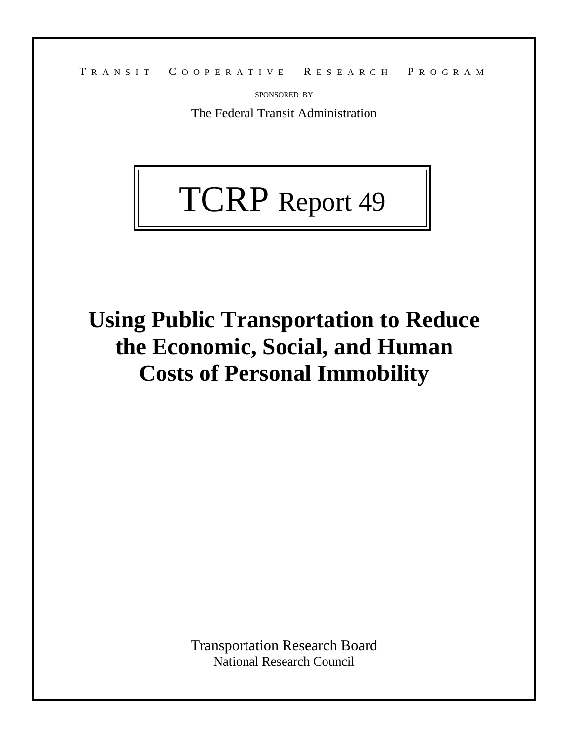T RANSIT C OOPERATIVE R ESEARCH P ROGRAM

SPONSORED BY

The Federal Transit Administration

TCRP Report 49

# **Using Public Transportation to Reduce the Economic, Social, and Human Costs of Personal Immobility**

Transportation Research Board National Research Council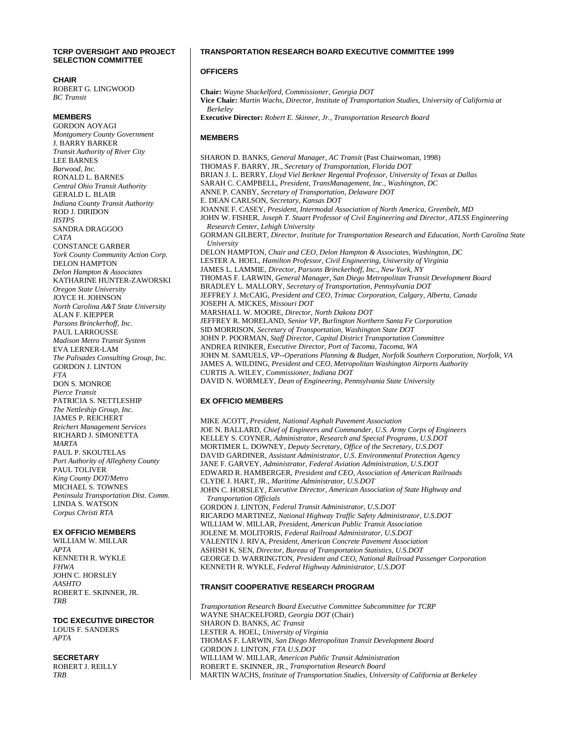### **TCRP OVERSIGHT AND PROJECT SELECTION COMMITTEE**

#### **CHAIR**

ROBERT G. LINGWOOD *BC Transit*

### **MEMBERS**

GORDON AOYAGI *Montgomery County Government* J. BARRY BARKER *Transit Authority of River City* LEE BARNES *Barwood, Inc.* RONALD L. BARNES *Central Ohio Transit Authority* GERALD L. BLAIR *Indiana County Transit Authority* ROD J. DIRIDON *IISTPS* SANDRA DRAGGOO *CATA* CONSTANCE GARBER *York County Community Action Corp.* DELON HAMPTON *Delon Hampton & Associates* KATHARINE HUNTER-ZAWORSKI *Oregon State University* JOYCE H. JOHNSON *North Carolina A&T State University* ALAN F. KIEPPER *Parsons Brinckerhoff, Inc.* PAUL LARROUSSE *Madison Metro Transit System* EVA LERNER-LAM *The Palisades Consulting Group, Inc.* GORDON J. LINTON *FTA* DON S. MONROE *Pierce Transit* PATRICIA S. NETTLESHIP *The Nettleship Group, Inc.* JAMES P. REICHERT *Reichert Management Services* RICHARD J. SIMONETTA *MARTA* PAUL P. SKOUTELAS *Port Authority of Allegheny County* PAUL TOLIVER *King County DOT/Metro* MICHAEL S. TOWNES *Peninsula Transportation Dist. Comm.* LINDA S. WATSON *Corpus Christi RTA*

#### **EX OFFICIO MEMBERS**

WILLIAM W. MILLAR *APTA* KENNETH R. WYKLE *FHWA* JOHN C. HORSLEY *AASHTO* ROBERT E. SKINNER, JR. *TRB*

### **TDC EXECUTIVE DIRECTOR** LOUIS F. SANDERS *APTA*

**SECRETARY** ROBERT J. REILLY *TRB*

### **TRANSPORTATION RESEARCH BOARD EXECUTIVE COMMITTEE 1999**

### **OFFICERS**

**Chair:** *Wayne Shackelford, Commissioner, Georgia DOT* **Vice Chair:** *Martin Wachs, Director, Institute of Transportation Studies, University of California at Berkeley* **Executive Director:** *Robert E. Skinner, Jr., Transportation Research Board* **MEMBERS** SHARON D. BANKS, *General Manager, AC Transit* (Past Chairwoman, 1998) THOMAS F. BARRY, JR., *Secretary of Transportation, Florida DOT* BRIAN J. L. BERRY, *Lloyd Viel Berkner Regental Professor, University of Texas at Dallas* SARAH C. CAMPBELL, *President, TransManagement, Inc., Washington, DC* ANNE P. CANBY, *Secretary of Transportation, Delaware DOT* E. DEAN CARLSON, *Secretary, Kansas DOT* JOANNE F. CASEY, *President, Intermodal Association of North America, Greenbelt, MD* JOHN W. FISHER, *Joseph T. Stuart Professor of Civil Engineering and Director, ATLSS Engineering Research Center, Lehigh University* GORMAN GILBERT, *Director, Institute for Transportation Research and Education, North Carolina State University* DELON HAMPTON, *Chair and CEO, Delon Hampton & Associates, Washington, DC* LESTER A. HOEL, *Hamilton Professor, Civil Engineering, University of Virginia* JAMES L. LAMMIE, *Director, Parsons Brinckerhoff, Inc., New York, NY* THOMAS F. LARWIN, *General Manager, San Diego Metropolitan Transit Development Board* BRADLEY L. MALLORY, *Secretary of Transportation, Pennsylvania DOT* JEFFREY J. McCAIG, *President and CEO, Trimac Corporation, Calgary, Alberta, Canada* JOSEPH A. MICKES, *Missouri DOT* MARSHALL W. MOORE, *Director, North Dakota DOT* JEFFREY R. MORELAND, *Senior VP, Burlington Northern Santa Fe Corporation* SID MORRISON, *Secretary of Transportation, Washington State DOT* JOHN P. POORMAN, *Staff Director, Capital District Transportation Committee* ANDREA RINIKER, *Executive Director, Port of Tacoma, Tacoma, WA* JOHN M. SAMUELS, *VP--Operations Planning & Budget, Norfolk Southern Corporation, Norfolk, VA* JAMES A. WILDING, *President and CEO, Metropolitan Washington Airports Authority* CURTIS A. WILEY, *Commissioner, Indiana DOT* DAVID N. WORMLEY, *Dean of Engineering, Pennsylvania State University*

## **EX OFFICIO MEMBERS**

MIKE ACOTT, *President, National Asphalt Pavement Association* JOE N. BALLARD, *Chief of Engineers and Commander, U.S. Army Corps of Engineers* KELLEY S. COYNER, *Administrator, Research and Special Programs, U.S.DOT* MORTIMER L. DOWNEY, *Deputy Secretary, Office of the Secretary, U.S.DOT* DAVID GARDINER, *Assistant Administrator, U.S. Environmental Protection Agency* JANE F. GARVEY, *Administrator, Federal Aviation Administration, U.S.DOT* EDWARD R. HAMBERGER, *President and CEO, Association of American Railroads* CLYDE J. HART, JR., *Maritime Administrator, U.S.DOT* JOHN C. HORSLEY, *Executive Director, American Association of State Highway and Transportation Officials* GORDON J. LINTON, *Federal Transit Administrator, U.S.DOT* RICARDO MARTINEZ, *National Highway Traffic Safety Administrator, U.S.DOT* WILLIAM W. MILLAR, *President, American Public Transit Association* JOLENE M. MOLITORIS, *Federal Railroad Administrator, U.S.DOT* VALENTIN J. RIVA, *President, American Concrete Pavement Association* ASHISH K. SEN, *Director, Bureau of Transportation Statistics, U.S.DOT* GEORGE D. WARRINGTON, *President and CEO, National Railroad Passenger Corporation* KENNETH R. WYKLE, *Federal Highway Administrator, U.S.DOT*

### **TRANSIT COOPERATIVE RESEARCH PROGRAM**

*Transportation Research Board Executive Committee Subcommittee for TCRP* WAYNE SHACKELFORD, *Georgia DOT* (Chair) SHARON D. BANKS, *AC Transit* LESTER A. HOEL, *University of Virginia* THOMAS F. LARWIN, *San Diego Metropolitan Transit Development Board* GORDON J. LINTON, *FTA U.S.DOT* WILLIAM W. MILLAR, *American Public Transit Administration* ROBERT E. SKINNER, JR., *Transportation Research Board* MARTIN WACHS, *Institute of Transportation Studies, University of California at Berkeley*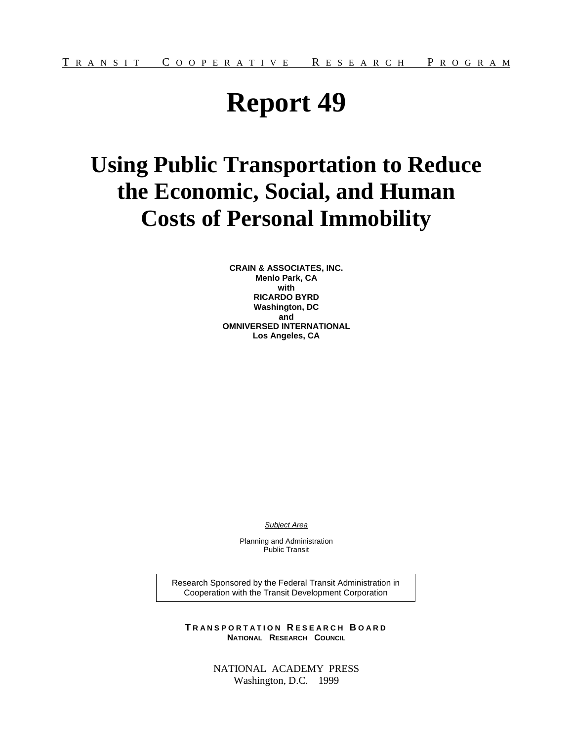# **Report 49**

# **Using Public Transportation to Reduce the Economic, Social, and Human Costs of Personal Immobility**

**CRAIN & ASSOCIATES, INC. Menlo Park, CA with RICARDO BYRD Washington, DC and OMNIVERSED INTERNATIONAL Los Angeles, CA**

**Subject Area** 

Planning and Administration Public Transit

Research Sponsored by the Federal Transit Administration in Cooperation with the Transit Development Corporation

**T RANSPORTATION R ESEARCH B OARD NATIONAL RESEARCH COUNCIL**

> NATIONAL ACADEMY PRESS Washington, D.C. 1999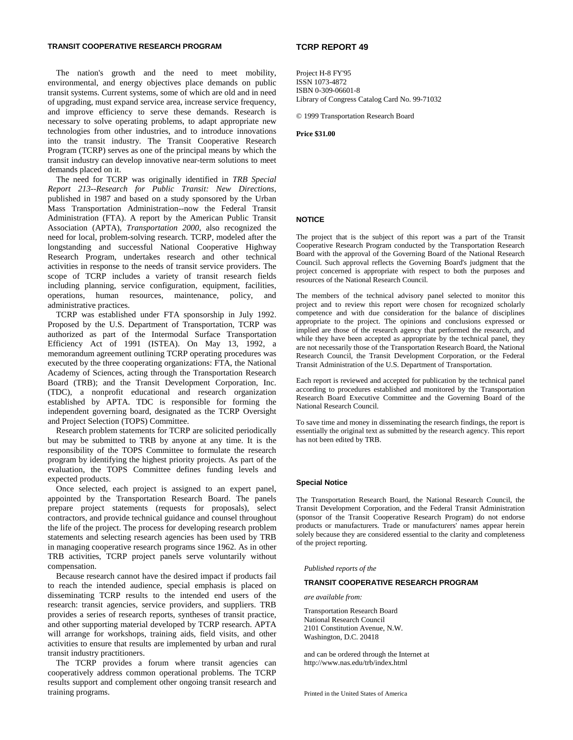#### **TRANSIT COOPERATIVE RESEARCH PROGRAM**

The nation's growth and the need to meet mobility, environmental, and energy objectives place demands on public transit systems. Current systems, some of which are old and in need of upgrading, must expand service area, increase service frequency, and improve efficiency to serve these demands. Research is necessary to solve operating problems, to adapt appropriate new technologies from other industries, and to introduce innovations into the transit industry. The Transit Cooperative Research Program (TCRP) serves as one of the principal means by which the transit industry can develop innovative near-term solutions to meet demands placed on it.

The need for TCRP was originally identified in *TRB Special Report 213--Research for Public Transit: New Directions,* published in 1987 and based on a study sponsored by the Urban Mass Transportation Administration--now the Federal Transit Administration (FTA). A report by the American Public Transit Association (APTA), *Transportation 2000*, also recognized the need for local, problem-solving research. TCRP, modeled after the longstanding and successful National Cooperative Highway Research Program, undertakes research and other technical activities in response to the needs of transit service providers. The scope of TCRP includes a variety of transit research fields including planning, service configuration, equipment, facilities, operations, human resources, maintenance, policy, and administrative practices.

TCRP was established under FTA sponsorship in July 1992. Proposed by the U.S. Department of Transportation, TCRP was authorized as part of the Intermodal Surface Transportation Efficiency Act of 1991 (ISTEA). On May 13, 1992, a memorandum agreement outlining TCRP operating procedures was executed by the three cooperating organizations: FTA, the National Academy of Sciences, acting through the Transportation Research Board (TRB); and the Transit Development Corporation, Inc. (TDC), a nonprofit educational and research organization established by APTA. TDC is responsible for forming the independent governing board, designated as the TCRP Oversight and Project Selection (TOPS) Committee.

Research problem statements for TCRP are solicited periodically but may be submitted to TRB by anyone at any time. It is the responsibility of the TOPS Committee to formulate the research program by identifying the highest priority projects. As part of the evaluation, the TOPS Committee defines funding levels and expected products.

Once selected, each project is assigned to an expert panel, appointed by the Transportation Research Board. The panels prepare project statements (requests for proposals), select contractors, and provide technical guidance and counsel throughout the life of the project. The process for developing research problem statements and selecting research agencies has been used by TRB in managing cooperative research programs since 1962. As in other TRB activities, TCRP project panels serve voluntarily without compensation.

Because research cannot have the desired impact if products fail to reach the intended audience, special emphasis is placed on disseminating TCRP results to the intended end users of the research: transit agencies, service providers, and suppliers. TRB provides a series of research reports, syntheses of transit practice, and other supporting material developed by TCRP research. APTA will arrange for workshops, training aids, field visits, and other activities to ensure that results are implemented by urban and rural transit industry practitioners.

The TCRP provides a forum where transit agencies can cooperatively address common operational problems. The TCRP results support and complement other ongoing transit research and training programs.

### **TCRP REPORT 49**

Project H-8 FY'95 ISSN 1073-4872 ISBN 0-309-06601-8 Library of Congress Catalog Card No. 99-71032

© 1999 Transportation Research Board

#### **Price \$31.00**

### **NOTICE**

The project that is the subject of this report was a part of the Transit Cooperative Research Program conducted by the Transportation Research Board with the approval of the Governing Board of the National Research Council. Such approval reflects the Governing Board's judgment that the project concerned is appropriate with respect to both the purposes and resources of the National Research Council.

The members of the technical advisory panel selected to monitor this project and to review this report were chosen for recognized scholarly competence and with due consideration for the balance of disciplines appropriate to the project. The opinions and conclusions expressed or implied are those of the research agency that performed the research, and while they have been accepted as appropriate by the technical panel, they are not necessarily those of the Transportation Research Board, the National Research Council, the Transit Development Corporation, or the Federal Transit Administration of the U.S. Department of Transportation.

Each report is reviewed and accepted for publication by the technical panel according to procedures established and monitored by the Transportation Research Board Executive Committee and the Governing Board of the National Research Council.

To save time and money in disseminating the research findings, the report is essentially the original text as submitted by the research agency. This report has not been edited by TRB.

#### **Special Notice**

The Transportation Research Board, the National Research Council, the Transit Development Corporation, and the Federal Transit Administration (sponsor of the Transit Cooperative Research Program) do not endorse products or manufacturers. Trade or manufacturers' names appear herein solely because they are considered essential to the clarity and completeness of the project reporting.

*Published reports of the*

#### **TRANSIT COOPERATIVE RESEARCH PROGRAM**

*are available from:*

Transportation Research Board National Research Council 2101 Constitution Avenue, N.W. Washington, D.C. 20418

and can be ordered through the Internet at http://www.nas.edu/trb/index.html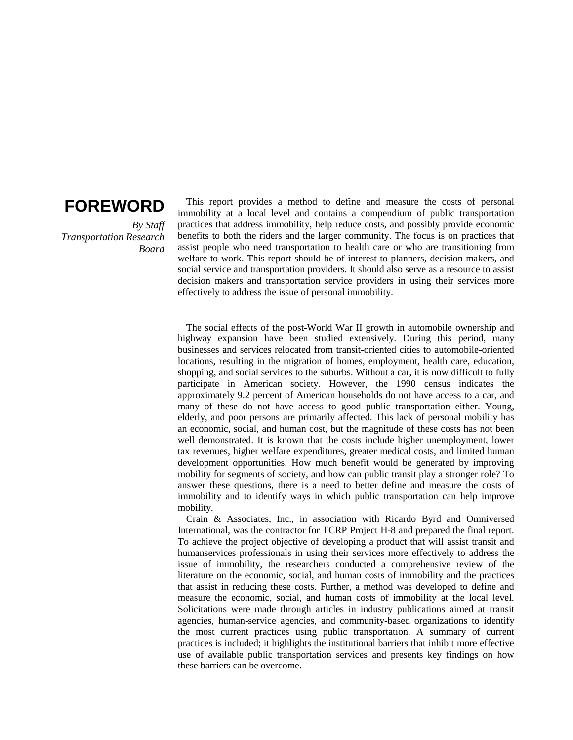# **FOREWORD**

*By Staff Transportation Research Board*

This report provides a method to define and measure the costs of personal immobility at a local level and contains a compendium of public transportation practices that address immobility, help reduce costs, and possibly provide economic benefits to both the riders and the larger community. The focus is on practices that assist people who need transportation to health care or who are transitioning from welfare to work. This report should be of interest to planners, decision makers, and social service and transportation providers. It should also serve as a resource to assist decision makers and transportation service providers in using their services more effectively to address the issue of personal immobility.

The social effects of the post-World War II growth in automobile ownership and highway expansion have been studied extensively. During this period, many businesses and services relocated from transit-oriented cities to automobile-oriented locations, resulting in the migration of homes, employment, health care, education, shopping, and social services to the suburbs. Without a car, it is now difficult to fully participate in American society. However, the 1990 census indicates the approximately 9.2 percent of American households do not have access to a car, and many of these do not have access to good public transportation either. Young, elderly, and poor persons are primarily affected. This lack of personal mobility has an economic, social, and human cost, but the magnitude of these costs has not been well demonstrated. It is known that the costs include higher unemployment, lower tax revenues, higher welfare expenditures, greater medical costs, and limited human development opportunities. How much benefit would be generated by improving mobility for segments of society, and how can public transit play a stronger role? To answer these questions, there is a need to better define and measure the costs of immobility and to identify ways in which public transportation can help improve mobility.

Crain & Associates, Inc., in association with Ricardo Byrd and Omniversed International, was the contractor for TCRP Project H-8 and prepared the final report. To achieve the project objective of developing a product that will assist transit and humanservices professionals in using their services more effectively to address the issue of immobility, the researchers conducted a comprehensive review of the literature on the economic, social, and human costs of immobility and the practices that assist in reducing these costs. Further, a method was developed to define and measure the economic, social, and human costs of immobility at the local level. Solicitations were made through articles in industry publications aimed at transit agencies, human-service agencies, and community-based organizations to identify the most current practices using public transportation. A summary of current practices is included; it highlights the institutional barriers that inhibit more effective use of available public transportation services and presents key findings on how these barriers can be overcome.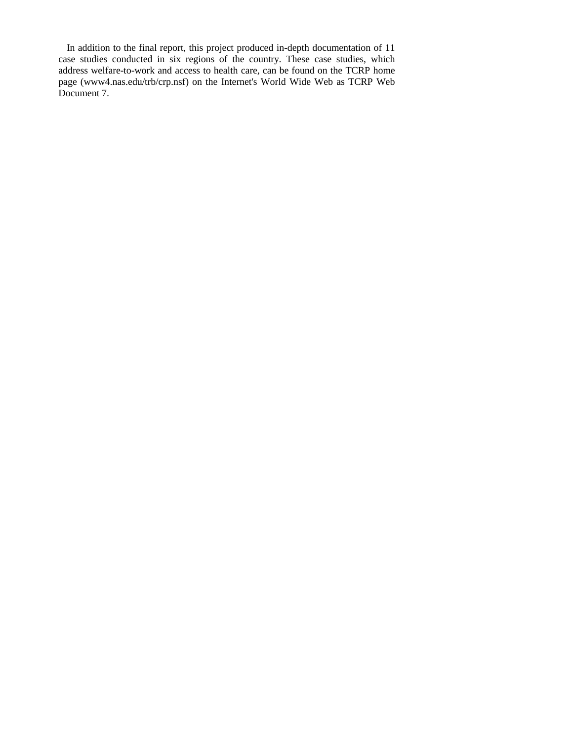In addition to the final report, this project produced in-depth documentation of 11 case studies conducted in six regions of the country. These case studies, which address welfare-to-work and access to health care, can be found on the TCRP home page (www4.nas.edu/trb/crp.nsf) on the Internet's World Wide Web as TCRP Web Document 7.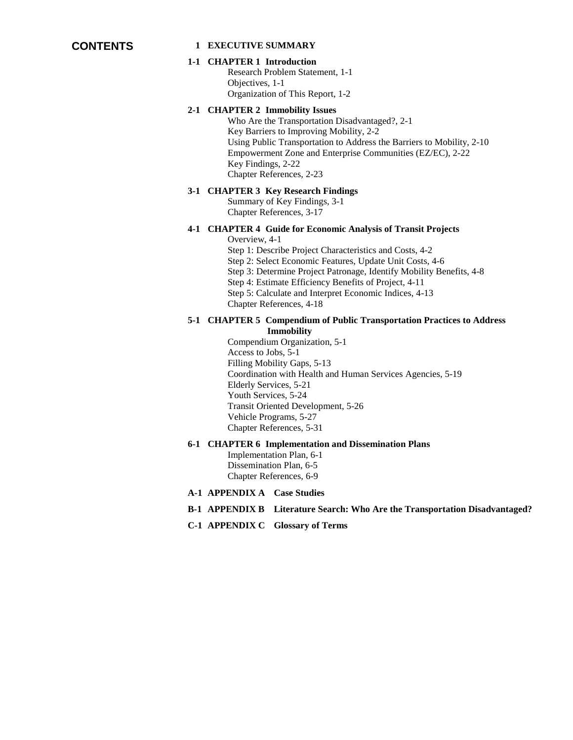### **CONTENTS 1 EXECUTIVE SUMMARY**

### **1-1 CHAPTER 1 Introduction**

Research Problem Statement, 1-1 Objectives, 1-1 Organization of This Report, 1-2

### **2-1 CHAPTER 2 Immobility Issues**

Who Are the Transportation Disadvantaged?, 2-1 Key Barriers to Improving Mobility, 2-2 Using Public Transportation to Address the Barriers to Mobility, 2-10 Empowerment Zone and Enterprise Communities (EZ/EC), 2-22 Key Findings, 2-22 Chapter References, 2-23

# **3-1 CHAPTER 3 Key Research Findings**

Summary of Key Findings, 3-1 Chapter References, 3-17

# **4-1 CHAPTER 4 Guide for Economic Analysis of Transit Projects**

Overview, 4-1 Step 1: Describe Project Characteristics and Costs, 4-2 Step 2: Select Economic Features, Update Unit Costs, 4-6 Step 3: Determine Project Patronage, Identify Mobility Benefits, 4-8 Step 4: Estimate Efficiency Benefits of Project, 4-11 Step 5: Calculate and Interpret Economic Indices, 4-13 Chapter References, 4-18

### **5-1 CHAPTER 5 Compendium of Public Transportation Practices to Address Immobility**

Compendium Organization, 5-1 Access to Jobs, 5-1 Filling Mobility Gaps, 5-13 Coordination with Health and Human Services Agencies, 5-19 Elderly Services, 5-21 Youth Services, 5-24 Transit Oriented Development, 5-26 Vehicle Programs, 5-27 Chapter References, 5-31

### **6-1 CHAPTER 6 Implementation and Dissemination Plans**

Implementation Plan, 6-1 Dissemination Plan, 6-5 Chapter References, 6-9

### **A-1 APPENDIX A Case Studies**

### **B-1 APPENDIX B Literature Search: Who Are the Transportation Disadvantaged?**

**C-1 APPENDIX C Glossary of Terms**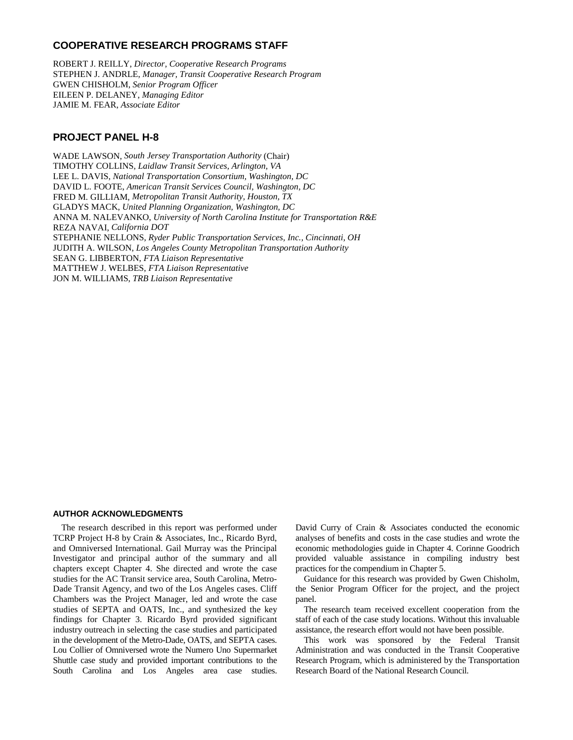# **COOPERATIVE RESEARCH PROGRAMS STAFF**

ROBERT J. REILLY, *Director, Cooperative Research Programs* STEPHEN J. ANDRLE, *Manager, Transit Cooperative Research Program* GWEN CHISHOLM, *Senior Program Officer* EILEEN P. DELANEY, *Managing Editor* JAMIE M. FEAR, *Associate Editor*

# **PROJECT PANEL H-8**

WADE LAWSON, *South Jersey Transportation Authority* (Chair) TIMOTHY COLLINS, *Laidlaw Transit Services, Arlington, VA* LEE L. DAVIS, *National Transportation Consortium, Washington, DC* DAVID L. FOOTE, *American Transit Services Council, Washington, DC* FRED M. GILLIAM, *Metropolitan Transit Authority, Houston, TX* GLADYS MACK, *United Planning Organization, Washington, DC* ANNA M. NALEVANKO, *University of North Carolina Institute for Transportation R&E* REZA NAVAI, *California DOT* STEPHANIE NELLONS, *Ryder Public Transportation Services, Inc., Cincinnati, OH* JUDITH A. WILSON, *Los Angeles County Metropolitan Transportation Authority* SEAN G. LIBBERTON, *FTA Liaison Representative* MATTHEW J. WELBES, *FTA Liaison Representative* JON M. WILLIAMS, *TRB Liaison Representative*

## **AUTHOR ACKNOWLEDGMENTS**

The research described in this report was performed under TCRP Project H-8 by Crain & Associates, Inc., Ricardo Byrd, and Omniversed International. Gail Murray was the Principal Investigator and principal author of the summary and all chapters except Chapter 4. She directed and wrote the case studies for the AC Transit service area, South Carolina, Metro-Dade Transit Agency, and two of the Los Angeles cases. Cliff Chambers was the Project Manager, led and wrote the case studies of SEPTA and OATS, Inc., and synthesized the key findings for Chapter 3. Ricardo Byrd provided significant industry outreach in selecting the case studies and participated in the development of the Metro-Dade, OATS, and SEPTA cases. Lou Collier of Omniversed wrote the Numero Uno Supermarket Shuttle case study and provided important contributions to the South Carolina and Los Angeles area case studies. David Curry of Crain & Associates conducted the economic analyses of benefits and costs in the case studies and wrote the economic methodologies guide in Chapter 4. Corinne Goodrich provided valuable assistance in compiling industry best practices for the compendium in Chapter 5.

Guidance for this research was provided by Gwen Chisholm, the Senior Program Officer for the project, and the project panel.

The research team received excellent cooperation from the staff of each of the case study locations. Without this invaluable assistance, the research effort would not have been possible.

This work was sponsored by the Federal Transit Administration and was conducted in the Transit Cooperative Research Program, which is administered by the Transportation Research Board of the National Research Council.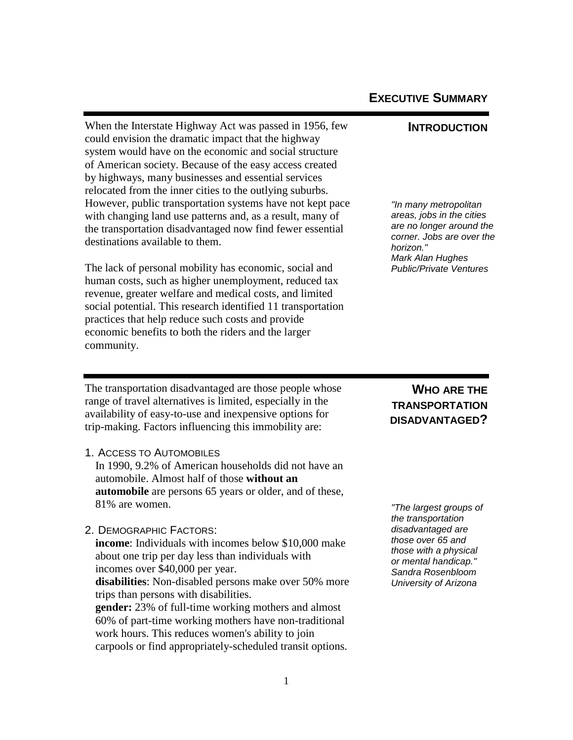When the Interstate Highway Act was passed in 1956, few could envision the dramatic impact that the highway system would have on the economic and social structure of American society. Because of the easy access created by highways, many businesses and essential services relocated from the inner cities to the outlying suburbs. However, public transportation systems have not kept pace with changing land use patterns and, as a result, many of the transportation disadvantaged now find fewer essential destinations available to them.

The lack of personal mobility has economic, social and human costs, such as higher unemployment, reduced tax revenue, greater welfare and medical costs, and limited social potential. This research identified 11 transportation practices that help reduce such costs and provide economic benefits to both the riders and the larger community.

# **INTRODUCTION**

"In many metropolitan areas, jobs in the cities are no longer around the corner. Jobs are over the horizon." Mark Alan Hughes Public/Private Ventures

The transportation disadvantaged are those people whose range of travel alternatives is limited, especially in the availability of easy-to-use and inexpensive options for trip-making. Factors influencing this immobility are:

1. ACCESS TO AUTOMOBILES

In 1990, 9.2% of American households did not have an automobile. Almost half of those **without an automobile** are persons 65 years or older, and of these, 81% are women.

2. DEMOGRAPHIC FACTORS:

**income**: Individuals with incomes below \$10,000 make about one trip per day less than individuals with incomes over \$40,000 per year. **disabilities**: Non-disabled persons make over 50% more trips than persons with disabilities. **gender:** 23% of full-time working mothers and almost

60% of part-time working mothers have non-traditional work hours. This reduces women's ability to join carpools or find appropriately-scheduled transit options.

# **WHO ARE THE TRANSPORTATION DISADVANTAGED?**

"The largest groups of the transportation disadvantaged are those over 65 and those with a physical or mental handicap." Sandra Rosenbloom University of Arizona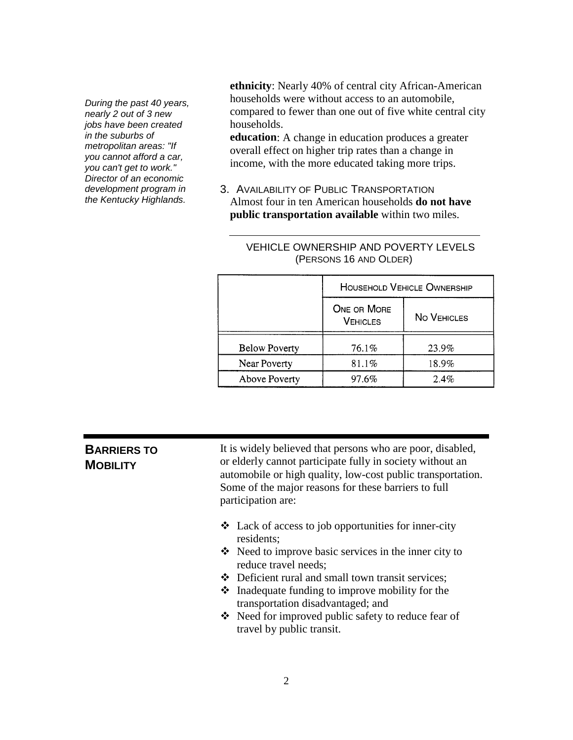During the past 40 years, nearly 2 out of 3 new jobs have been created in the suburbs of metropolitan areas: "If you cannot afford a car, you can't get to work." Director of an economic development program in the Kentucky Highlands.

**ethnicity**: Nearly 40% of central city African-American households were without access to an automobile, compared to fewer than one out of five white central city households.

**education**: A change in education produces a greater overall effect on higher trip rates than a change in income, with the more educated taking more trips.

3. AVAILABILITY OF PUBLIC TRANSPORTATION Almost four in ten American households **do not have public transportation available** within two miles.

# VEHICLE OWNERSHIP AND POVERTY LEVELS (PERSONS 16 AND OLDER)

|                      | <b>HOUSEHOLD VEHICLE OWNERSHIP</b>    |             |  |
|----------------------|---------------------------------------|-------------|--|
|                      | <b>ONE OR MORE</b><br><b>VEHICLES</b> | NO VEHICLES |  |
| <b>Below Poverty</b> | 76.1%                                 | 23.9%       |  |
| Near Poverty         | 81.1%                                 | 18.9%       |  |
| Above Poverty        | 97.6%                                 | 2.4%        |  |

| <b>BARRIERS TO</b><br><b>MOBILITY</b> | It is widely believed that persons who are poor, disabled,<br>or elderly cannot participate fully in society without an<br>automobile or high quality, low-cost public transportation.<br>Some of the major reasons for these barriers to full<br>participation are: |  |  |
|---------------------------------------|----------------------------------------------------------------------------------------------------------------------------------------------------------------------------------------------------------------------------------------------------------------------|--|--|
|                                       | $\triangleleft$ Lack of access to job opportunities for inner-city<br>residents;<br>$\triangle$ Need to improve basic services in the inner city to<br>reduce travel needs;                                                                                          |  |  |
|                                       | $\bullet$ Deficient rural and small town transit services;<br>$\triangleleft$ Inadequate funding to improve mobility for the<br>transportation disadvantaged; and<br>❖ Need for improved public safety to reduce fear of<br>travel by public transit.                |  |  |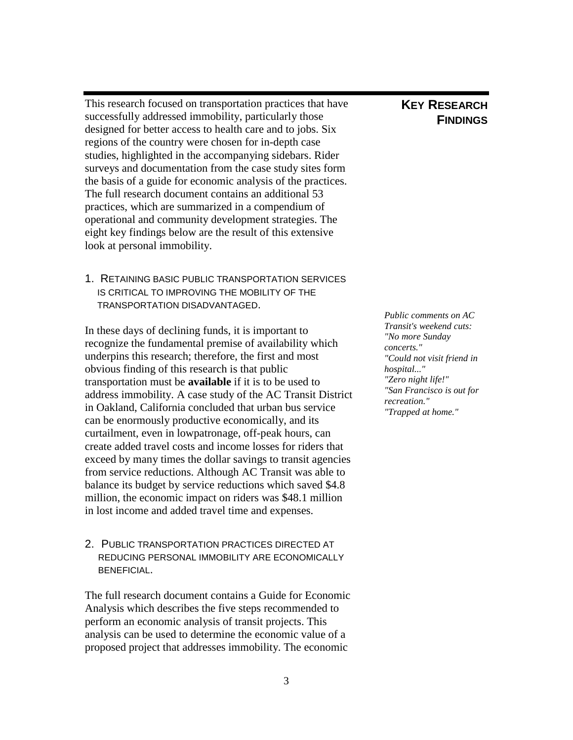This research focused on transportation practices that have successfully addressed immobility, particularly those designed for better access to health care and to jobs. Six regions of the country were chosen for in-depth case studies, highlighted in the accompanying sidebars. Rider surveys and documentation from the case study sites form the basis of a guide for economic analysis of the practices. The full research document contains an additional 53 practices, which are summarized in a compendium of operational and community development strategies. The eight key findings below are the result of this extensive look at personal immobility.

1. RETAINING BASIC PUBLIC TRANSPORTATION SERVICES IS CRITICAL TO IMPROVING THE MOBILITY OF THE TRANSPORTATION DISADVANTAGED.

In these days of declining funds, it is important to recognize the fundamental premise of availability which underpins this research; therefore, the first and most obvious finding of this research is that public transportation must be **available** if it is to be used to address immobility. A case study of the AC Transit District in Oakland, California concluded that urban bus service can be enormously productive economically, and its curtailment, even in lowpatronage, off-peak hours, can create added travel costs and income losses for riders that exceed by many times the dollar savings to transit agencies from service reductions. Although AC Transit was able to balance its budget by service reductions which saved \$4.8 million, the economic impact on riders was \$48.1 million in lost income and added travel time and expenses.

2. PUBLIC TRANSPORTATION PRACTICES DIRECTED AT REDUCING PERSONAL IMMOBILITY ARE ECONOMICALLY BENEFICIAL.

The full research document contains a Guide for Economic Analysis which describes the five steps recommended to perform an economic analysis of transit projects. This analysis can be used to determine the economic value of a proposed project that addresses immobility. The economic

# **KEY RESEARCH FINDINGS**

*Public comments on AC Transit's weekend cuts: "No more Sunday concerts." "Could not visit friend in hospital..." "Zero night life!" "San Francisco is out for recreation." "Trapped at home."*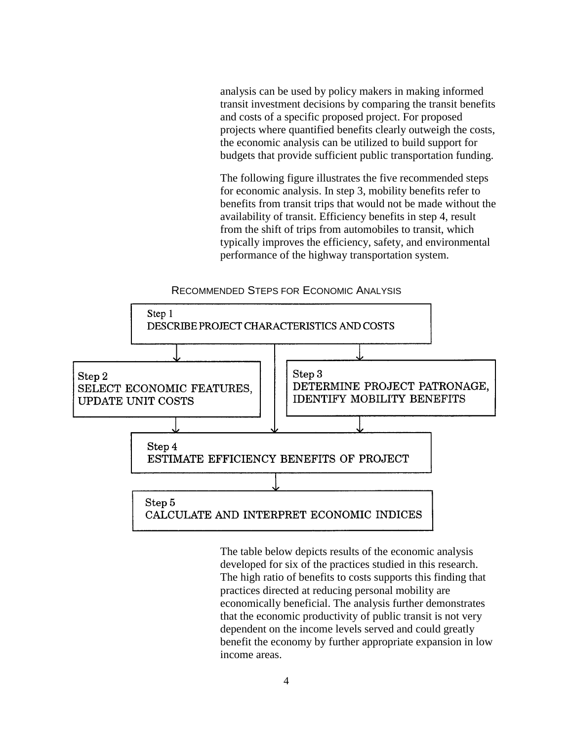analysis can be used by policy makers in making informed transit investment decisions by comparing the transit benefits and costs of a specific proposed project. For proposed projects where quantified benefits clearly outweigh the costs, the economic analysis can be utilized to build support for budgets that provide sufficient public transportation funding.

The following figure illustrates the five recommended steps for economic analysis. In step 3, mobility benefits refer to benefits from transit trips that would not be made without the availability of transit. Efficiency benefits in step 4, result from the shift of trips from automobiles to transit, which typically improves the efficiency, safety, and environmental performance of the highway transportation system.





The table below depicts results of the economic analysis developed for six of the practices studied in this research. The high ratio of benefits to costs supports this finding that practices directed at reducing personal mobility are economically beneficial. The analysis further demonstrates that the economic productivity of public transit is not very dependent on the income levels served and could greatly benefit the economy by further appropriate expansion in low income areas.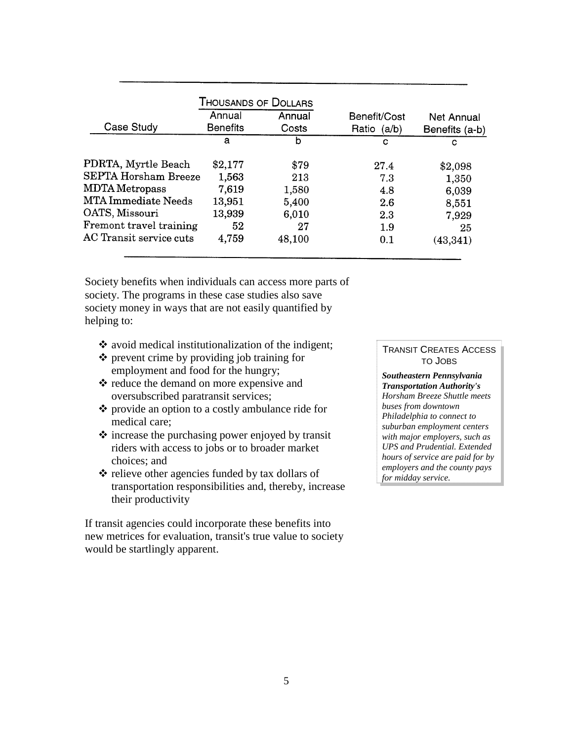|                         | Annual<br><b>Benefits</b> | Annual<br>Costs | Benefit/Cost<br>Ratio<br>(a/b) | Net Annual<br>Benefits (a-b) |
|-------------------------|---------------------------|-----------------|--------------------------------|------------------------------|
| Case Study              |                           |                 |                                |                              |
|                         | a                         | b               | c                              | C                            |
| PDRTA, Myrtle Beach     | \$2,177                   | \$79            | 27.4                           | \$2,098                      |
| SEPTA Horsham Breeze    | 1,563                     | 213             | 7.3                            | 1,350                        |
| MDTA Metropass          | 7,619                     | 1,580           | 4.8                            | 6,039                        |
| MTA Immediate Needs     | 13,951                    | 5,400           | 2.6                            | 8,551                        |
| OATS, Missouri          | 13,939                    | 6,010           | 2.3                            | 7,929                        |
| Fremont travel training | 52                        | 27              | 1.9                            | 25                           |
| AC Transit service cuts | 4.759                     | 48,100          | 0.1                            | (43, 341)                    |

Society benefits when individuals can access more parts of society. The programs in these case studies also save society money in ways that are not easily quantified by helping to:

- $\cdot$  avoid medical institutionalization of the indigent;
- $\triangle$  prevent crime by providing job training for employment and food for the hungry;
- reduce the demand on more expensive and oversubscribed paratransit services;
- $\triangle$  provide an option to a costly ambulance ride for medical care;
- $\triangle$  increase the purchasing power enjoyed by transit riders with access to jobs or to broader market choices; and
- ! relieve other agencies funded by tax dollars of transportation responsibilities and, thereby, increase their productivity

If transit agencies could incorporate these benefits into new metrices for evaluation, transit's true value to society would be startlingly apparent.

### TRANSIT CREATES ACCESS TO JOBS

*Southeastern Pennsylvania Transportation Authority's Horsham Breeze Shuttle meets buses from downtown Philadelphia to connect to suburban employment centers with major employers, such as UPS and Prudential. Extended hours of service are paid for by employers and the county pays for midday service.*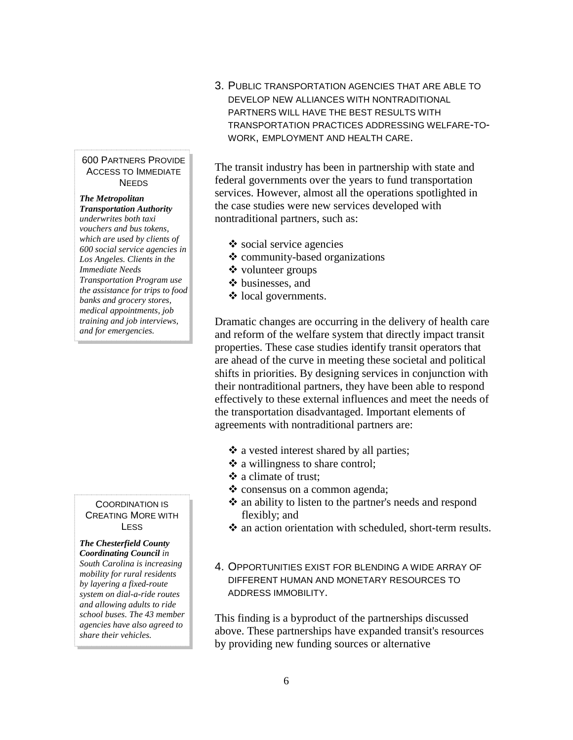# DEVELOP NEW ALLIANCES WITH NONTRADITIONAL PARTNERS WILL HAVE THE BEST RESULTS WITH TRANSPORTATION PRACTICES ADDRESSING WELFARE-TO-WORK, EMPLOYMENT AND HEALTH CARE.

The transit industry has been in partnership with state and federal governments over the years to fund transportation services. However, almost all the operations spotlighted in the case studies were new services developed with nontraditional partners, such as:

3. PUBLIC TRANSPORTATION AGENCIES THAT ARE ABLE TO

- $\bullet$  social service agencies
- ❖ community-based organizations
- ❖ volunteer groups
- $*$  businesses, and
- local governments.

Dramatic changes are occurring in the delivery of health care and reform of the welfare system that directly impact transit properties. These case studies identify transit operators that are ahead of the curve in meeting these societal and political shifts in priorities. By designing services in conjunction with their nontraditional partners, they have been able to respond effectively to these external influences and meet the needs of the transportation disadvantaged. Important elements of agreements with nontraditional partners are:

- $\triangleleft$  a vested interest shared by all parties;
- $\triangleleft$  a willingness to share control;
- $\triangle$  a climate of trust:
- consensus on a common agenda;
- $\cdot$  an ability to listen to the partner's needs and respond flexibly; and
- $\cdot \cdot$  an action orientation with scheduled, short-term results.
- 4. OPPORTUNITIES EXIST FOR BLENDING A WIDE ARRAY OF DIFFERENT HUMAN AND MONETARY RESOURCES TO ADDRESS IMMOBILITY.

This finding is a byproduct of the partnerships discussed above. These partnerships have expanded transit's resources by providing new funding sources or alternative

# 600 PARTNERS PROVIDE ACCESS TO IMMEDIATE **NEEDS**

*The Metropolitan Transportation Authority underwrites both taxi vouchers and bus tokens, which are used by clients of 600 social service agencies in Los Angeles. Clients in the Immediate Needs Transportation Program use the assistance for trips to food banks and grocery stores, medical appointments, job training and job interviews, and for emergencies.*

# COORDINATION IS CREATING MORE WITH LESS

### *The Chesterfield County Coordinating Council in South Carolina is increasing mobility for rural residents by layering a fixed-route system on dial-a-ride routes and allowing adults to ride school buses. The 43 member agencies have also agreed to share their vehicles.*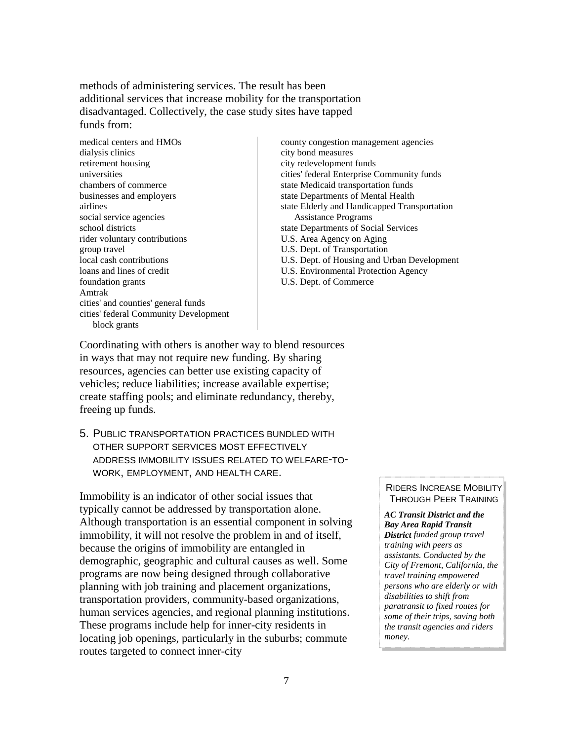methods of administering services. The result has been additional services that increase mobility for the transportation disadvantaged. Collectively, the case study sites have tapped funds from:

medical centers and HMOs dialysis clinics retirement housing universities chambers of commerce businesses and employers airlines social service agencies school districts rider voluntary contributions group travel local cash contributions loans and lines of credit foundation grants Amtrak cities' and counties' general funds cities' federal Community Development block grants

county congestion management agencies city bond measures city redevelopment funds cities' federal Enterprise Community funds state Medicaid transportation funds state Departments of Mental Health state Elderly and Handicapped Transportation Assistance Programs state Departments of Social Services U.S. Area Agency on Aging U.S. Dept. of Transportation U.S. Dept. of Housing and Urban Development U.S. Environmental Protection Agency U.S. Dept. of Commerce

Coordinating with others is another way to blend resources in ways that may not require new funding. By sharing resources, agencies can better use existing capacity of vehicles; reduce liabilities; increase available expertise; create staffing pools; and eliminate redundancy, thereby, freeing up funds.

5. PUBLIC TRANSPORTATION PRACTICES BUNDLED WITH OTHER SUPPORT SERVICES MOST EFFECTIVELY ADDRESS IMMOBILITY ISSUES RELATED TO WELFARE-TO-WORK, EMPLOYMENT, AND HEALTH CARE.

Immobility is an indicator of other social issues that typically cannot be addressed by transportation alone. Although transportation is an essential component in solving immobility, it will not resolve the problem in and of itself, because the origins of immobility are entangled in demographic, geographic and cultural causes as well. Some programs are now being designed through collaborative planning with job training and placement organizations, transportation providers, community-based organizations, human services agencies, and regional planning institutions. These programs include help for inner-city residents in locating job openings, particularly in the suburbs; commute routes targeted to connect inner-city

# RIDERS INCREASE MOBILITY THROUGH PEER TRAINING

*AC Transit District and the Bay Area Rapid Transit District funded group travel training with peers as assistants. Conducted by the City of Fremont, California, the travel training empowered persons who are elderly or with disabilities to shift from paratransit to fixed routes for some of their trips, saving both the transit agencies and riders money.*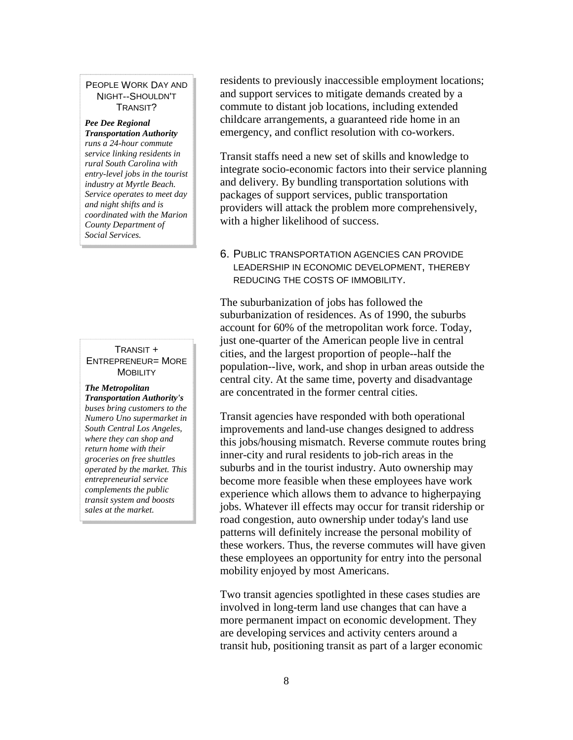# PEOPLE WORK DAY AND NIGHT--SHOULDN'T TRANSIT?

### *Pee Dee Regional*

*Transportation Authority runs a 24-hour commute service linking residents in rural South Carolina with entry-level jobs in the tourist industry at Myrtle Beach. Service operates to meet day and night shifts and is coordinated with the Marion County Department of Social Services.*

### TRANSIT + ENTREPRENEUR= MORE **MOBILITY**

# *The Metropolitan*

*Transportation Authority's buses bring customers to the Numero Uno supermarket in South Central Los Angeles, where they can shop and return home with their groceries on free shuttles operated by the market. This entrepreneurial service complements the public transit system and boosts sales at the market.*

residents to previously inaccessible employment locations; and support services to mitigate demands created by a commute to distant job locations, including extended childcare arrangements, a guaranteed ride home in an emergency, and conflict resolution with co-workers.

Transit staffs need a new set of skills and knowledge to integrate socio-economic factors into their service planning and delivery. By bundling transportation solutions with packages of support services, public transportation providers will attack the problem more comprehensively, with a higher likelihood of success.

# 6. PUBLIC TRANSPORTATION AGENCIES CAN PROVIDE LEADERSHIP IN ECONOMIC DEVELOPMENT, THEREBY REDUCING THE COSTS OF IMMOBILITY.

The suburbanization of jobs has followed the suburbanization of residences. As of 1990, the suburbs account for 60% of the metropolitan work force. Today, just one-quarter of the American people live in central cities, and the largest proportion of people--half the population--live, work, and shop in urban areas outside the central city. At the same time, poverty and disadvantage are concentrated in the former central cities.

Transit agencies have responded with both operational improvements and land-use changes designed to address this jobs/housing mismatch. Reverse commute routes bring inner-city and rural residents to job-rich areas in the suburbs and in the tourist industry. Auto ownership may become more feasible when these employees have work experience which allows them to advance to higherpaying jobs. Whatever ill effects may occur for transit ridership or road congestion, auto ownership under today's land use patterns will definitely increase the personal mobility of these workers. Thus, the reverse commutes will have given these employees an opportunity for entry into the personal mobility enjoyed by most Americans.

Two transit agencies spotlighted in these cases studies are involved in long-term land use changes that can have a more permanent impact on economic development. They are developing services and activity centers around a transit hub, positioning transit as part of a larger economic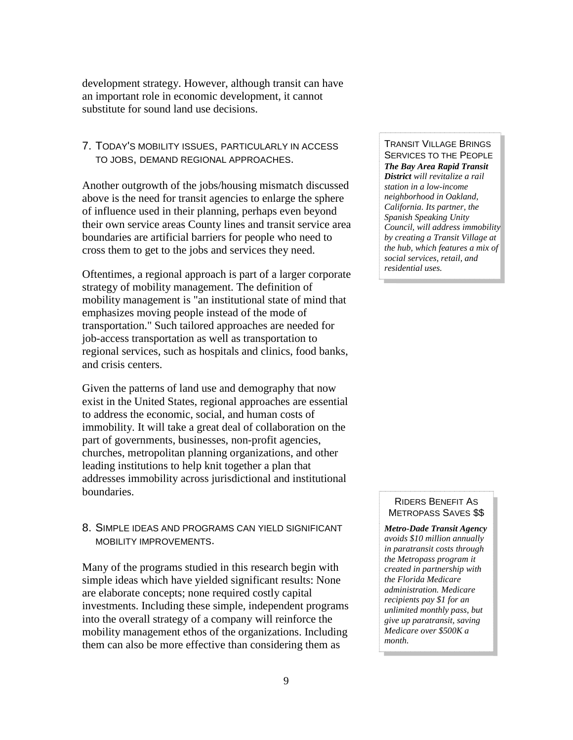development strategy. However, although transit can have an important role in economic development, it cannot substitute for sound land use decisions.

# 7. TODAY'S MOBILITY ISSUES, PARTICULARLY IN ACCESS TO JOBS, DEMAND REGIONAL APPROACHES.

Another outgrowth of the jobs/housing mismatch discussed above is the need for transit agencies to enlarge the sphere of influence used in their planning, perhaps even beyond their own service areas County lines and transit service area boundaries are artificial barriers for people who need to cross them to get to the jobs and services they need.

Oftentimes, a regional approach is part of a larger corporate strategy of mobility management. The definition of mobility management is "an institutional state of mind that emphasizes moving people instead of the mode of transportation." Such tailored approaches are needed for job-access transportation as well as transportation to regional services, such as hospitals and clinics, food banks, and crisis centers.

Given the patterns of land use and demography that now exist in the United States, regional approaches are essential to address the economic, social, and human costs of immobility. It will take a great deal of collaboration on the part of governments, businesses, non-profit agencies, churches, metropolitan planning organizations, and other leading institutions to help knit together a plan that addresses immobility across jurisdictional and institutional boundaries.

# 8. SIMPLE IDEAS AND PROGRAMS CAN YIELD SIGNIFICANT MOBILITY IMPROVEMENTS.

Many of the programs studied in this research begin with simple ideas which have yielded significant results: None are elaborate concepts; none required costly capital investments. Including these simple, independent programs into the overall strategy of a company will reinforce the mobility management ethos of the organizations. Including them can also be more effective than considering them as

TRANSIT VILLAGE BRINGS SERVICES TO THE PEOPLE *The Bay Area Rapid Transit District will revitalize a rail station in a low-income neighborhood in Oakland, California. Its partner, the Spanish Speaking Unity Council, will address immobility by creating a Transit Village at the hub, which features a mix of social services, retail, and residential uses.*

# RIDERS BENEFIT AS METROPASS SAVES \$\$

*Metro-Dade Transit Agency avoids \$10 million annually in paratransit costs through the Metropass program it created in partnership with the Florida Medicare administration. Medicare recipients pay \$1 for an unlimited monthly pass, but give up paratransit, saving Medicare over \$500K a month.*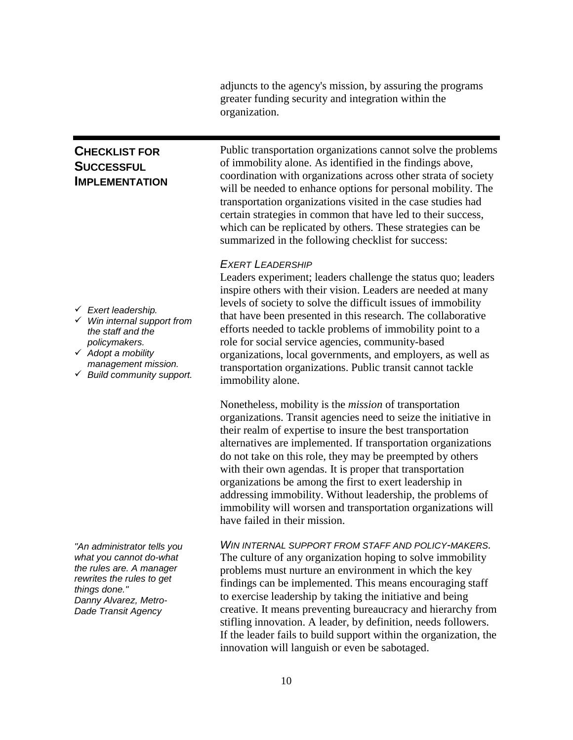adjuncts to the agency's mission, by assuring the programs greater funding security and integration within the organization.

# **CHECKLIST FOR SUCCESSFUL IMPLEMENTATION**

- $\checkmark$  Exert leadership.
- $\checkmark$  Win internal support from the staff and the policymakers.
- $\checkmark$  Adopt a mobility management mission.
- $\checkmark$  Build community support.

"An administrator tells you what you cannot do-what the rules are. A manager rewrites the rules to get things done." Danny Alvarez, Metro-Dade Transit Agency

Public transportation organizations cannot solve the problems of immobility alone. As identified in the findings above, coordination with organizations across other strata of society will be needed to enhance options for personal mobility. The transportation organizations visited in the case studies had certain strategies in common that have led to their success, which can be replicated by others. These strategies can be summarized in the following checklist for success:

# EXERT LEADERSHIP

Leaders experiment; leaders challenge the status quo; leaders inspire others with their vision. Leaders are needed at many levels of society to solve the difficult issues of immobility that have been presented in this research. The collaborative efforts needed to tackle problems of immobility point to a role for social service agencies, community-based organizations, local governments, and employers, as well as transportation organizations. Public transit cannot tackle immobility alone.

Nonetheless, mobility is the *mission* of transportation organizations. Transit agencies need to seize the initiative in their realm of expertise to insure the best transportation alternatives are implemented. If transportation organizations do not take on this role, they may be preempted by others with their own agendas. It is proper that transportation organizations be among the first to exert leadership in addressing immobility. Without leadership, the problems of immobility will worsen and transportation organizations will have failed in their mission.

WIN INTERNAL SUPPORT FROM STAFF AND POLICY-MAKERS. The culture of any organization hoping to solve immobility problems must nurture an environment in which the key findings can be implemented. This means encouraging staff to exercise leadership by taking the initiative and being creative. It means preventing bureaucracy and hierarchy from stifling innovation. A leader, by definition, needs followers. If the leader fails to build support within the organization, the innovation will languish or even be sabotaged.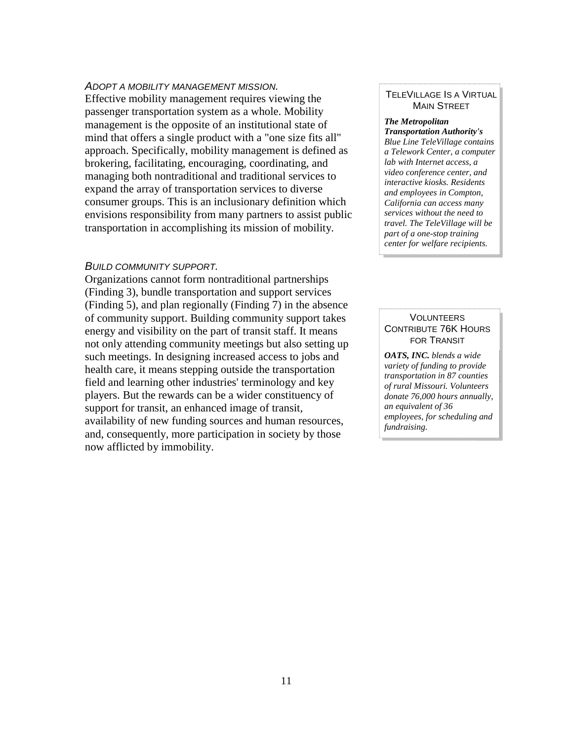### ADOPT A MOBILITY MANAGEMENT MISSION.

Effective mobility management requires viewing the passenger transportation system as a whole. Mobility management is the opposite of an institutional state of mind that offers a single product with a "one size fits all" approach. Specifically, mobility management is defined as brokering, facilitating, encouraging, coordinating, and managing both nontraditional and traditional services to expand the array of transportation services to diverse consumer groups. This is an inclusionary definition which envisions responsibility from many partners to assist public transportation in accomplishing its mission of mobility.

# BUILD COMMUNITY SUPPORT.

Organizations cannot form nontraditional partnerships (Finding 3), bundle transportation and support services (Finding 5), and plan regionally (Finding 7) in the absence of community support. Building community support takes energy and visibility on the part of transit staff. It means not only attending community meetings but also setting up such meetings. In designing increased access to jobs and health care, it means stepping outside the transportation field and learning other industries' terminology and key players. But the rewards can be a wider constituency of support for transit, an enhanced image of transit, availability of new funding sources and human resources, and, consequently, more participation in society by those now afflicted by immobility.

## TELEVILLAGE IS A VIRTUAL **MAIN STREET**

## *The Metropolitan*

*Transportation Authority's Blue Line TeleVillage contains a Telework Center, a computer lab with Internet access, a video conference center, and interactive kiosks. Residents and employees in Compton, California can access many services without the need to travel. The TeleVillage will be part of a one-stop training center for welfare recipients.*

## VOLUNTEERS CONTRIBUTE 76K HOURS FOR TRANSIT

*OATS, INC. blends a wide variety of funding to provide transportation in 87 counties of rural Missouri. Volunteers donate 76,000 hours annually, an equivalent of 36 employees, for scheduling and fundraising.*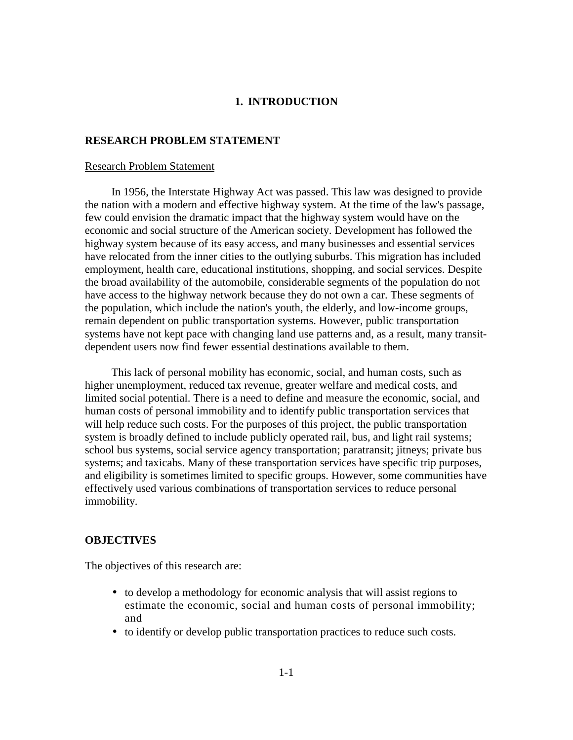# **1. INTRODUCTION**

# **RESEARCH PROBLEM STATEMENT**

# Research Problem Statement

In 1956, the Interstate Highway Act was passed. This law was designed to provide the nation with a modern and effective highway system. At the time of the law's passage, few could envision the dramatic impact that the highway system would have on the economic and social structure of the American society. Development has followed the highway system because of its easy access, and many businesses and essential services have relocated from the inner cities to the outlying suburbs. This migration has included employment, health care, educational institutions, shopping, and social services. Despite the broad availability of the automobile, considerable segments of the population do not have access to the highway network because they do not own a car. These segments of the population, which include the nation's youth, the elderly, and low-income groups, remain dependent on public transportation systems. However, public transportation systems have not kept pace with changing land use patterns and, as a result, many transitdependent users now find fewer essential destinations available to them.

This lack of personal mobility has economic, social, and human costs, such as higher unemployment, reduced tax revenue, greater welfare and medical costs, and limited social potential. There is a need to define and measure the economic, social, and human costs of personal immobility and to identify public transportation services that will help reduce such costs. For the purposes of this project, the public transportation system is broadly defined to include publicly operated rail, bus, and light rail systems; school bus systems, social service agency transportation; paratransit; jitneys; private bus systems; and taxicabs. Many of these transportation services have specific trip purposes, and eligibility is sometimes limited to specific groups. However, some communities have effectively used various combinations of transportation services to reduce personal immobility.

# **OBJECTIVES**

The objectives of this research are:

- to develop a methodology for economic analysis that will assist regions to estimate the economic, social and human costs of personal immobility; and
- to identify or develop public transportation practices to reduce such costs.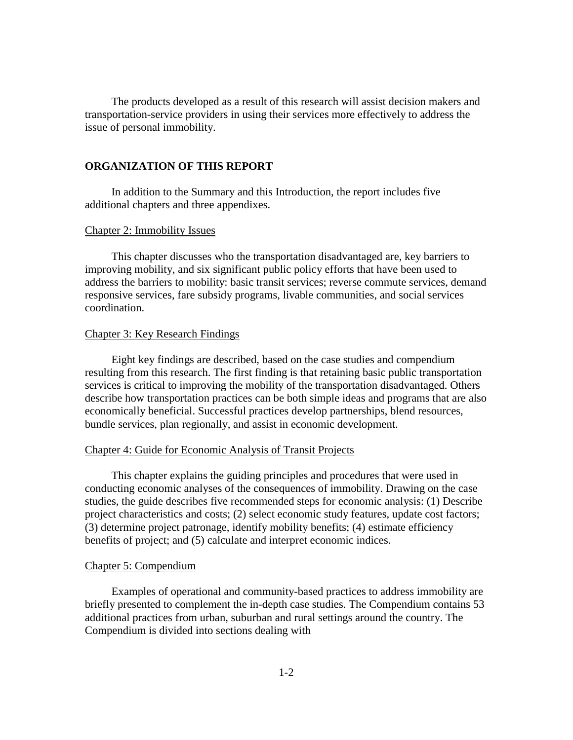The products developed as a result of this research will assist decision makers and transportation-service providers in using their services more effectively to address the issue of personal immobility.

# **ORGANIZATION OF THIS REPORT**

In addition to the Summary and this Introduction, the report includes five additional chapters and three appendixes.

# Chapter 2: Immobility Issues

This chapter discusses who the transportation disadvantaged are, key barriers to improving mobility, and six significant public policy efforts that have been used to address the barriers to mobility: basic transit services; reverse commute services, demand responsive services, fare subsidy programs, livable communities, and social services coordination.

# Chapter 3: Key Research Findings

Eight key findings are described, based on the case studies and compendium resulting from this research. The first finding is that retaining basic public transportation services is critical to improving the mobility of the transportation disadvantaged. Others describe how transportation practices can be both simple ideas and programs that are also economically beneficial. Successful practices develop partnerships, blend resources, bundle services, plan regionally, and assist in economic development.

# Chapter 4: Guide for Economic Analysis of Transit Projects

This chapter explains the guiding principles and procedures that were used in conducting economic analyses of the consequences of immobility. Drawing on the case studies, the guide describes five recommended steps for economic analysis: (1) Describe project characteristics and costs; (2) select economic study features, update cost factors; (3) determine project patronage, identify mobility benefits; (4) estimate efficiency benefits of project; and (5) calculate and interpret economic indices.

# Chapter 5: Compendium

Examples of operational and community-based practices to address immobility are briefly presented to complement the in-depth case studies. The Compendium contains 53 additional practices from urban, suburban and rural settings around the country. The Compendium is divided into sections dealing with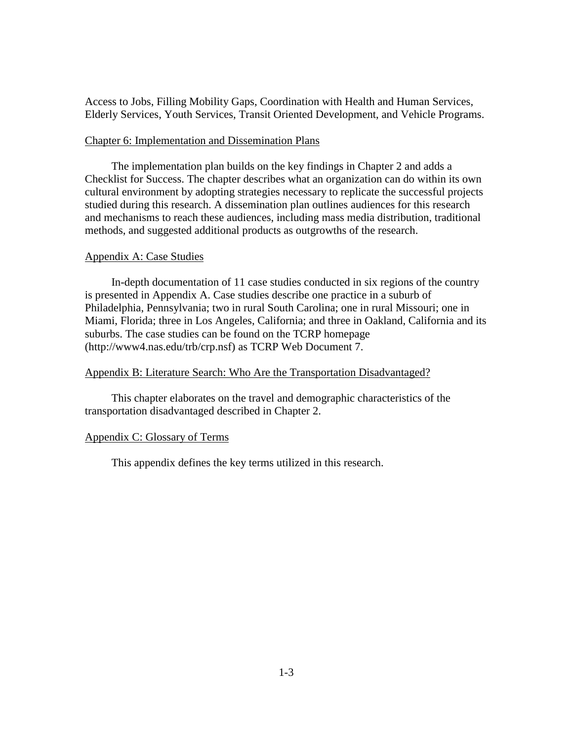Access to Jobs, Filling Mobility Gaps, Coordination with Health and Human Services, Elderly Services, Youth Services, Transit Oriented Development, and Vehicle Programs.

# Chapter 6: Implementation and Dissemination Plans

The implementation plan builds on the key findings in Chapter 2 and adds a Checklist for Success. The chapter describes what an organization can do within its own cultural environment by adopting strategies necessary to replicate the successful projects studied during this research. A dissemination plan outlines audiences for this research and mechanisms to reach these audiences, including mass media distribution, traditional methods, and suggested additional products as outgrowths of the research.

# Appendix A: Case Studies

In-depth documentation of 11 case studies conducted in six regions of the country is presented in Appendix A. Case studies describe one practice in a suburb of Philadelphia, Pennsylvania; two in rural South Carolina; one in rural Missouri; one in Miami, Florida; three in Los Angeles, California; and three in Oakland, California and its suburbs. The case studies can be found on the TCRP homepage (http://www4.nas.edu/trb/crp.nsf) as TCRP Web Document 7.

# Appendix B: Literature Search: Who Are the Transportation Disadvantaged?

This chapter elaborates on the travel and demographic characteristics of the transportation disadvantaged described in Chapter 2.

# Appendix C: Glossary of Terms

This appendix defines the key terms utilized in this research.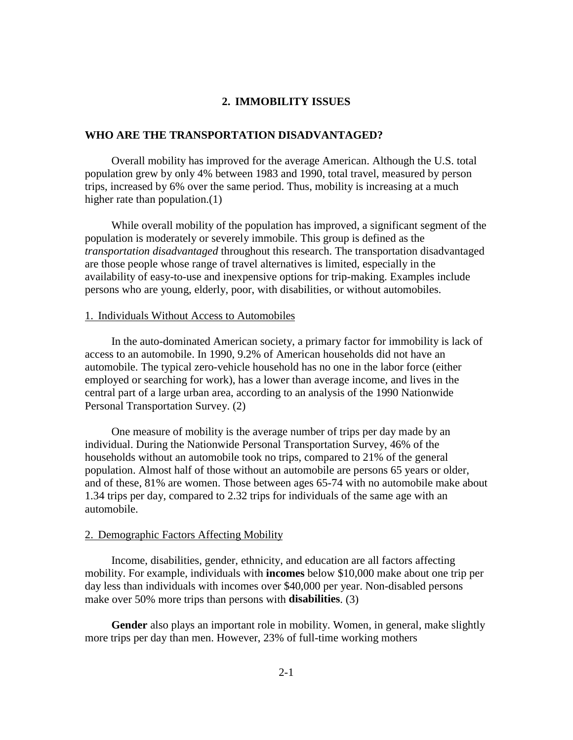# **2. IMMOBILITY ISSUES**

# **WHO ARE THE TRANSPORTATION DISADVANTAGED?**

Overall mobility has improved for the average American. Although the U.S. total population grew by only 4% between 1983 and 1990, total travel, measured by person trips, increased by 6% over the same period. Thus, mobility is increasing at a much higher rate than population.(1)

While overall mobility of the population has improved, a significant segment of the population is moderately or severely immobile. This group is defined as the *transportation disadvantaged* throughout this research. The transportation disadvantaged are those people whose range of travel alternatives is limited, especially in the availability of easy-to-use and inexpensive options for trip-making. Examples include persons who are young, elderly, poor, with disabilities, or without automobiles.

# 1. Individuals Without Access to Automobiles

In the auto-dominated American society, a primary factor for immobility is lack of access to an automobile. In 1990, 9.2% of American households did not have an automobile. The typical zero-vehicle household has no one in the labor force (either employed or searching for work), has a lower than average income, and lives in the central part of a large urban area, according to an analysis of the 1990 Nationwide Personal Transportation Survey. (2)

One measure of mobility is the average number of trips per day made by an individual. During the Nationwide Personal Transportation Survey, 46% of the households without an automobile took no trips, compared to 21% of the general population. Almost half of those without an automobile are persons 65 years or older, and of these, 81% are women. Those between ages 65-74 with no automobile make about 1.34 trips per day, compared to 2.32 trips for individuals of the same age with an automobile.

# 2. Demographic Factors Affecting Mobility

Income, disabilities, gender, ethnicity, and education are all factors affecting mobility. For example, individuals with **incomes** below \$10,000 make about one trip per day less than individuals with incomes over \$40,000 per year. Non-disabled persons make over 50% more trips than persons with **disabilities**. (3)

**Gender** also plays an important role in mobility. Women, in general, make slightly more trips per day than men. However, 23% of full-time working mothers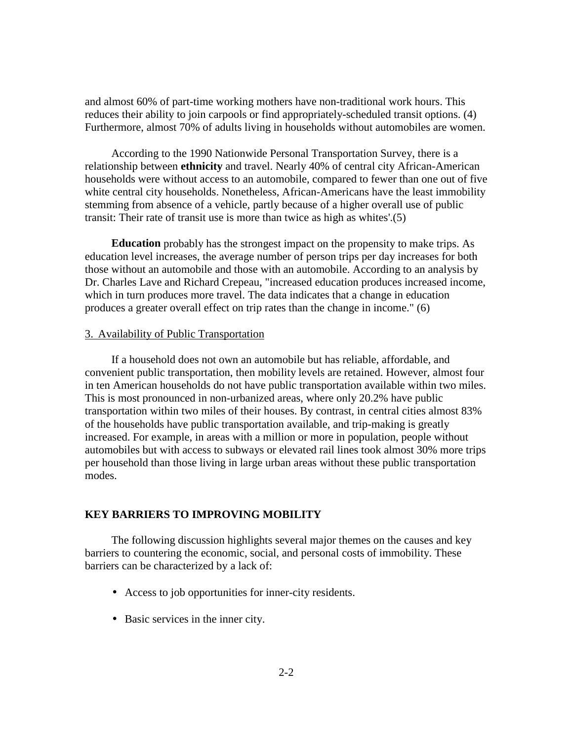and almost 60% of part-time working mothers have non-traditional work hours. This reduces their ability to join carpools or find appropriately-scheduled transit options. (4) Furthermore, almost 70% of adults living in households without automobiles are women.

According to the 1990 Nationwide Personal Transportation Survey, there is a relationship between **ethnicity** and travel. Nearly 40% of central city African-American households were without access to an automobile, compared to fewer than one out of five white central city households. Nonetheless, African-Americans have the least immobility stemming from absence of a vehicle, partly because of a higher overall use of public transit: Their rate of transit use is more than twice as high as whites'.(5)

**Education** probably has the strongest impact on the propensity to make trips. As education level increases, the average number of person trips per day increases for both those without an automobile and those with an automobile. According to an analysis by Dr. Charles Lave and Richard Crepeau, "increased education produces increased income, which in turn produces more travel. The data indicates that a change in education produces a greater overall effect on trip rates than the change in income." (6)

# 3. Availability of Public Transportation

If a household does not own an automobile but has reliable, affordable, and convenient public transportation, then mobility levels are retained. However, almost four in ten American households do not have public transportation available within two miles. This is most pronounced in non-urbanized areas, where only 20.2% have public transportation within two miles of their houses. By contrast, in central cities almost 83% of the households have public transportation available, and trip-making is greatly increased. For example, in areas with a million or more in population, people without automobiles but with access to subways or elevated rail lines took almost 30% more trips per household than those living in large urban areas without these public transportation modes.

# **KEY BARRIERS TO IMPROVING MOBILITY**

The following discussion highlights several major themes on the causes and key barriers to countering the economic, social, and personal costs of immobility. These barriers can be characterized by a lack of:

- Access to job opportunities for inner-city residents.
- Basic services in the inner city.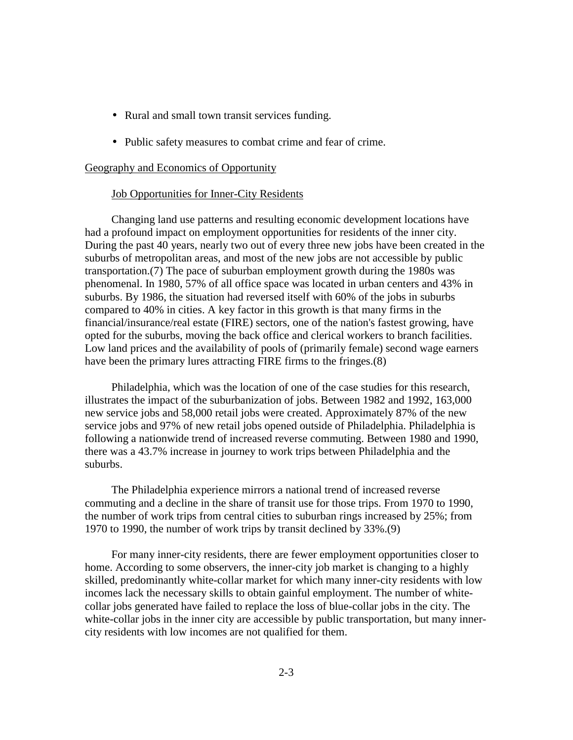- Rural and small town transit services funding.
- Public safety measures to combat crime and fear of crime.

# Geography and Economics of Opportunity

# Job Opportunities for Inner-City Residents

Changing land use patterns and resulting economic development locations have had a profound impact on employment opportunities for residents of the inner city. During the past 40 years, nearly two out of every three new jobs have been created in the suburbs of metropolitan areas, and most of the new jobs are not accessible by public transportation.(7) The pace of suburban employment growth during the 1980s was phenomenal. In 1980, 57% of all office space was located in urban centers and 43% in suburbs. By 1986, the situation had reversed itself with 60% of the jobs in suburbs compared to 40% in cities. A key factor in this growth is that many firms in the financial/insurance/real estate (FIRE) sectors, one of the nation's fastest growing, have opted for the suburbs, moving the back office and clerical workers to branch facilities. Low land prices and the availability of pools of (primarily female) second wage earners have been the primary lures attracting FIRE firms to the fringes.(8)

Philadelphia, which was the location of one of the case studies for this research, illustrates the impact of the suburbanization of jobs. Between 1982 and 1992, 163,000 new service jobs and 58,000 retail jobs were created. Approximately 87% of the new service jobs and 97% of new retail jobs opened outside of Philadelphia. Philadelphia is following a nationwide trend of increased reverse commuting. Between 1980 and 1990, there was a 43.7% increase in journey to work trips between Philadelphia and the suburbs.

The Philadelphia experience mirrors a national trend of increased reverse commuting and a decline in the share of transit use for those trips. From 1970 to 1990, the number of work trips from central cities to suburban rings increased by 25%; from 1970 to 1990, the number of work trips by transit declined by 33%.(9)

For many inner-city residents, there are fewer employment opportunities closer to home. According to some observers, the inner-city job market is changing to a highly skilled, predominantly white-collar market for which many inner-city residents with low incomes lack the necessary skills to obtain gainful employment. The number of whitecollar jobs generated have failed to replace the loss of blue-collar jobs in the city. The white-collar jobs in the inner city are accessible by public transportation, but many innercity residents with low incomes are not qualified for them.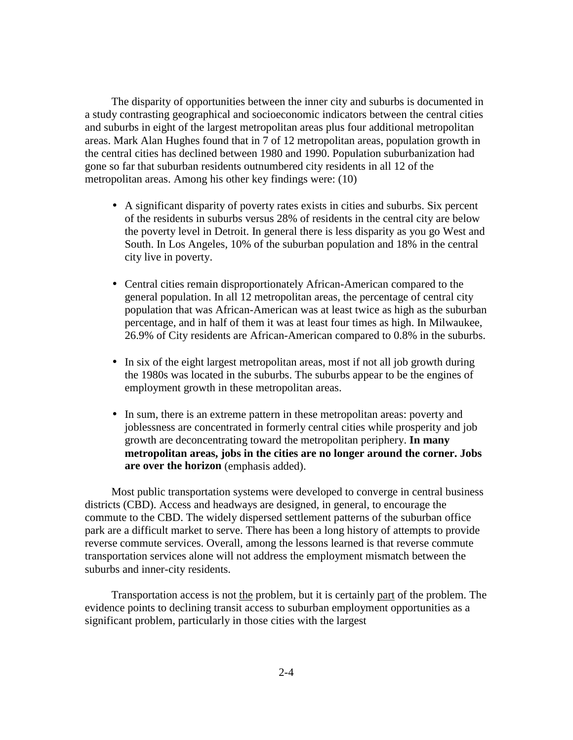The disparity of opportunities between the inner city and suburbs is documented in a study contrasting geographical and socioeconomic indicators between the central cities and suburbs in eight of the largest metropolitan areas plus four additional metropolitan areas. Mark Alan Hughes found that in 7 of 12 metropolitan areas, population growth in the central cities has declined between 1980 and 1990. Population suburbanization had gone so far that suburban residents outnumbered city residents in all 12 of the metropolitan areas. Among his other key findings were: (10)

- A significant disparity of poverty rates exists in cities and suburbs. Six percent of the residents in suburbs versus 28% of residents in the central city are below the poverty level in Detroit. In general there is less disparity as you go West and South. In Los Angeles, 10% of the suburban population and 18% in the central city live in poverty.
- Central cities remain disproportionately African-American compared to the general population. In all 12 metropolitan areas, the percentage of central city population that was African-American was at least twice as high as the suburban percentage, and in half of them it was at least four times as high. In Milwaukee, 26.9% of City residents are African-American compared to 0.8% in the suburbs.
- In six of the eight largest metropolitan areas, most if not all job growth during the 1980s was located in the suburbs. The suburbs appear to be the engines of employment growth in these metropolitan areas.
- In sum, there is an extreme pattern in these metropolitan areas: poverty and joblessness are concentrated in formerly central cities while prosperity and job growth are deconcentrating toward the metropolitan periphery. **In many metropolitan areas, jobs in the cities are no longer around the corner. Jobs are over the horizon** (emphasis added).

Most public transportation systems were developed to converge in central business districts (CBD). Access and headways are designed, in general, to encourage the commute to the CBD. The widely dispersed settlement patterns of the suburban office park are a difficult market to serve. There has been a long history of attempts to provide reverse commute services. Overall, among the lessons learned is that reverse commute transportation services alone will not address the employment mismatch between the suburbs and inner-city residents.

Transportation access is not the problem, but it is certainly part of the problem. The evidence points to declining transit access to suburban employment opportunities as a significant problem, particularly in those cities with the largest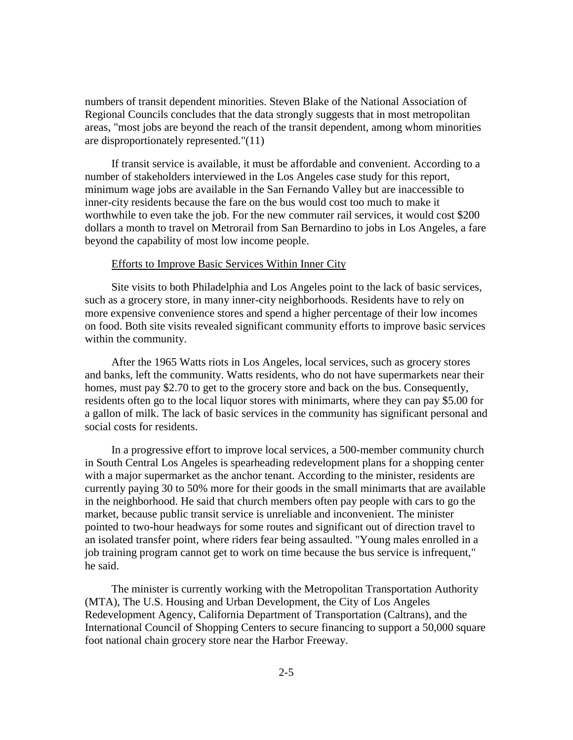numbers of transit dependent minorities. Steven Blake of the National Association of Regional Councils concludes that the data strongly suggests that in most metropolitan areas, "most jobs are beyond the reach of the transit dependent, among whom minorities are disproportionately represented."(11)

If transit service is available, it must be affordable and convenient. According to a number of stakeholders interviewed in the Los Angeles case study for this report, minimum wage jobs are available in the San Fernando Valley but are inaccessible to inner-city residents because the fare on the bus would cost too much to make it worthwhile to even take the job. For the new commuter rail services, it would cost \$200 dollars a month to travel on Metrorail from San Bernardino to jobs in Los Angeles, a fare beyond the capability of most low income people.

## Efforts to Improve Basic Services Within Inner City

Site visits to both Philadelphia and Los Angeles point to the lack of basic services, such as a grocery store, in many inner-city neighborhoods. Residents have to rely on more expensive convenience stores and spend a higher percentage of their low incomes on food. Both site visits revealed significant community efforts to improve basic services within the community.

After the 1965 Watts riots in Los Angeles, local services, such as grocery stores and banks, left the community. Watts residents, who do not have supermarkets near their homes, must pay \$2.70 to get to the grocery store and back on the bus. Consequently, residents often go to the local liquor stores with minimarts, where they can pay \$5.00 for a gallon of milk. The lack of basic services in the community has significant personal and social costs for residents.

In a progressive effort to improve local services, a 500-member community church in South Central Los Angeles is spearheading redevelopment plans for a shopping center with a major supermarket as the anchor tenant. According to the minister, residents are currently paying 30 to 50% more for their goods in the small minimarts that are available in the neighborhood. He said that church members often pay people with cars to go the market, because public transit service is unreliable and inconvenient. The minister pointed to two-hour headways for some routes and significant out of direction travel to an isolated transfer point, where riders fear being assaulted. "Young males enrolled in a job training program cannot get to work on time because the bus service is infrequent," he said.

The minister is currently working with the Metropolitan Transportation Authority (MTA), The U.S. Housing and Urban Development, the City of Los Angeles Redevelopment Agency, California Department of Transportation (Caltrans), and the International Council of Shopping Centers to secure financing to support a 50,000 square foot national chain grocery store near the Harbor Freeway.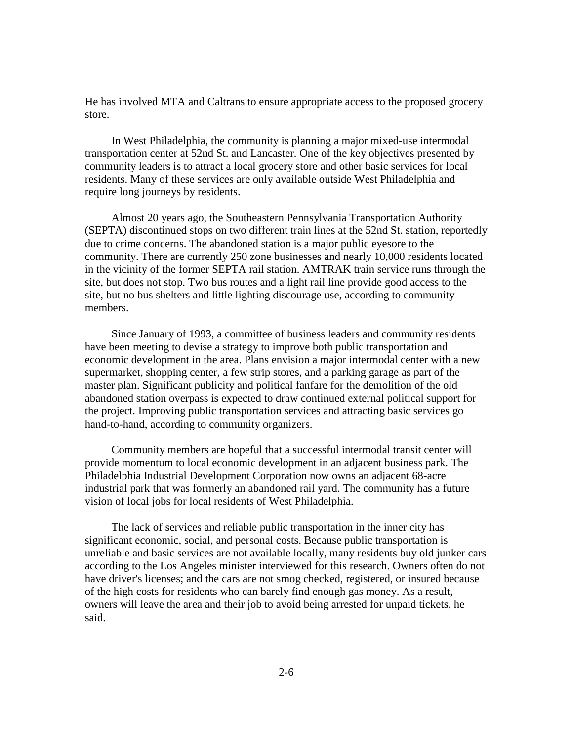He has involved MTA and Caltrans to ensure appropriate access to the proposed grocery store.

In West Philadelphia, the community is planning a major mixed-use intermodal transportation center at 52nd St. and Lancaster. One of the key objectives presented by community leaders is to attract a local grocery store and other basic services for local residents. Many of these services are only available outside West Philadelphia and require long journeys by residents.

Almost 20 years ago, the Southeastern Pennsylvania Transportation Authority (SEPTA) discontinued stops on two different train lines at the 52nd St. station, reportedly due to crime concerns. The abandoned station is a major public eyesore to the community. There are currently 250 zone businesses and nearly 10,000 residents located in the vicinity of the former SEPTA rail station. AMTRAK train service runs through the site, but does not stop. Two bus routes and a light rail line provide good access to the site, but no bus shelters and little lighting discourage use, according to community members.

Since January of 1993, a committee of business leaders and community residents have been meeting to devise a strategy to improve both public transportation and economic development in the area. Plans envision a major intermodal center with a new supermarket, shopping center, a few strip stores, and a parking garage as part of the master plan. Significant publicity and political fanfare for the demolition of the old abandoned station overpass is expected to draw continued external political support for the project. Improving public transportation services and attracting basic services go hand-to-hand, according to community organizers.

Community members are hopeful that a successful intermodal transit center will provide momentum to local economic development in an adjacent business park. The Philadelphia Industrial Development Corporation now owns an adjacent 68-acre industrial park that was formerly an abandoned rail yard. The community has a future vision of local jobs for local residents of West Philadelphia.

The lack of services and reliable public transportation in the inner city has significant economic, social, and personal costs. Because public transportation is unreliable and basic services are not available locally, many residents buy old junker cars according to the Los Angeles minister interviewed for this research. Owners often do not have driver's licenses; and the cars are not smog checked, registered, or insured because of the high costs for residents who can barely find enough gas money. As a result, owners will leave the area and their job to avoid being arrested for unpaid tickets, he said.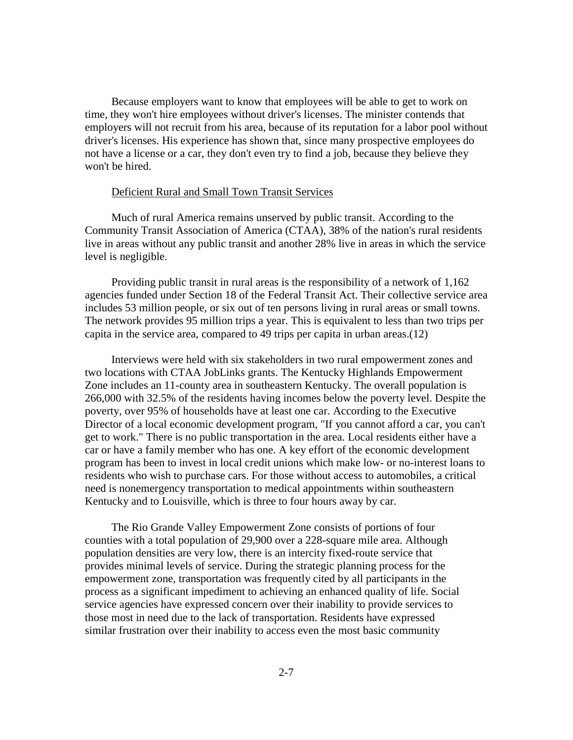Because employers want to know that employees will be able to get to work on time, they won't hire employees without driver's licenses. The minister contends that employers will not recruit from his area, because of its reputation for a labor pool without driver's licenses. His experience has shown that, since many prospective employees do not have a license or a car, they don't even try to find a job, because they believe they won't be hired.

# Deficient Rural and Small Town Transit Services

Much of rural America remains unserved by public transit. According to the Community Transit Association of America (CTAA), 38% of the nation's rural residents live in areas without any public transit and another 28% live in areas in which the service level is negligible.

Providing public transit in rural areas is the responsibility of a network of 1,162 agencies funded under Section 18 of the Federal Transit Act. Their collective service area includes 53 million people, or six out of ten persons living in rural areas or small towns. The network provides 95 million trips a year. This is equivalent to less than two trips per capita in the service area, compared to 49 trips per capita in urban areas.(12)

Interviews were held with six stakeholders in two rural empowerment zones and two locations with CTAA JobLinks grants. The Kentucky Highlands Empowerment Zone includes an 11-county area in southeastern Kentucky. The overall population is 266,000 with 32.5% of the residents having incomes below the poverty level. Despite the poverty, over 95% of households have at least one car. According to the Executive Director of a local economic development program, "If you cannot afford a car, you can't get to work." There is no public transportation in the area. Local residents either have a car or have a family member who has one. A key effort of the economic development program has been to invest in local credit unions which make low- or no-interest loans to residents who wish to purchase cars. For those without access to automobiles, a critical need is nonemergency transportation to medical appointments within southeastern Kentucky and to Louisville, which is three to four hours away by car.

The Rio Grande Valley Empowerment Zone consists of portions of four counties with a total population of 29,900 over a 228-square mile area. Although population densities are very low, there is an intercity fixed-route service that provides minimal levels of service. During the strategic planning process for the empowerment zone, transportation was frequently cited by all participants in the process as a significant impediment to achieving an enhanced quality of life. Social service agencies have expressed concern over their inability to provide services to those most in need due to the lack of transportation. Residents have expressed similar frustration over their inability to access even the most basic community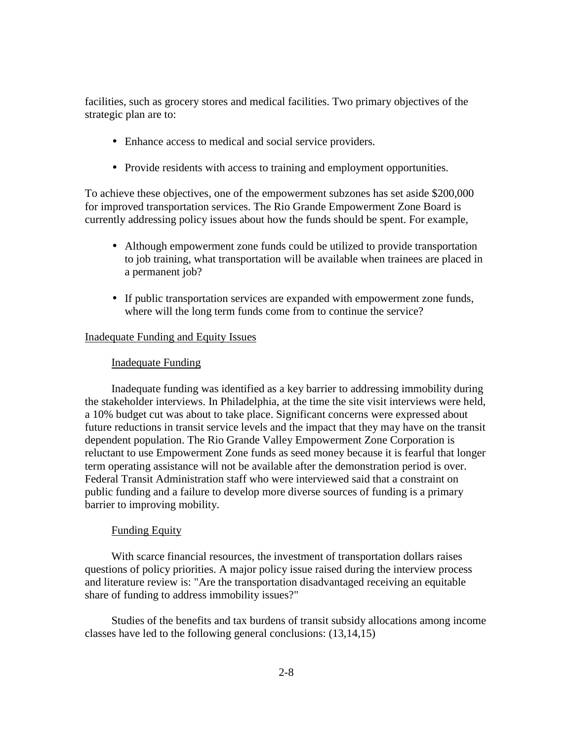facilities, such as grocery stores and medical facilities. Two primary objectives of the strategic plan are to:

- Enhance access to medical and social service providers.
- Provide residents with access to training and employment opportunities.

To achieve these objectives, one of the empowerment subzones has set aside \$200,000 for improved transportation services. The Rio Grande Empowerment Zone Board is currently addressing policy issues about how the funds should be spent. For example,

- Although empowerment zone funds could be utilized to provide transportation to job training, what transportation will be available when trainees are placed in a permanent job?
- If public transportation services are expanded with empowerment zone funds, where will the long term funds come from to continue the service?

# Inadequate Funding and Equity Issues

### Inadequate Funding

Inadequate funding was identified as a key barrier to addressing immobility during the stakeholder interviews. In Philadelphia, at the time the site visit interviews were held, a 10% budget cut was about to take place. Significant concerns were expressed about future reductions in transit service levels and the impact that they may have on the transit dependent population. The Rio Grande Valley Empowerment Zone Corporation is reluctant to use Empowerment Zone funds as seed money because it is fearful that longer term operating assistance will not be available after the demonstration period is over. Federal Transit Administration staff who were interviewed said that a constraint on public funding and a failure to develop more diverse sources of funding is a primary barrier to improving mobility.

# Funding Equity

With scarce financial resources, the investment of transportation dollars raises questions of policy priorities. A major policy issue raised during the interview process and literature review is: "Are the transportation disadvantaged receiving an equitable share of funding to address immobility issues?"

Studies of the benefits and tax burdens of transit subsidy allocations among income classes have led to the following general conclusions: (13,14,15)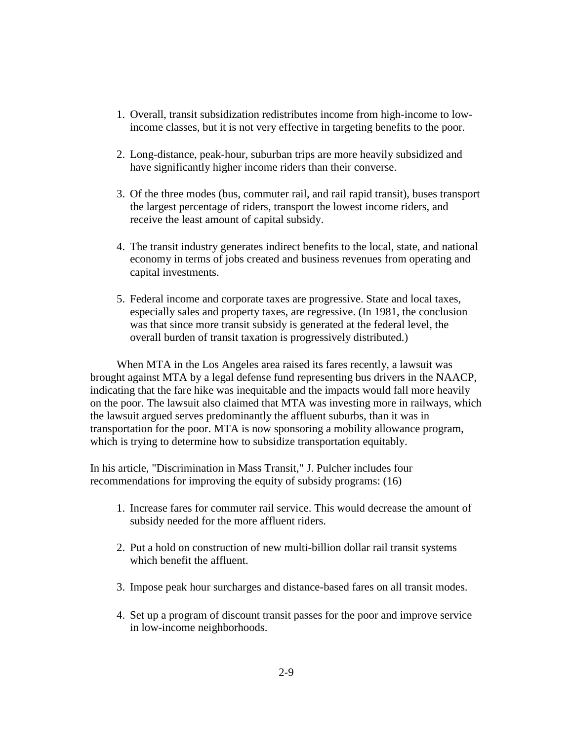- 1. Overall, transit subsidization redistributes income from high-income to lowincome classes, but it is not very effective in targeting benefits to the poor.
- 2. Long-distance, peak-hour, suburban trips are more heavily subsidized and have significantly higher income riders than their converse.
- 3. Of the three modes (bus, commuter rail, and rail rapid transit), buses transport the largest percentage of riders, transport the lowest income riders, and receive the least amount of capital subsidy.
- 4. The transit industry generates indirect benefits to the local, state, and national economy in terms of jobs created and business revenues from operating and capital investments.
- 5. Federal income and corporate taxes are progressive. State and local taxes, especially sales and property taxes, are regressive. (In 1981, the conclusion was that since more transit subsidy is generated at the federal level, the overall burden of transit taxation is progressively distributed.)

When MTA in the Los Angeles area raised its fares recently, a lawsuit was brought against MTA by a legal defense fund representing bus drivers in the NAACP, indicating that the fare hike was inequitable and the impacts would fall more heavily on the poor. The lawsuit also claimed that MTA was investing more in railways, which the lawsuit argued serves predominantly the affluent suburbs, than it was in transportation for the poor. MTA is now sponsoring a mobility allowance program, which is trying to determine how to subsidize transportation equitably.

In his article, "Discrimination in Mass Transit," J. Pulcher includes four recommendations for improving the equity of subsidy programs: (16)

- 1. Increase fares for commuter rail service. This would decrease the amount of subsidy needed for the more affluent riders.
- 2. Put a hold on construction of new multi-billion dollar rail transit systems which benefit the affluent.
- 3. Impose peak hour surcharges and distance-based fares on all transit modes.
- 4. Set up a program of discount transit passes for the poor and improve service in low-income neighborhoods.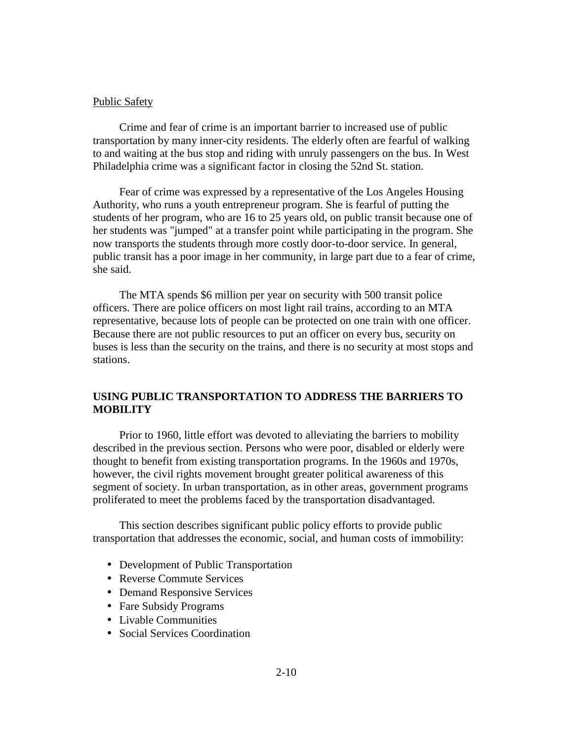# Public Safety

Crime and fear of crime is an important barrier to increased use of public transportation by many inner-city residents. The elderly often are fearful of walking to and waiting at the bus stop and riding with unruly passengers on the bus. In West Philadelphia crime was a significant factor in closing the 52nd St. station.

Fear of crime was expressed by a representative of the Los Angeles Housing Authority, who runs a youth entrepreneur program. She is fearful of putting the students of her program, who are 16 to 25 years old, on public transit because one of her students was "jumped" at a transfer point while participating in the program. She now transports the students through more costly door-to-door service. In general, public transit has a poor image in her community, in large part due to a fear of crime, she said.

The MTA spends \$6 million per year on security with 500 transit police officers. There are police officers on most light rail trains, according to an MTA representative, because lots of people can be protected on one train with one officer. Because there are not public resources to put an officer on every bus, security on buses is less than the security on the trains, and there is no security at most stops and stations.

# **USING PUBLIC TRANSPORTATION TO ADDRESS THE BARRIERS TO MOBILITY**

Prior to 1960, little effort was devoted to alleviating the barriers to mobility described in the previous section. Persons who were poor, disabled or elderly were thought to benefit from existing transportation programs. In the 1960s and 1970s, however, the civil rights movement brought greater political awareness of this segment of society. In urban transportation, as in other areas, government programs proliferated to meet the problems faced by the transportation disadvantaged.

This section describes significant public policy efforts to provide public transportation that addresses the economic, social, and human costs of immobility:

- Development of Public Transportation
- Reverse Commute Services
- Demand Responsive Services
- Fare Subsidy Programs
- Livable Communities
- Social Services Coordination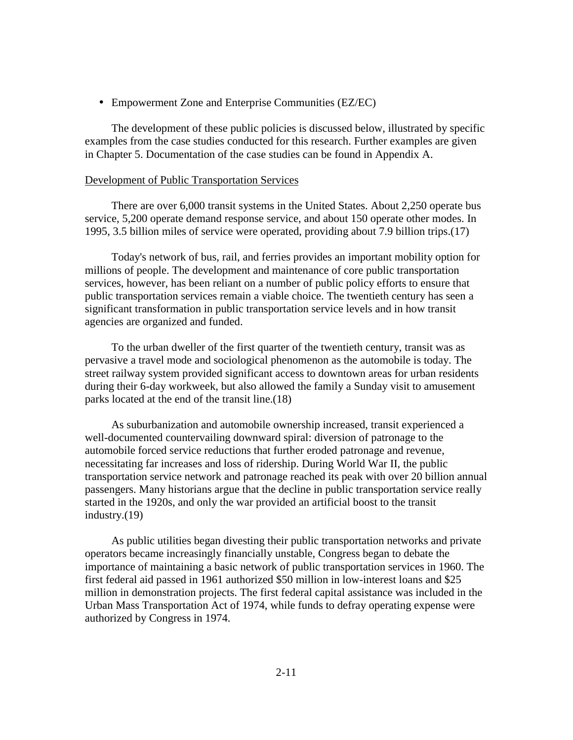• Empowerment Zone and Enterprise Communities (EZ/EC)

The development of these public policies is discussed below, illustrated by specific examples from the case studies conducted for this research. Further examples are given in Chapter 5. Documentation of the case studies can be found in Appendix A.

# Development of Public Transportation Services

There are over 6,000 transit systems in the United States. About 2,250 operate bus service, 5,200 operate demand response service, and about 150 operate other modes. In 1995, 3.5 billion miles of service were operated, providing about 7.9 billion trips.(17)

Today's network of bus, rail, and ferries provides an important mobility option for millions of people. The development and maintenance of core public transportation services, however, has been reliant on a number of public policy efforts to ensure that public transportation services remain a viable choice. The twentieth century has seen a significant transformation in public transportation service levels and in how transit agencies are organized and funded.

To the urban dweller of the first quarter of the twentieth century, transit was as pervasive a travel mode and sociological phenomenon as the automobile is today. The street railway system provided significant access to downtown areas for urban residents during their 6-day workweek, but also allowed the family a Sunday visit to amusement parks located at the end of the transit line.(18)

As suburbanization and automobile ownership increased, transit experienced a well-documented countervailing downward spiral: diversion of patronage to the automobile forced service reductions that further eroded patronage and revenue, necessitating far increases and loss of ridership. During World War II, the public transportation service network and patronage reached its peak with over 20 billion annual passengers. Many historians argue that the decline in public transportation service really started in the 1920s, and only the war provided an artificial boost to the transit industry.(19)

As public utilities began divesting their public transportation networks and private operators became increasingly financially unstable, Congress began to debate the importance of maintaining a basic network of public transportation services in 1960. The first federal aid passed in 1961 authorized \$50 million in low-interest loans and \$25 million in demonstration projects. The first federal capital assistance was included in the Urban Mass Transportation Act of 1974, while funds to defray operating expense were authorized by Congress in 1974.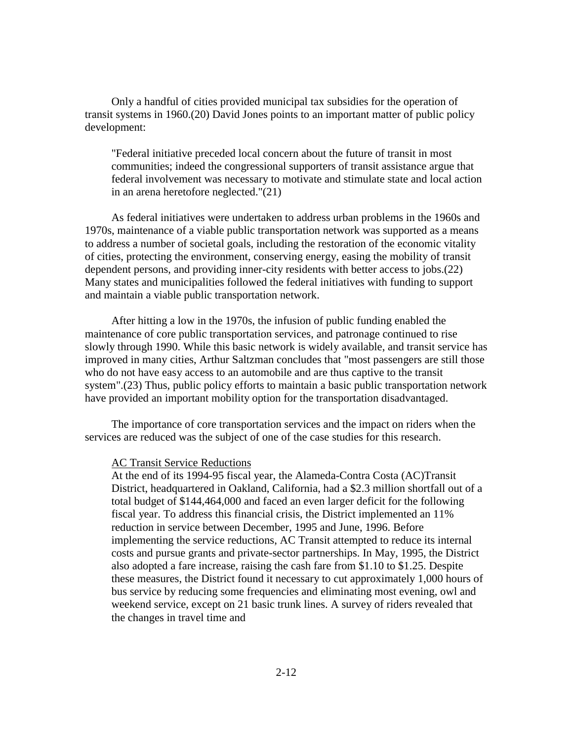Only a handful of cities provided municipal tax subsidies for the operation of transit systems in 1960.(20) David Jones points to an important matter of public policy development:

"Federal initiative preceded local concern about the future of transit in most communities; indeed the congressional supporters of transit assistance argue that federal involvement was necessary to motivate and stimulate state and local action in an arena heretofore neglected."(21)

As federal initiatives were undertaken to address urban problems in the 1960s and 1970s, maintenance of a viable public transportation network was supported as a means to address a number of societal goals, including the restoration of the economic vitality of cities, protecting the environment, conserving energy, easing the mobility of transit dependent persons, and providing inner-city residents with better access to jobs.(22) Many states and municipalities followed the federal initiatives with funding to support and maintain a viable public transportation network.

After hitting a low in the 1970s, the infusion of public funding enabled the maintenance of core public transportation services, and patronage continued to rise slowly through 1990. While this basic network is widely available, and transit service has improved in many cities, Arthur Saltzman concludes that "most passengers are still those who do not have easy access to an automobile and are thus captive to the transit system".(23) Thus, public policy efforts to maintain a basic public transportation network have provided an important mobility option for the transportation disadvantaged.

The importance of core transportation services and the impact on riders when the services are reduced was the subject of one of the case studies for this research.

# AC Transit Service Reductions

At the end of its 1994-95 fiscal year, the Alameda-Contra Costa (AC)Transit District, headquartered in Oakland, California, had a \$2.3 million shortfall out of a total budget of \$144,464,000 and faced an even larger deficit for the following fiscal year. To address this financial crisis, the District implemented an 11% reduction in service between December, 1995 and June, 1996. Before implementing the service reductions, AC Transit attempted to reduce its internal costs and pursue grants and private-sector partnerships. In May, 1995, the District also adopted a fare increase, raising the cash fare from \$1.10 to \$1.25. Despite these measures, the District found it necessary to cut approximately 1,000 hours of bus service by reducing some frequencies and eliminating most evening, owl and weekend service, except on 21 basic trunk lines. A survey of riders revealed that the changes in travel time and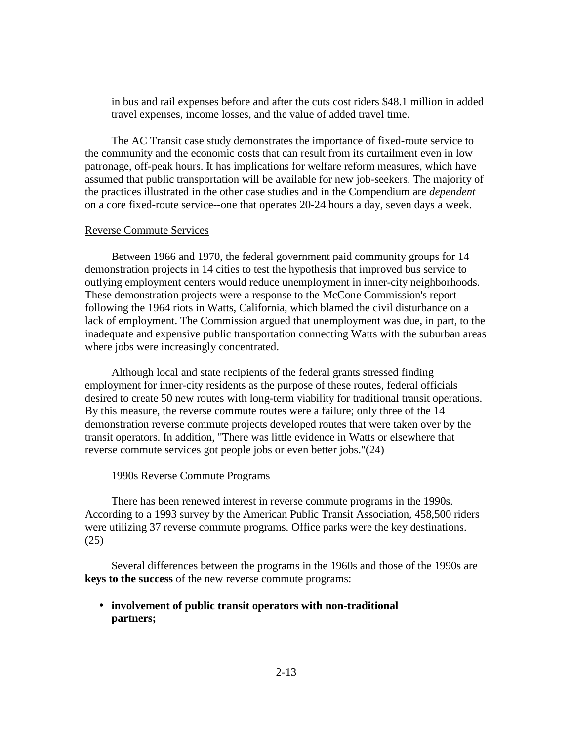in bus and rail expenses before and after the cuts cost riders \$48.1 million in added travel expenses, income losses, and the value of added travel time.

The AC Transit case study demonstrates the importance of fixed-route service to the community and the economic costs that can result from its curtailment even in low patronage, off-peak hours. It has implications for welfare reform measures, which have assumed that public transportation will be available for new job-seekers. The majority of the practices illustrated in the other case studies and in the Compendium are *dependent* on a core fixed-route service--one that operates 20-24 hours a day, seven days a week.

# Reverse Commute Services

Between 1966 and 1970, the federal government paid community groups for 14 demonstration projects in 14 cities to test the hypothesis that improved bus service to outlying employment centers would reduce unemployment in inner-city neighborhoods. These demonstration projects were a response to the McCone Commission's report following the 1964 riots in Watts, California, which blamed the civil disturbance on a lack of employment. The Commission argued that unemployment was due, in part, to the inadequate and expensive public transportation connecting Watts with the suburban areas where jobs were increasingly concentrated.

Although local and state recipients of the federal grants stressed finding employment for inner-city residents as the purpose of these routes, federal officials desired to create 50 new routes with long-term viability for traditional transit operations. By this measure, the reverse commute routes were a failure; only three of the 14 demonstration reverse commute projects developed routes that were taken over by the transit operators. In addition, "There was little evidence in Watts or elsewhere that reverse commute services got people jobs or even better jobs."(24)

# 1990s Reverse Commute Programs

There has been renewed interest in reverse commute programs in the 1990s. According to a 1993 survey by the American Public Transit Association, 458,500 riders were utilizing 37 reverse commute programs. Office parks were the key destinations. (25)

Several differences between the programs in the 1960s and those of the 1990s are **keys to the success** of the new reverse commute programs:

# • **involvement of public transit operators with non-traditional partners;**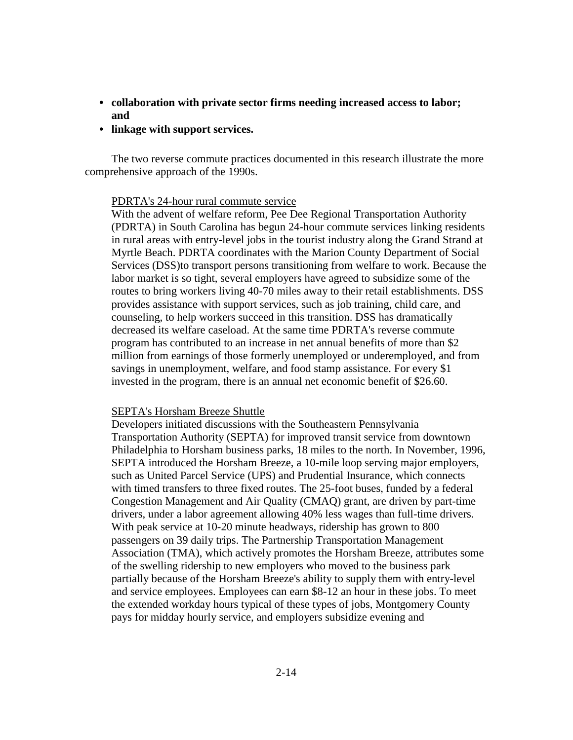- **collaboration with private sector firms needing increased access to labor; and**
- **linkage with support services.**

The two reverse commute practices documented in this research illustrate the more comprehensive approach of the 1990s.

# PDRTA's 24-hour rural commute service

With the advent of welfare reform, Pee Dee Regional Transportation Authority (PDRTA) in South Carolina has begun 24-hour commute services linking residents in rural areas with entry-level jobs in the tourist industry along the Grand Strand at Myrtle Beach. PDRTA coordinates with the Marion County Department of Social Services (DSS)to transport persons transitioning from welfare to work. Because the labor market is so tight, several employers have agreed to subsidize some of the routes to bring workers living 40-70 miles away to their retail establishments. DSS provides assistance with support services, such as job training, child care, and counseling, to help workers succeed in this transition. DSS has dramatically decreased its welfare caseload. At the same time PDRTA's reverse commute program has contributed to an increase in net annual benefits of more than \$2 million from earnings of those formerly unemployed or underemployed, and from savings in unemployment, welfare, and food stamp assistance. For every \$1 invested in the program, there is an annual net economic benefit of \$26.60.

# SEPTA's Horsham Breeze Shuttle

Developers initiated discussions with the Southeastern Pennsylvania Transportation Authority (SEPTA) for improved transit service from downtown Philadelphia to Horsham business parks, 18 miles to the north. In November, 1996, SEPTA introduced the Horsham Breeze, a 10-mile loop serving major employers, such as United Parcel Service (UPS) and Prudential Insurance, which connects with timed transfers to three fixed routes. The 25-foot buses, funded by a federal Congestion Management and Air Quality (CMAQ) grant, are driven by part-time drivers, under a labor agreement allowing 40% less wages than full-time drivers. With peak service at 10-20 minute headways, ridership has grown to 800 passengers on 39 daily trips. The Partnership Transportation Management Association (TMA), which actively promotes the Horsham Breeze, attributes some of the swelling ridership to new employers who moved to the business park partially because of the Horsham Breeze's ability to supply them with entry-level and service employees. Employees can earn \$8-12 an hour in these jobs. To meet the extended workday hours typical of these types of jobs, Montgomery County pays for midday hourly service, and employers subsidize evening and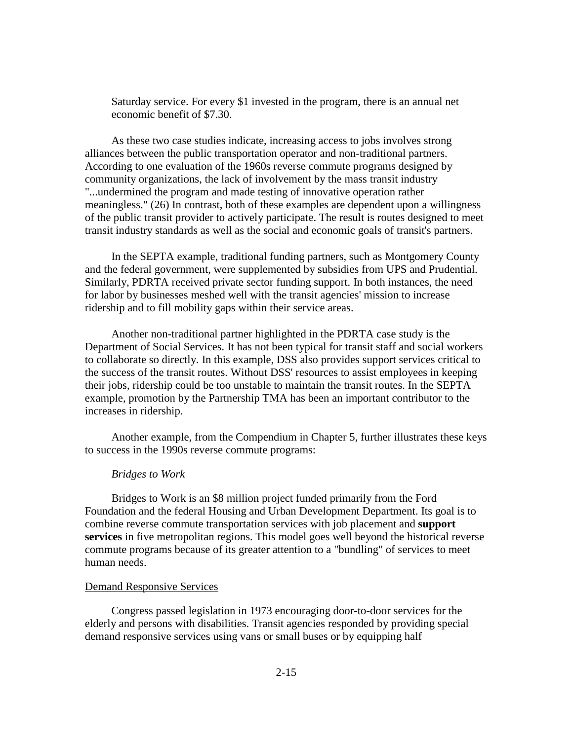Saturday service. For every \$1 invested in the program, there is an annual net economic benefit of \$7.30.

As these two case studies indicate, increasing access to jobs involves strong alliances between the public transportation operator and non-traditional partners. According to one evaluation of the 1960s reverse commute programs designed by community organizations, the lack of involvement by the mass transit industry "...undermined the program and made testing of innovative operation rather meaningless." (26) In contrast, both of these examples are dependent upon a willingness of the public transit provider to actively participate. The result is routes designed to meet transit industry standards as well as the social and economic goals of transit's partners.

In the SEPTA example, traditional funding partners, such as Montgomery County and the federal government, were supplemented by subsidies from UPS and Prudential. Similarly, PDRTA received private sector funding support. In both instances, the need for labor by businesses meshed well with the transit agencies' mission to increase ridership and to fill mobility gaps within their service areas.

Another non-traditional partner highlighted in the PDRTA case study is the Department of Social Services. It has not been typical for transit staff and social workers to collaborate so directly. In this example, DSS also provides support services critical to the success of the transit routes. Without DSS' resources to assist employees in keeping their jobs, ridership could be too unstable to maintain the transit routes. In the SEPTA example, promotion by the Partnership TMA has been an important contributor to the increases in ridership.

Another example, from the Compendium in Chapter 5, further illustrates these keys to success in the 1990s reverse commute programs:

### *Bridges to Work*

Bridges to Work is an \$8 million project funded primarily from the Ford Foundation and the federal Housing and Urban Development Department. Its goal is to combine reverse commute transportation services with job placement and **support services** in five metropolitan regions. This model goes well beyond the historical reverse commute programs because of its greater attention to a "bundling" of services to meet human needs.

#### Demand Responsive Services

Congress passed legislation in 1973 encouraging door-to-door services for the elderly and persons with disabilities. Transit agencies responded by providing special demand responsive services using vans or small buses or by equipping half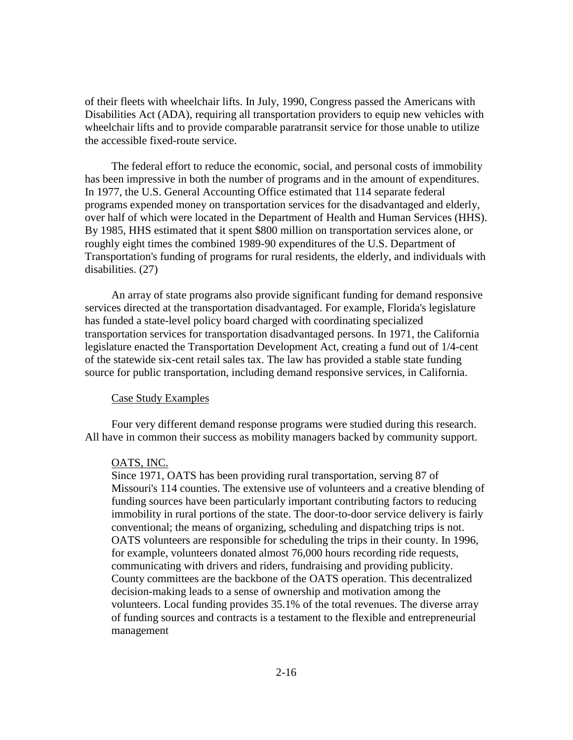of their fleets with wheelchair lifts. In July, 1990, Congress passed the Americans with Disabilities Act (ADA), requiring all transportation providers to equip new vehicles with wheelchair lifts and to provide comparable paratransit service for those unable to utilize the accessible fixed-route service.

The federal effort to reduce the economic, social, and personal costs of immobility has been impressive in both the number of programs and in the amount of expenditures. In 1977, the U.S. General Accounting Office estimated that 114 separate federal programs expended money on transportation services for the disadvantaged and elderly, over half of which were located in the Department of Health and Human Services (HHS). By 1985, HHS estimated that it spent \$800 million on transportation services alone, or roughly eight times the combined 1989-90 expenditures of the U.S. Department of Transportation's funding of programs for rural residents, the elderly, and individuals with disabilities. (27)

An array of state programs also provide significant funding for demand responsive services directed at the transportation disadvantaged. For example, Florida's legislature has funded a state-level policy board charged with coordinating specialized transportation services for transportation disadvantaged persons. In 1971, the California legislature enacted the Transportation Development Act, creating a fund out of 1/4-cent of the statewide six-cent retail sales tax. The law has provided a stable state funding source for public transportation, including demand responsive services, in California.

#### Case Study Examples

Four very different demand response programs were studied during this research. All have in common their success as mobility managers backed by community support.

#### OATS, INC.

Since 1971, OATS has been providing rural transportation, serving 87 of Missouri's 114 counties. The extensive use of volunteers and a creative blending of funding sources have been particularly important contributing factors to reducing immobility in rural portions of the state. The door-to-door service delivery is fairly conventional; the means of organizing, scheduling and dispatching trips is not. OATS volunteers are responsible for scheduling the trips in their county. In 1996, for example, volunteers donated almost 76,000 hours recording ride requests, communicating with drivers and riders, fundraising and providing publicity. County committees are the backbone of the OATS operation. This decentralized decision-making leads to a sense of ownership and motivation among the volunteers. Local funding provides 35.1% of the total revenues. The diverse array of funding sources and contracts is a testament to the flexible and entrepreneurial management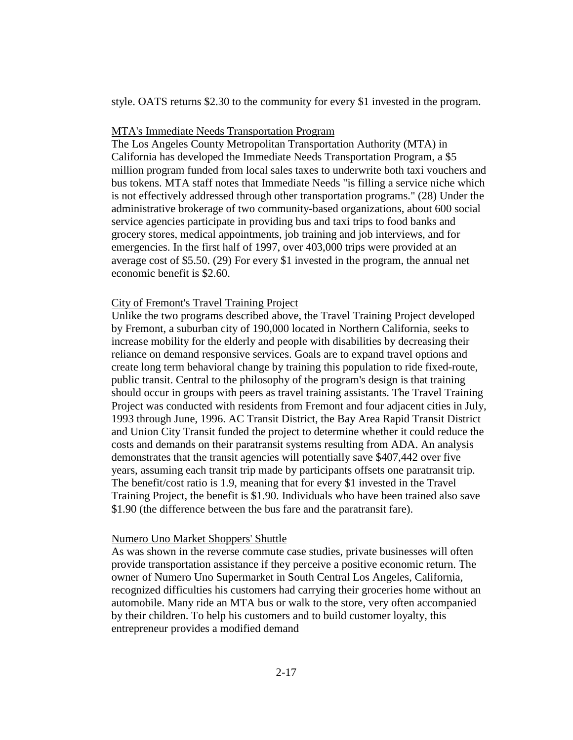style. OATS returns \$2.30 to the community for every \$1 invested in the program.

#### MTA's Immediate Needs Transportation Program

The Los Angeles County Metropolitan Transportation Authority (MTA) in California has developed the Immediate Needs Transportation Program, a \$5 million program funded from local sales taxes to underwrite both taxi vouchers and bus tokens. MTA staff notes that Immediate Needs "is filling a service niche which is not effectively addressed through other transportation programs." (28) Under the administrative brokerage of two community-based organizations, about 600 social service agencies participate in providing bus and taxi trips to food banks and grocery stores, medical appointments, job training and job interviews, and for emergencies. In the first half of 1997, over 403,000 trips were provided at an average cost of \$5.50. (29) For every \$1 invested in the program, the annual net economic benefit is \$2.60.

### City of Fremont's Travel Training Project

Unlike the two programs described above, the Travel Training Project developed by Fremont, a suburban city of 190,000 located in Northern California, seeks to increase mobility for the elderly and people with disabilities by decreasing their reliance on demand responsive services. Goals are to expand travel options and create long term behavioral change by training this population to ride fixed-route, public transit. Central to the philosophy of the program's design is that training should occur in groups with peers as travel training assistants. The Travel Training Project was conducted with residents from Fremont and four adjacent cities in July, 1993 through June, 1996. AC Transit District, the Bay Area Rapid Transit District and Union City Transit funded the project to determine whether it could reduce the costs and demands on their paratransit systems resulting from ADA. An analysis demonstrates that the transit agencies will potentially save \$407,442 over five years, assuming each transit trip made by participants offsets one paratransit trip. The benefit/cost ratio is 1.9, meaning that for every \$1 invested in the Travel Training Project, the benefit is \$1.90. Individuals who have been trained also save \$1.90 (the difference between the bus fare and the paratransit fare).

### Numero Uno Market Shoppers' Shuttle

As was shown in the reverse commute case studies, private businesses will often provide transportation assistance if they perceive a positive economic return. The owner of Numero Uno Supermarket in South Central Los Angeles, California, recognized difficulties his customers had carrying their groceries home without an automobile. Many ride an MTA bus or walk to the store, very often accompanied by their children. To help his customers and to build customer loyalty, this entrepreneur provides a modified demand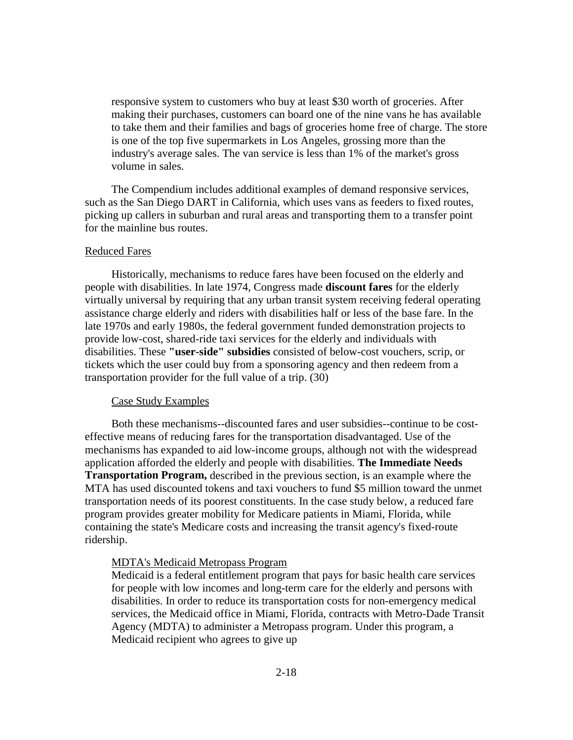responsive system to customers who buy at least \$30 worth of groceries. After making their purchases, customers can board one of the nine vans he has available to take them and their families and bags of groceries home free of charge. The store is one of the top five supermarkets in Los Angeles, grossing more than the industry's average sales. The van service is less than 1% of the market's gross volume in sales.

The Compendium includes additional examples of demand responsive services, such as the San Diego DART in California, which uses vans as feeders to fixed routes, picking up callers in suburban and rural areas and transporting them to a transfer point for the mainline bus routes.

#### Reduced Fares

Historically, mechanisms to reduce fares have been focused on the elderly and people with disabilities. In late 1974, Congress made **discount fares** for the elderly virtually universal by requiring that any urban transit system receiving federal operating assistance charge elderly and riders with disabilities half or less of the base fare. In the late 1970s and early 1980s, the federal government funded demonstration projects to provide low-cost, shared-ride taxi services for the elderly and individuals with disabilities. These **"user-side" subsidies** consisted of below-cost vouchers, scrip, or tickets which the user could buy from a sponsoring agency and then redeem from a transportation provider for the full value of a trip. (30)

#### Case Study Examples

Both these mechanisms--discounted fares and user subsidies--continue to be costeffective means of reducing fares for the transportation disadvantaged. Use of the mechanisms has expanded to aid low-income groups, although not with the widespread application afforded the elderly and people with disabilities. **The Immediate Needs Transportation Program,** described in the previous section, is an example where the MTA has used discounted tokens and taxi vouchers to fund \$5 million toward the unmet transportation needs of its poorest constituents. In the case study below, a reduced fare program provides greater mobility for Medicare patients in Miami, Florida, while containing the state's Medicare costs and increasing the transit agency's fixed-route ridership.

#### MDTA's Medicaid Metropass Program

Medicaid is a federal entitlement program that pays for basic health care services for people with low incomes and long-term care for the elderly and persons with disabilities. In order to reduce its transportation costs for non-emergency medical services, the Medicaid office in Miami, Florida, contracts with Metro-Dade Transit Agency (MDTA) to administer a Metropass program. Under this program, a Medicaid recipient who agrees to give up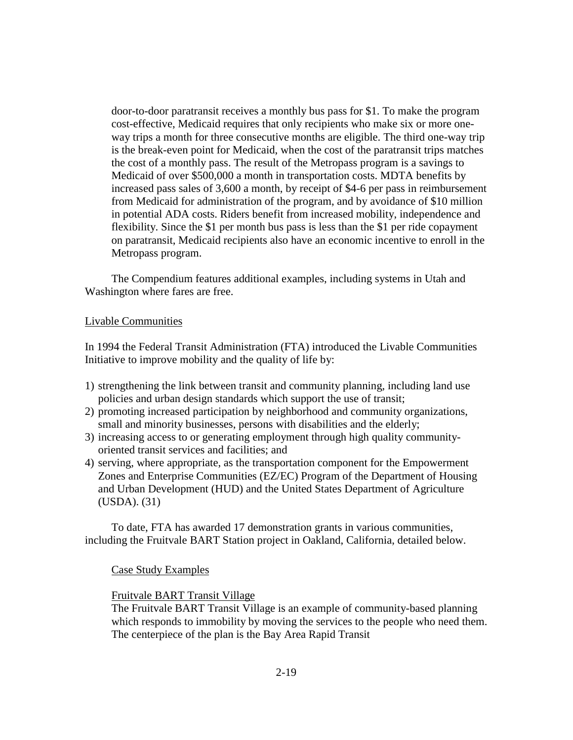door-to-door paratransit receives a monthly bus pass for \$1. To make the program cost-effective, Medicaid requires that only recipients who make six or more oneway trips a month for three consecutive months are eligible. The third one-way trip is the break-even point for Medicaid, when the cost of the paratransit trips matches the cost of a monthly pass. The result of the Metropass program is a savings to Medicaid of over \$500,000 a month in transportation costs. MDTA benefits by increased pass sales of 3,600 a month, by receipt of \$4-6 per pass in reimbursement from Medicaid for administration of the program, and by avoidance of \$10 million in potential ADA costs. Riders benefit from increased mobility, independence and flexibility. Since the \$1 per month bus pass is less than the \$1 per ride copayment on paratransit, Medicaid recipients also have an economic incentive to enroll in the Metropass program.

The Compendium features additional examples, including systems in Utah and Washington where fares are free.

### Livable Communities

In 1994 the Federal Transit Administration (FTA) introduced the Livable Communities Initiative to improve mobility and the quality of life by:

- 1) strengthening the link between transit and community planning, including land use policies and urban design standards which support the use of transit;
- 2) promoting increased participation by neighborhood and community organizations, small and minority businesses, persons with disabilities and the elderly;
- 3) increasing access to or generating employment through high quality communityoriented transit services and facilities; and
- 4) serving, where appropriate, as the transportation component for the Empowerment Zones and Enterprise Communities (EZ/EC) Program of the Department of Housing and Urban Development (HUD) and the United States Department of Agriculture (USDA). (31)

To date, FTA has awarded 17 demonstration grants in various communities, including the Fruitvale BART Station project in Oakland, California, detailed below.

Case Study Examples

# Fruitvale BART Transit Village

The Fruitvale BART Transit Village is an example of community-based planning which responds to immobility by moving the services to the people who need them. The centerpiece of the plan is the Bay Area Rapid Transit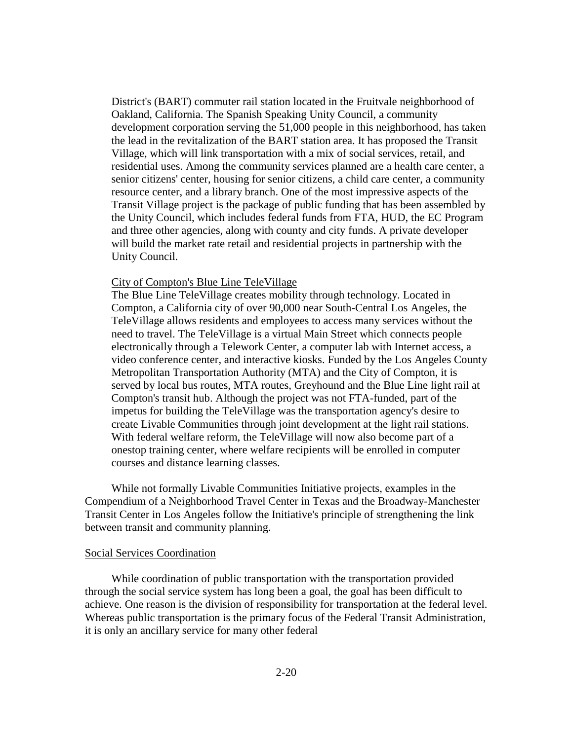District's (BART) commuter rail station located in the Fruitvale neighborhood of Oakland, California. The Spanish Speaking Unity Council, a community development corporation serving the 51,000 people in this neighborhood, has taken the lead in the revitalization of the BART station area. It has proposed the Transit Village, which will link transportation with a mix of social services, retail, and residential uses. Among the community services planned are a health care center, a senior citizens' center, housing for senior citizens, a child care center, a community resource center, and a library branch. One of the most impressive aspects of the Transit Village project is the package of public funding that has been assembled by the Unity Council, which includes federal funds from FTA, HUD, the EC Program and three other agencies, along with county and city funds. A private developer will build the market rate retail and residential projects in partnership with the Unity Council.

#### City of Compton's Blue Line TeleVillage

The Blue Line TeleVillage creates mobility through technology. Located in Compton, a California city of over 90,000 near South-Central Los Angeles, the TeleVillage allows residents and employees to access many services without the need to travel. The TeleVillage is a virtual Main Street which connects people electronically through a Telework Center, a computer lab with Internet access, a video conference center, and interactive kiosks. Funded by the Los Angeles County Metropolitan Transportation Authority (MTA) and the City of Compton, it is served by local bus routes, MTA routes, Greyhound and the Blue Line light rail at Compton's transit hub. Although the project was not FTA-funded, part of the impetus for building the TeleVillage was the transportation agency's desire to create Livable Communities through joint development at the light rail stations. With federal welfare reform, the TeleVillage will now also become part of a onestop training center, where welfare recipients will be enrolled in computer courses and distance learning classes.

While not formally Livable Communities Initiative projects, examples in the Compendium of a Neighborhood Travel Center in Texas and the Broadway-Manchester Transit Center in Los Angeles follow the Initiative's principle of strengthening the link between transit and community planning.

#### Social Services Coordination

While coordination of public transportation with the transportation provided through the social service system has long been a goal, the goal has been difficult to achieve. One reason is the division of responsibility for transportation at the federal level. Whereas public transportation is the primary focus of the Federal Transit Administration, it is only an ancillary service for many other federal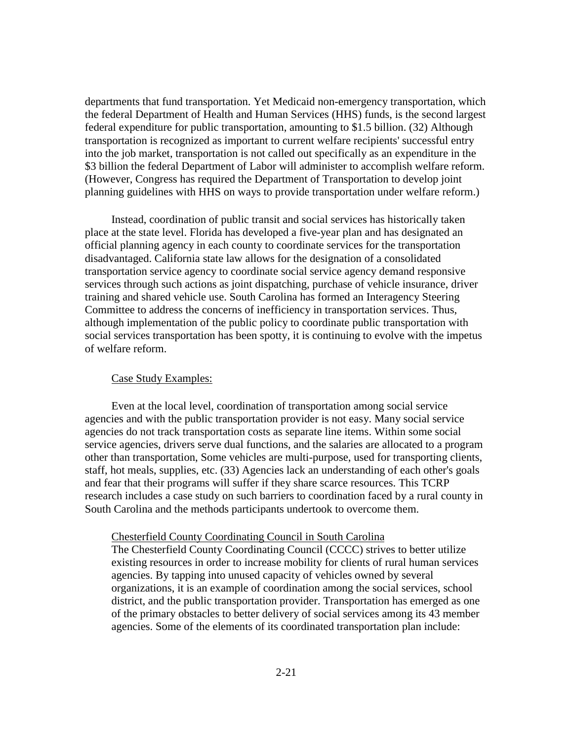departments that fund transportation. Yet Medicaid non-emergency transportation, which the federal Department of Health and Human Services (HHS) funds, is the second largest federal expenditure for public transportation, amounting to \$1.5 billion. (32) Although transportation is recognized as important to current welfare recipients' successful entry into the job market, transportation is not called out specifically as an expenditure in the \$3 billion the federal Department of Labor will administer to accomplish welfare reform. (However, Congress has required the Department of Transportation to develop joint planning guidelines with HHS on ways to provide transportation under welfare reform.)

Instead, coordination of public transit and social services has historically taken place at the state level. Florida has developed a five-year plan and has designated an official planning agency in each county to coordinate services for the transportation disadvantaged. California state law allows for the designation of a consolidated transportation service agency to coordinate social service agency demand responsive services through such actions as joint dispatching, purchase of vehicle insurance, driver training and shared vehicle use. South Carolina has formed an Interagency Steering Committee to address the concerns of inefficiency in transportation services. Thus, although implementation of the public policy to coordinate public transportation with social services transportation has been spotty, it is continuing to evolve with the impetus of welfare reform.

#### Case Study Examples:

Even at the local level, coordination of transportation among social service agencies and with the public transportation provider is not easy. Many social service agencies do not track transportation costs as separate line items. Within some social service agencies, drivers serve dual functions, and the salaries are allocated to a program other than transportation, Some vehicles are multi-purpose, used for transporting clients, staff, hot meals, supplies, etc. (33) Agencies lack an understanding of each other's goals and fear that their programs will suffer if they share scarce resources. This TCRP research includes a case study on such barriers to coordination faced by a rural county in South Carolina and the methods participants undertook to overcome them.

#### Chesterfield County Coordinating Council in South Carolina

The Chesterfield County Coordinating Council (CCCC) strives to better utilize existing resources in order to increase mobility for clients of rural human services agencies. By tapping into unused capacity of vehicles owned by several organizations, it is an example of coordination among the social services, school district, and the public transportation provider. Transportation has emerged as one of the primary obstacles to better delivery of social services among its 43 member agencies. Some of the elements of its coordinated transportation plan include: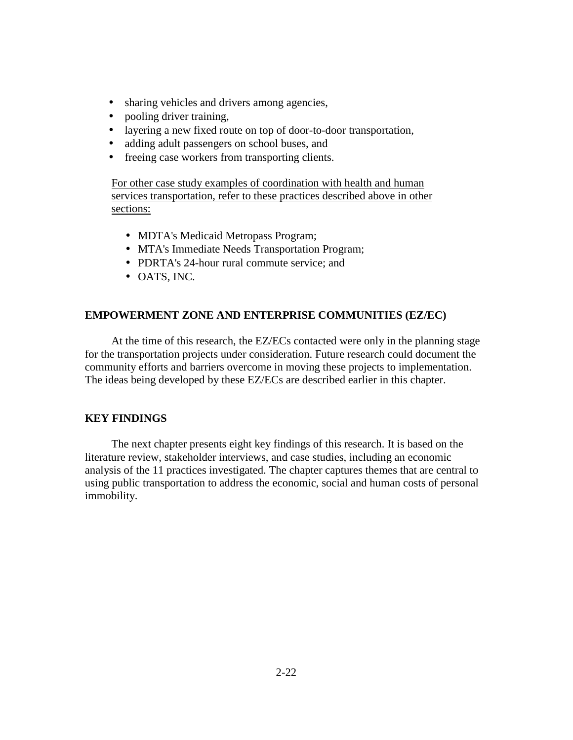- sharing vehicles and drivers among agencies,
- pooling driver training,
- layering a new fixed route on top of door-to-door transportation,
- adding adult passengers on school buses, and
- freeing case workers from transporting clients.

For other case study examples of coordination with health and human services transportation, refer to these practices described above in other sections:

- MDTA's Medicaid Metropass Program;
- MTA's Immediate Needs Transportation Program;
- PDRTA's 24-hour rural commute service; and
- OATS, INC.

# **EMPOWERMENT ZONE AND ENTERPRISE COMMUNITIES (EZ/EC)**

At the time of this research, the EZ/ECs contacted were only in the planning stage for the transportation projects under consideration. Future research could document the community efforts and barriers overcome in moving these projects to implementation. The ideas being developed by these EZ/ECs are described earlier in this chapter.

# **KEY FINDINGS**

The next chapter presents eight key findings of this research. It is based on the literature review, stakeholder interviews, and case studies, including an economic analysis of the 11 practices investigated. The chapter captures themes that are central to using public transportation to address the economic, social and human costs of personal immobility.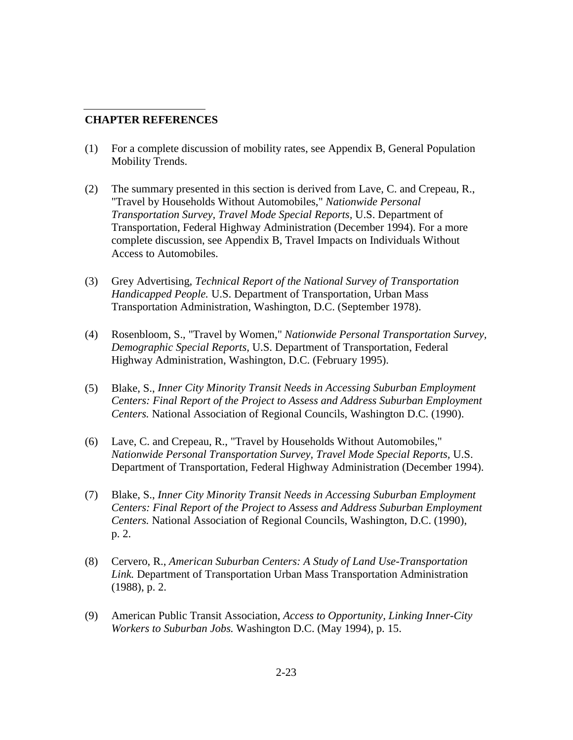# **CHAPTER REFERENCES**

- (1) For a complete discussion of mobility rates, see Appendix B, General Population Mobility Trends.
- (2) The summary presented in this section is derived from Lave, C. and Crepeau, R., "Travel by Households Without Automobiles," *Nationwide Personal Transportation Survey, Travel Mode Special Reports,* U.S. Department of Transportation, Federal Highway Administration (December 1994). For a more complete discussion, see Appendix B, Travel Impacts on Individuals Without Access to Automobiles.
- (3) Grey Advertising, *Technical Report of the National Survey of Transportation Handicapped People.* U.S. Department of Transportation, Urban Mass Transportation Administration, Washington, D.C. (September 1978).
- (4) Rosenbloom, S., "Travel by Women," *Nationwide Personal Transportation Survey, Demographic Special Reports,* U.S. Department of Transportation, Federal Highway Administration, Washington, D.C. (February 1995).
- (5) Blake, S., *Inner City Minority Transit Needs in Accessing Suburban Employment Centers: Final Report of the Project to Assess and Address Suburban Employment Centers.* National Association of Regional Councils, Washington D.C. (1990).
- (6) Lave, C. and Crepeau, R., "Travel by Households Without Automobiles," *Nationwide Personal Transportation Survey, Travel Mode Special Reports,* U.S. Department of Transportation, Federal Highway Administration (December 1994).
- (7) Blake, S., *Inner City Minority Transit Needs in Accessing Suburban Employment Centers: Final Report of the Project to Assess and Address Suburban Employment Centers.* National Association of Regional Councils, Washington, D.C. (1990), p. 2.
- (8) Cervero, R., *American Suburban Centers: A Study of Land Use-Transportation Link.* Department of Transportation Urban Mass Transportation Administration (1988), p. 2.
- (9) American Public Transit Association, *Access to Opportunity, Linking Inner-City Workers to Suburban Jobs.* Washington D.C. (May 1994), p. 15.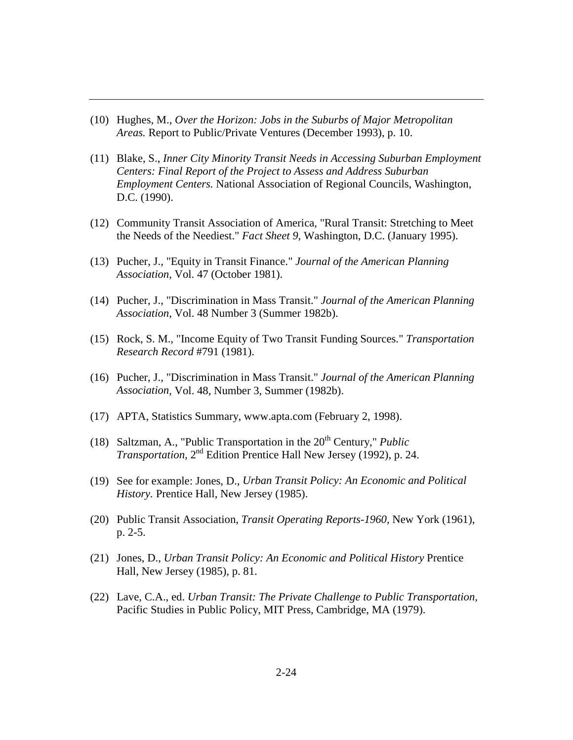- (10) Hughes, M., *Over the Horizon: Jobs in the Suburbs of Major Metropolitan Areas.* Report to Public/Private Ventures (December 1993), p. 10.
- (11) Blake, S., *Inner City Minority Transit Needs in Accessing Suburban Employment Centers: Final Report of the Project to Assess and Address Suburban Employment Centers.* National Association of Regional Councils, Washington, D.C. (1990).
- (12) Community Transit Association of America, "Rural Transit: Stretching to Meet the Needs of the Neediest." *Fact Sheet 9*, Washington, D.C. (January 1995).
- (13) Pucher, J., "Equity in Transit Finance." *Journal of the American Planning Association*, Vol. 47 (October 1981).
- (14) Pucher, J., "Discrimination in Mass Transit." *Journal of the American Planning Association*, Vol. 48 Number 3 (Summer 1982b).
- (15) Rock, S. M., "Income Equity of Two Transit Funding Sources." *Transportation Research Record* #791 (1981).
- (16) Pucher, J., "Discrimination in Mass Transit." *Journal of the American Planning Association*, Vol. 48, Number 3, Summer (1982b).
- (17) APTA, Statistics Summary, www.apta.com (February 2, 1998).
- (18) Saltzman, A., "Public Transportation in the  $20<sup>th</sup>$  Century," *Public Transportation,* 2nd Edition Prentice Hall New Jersey (1992), p. 24.
- (19) See for example: Jones, D., *Urban Transit Policy: An Economic and Political History.* Prentice Hall, New Jersey (1985).
- (20) Public Transit Association, *Transit Operating Reports-1960,* New York (1961), p. 2-5.
- (21) Jones, D., *Urban Transit Policy: An Economic and Political History* Prentice Hall, New Jersey (1985), p. 81.
- (22) Lave, C.A., ed. *Urban Transit: The Private Challenge to Public Transportation,* Pacific Studies in Public Policy, MIT Press, Cambridge, MA (1979).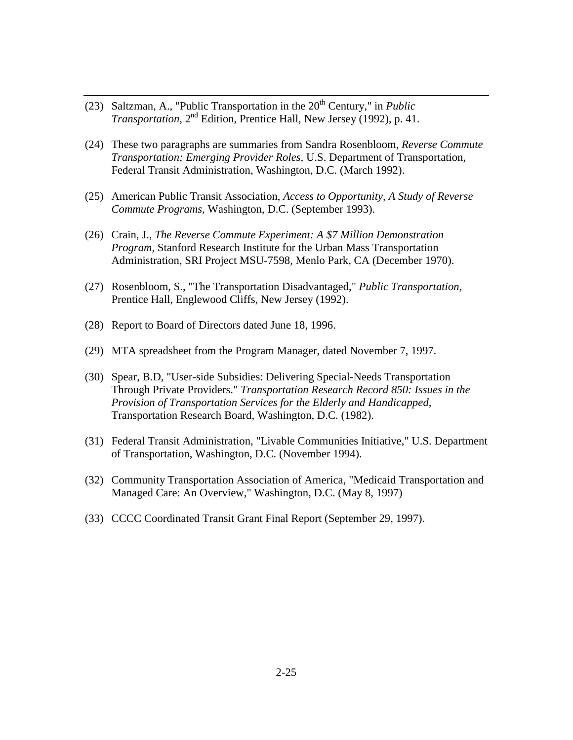- (23) Saltzman, A., "Public Transportation in the  $20<sup>th</sup>$  Century," in *Public Transportation*, 2nd Edition, Prentice Hall, New Jersey (1992), p. 41.
- (24) These two paragraphs are summaries from Sandra Rosenbloom, *Reverse Commute Transportation; Emerging Provider Roles,* U.S. Department of Transportation, Federal Transit Administration, Washington, D.C. (March 1992).
- (25) American Public Transit Association, *Access to Opportunity, A Study of Reverse Commute Programs*, Washington, D.C. (September 1993).
- (26) Crain, J., *The Reverse Commute Experiment: A \$7 Million Demonstration Program,* Stanford Research Institute for the Urban Mass Transportation Administration, SRI Project MSU-7598, Menlo Park, CA (December 1970).
- (27) Rosenbloom, S., "The Transportation Disadvantaged," *Public Transportation,* Prentice Hall, Englewood Cliffs, New Jersey (1992).
- (28) Report to Board of Directors dated June 18, 1996.
- (29) MTA spreadsheet from the Program Manager, dated November 7, 1997.
- (30) Spear, B.D, "User-side Subsidies: Delivering Special-Needs Transportation Through Private Providers." *Transportation Research Record 850: Issues in the Provision of Transportation Services for the Elderly and Handicapped,* Transportation Research Board, Washington, D.C. (1982).
- (31) Federal Transit Administration, "Livable Communities Initiative," U.S. Department of Transportation, Washington, D.C. (November 1994).
- (32) Community Transportation Association of America, "Medicaid Transportation and Managed Care: An Overview," Washington, D.C. (May 8, 1997)
- (33) CCCC Coordinated Transit Grant Final Report (September 29, 1997).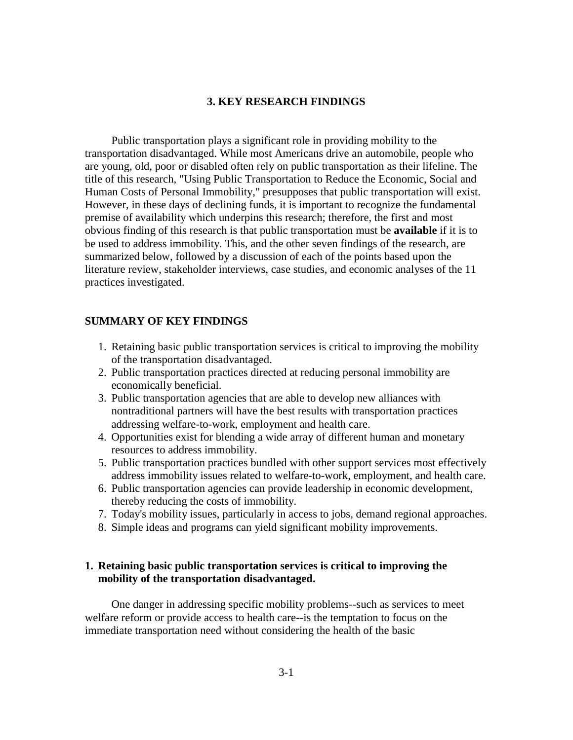### **3. KEY RESEARCH FINDINGS**

Public transportation plays a significant role in providing mobility to the transportation disadvantaged. While most Americans drive an automobile, people who are young, old, poor or disabled often rely on public transportation as their lifeline. The title of this research, "Using Public Transportation to Reduce the Economic, Social and Human Costs of Personal Immobility," presupposes that public transportation will exist. However, in these days of declining funds, it is important to recognize the fundamental premise of availability which underpins this research; therefore, the first and most obvious finding of this research is that public transportation must be **available** if it is to be used to address immobility. This, and the other seven findings of the research, are summarized below, followed by a discussion of each of the points based upon the literature review, stakeholder interviews, case studies, and economic analyses of the 11 practices investigated.

### **SUMMARY OF KEY FINDINGS**

- 1. Retaining basic public transportation services is critical to improving the mobility of the transportation disadvantaged.
- 2. Public transportation practices directed at reducing personal immobility are economically beneficial.
- 3. Public transportation agencies that are able to develop new alliances with nontraditional partners will have the best results with transportation practices addressing welfare-to-work, employment and health care.
- 4. Opportunities exist for blending a wide array of different human and monetary resources to address immobility.
- 5. Public transportation practices bundled with other support services most effectively address immobility issues related to welfare-to-work, employment, and health care.
- 6. Public transportation agencies can provide leadership in economic development, thereby reducing the costs of immobility.
- 7. Today's mobility issues, particularly in access to jobs, demand regional approaches.
- 8. Simple ideas and programs can yield significant mobility improvements.

# **1. Retaining basic public transportation services is critical to improving the mobility of the transportation disadvantaged.**

One danger in addressing specific mobility problems--such as services to meet welfare reform or provide access to health care--is the temptation to focus on the immediate transportation need without considering the health of the basic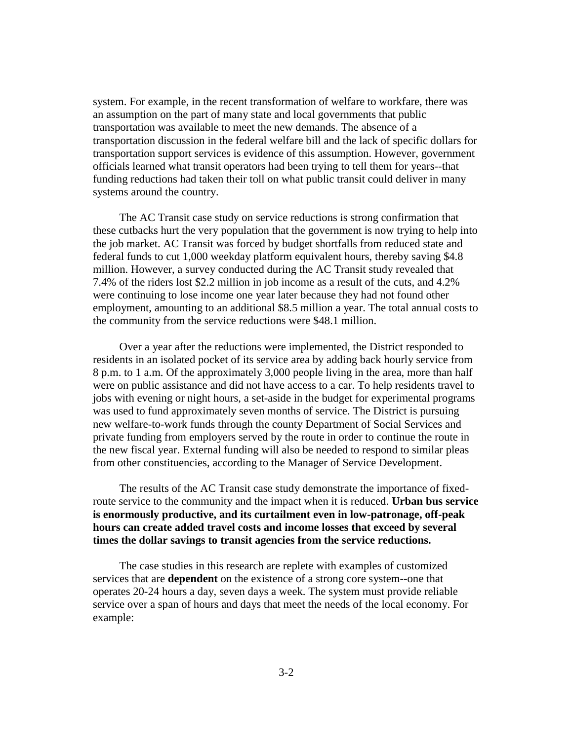system. For example, in the recent transformation of welfare to workfare, there was an assumption on the part of many state and local governments that public transportation was available to meet the new demands. The absence of a transportation discussion in the federal welfare bill and the lack of specific dollars for transportation support services is evidence of this assumption. However, government officials learned what transit operators had been trying to tell them for years--that funding reductions had taken their toll on what public transit could deliver in many systems around the country.

The AC Transit case study on service reductions is strong confirmation that these cutbacks hurt the very population that the government is now trying to help into the job market. AC Transit was forced by budget shortfalls from reduced state and federal funds to cut 1,000 weekday platform equivalent hours, thereby saving \$4.8 million. However, a survey conducted during the AC Transit study revealed that 7.4% of the riders lost \$2.2 million in job income as a result of the cuts, and 4.2% were continuing to lose income one year later because they had not found other employment, amounting to an additional \$8.5 million a year. The total annual costs to the community from the service reductions were \$48.1 million.

Over a year after the reductions were implemented, the District responded to residents in an isolated pocket of its service area by adding back hourly service from 8 p.m. to 1 a.m. Of the approximately 3,000 people living in the area, more than half were on public assistance and did not have access to a car. To help residents travel to jobs with evening or night hours, a set-aside in the budget for experimental programs was used to fund approximately seven months of service. The District is pursuing new welfare-to-work funds through the county Department of Social Services and private funding from employers served by the route in order to continue the route in the new fiscal year. External funding will also be needed to respond to similar pleas from other constituencies, according to the Manager of Service Development.

The results of the AC Transit case study demonstrate the importance of fixedroute service to the community and the impact when it is reduced. **Urban bus service is enormously productive, and its curtailment even in low-patronage, off-peak hours can create added travel costs and income losses that exceed by several times the dollar savings to transit agencies from the service reductions.**

The case studies in this research are replete with examples of customized services that are **dependent** on the existence of a strong core system--one that operates 20-24 hours a day, seven days a week. The system must provide reliable service over a span of hours and days that meet the needs of the local economy. For example: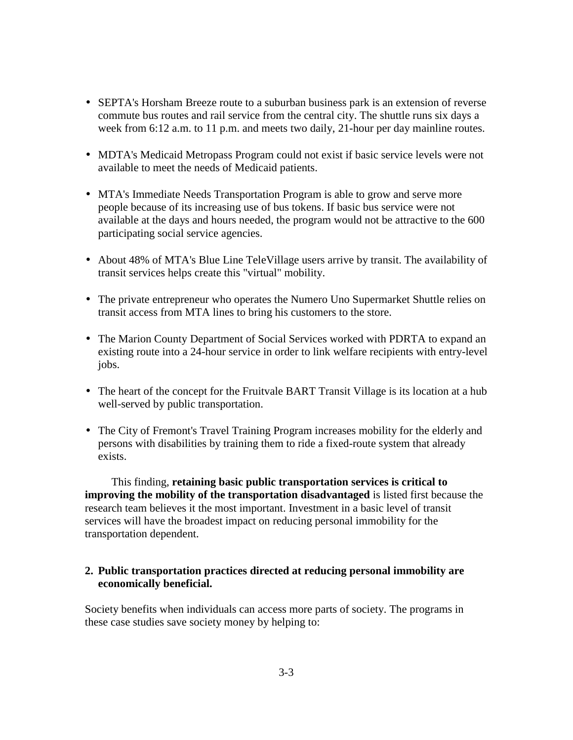- SEPTA's Horsham Breeze route to a suburban business park is an extension of reverse commute bus routes and rail service from the central city. The shuttle runs six days a week from 6:12 a.m. to 11 p.m. and meets two daily, 21-hour per day mainline routes.
- MDTA's Medicaid Metropass Program could not exist if basic service levels were not available to meet the needs of Medicaid patients.
- MTA's Immediate Needs Transportation Program is able to grow and serve more people because of its increasing use of bus tokens. If basic bus service were not available at the days and hours needed, the program would not be attractive to the 600 participating social service agencies.
- About 48% of MTA's Blue Line TeleVillage users arrive by transit. The availability of transit services helps create this "virtual" mobility.
- The private entrepreneur who operates the Numero Uno Supermarket Shuttle relies on transit access from MTA lines to bring his customers to the store.
- The Marion County Department of Social Services worked with PDRTA to expand an existing route into a 24-hour service in order to link welfare recipients with entry-level jobs.
- The heart of the concept for the Fruitvale BART Transit Village is its location at a hub well-served by public transportation.
- The City of Fremont's Travel Training Program increases mobility for the elderly and persons with disabilities by training them to ride a fixed-route system that already exists.

This finding, **retaining basic public transportation services is critical to improving the mobility of the transportation disadvantaged** is listed first because the research team believes it the most important. Investment in a basic level of transit services will have the broadest impact on reducing personal immobility for the transportation dependent.

# **2. Public transportation practices directed at reducing personal immobility are economically beneficial.**

Society benefits when individuals can access more parts of society. The programs in these case studies save society money by helping to: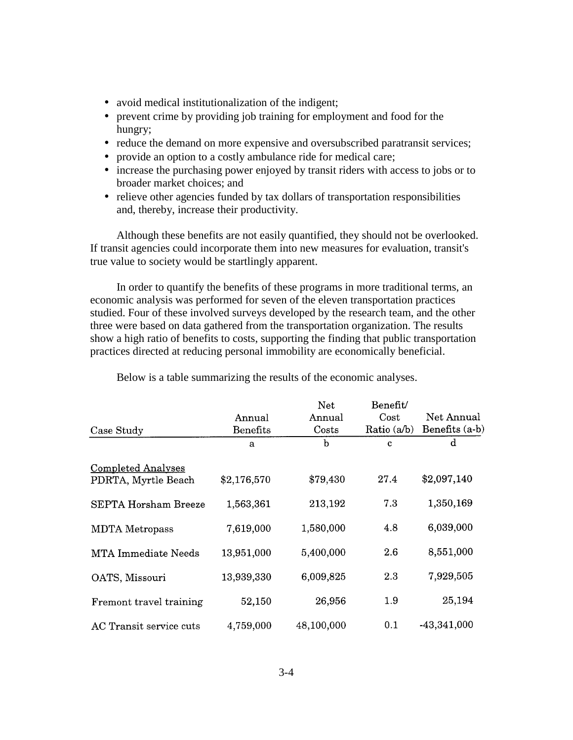- avoid medical institutionalization of the indigent;
- prevent crime by providing job training for employment and food for the hungry;
- reduce the demand on more expensive and oversubscribed paratransit services;
- provide an option to a costly ambulance ride for medical care;
- increase the purchasing power enjoyed by transit riders with access to jobs or to broader market choices; and
- relieve other agencies funded by tax dollars of transportation responsibilities and, thereby, increase their productivity.

Although these benefits are not easily quantified, they should not be overlooked. If transit agencies could incorporate them into new measures for evaluation, transit's true value to society would be startlingly apparent.

In order to quantify the benefits of these programs in more traditional terms, an economic analysis was performed for seven of the eleven transportation practices studied. Four of these involved surveys developed by the research team, and the other three were based on data gathered from the transportation organization. The results show a high ratio of benefits to costs, supporting the finding that public transportation practices directed at reducing personal immobility are economically beneficial.

|                             |                 | Net        | Benefit/      |                |
|-----------------------------|-----------------|------------|---------------|----------------|
|                             | Annual          | Annual     | Cost          | Net Annual     |
| Case Study                  | <b>Benefits</b> | Costs      | Ratio $(a/b)$ | Benefits (a-b) |
|                             | a               | b          | $\mathbf{c}$  | d              |
| <b>Completed Analyses</b>   |                 |            |               |                |
| PDRTA, Myrtle Beach         | \$2,176,570     | \$79,430   | 27.4          | \$2,097,140    |
| <b>SEPTA Horsham Breeze</b> | 1,563,361       | 213,192    | 7.3           | 1,350,169      |
| <b>MDTA</b> Metropass       | 7,619,000       | 1,580,000  | 4.8           | 6,039,000      |
| <b>MTA Immediate Needs</b>  | 13,951,000      | 5,400,000  | 2.6           | 8,551,000      |
| OATS, Missouri              | 13,939,330      | 6,009,825  | 2.3           | 7,929,505      |
| Fremont travel training     | 52,150          | 26,956     | 1.9           | 25,194         |
| AC Transit service cuts     | 4,759,000       | 48,100,000 | 0.1           | $-43,341,000$  |

Below is a table summarizing the results of the economic analyses.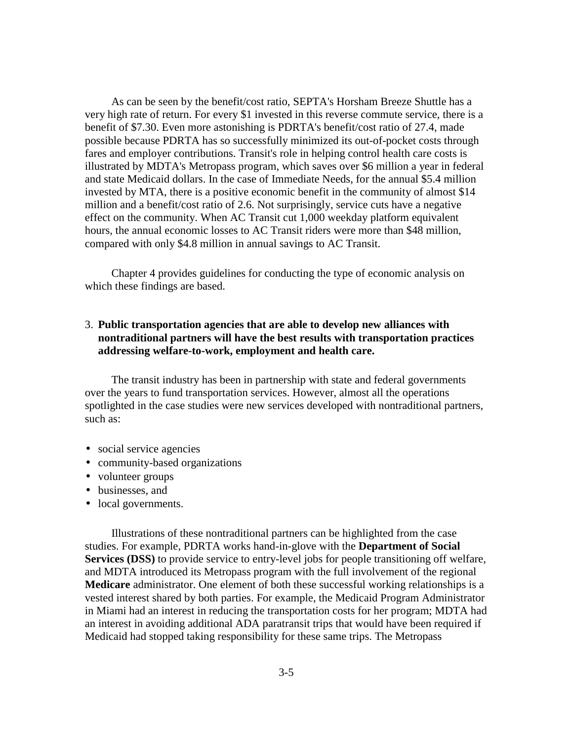As can be seen by the benefit/cost ratio, SEPTA's Horsham Breeze Shuttle has a very high rate of return. For every \$1 invested in this reverse commute service, there is a benefit of \$7.30. Even more astonishing is PDRTA's benefit/cost ratio of 27.4, made possible because PDRTA has so successfully minimized its out-of-pocket costs through fares and employer contributions. Transit's role in helping control health care costs is illustrated by MDTA's Metropass program, which saves over \$6 million a year in federal and state Medicaid dollars. In the case of Immediate Needs, for the annual \$5.4 million invested by MTA, there is a positive economic benefit in the community of almost \$14 million and a benefit/cost ratio of 2.6. Not surprisingly, service cuts have a negative effect on the community. When AC Transit cut 1,000 weekday platform equivalent hours, the annual economic losses to AC Transit riders were more than \$48 million, compared with only \$4.8 million in annual savings to AC Transit.

Chapter 4 provides guidelines for conducting the type of economic analysis on which these findings are based.

# 3. **Public transportation agencies that are able to develop new alliances with nontraditional partners will have the best results with transportation practices addressing welfare-to-work, employment and health care.**

The transit industry has been in partnership with state and federal governments over the years to fund transportation services. However, almost all the operations spotlighted in the case studies were new services developed with nontraditional partners, such as:

- social service agencies
- community-based organizations
- volunteer groups
- businesses, and
- local governments.

Illustrations of these nontraditional partners can be highlighted from the case studies. For example, PDRTA works hand-in-glove with the **Department of Social Services (DSS)** to provide service to entry-level jobs for people transitioning off welfare, and MDTA introduced its Metropass program with the full involvement of the regional **Medicare** administrator. One element of both these successful working relationships is a vested interest shared by both parties. For example, the Medicaid Program Administrator in Miami had an interest in reducing the transportation costs for her program; MDTA had an interest in avoiding additional ADA paratransit trips that would have been required if Medicaid had stopped taking responsibility for these same trips. The Metropass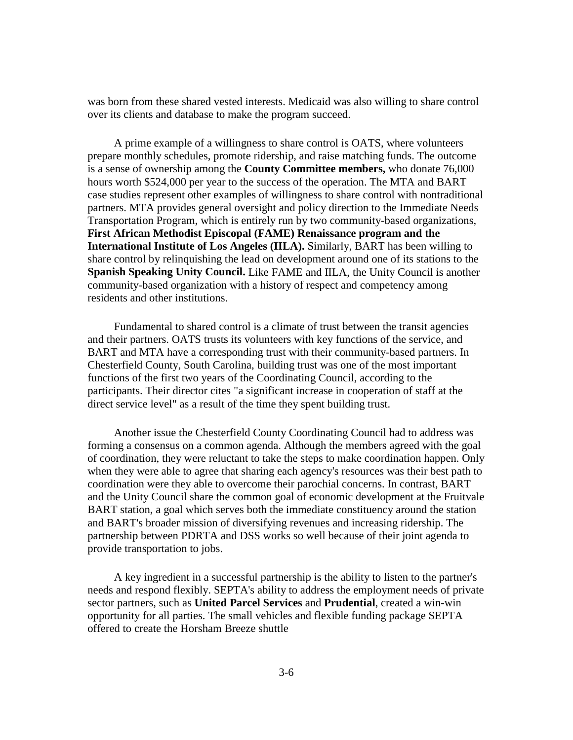was born from these shared vested interests. Medicaid was also willing to share control over its clients and database to make the program succeed.

A prime example of a willingness to share control is OATS, where volunteers prepare monthly schedules, promote ridership, and raise matching funds. The outcome is a sense of ownership among the **County Committee members,** who donate 76,000 hours worth \$524,000 per year to the success of the operation. The MTA and BART case studies represent other examples of willingness to share control with nontraditional partners. MTA provides general oversight and policy direction to the Immediate Needs Transportation Program, which is entirely run by two community-based organizations, **First African Methodist Episcopal (FAME) Renaissance program and the International Institute of Los Angeles (IILA).** Similarly, BART has been willing to share control by relinquishing the lead on development around one of its stations to the **Spanish Speaking Unity Council.** Like FAME and IILA, the Unity Council is another community-based organization with a history of respect and competency among residents and other institutions.

Fundamental to shared control is a climate of trust between the transit agencies and their partners. OATS trusts its volunteers with key functions of the service, and BART and MTA have a corresponding trust with their community-based partners. In Chesterfield County, South Carolina, building trust was one of the most important functions of the first two years of the Coordinating Council, according to the participants. Their director cites "a significant increase in cooperation of staff at the direct service level" as a result of the time they spent building trust.

Another issue the Chesterfield County Coordinating Council had to address was forming a consensus on a common agenda. Although the members agreed with the goal of coordination, they were reluctant to take the steps to make coordination happen. Only when they were able to agree that sharing each agency's resources was their best path to coordination were they able to overcome their parochial concerns. In contrast, BART and the Unity Council share the common goal of economic development at the Fruitvale BART station, a goal which serves both the immediate constituency around the station and BART's broader mission of diversifying revenues and increasing ridership. The partnership between PDRTA and DSS works so well because of their joint agenda to provide transportation to jobs.

A key ingredient in a successful partnership is the ability to listen to the partner's needs and respond flexibly. SEPTA's ability to address the employment needs of private sector partners, such as **United Parcel Services** and **Prudential**, created a win-win opportunity for all parties. The small vehicles and flexible funding package SEPTA offered to create the Horsham Breeze shuttle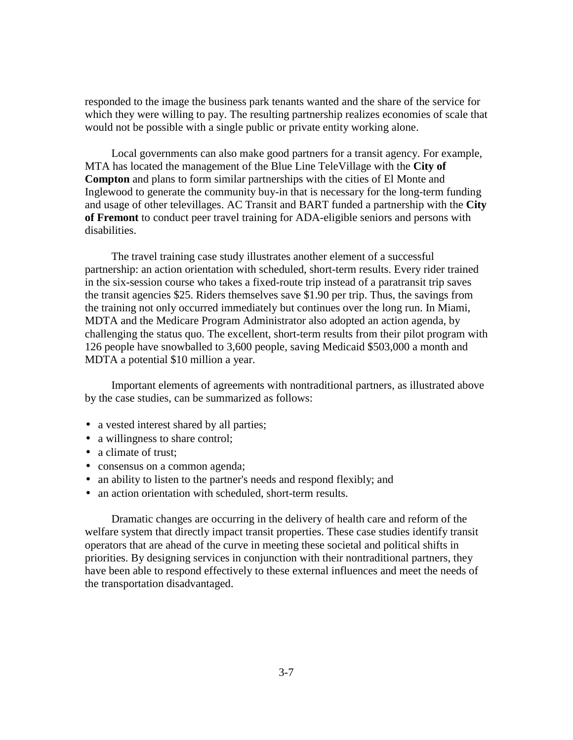responded to the image the business park tenants wanted and the share of the service for which they were willing to pay. The resulting partnership realizes economies of scale that would not be possible with a single public or private entity working alone.

Local governments can also make good partners for a transit agency. For example, MTA has located the management of the Blue Line TeleVillage with the **City of Compton** and plans to form similar partnerships with the cities of El Monte and Inglewood to generate the community buy-in that is necessary for the long-term funding and usage of other televillages. AC Transit and BART funded a partnership with the **City of Fremont** to conduct peer travel training for ADA-eligible seniors and persons with disabilities.

The travel training case study illustrates another element of a successful partnership: an action orientation with scheduled, short-term results. Every rider trained in the six-session course who takes a fixed-route trip instead of a paratransit trip saves the transit agencies \$25. Riders themselves save \$1.90 per trip. Thus, the savings from the training not only occurred immediately but continues over the long run. In Miami, MDTA and the Medicare Program Administrator also adopted an action agenda, by challenging the status quo. The excellent, short-term results from their pilot program with 126 people have snowballed to 3,600 people, saving Medicaid \$503,000 a month and MDTA a potential \$10 million a year.

Important elements of agreements with nontraditional partners, as illustrated above by the case studies, can be summarized as follows:

- a vested interest shared by all parties;
- a willingness to share control;
- a climate of trust;
- consensus on a common agenda;
- an ability to listen to the partner's needs and respond flexibly; and
- an action orientation with scheduled, short-term results.

Dramatic changes are occurring in the delivery of health care and reform of the welfare system that directly impact transit properties. These case studies identify transit operators that are ahead of the curve in meeting these societal and political shifts in priorities. By designing services in conjunction with their nontraditional partners, they have been able to respond effectively to these external influences and meet the needs of the transportation disadvantaged.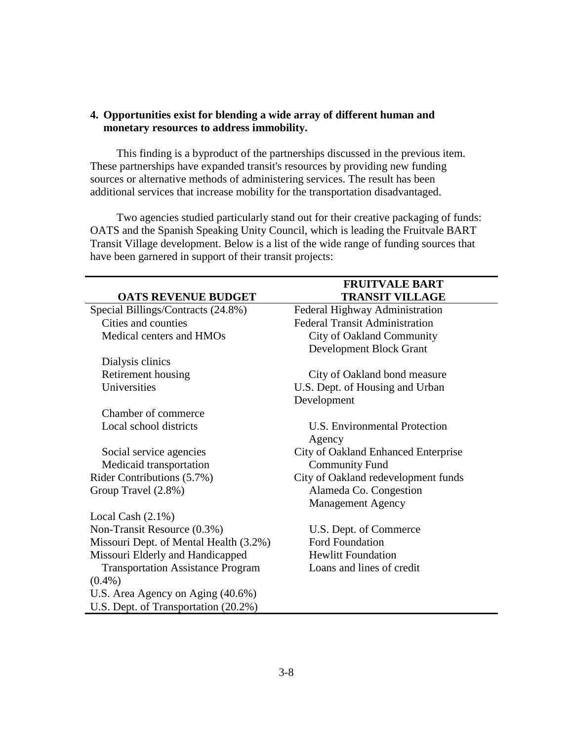# **4. Opportunities exist for blending a wide array of different human and monetary resources to address immobility.**

This finding is a byproduct of the partnerships discussed in the previous item. These partnerships have expanded transit's resources by providing new funding sources or alternative methods of administering services. The result has been additional services that increase mobility for the transportation disadvantaged.

Two agencies studied particularly stand out for their creative packaging of funds: OATS and the Spanish Speaking Unity Council, which is leading the Fruitvale BART Transit Village development. Below is a list of the wide range of funding sources that have been garnered in support of their transit projects:

|                                          | <b>FRUITVALE BART</b>                 |
|------------------------------------------|---------------------------------------|
| <b>OATS REVENUE BUDGET</b>               | <b>TRANSIT VILLAGE</b>                |
| Special Billings/Contracts (24.8%)       | Federal Highway Administration        |
| Cities and counties                      | <b>Federal Transit Administration</b> |
| Medical centers and HMOs                 | <b>City of Oakland Community</b>      |
|                                          | Development Block Grant               |
| Dialysis clinics                         |                                       |
| Retirement housing                       | City of Oakland bond measure          |
| Universities                             | U.S. Dept. of Housing and Urban       |
|                                          | Development                           |
| Chamber of commerce                      |                                       |
| Local school districts                   | U.S. Environmental Protection         |
|                                          | Agency                                |
| Social service agencies                  | City of Oakland Enhanced Enterprise   |
| Medicaid transportation                  | <b>Community Fund</b>                 |
| Rider Contributions (5.7%)               | City of Oakland redevelopment funds   |
| Group Travel (2.8%)                      | Alameda Co. Congestion                |
|                                          | <b>Management Agency</b>              |
| Local Cash $(2.1\%)$                     |                                       |
| Non-Transit Resource (0.3%)              | U.S. Dept. of Commerce                |
| Missouri Dept. of Mental Health (3.2%)   | Ford Foundation                       |
| Missouri Elderly and Handicapped         | <b>Hewlitt Foundation</b>             |
| <b>Transportation Assistance Program</b> | Loans and lines of credit             |
| $(0.4\%)$                                |                                       |
| U.S. Area Agency on Aging (40.6%)        |                                       |
| U.S. Dept. of Transportation (20.2%)     |                                       |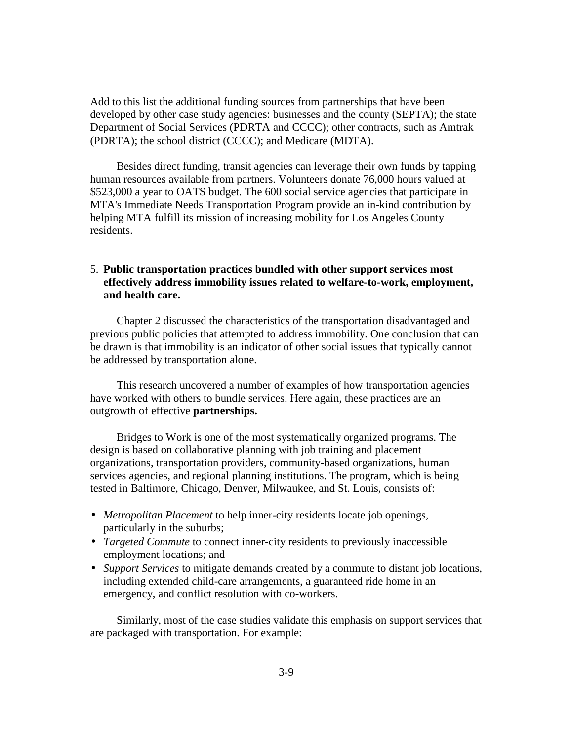Add to this list the additional funding sources from partnerships that have been developed by other case study agencies: businesses and the county (SEPTA); the state Department of Social Services (PDRTA and CCCC); other contracts, such as Amtrak (PDRTA); the school district (CCCC); and Medicare (MDTA).

Besides direct funding, transit agencies can leverage their own funds by tapping human resources available from partners. Volunteers donate 76,000 hours valued at \$523,000 a year to OATS budget. The 600 social service agencies that participate in MTA's Immediate Needs Transportation Program provide an in-kind contribution by helping MTA fulfill its mission of increasing mobility for Los Angeles County residents.

# 5. **Public transportation practices bundled with other support services most effectively address immobility issues related to welfare-to-work, employment, and health care.**

Chapter 2 discussed the characteristics of the transportation disadvantaged and previous public policies that attempted to address immobility. One conclusion that can be drawn is that immobility is an indicator of other social issues that typically cannot be addressed by transportation alone.

This research uncovered a number of examples of how transportation agencies have worked with others to bundle services. Here again, these practices are an outgrowth of effective **partnerships.**

Bridges to Work is one of the most systematically organized programs. The design is based on collaborative planning with job training and placement organizations, transportation providers, community-based organizations, human services agencies, and regional planning institutions. The program, which is being tested in Baltimore, Chicago, Denver, Milwaukee, and St. Louis, consists of:

- *Metropolitan Placement* to help inner-city residents locate job openings, particularly in the suburbs;
- *Targeted Commute* to connect inner-city residents to previously inaccessible employment locations; and
- *Support Services* to mitigate demands created by a commute to distant job locations, including extended child-care arrangements, a guaranteed ride home in an emergency, and conflict resolution with co-workers.

Similarly, most of the case studies validate this emphasis on support services that are packaged with transportation. For example: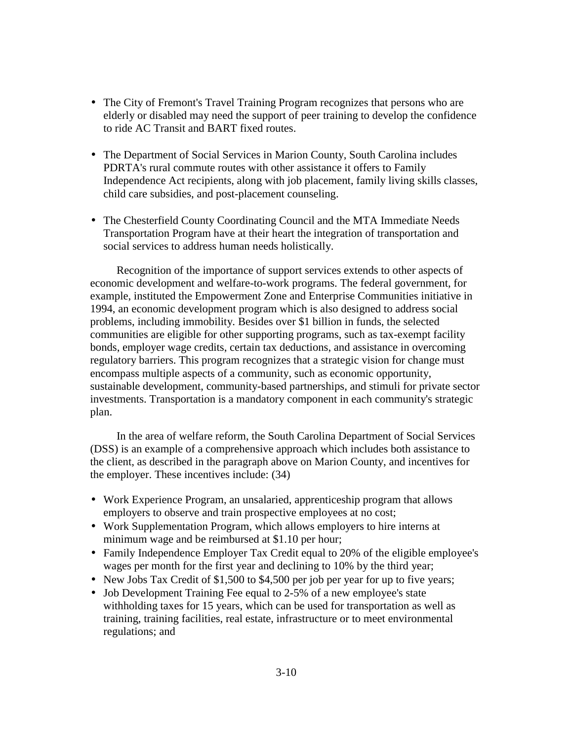- The City of Fremont's Travel Training Program recognizes that persons who are elderly or disabled may need the support of peer training to develop the confidence to ride AC Transit and BART fixed routes.
- The Department of Social Services in Marion County, South Carolina includes PDRTA's rural commute routes with other assistance it offers to Family Independence Act recipients, along with job placement, family living skills classes, child care subsidies, and post-placement counseling.
- The Chesterfield County Coordinating Council and the MTA Immediate Needs Transportation Program have at their heart the integration of transportation and social services to address human needs holistically.

Recognition of the importance of support services extends to other aspects of economic development and welfare-to-work programs. The federal government, for example, instituted the Empowerment Zone and Enterprise Communities initiative in 1994, an economic development program which is also designed to address social problems, including immobility. Besides over \$1 billion in funds, the selected communities are eligible for other supporting programs, such as tax-exempt facility bonds, employer wage credits, certain tax deductions, and assistance in overcoming regulatory barriers. This program recognizes that a strategic vision for change must encompass multiple aspects of a community, such as economic opportunity, sustainable development, community-based partnerships, and stimuli for private sector investments. Transportation is a mandatory component in each community's strategic plan.

In the area of welfare reform, the South Carolina Department of Social Services (DSS) is an example of a comprehensive approach which includes both assistance to the client, as described in the paragraph above on Marion County, and incentives for the employer. These incentives include: (34)

- Work Experience Program, an unsalaried, apprenticeship program that allows employers to observe and train prospective employees at no cost;
- Work Supplementation Program, which allows employers to hire interns at minimum wage and be reimbursed at \$1.10 per hour;
- Family Independence Employer Tax Credit equal to 20% of the eligible employee's wages per month for the first year and declining to 10% by the third year;
- New Jobs Tax Credit of \$1,500 to \$4,500 per job per year for up to five years;
- Job Development Training Fee equal to 2-5% of a new employee's state withholding taxes for 15 years, which can be used for transportation as well as training, training facilities, real estate, infrastructure or to meet environmental regulations; and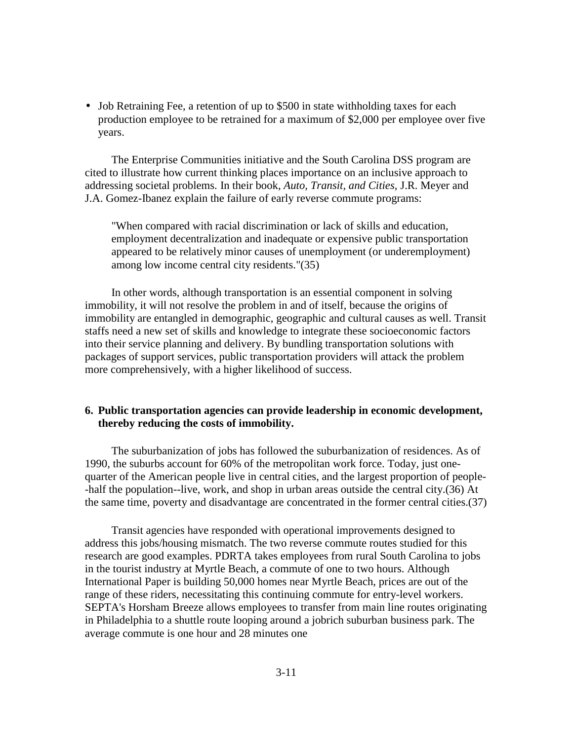• Job Retraining Fee, a retention of up to \$500 in state withholding taxes for each production employee to be retrained for a maximum of \$2,000 per employee over five years.

The Enterprise Communities initiative and the South Carolina DSS program are cited to illustrate how current thinking places importance on an inclusive approach to addressing societal problems. In their book, *Auto, Transit, and Cities*, J.R. Meyer and J.A. Gomez-Ibanez explain the failure of early reverse commute programs:

"When compared with racial discrimination or lack of skills and education, employment decentralization and inadequate or expensive public transportation appeared to be relatively minor causes of unemployment (or underemployment) among low income central city residents."(35)

In other words, although transportation is an essential component in solving immobility, it will not resolve the problem in and of itself, because the origins of immobility are entangled in demographic, geographic and cultural causes as well. Transit staffs need a new set of skills and knowledge to integrate these socioeconomic factors into their service planning and delivery. By bundling transportation solutions with packages of support services, public transportation providers will attack the problem more comprehensively, with a higher likelihood of success.

# **6. Public transportation agencies can provide leadership in economic development, thereby reducing the costs of immobility.**

The suburbanization of jobs has followed the suburbanization of residences. As of 1990, the suburbs account for 60% of the metropolitan work force. Today, just onequarter of the American people live in central cities, and the largest proportion of people- -half the population--live, work, and shop in urban areas outside the central city.(36) At the same time, poverty and disadvantage are concentrated in the former central cities.(37)

Transit agencies have responded with operational improvements designed to address this jobs/housing mismatch. The two reverse commute routes studied for this research are good examples. PDRTA takes employees from rural South Carolina to jobs in the tourist industry at Myrtle Beach, a commute of one to two hours. Although International Paper is building 50,000 homes near Myrtle Beach, prices are out of the range of these riders, necessitating this continuing commute for entry-level workers. SEPTA's Horsham Breeze allows employees to transfer from main line routes originating in Philadelphia to a shuttle route looping around a jobrich suburban business park. The average commute is one hour and 28 minutes one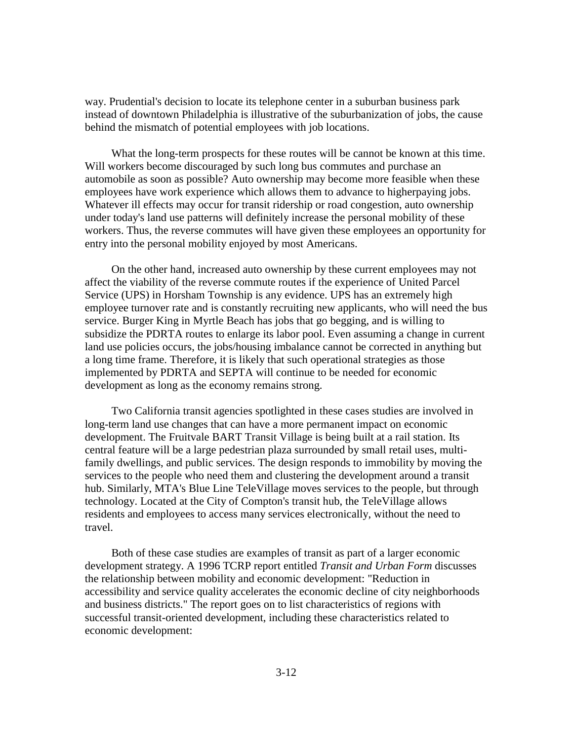way. Prudential's decision to locate its telephone center in a suburban business park instead of downtown Philadelphia is illustrative of the suburbanization of jobs, the cause behind the mismatch of potential employees with job locations.

What the long-term prospects for these routes will be cannot be known at this time. Will workers become discouraged by such long bus commutes and purchase an automobile as soon as possible? Auto ownership may become more feasible when these employees have work experience which allows them to advance to higherpaying jobs. Whatever ill effects may occur for transit ridership or road congestion, auto ownership under today's land use patterns will definitely increase the personal mobility of these workers. Thus, the reverse commutes will have given these employees an opportunity for entry into the personal mobility enjoyed by most Americans.

On the other hand, increased auto ownership by these current employees may not affect the viability of the reverse commute routes if the experience of United Parcel Service (UPS) in Horsham Township is any evidence. UPS has an extremely high employee turnover rate and is constantly recruiting new applicants, who will need the bus service. Burger King in Myrtle Beach has jobs that go begging, and is willing to subsidize the PDRTA routes to enlarge its labor pool. Even assuming a change in current land use policies occurs, the jobs/housing imbalance cannot be corrected in anything but a long time frame. Therefore, it is likely that such operational strategies as those implemented by PDRTA and SEPTA will continue to be needed for economic development as long as the economy remains strong.

Two California transit agencies spotlighted in these cases studies are involved in long-term land use changes that can have a more permanent impact on economic development. The Fruitvale BART Transit Village is being built at a rail station. Its central feature will be a large pedestrian plaza surrounded by small retail uses, multifamily dwellings, and public services. The design responds to immobility by moving the services to the people who need them and clustering the development around a transit hub. Similarly, MTA's Blue Line TeleVillage moves services to the people, but through technology. Located at the City of Compton's transit hub, the TeleVillage allows residents and employees to access many services electronically, without the need to travel.

Both of these case studies are examples of transit as part of a larger economic development strategy. A 1996 TCRP report entitled *Transit and Urban Form* discusses the relationship between mobility and economic development: "Reduction in accessibility and service quality accelerates the economic decline of city neighborhoods and business districts." The report goes on to list characteristics of regions with successful transit-oriented development, including these characteristics related to economic development: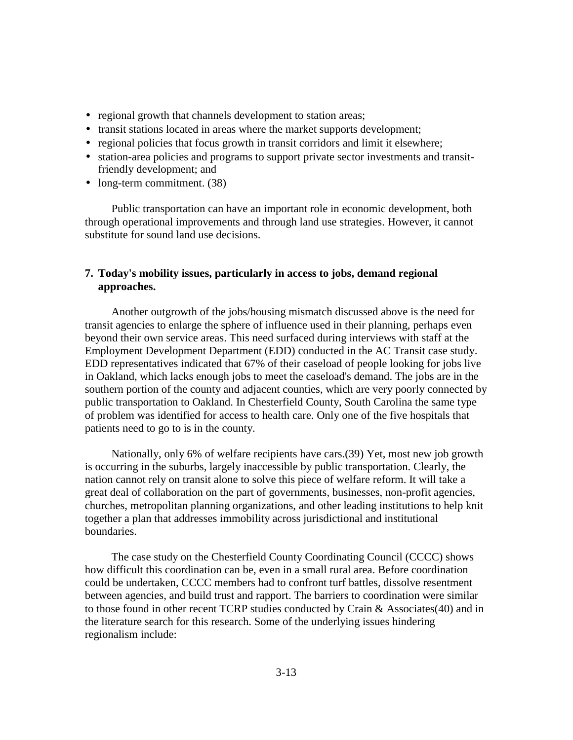- regional growth that channels development to station areas;
- transit stations located in areas where the market supports development;
- regional policies that focus growth in transit corridors and limit it elsewhere;
- station-area policies and programs to support private sector investments and transitfriendly development; and
- long-term commitment. (38)

Public transportation can have an important role in economic development, both through operational improvements and through land use strategies. However, it cannot substitute for sound land use decisions.

# **7. Today's mobility issues, particularly in access to jobs, demand regional approaches.**

Another outgrowth of the jobs/housing mismatch discussed above is the need for transit agencies to enlarge the sphere of influence used in their planning, perhaps even beyond their own service areas. This need surfaced during interviews with staff at the Employment Development Department (EDD) conducted in the AC Transit case study. EDD representatives indicated that 67% of their caseload of people looking for jobs live in Oakland, which lacks enough jobs to meet the caseload's demand. The jobs are in the southern portion of the county and adjacent counties, which are very poorly connected by public transportation to Oakland. In Chesterfield County, South Carolina the same type of problem was identified for access to health care. Only one of the five hospitals that patients need to go to is in the county.

Nationally, only 6% of welfare recipients have cars.(39) Yet, most new job growth is occurring in the suburbs, largely inaccessible by public transportation. Clearly, the nation cannot rely on transit alone to solve this piece of welfare reform. It will take a great deal of collaboration on the part of governments, businesses, non-profit agencies, churches, metropolitan planning organizations, and other leading institutions to help knit together a plan that addresses immobility across jurisdictional and institutional boundaries.

The case study on the Chesterfield County Coordinating Council (CCCC) shows how difficult this coordination can be, even in a small rural area. Before coordination could be undertaken, CCCC members had to confront turf battles, dissolve resentment between agencies, and build trust and rapport. The barriers to coordination were similar to those found in other recent TCRP studies conducted by Crain & Associates(40) and in the literature search for this research. Some of the underlying issues hindering regionalism include: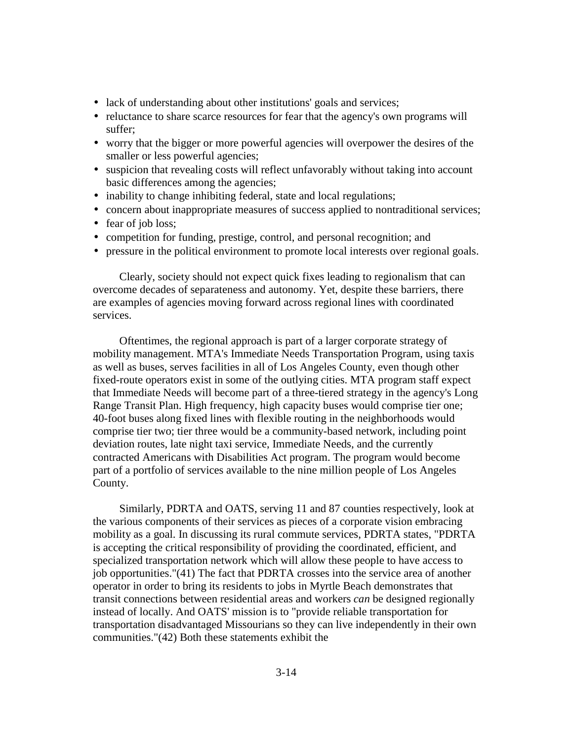- lack of understanding about other institutions' goals and services;
- reluctance to share scarce resources for fear that the agency's own programs will suffer;
- worry that the bigger or more powerful agencies will overpower the desires of the smaller or less powerful agencies;
- suspicion that revealing costs will reflect unfavorably without taking into account basic differences among the agencies;
- inability to change inhibiting federal, state and local regulations;
- concern about inappropriate measures of success applied to nontraditional services;
- fear of job loss;
- competition for funding, prestige, control, and personal recognition; and
- pressure in the political environment to promote local interests over regional goals.

Clearly, society should not expect quick fixes leading to regionalism that can overcome decades of separateness and autonomy. Yet, despite these barriers, there are examples of agencies moving forward across regional lines with coordinated services.

Oftentimes, the regional approach is part of a larger corporate strategy of mobility management. MTA's Immediate Needs Transportation Program, using taxis as well as buses, serves facilities in all of Los Angeles County, even though other fixed-route operators exist in some of the outlying cities. MTA program staff expect that Immediate Needs will become part of a three-tiered strategy in the agency's Long Range Transit Plan. High frequency, high capacity buses would comprise tier one; 40-foot buses along fixed lines with flexible routing in the neighborhoods would comprise tier two; tier three would be a community-based network, including point deviation routes, late night taxi service, Immediate Needs, and the currently contracted Americans with Disabilities Act program. The program would become part of a portfolio of services available to the nine million people of Los Angeles County.

Similarly, PDRTA and OATS, serving 11 and 87 counties respectively, look at the various components of their services as pieces of a corporate vision embracing mobility as a goal. In discussing its rural commute services, PDRTA states, "PDRTA is accepting the critical responsibility of providing the coordinated, efficient, and specialized transportation network which will allow these people to have access to job opportunities."(41) The fact that PDRTA crosses into the service area of another operator in order to bring its residents to jobs in Myrtle Beach demonstrates that transit connections between residential areas and workers *can* be designed regionally instead of locally. And OATS' mission is to "provide reliable transportation for transportation disadvantaged Missourians so they can live independently in their own communities."(42) Both these statements exhibit the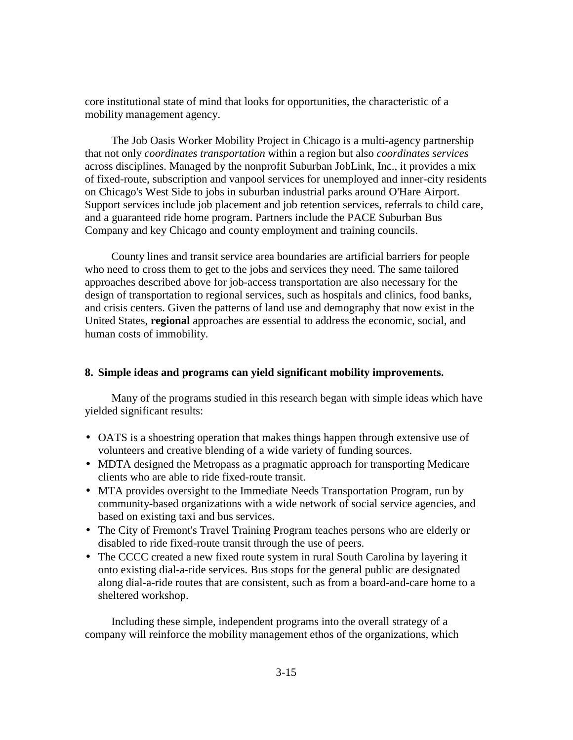core institutional state of mind that looks for opportunities, the characteristic of a mobility management agency.

The Job Oasis Worker Mobility Project in Chicago is a multi-agency partnership that not only *coordinates transportation* within a region but also *coordinates services* across disciplines. Managed by the nonprofit Suburban JobLink, Inc., it provides a mix of fixed-route, subscription and vanpool services for unemployed and inner-city residents on Chicago's West Side to jobs in suburban industrial parks around O'Hare Airport. Support services include job placement and job retention services, referrals to child care, and a guaranteed ride home program. Partners include the PACE Suburban Bus Company and key Chicago and county employment and training councils.

County lines and transit service area boundaries are artificial barriers for people who need to cross them to get to the jobs and services they need. The same tailored approaches described above for job-access transportation are also necessary for the design of transportation to regional services, such as hospitals and clinics, food banks, and crisis centers. Given the patterns of land use and demography that now exist in the United States, **regional** approaches are essential to address the economic, social, and human costs of immobility.

### **8. Simple ideas and programs can yield significant mobility improvements.**

Many of the programs studied in this research began with simple ideas which have yielded significant results:

- OATS is a shoestring operation that makes things happen through extensive use of volunteers and creative blending of a wide variety of funding sources.
- MDTA designed the Metropass as a pragmatic approach for transporting Medicare clients who are able to ride fixed-route transit.
- MTA provides oversight to the Immediate Needs Transportation Program, run by community-based organizations with a wide network of social service agencies, and based on existing taxi and bus services.
- The City of Fremont's Travel Training Program teaches persons who are elderly or disabled to ride fixed-route transit through the use of peers.
- The CCCC created a new fixed route system in rural South Carolina by layering it onto existing dial-a-ride services. Bus stops for the general public are designated along dial-a-ride routes that are consistent, such as from a board-and-care home to a sheltered workshop.

Including these simple, independent programs into the overall strategy of a company will reinforce the mobility management ethos of the organizations, which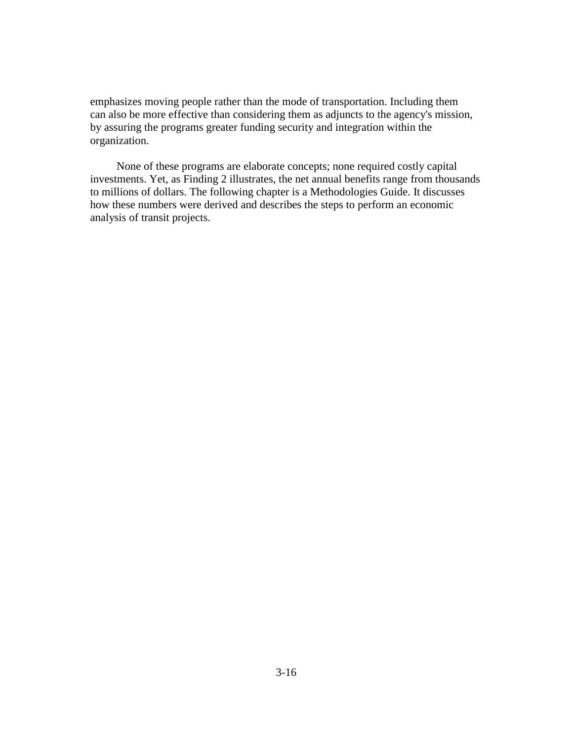emphasizes moving people rather than the mode of transportation. Including them can also be more effective than considering them as adjuncts to the agency's mission, by assuring the programs greater funding security and integration within the organization.

None of these programs are elaborate concepts; none required costly capital investments. Yet, as Finding 2 illustrates, the net annual benefits range from thousands to millions of dollars. The following chapter is a Methodologies Guide. It discusses how these numbers were derived and describes the steps to perform an economic analysis of transit projects.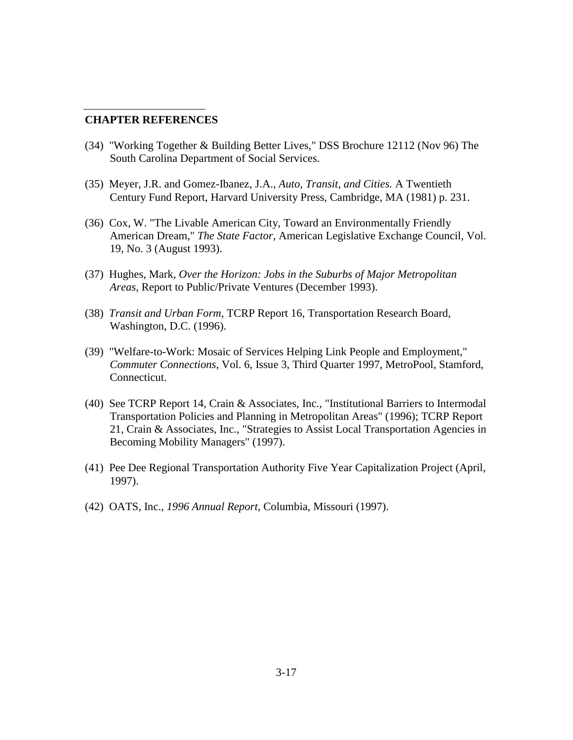#### **CHAPTER REFERENCES**

- (34) "Working Together & Building Better Lives," DSS Brochure 12112 (Nov 96) The South Carolina Department of Social Services.
- (35) Meyer, J.R. and Gomez-Ibanez, J.A., *Auto, Transit, and Cities.* A Twentieth Century Fund Report, Harvard University Press, Cambridge, MA (1981) p. 231.
- (36) Cox, W. "The Livable American City, Toward an Environmentally Friendly American Dream," *The State Factor*, American Legislative Exchange Council, Vol. 19, No. 3 (August 1993).
- (37) Hughes, Mark, *Over the Horizon: Jobs in the Suburbs of Major Metropolitan Areas*, Report to Public/Private Ventures (December 1993).
- (38) *Transit and Urban Form*, TCRP Report 16, Transportation Research Board, Washington, D.C. (1996).
- (39) "Welfare-to-Work: Mosaic of Services Helping Link People and Employment," *Commuter Connections*, Vol. 6, Issue 3, Third Quarter 1997, MetroPool, Stamford, Connecticut.
- (40) See TCRP Report 14, Crain & Associates, Inc., "Institutional Barriers to Intermodal Transportation Policies and Planning in Metropolitan Areas" (1996); TCRP Report 21, Crain & Associates, Inc., "Strategies to Assist Local Transportation Agencies in Becoming Mobility Managers" (1997).
- (41) Pee Dee Regional Transportation Authority Five Year Capitalization Project (April, 1997).
- (42) OATS, Inc., *1996 Annual Report*, Columbia, Missouri (1997).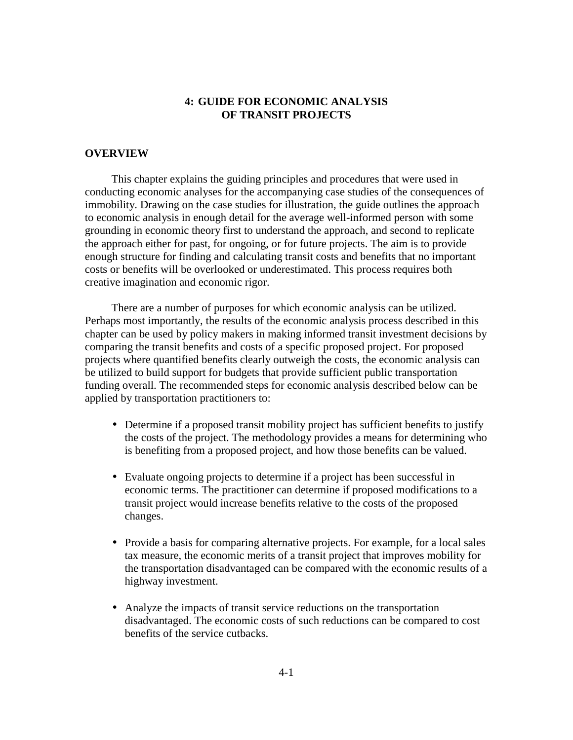# **4: GUIDE FOR ECONOMIC ANALYSIS OF TRANSIT PROJECTS**

### **OVERVIEW**

This chapter explains the guiding principles and procedures that were used in conducting economic analyses for the accompanying case studies of the consequences of immobility. Drawing on the case studies for illustration, the guide outlines the approach to economic analysis in enough detail for the average well-informed person with some grounding in economic theory first to understand the approach, and second to replicate the approach either for past, for ongoing, or for future projects. The aim is to provide enough structure for finding and calculating transit costs and benefits that no important costs or benefits will be overlooked or underestimated. This process requires both creative imagination and economic rigor.

There are a number of purposes for which economic analysis can be utilized. Perhaps most importantly, the results of the economic analysis process described in this chapter can be used by policy makers in making informed transit investment decisions by comparing the transit benefits and costs of a specific proposed project. For proposed projects where quantified benefits clearly outweigh the costs, the economic analysis can be utilized to build support for budgets that provide sufficient public transportation funding overall. The recommended steps for economic analysis described below can be applied by transportation practitioners to:

- Determine if a proposed transit mobility project has sufficient benefits to justify the costs of the project. The methodology provides a means for determining who is benefiting from a proposed project, and how those benefits can be valued.
- Evaluate ongoing projects to determine if a project has been successful in economic terms. The practitioner can determine if proposed modifications to a transit project would increase benefits relative to the costs of the proposed changes.
- Provide a basis for comparing alternative projects. For example, for a local sales tax measure, the economic merits of a transit project that improves mobility for the transportation disadvantaged can be compared with the economic results of a highway investment.
- Analyze the impacts of transit service reductions on the transportation disadvantaged. The economic costs of such reductions can be compared to cost benefits of the service cutbacks.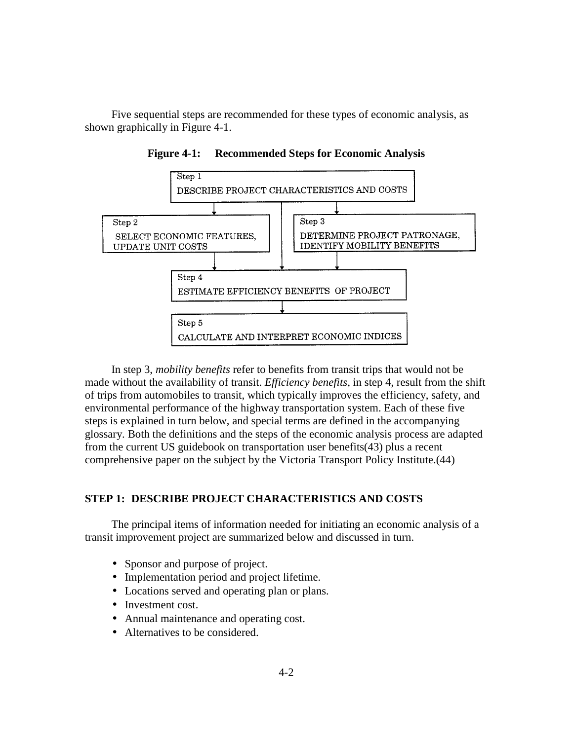Five sequential steps are recommended for these types of economic analysis, as shown graphically in Figure 4-1.



**Figure 4-1: Recommended Steps for Economic Analysis**

In step 3, *mobility benefits* refer to benefits from transit trips that would not be made without the availability of transit. *Efficiency benefits,* in step 4, result from the shift of trips from automobiles to transit, which typically improves the efficiency, safety, and environmental performance of the highway transportation system. Each of these five steps is explained in turn below, and special terms are defined in the accompanying glossary. Both the definitions and the steps of the economic analysis process are adapted from the current US guidebook on transportation user benefits(43) plus a recent comprehensive paper on the subject by the Victoria Transport Policy Institute.(44)

#### **STEP 1: DESCRIBE PROJECT CHARACTERISTICS AND COSTS**

The principal items of information needed for initiating an economic analysis of a transit improvement project are summarized below and discussed in turn.

- Sponsor and purpose of project.
- Implementation period and project lifetime.
- Locations served and operating plan or plans.
- Investment cost.
- Annual maintenance and operating cost.
- Alternatives to be considered.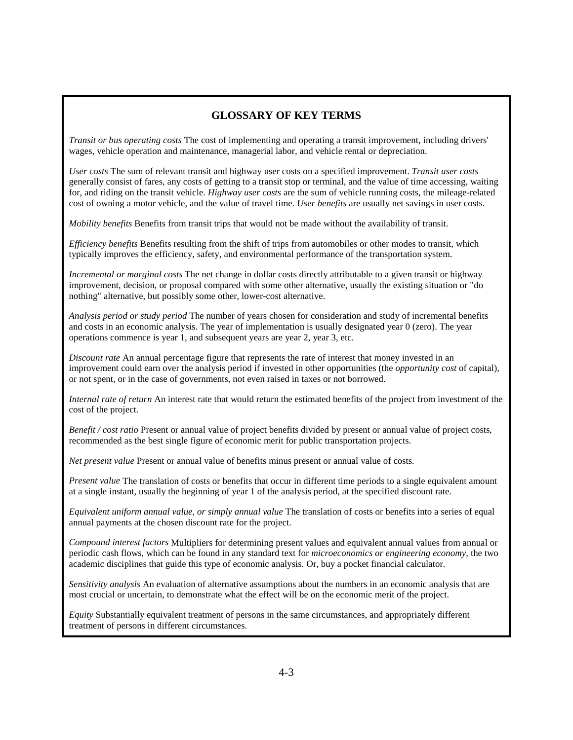# **GLOSSARY OF KEY TERMS**

*Transit or bus operating costs* The cost of implementing and operating a transit improvement, including drivers' wages, vehicle operation and maintenance, managerial labor, and vehicle rental or depreciation.

*User costs* The sum of relevant transit and highway user costs on a specified improvement. *Transit user costs* generally consist of fares, any costs of getting to a transit stop or terminal, and the value of time accessing, waiting for, and riding on the transit vehicle. *Highway user costs* are the sum of vehicle running costs, the mileage-related cost of owning a motor vehicle, and the value of travel time. *User benefits* are usually net savings in user costs.

*Mobility benefits* Benefits from transit trips that would not be made without the availability of transit.

*Efficiency benefits* Benefits resulting from the shift of trips from automobiles or other modes to transit, which typically improves the efficiency, safety, and environmental performance of the transportation system.

*Incremental or marginal costs* The net change in dollar costs directly attributable to a given transit or highway improvement, decision, or proposal compared with some other alternative, usually the existing situation or "do nothing" alternative, but possibly some other, lower-cost alternative.

*Analysis period or study period* The number of years chosen for consideration and study of incremental benefits and costs in an economic analysis. The year of implementation is usually designated year 0 (zero). The year operations commence is year 1, and subsequent years are year 2, year 3, etc.

*Discount rate* An annual percentage figure that represents the rate of interest that money invested in an improvement could earn over the analysis period if invested in other opportunities (the *opportunity cost* of capital), or not spent, or in the case of governments, not even raised in taxes or not borrowed.

*Internal rate of return* An interest rate that would return the estimated benefits of the project from investment of the cost of the project.

*Benefit / cost ratio* Present or annual value of project benefits divided by present or annual value of project costs, recommended as the best single figure of economic merit for public transportation projects.

*Net present value* Present or annual value of benefits minus present or annual value of costs.

*Present value* The translation of costs or benefits that occur in different time periods to a single equivalent amount at a single instant, usually the beginning of year 1 of the analysis period, at the specified discount rate.

*Equivalent uniform annual value, or simply annual value* The translation of costs or benefits into a series of equal annual payments at the chosen discount rate for the project.

*Compound interest factors* Multipliers for determining present values and equivalent annual values from annual or periodic cash flows, which can be found in any standard text for *microeconomics or engineering economy,* the two academic disciplines that guide this type of economic analysis. Or, buy a pocket financial calculator.

*Sensitivity analysis* An evaluation of alternative assumptions about the numbers in an economic analysis that are most crucial or uncertain, to demonstrate what the effect will be on the economic merit of the project.

*Equity* Substantially equivalent treatment of persons in the same circumstances, and appropriately different treatment of persons in different circumstances.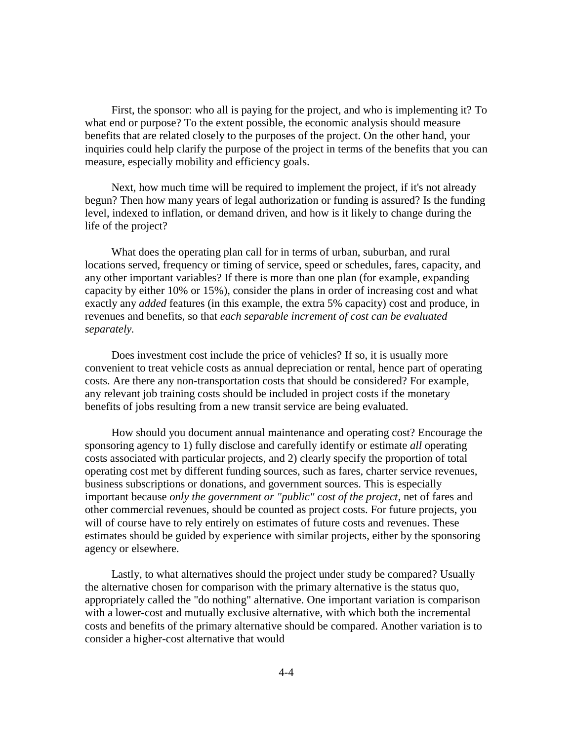First, the sponsor: who all is paying for the project, and who is implementing it? To what end or purpose? To the extent possible, the economic analysis should measure benefits that are related closely to the purposes of the project. On the other hand, your inquiries could help clarify the purpose of the project in terms of the benefits that you can measure, especially mobility and efficiency goals.

Next, how much time will be required to implement the project, if it's not already begun? Then how many years of legal authorization or funding is assured? Is the funding level, indexed to inflation, or demand driven, and how is it likely to change during the life of the project?

What does the operating plan call for in terms of urban, suburban, and rural locations served, frequency or timing of service, speed or schedules, fares, capacity, and any other important variables? If there is more than one plan (for example, expanding capacity by either 10% or 15%), consider the plans in order of increasing cost and what exactly any *added* features (in this example, the extra 5% capacity) cost and produce, in revenues and benefits, so that *each separable increment of cost can be evaluated separately.*

Does investment cost include the price of vehicles? If so, it is usually more convenient to treat vehicle costs as annual depreciation or rental, hence part of operating costs. Are there any non-transportation costs that should be considered? For example, any relevant job training costs should be included in project costs if the monetary benefits of jobs resulting from a new transit service are being evaluated.

How should you document annual maintenance and operating cost? Encourage the sponsoring agency to 1) fully disclose and carefully identify or estimate *all* operating costs associated with particular projects, and 2) clearly specify the proportion of total operating cost met by different funding sources, such as fares, charter service revenues, business subscriptions or donations, and government sources. This is especially important because *only the government or "public" cost of the project*, net of fares and other commercial revenues, should be counted as project costs. For future projects, you will of course have to rely entirely on estimates of future costs and revenues. These estimates should be guided by experience with similar projects, either by the sponsoring agency or elsewhere.

Lastly, to what alternatives should the project under study be compared? Usually the alternative chosen for comparison with the primary alternative is the status quo, appropriately called the "do nothing" alternative. One important variation is comparison with a lower-cost and mutually exclusive alternative, with which both the incremental costs and benefits of the primary alternative should be compared. Another variation is to consider a higher-cost alternative that would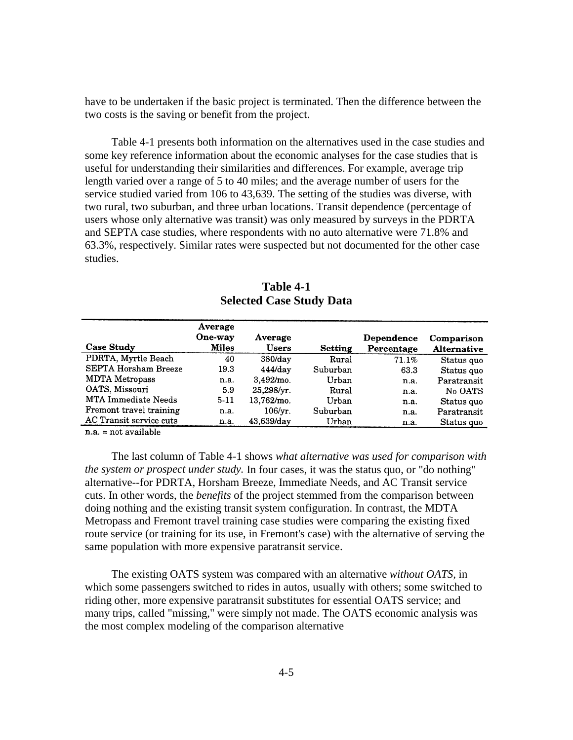have to be undertaken if the basic project is terminated. Then the difference between the two costs is the saving or benefit from the project.

Table 4-1 presents both information on the alternatives used in the case studies and some key reference information about the economic analyses for the case studies that is useful for understanding their similarities and differences. For example, average trip length varied over a range of 5 to 40 miles; and the average number of users for the service studied varied from 106 to 43,639. The setting of the studies was diverse, with two rural, two suburban, and three urban locations. Transit dependence (percentage of users whose only alternative was transit) was only measured by surveys in the PDRTA and SEPTA case studies, where respondents with no auto alternative were 71.8% and 63.3%, respectively. Similar rates were suspected but not documented for the other case studies.

| <b>Case Study</b>           | Average<br>One-way<br><b>Miles</b> | Average<br><b>Users</b> | <b>Setting</b> | Dependence<br>Percentage | Comparison<br><b>Alternative</b> |
|-----------------------------|------------------------------------|-------------------------|----------------|--------------------------|----------------------------------|
| PDRTA, Myrtle Beach         | 40                                 | 380/day                 | Rural          | 71.1%                    | Status quo                       |
| <b>SEPTA Horsham Breeze</b> | 19.3                               | $444$ /day              | Suburban       | 63.3                     | Status quo                       |
| <b>MDTA</b> Metropass       | n.a.                               | $3.492/m0$ .            | Urban          | n.a.                     | Paratransit                      |
| OATS, Missouri              | 5.9                                | $25,298/\text{yr}$ .    | Rural          | n.a.                     | No OATS                          |
| MTA Immediate Needs         | $5-11$                             | 13,762/mo.              | Urban          | n.a.                     | Status quo                       |
| Fremont travel training     | n.a.                               | $106/\text{yr}$ .       | Suburban       | n.a.                     | Paratransit                      |
| AC Transit service cuts     | n.a.                               | 43,639/day              | Urban          | n.a.                     | Status quo                       |

**Table 4-1 Selected Case Study Data**

 $n.a. = not available$ 

The last column of Table 4-1 shows *what alternative was used for comparison with the system or prospect under study.* In four cases, it was the status quo, or "do nothing" alternative--for PDRTA, Horsham Breeze, Immediate Needs, and AC Transit service cuts. In other words, the *benefits* of the project stemmed from the comparison between doing nothing and the existing transit system configuration. In contrast, the MDTA Metropass and Fremont travel training case studies were comparing the existing fixed route service (or training for its use, in Fremont's case) with the alternative of serving the same population with more expensive paratransit service.

The existing OATS system was compared with an alternative *without OATS,* in which some passengers switched to rides in autos, usually with others; some switched to riding other, more expensive paratransit substitutes for essential OATS service; and many trips, called "missing," were simply not made. The OATS economic analysis was the most complex modeling of the comparison alternative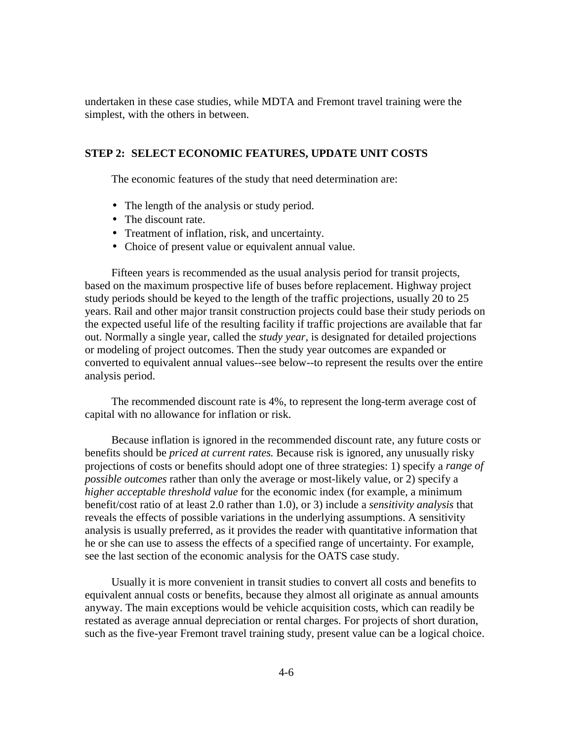undertaken in these case studies, while MDTA and Fremont travel training were the simplest, with the others in between.

### **STEP 2: SELECT ECONOMIC FEATURES, UPDATE UNIT COSTS**

The economic features of the study that need determination are:

- The length of the analysis or study period.
- The discount rate.
- Treatment of inflation, risk, and uncertainty.
- Choice of present value or equivalent annual value.

Fifteen years is recommended as the usual analysis period for transit projects, based on the maximum prospective life of buses before replacement. Highway project study periods should be keyed to the length of the traffic projections, usually 20 to 25 years. Rail and other major transit construction projects could base their study periods on the expected useful life of the resulting facility if traffic projections are available that far out. Normally a single year, called the *study year,* is designated for detailed projections or modeling of project outcomes. Then the study year outcomes are expanded or converted to equivalent annual values--see below--to represent the results over the entire analysis period.

The recommended discount rate is 4%, to represent the long-term average cost of capital with no allowance for inflation or risk.

Because inflation is ignored in the recommended discount rate, any future costs or benefits should be *priced at current rates.* Because risk is ignored, any unusually risky projections of costs or benefits should adopt one of three strategies: 1) specify a *range of possible outcomes* rather than only the average or most-likely value, or 2) specify a *higher acceptable threshold value* for the economic index (for example, a minimum benefit/cost ratio of at least 2.0 rather than 1.0), or 3) include a *sensitivity analysis* that reveals the effects of possible variations in the underlying assumptions. A sensitivity analysis is usually preferred, as it provides the reader with quantitative information that he or she can use to assess the effects of a specified range of uncertainty. For example, see the last section of the economic analysis for the OATS case study.

Usually it is more convenient in transit studies to convert all costs and benefits to equivalent annual costs or benefits, because they almost all originate as annual amounts anyway. The main exceptions would be vehicle acquisition costs, which can readily be restated as average annual depreciation or rental charges. For projects of short duration, such as the five-year Fremont travel training study, present value can be a logical choice.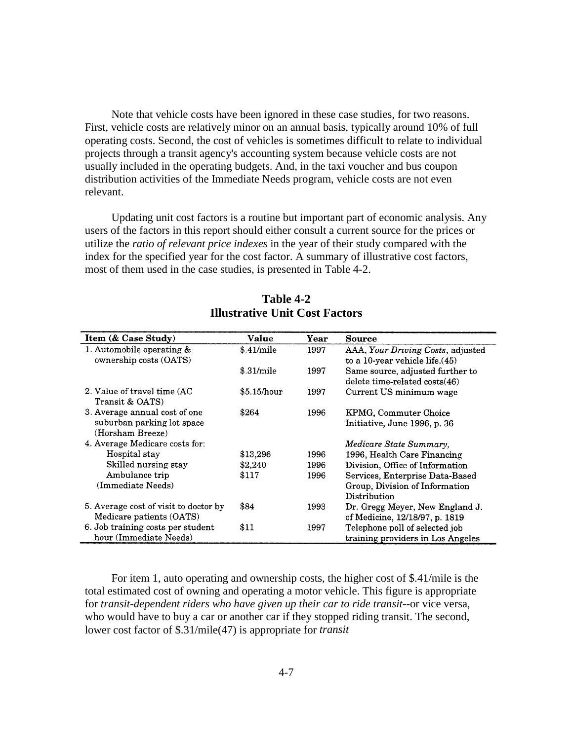Note that vehicle costs have been ignored in these case studies, for two reasons. First, vehicle costs are relatively minor on an annual basis, typically around 10% of full operating costs. Second, the cost of vehicles is sometimes difficult to relate to individual projects through a transit agency's accounting system because vehicle costs are not usually included in the operating budgets. And, in the taxi voucher and bus coupon distribution activities of the Immediate Needs program, vehicle costs are not even relevant.

Updating unit cost factors is a routine but important part of economic analysis. Any users of the factors in this report should either consult a current source for the prices or utilize the *ratio of relevant price indexes* in the year of their study compared with the index for the specified year for the cost factor. A summary of illustrative cost factors, most of them used in the case studies, is presented in Table 4-2.

| <b>Item (&amp; Case Study)</b>        | Value       | Year | Source                            |
|---------------------------------------|-------------|------|-----------------------------------|
| 1. Automobile operating $&$           | \$.41/mile  | 1997 | AAA, Your Driving Costs, adjusted |
| ownership costs (OATS)                |             |      | to a 10-year vehicle life.(45)    |
|                                       | \$.31/mile  | 1997 | Same source, adjusted further to  |
|                                       |             |      | delete time-related costs(46)     |
| 2. Value of travel time (AC           | \$5.15/hour | 1997 | Current US minimum wage           |
| Transit & OATS)                       |             |      |                                   |
| 3. Average annual cost of one         | \$264       | 1996 | KPMG, Commuter Choice             |
| suburban parking lot space            |             |      | Initiative, June 1996, p. 36      |
| (Horsham Breeze)                      |             |      |                                   |
| 4. Average Medicare costs for:        |             |      | Medicare State Summary,           |
| Hospital stay                         | \$13,296    | 1996 | 1996, Health Care Financing       |
| Skilled nursing stay                  | \$2,240     | 1996 | Division, Office of Information   |
| Ambulance trip                        | \$117       | 1996 | Services, Enterprise Data-Based   |
| (Immediate Needs)                     |             |      | Group, Division of Information    |
|                                       |             |      | Distribution                      |
| 5. Average cost of visit to doctor by | \$84        | 1993 | Dr. Gregg Meyer, New England J.   |
| Medicare patients (OATS)              |             |      | of Medicine, 12/18/97, p. 1819    |
| 6. Job training costs per student     | \$11        | 1997 | Telephone poll of selected job    |
| hour (Immediate Needs)                |             |      | training providers in Los Angeles |

# **Table 4-2 Illustrative Unit Cost Factors**

For item 1, auto operating and ownership costs, the higher cost of \$.41/mile is the total estimated cost of owning and operating a motor vehicle. This figure is appropriate for *transit-dependent riders who have given up their car to ride transit*--or vice versa, who would have to buy a car or another car if they stopped riding transit. The second, lower cost factor of \$.31/mile(47) is appropriate for *transit*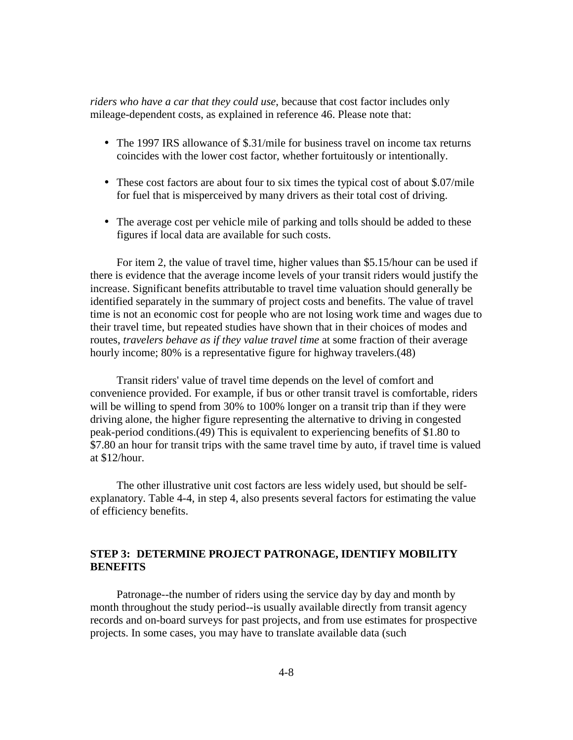*riders who have a car that they could use*, because that cost factor includes only mileage-dependent costs, as explained in reference 46. Please note that:

- The 1997 IRS allowance of \$.31/mile for business travel on income tax returns coincides with the lower cost factor, whether fortuitously or intentionally.
- These cost factors are about four to six times the typical cost of about \$.07/mile for fuel that is misperceived by many drivers as their total cost of driving.
- The average cost per vehicle mile of parking and tolls should be added to these figures if local data are available for such costs.

For item 2, the value of travel time, higher values than \$5.15/hour can be used if there is evidence that the average income levels of your transit riders would justify the increase. Significant benefits attributable to travel time valuation should generally be identified separately in the summary of project costs and benefits. The value of travel time is not an economic cost for people who are not losing work time and wages due to their travel time, but repeated studies have shown that in their choices of modes and routes, *travelers behave as if they value travel time* at some fraction of their average hourly income; 80% is a representative figure for highway travelers.(48)

Transit riders' value of travel time depends on the level of comfort and convenience provided. For example, if bus or other transit travel is comfortable, riders will be willing to spend from 30% to 100% longer on a transit trip than if they were driving alone, the higher figure representing the alternative to driving in congested peak-period conditions.(49) This is equivalent to experiencing benefits of \$1.80 to \$7.80 an hour for transit trips with the same travel time by auto, if travel time is valued at \$12/hour.

The other illustrative unit cost factors are less widely used, but should be selfexplanatory. Table 4-4, in step 4, also presents several factors for estimating the value of efficiency benefits.

# **STEP 3: DETERMINE PROJECT PATRONAGE, IDENTIFY MOBILITY BENEFITS**

Patronage--the number of riders using the service day by day and month by month throughout the study period--is usually available directly from transit agency records and on-board surveys for past projects, and from use estimates for prospective projects. In some cases, you may have to translate available data (such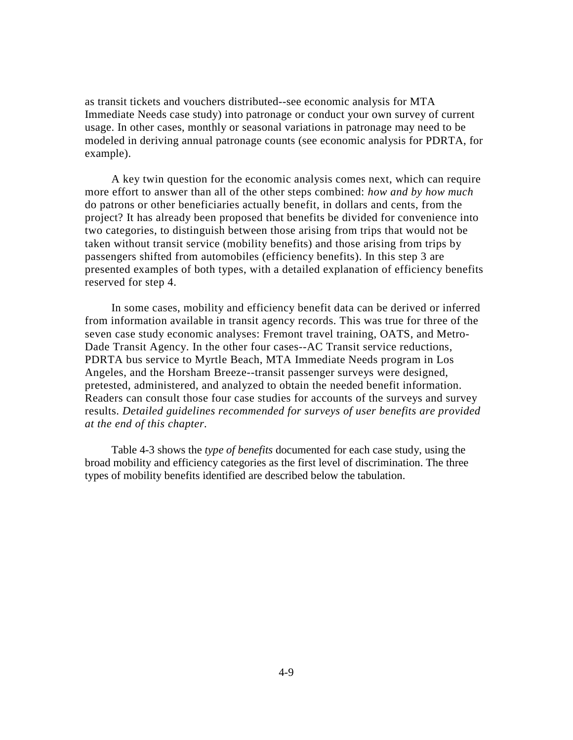as transit tickets and vouchers distributed--see economic analysis for MTA Immediate Needs case study) into patronage or conduct your own survey of current usage. In other cases, monthly or seasonal variations in patronage may need to be modeled in deriving annual patronage counts (see economic analysis for PDRTA, for example).

A key twin question for the economic analysis comes next, which can require more effort to answer than all of the other steps combined: *how and by how much* do patrons or other beneficiaries actually benefit, in dollars and cents, from the project? It has already been proposed that benefits be divided for convenience into two categories, to distinguish between those arising from trips that would not be taken without transit service (mobility benefits) and those arising from trips by passengers shifted from automobiles (efficiency benefits). In this step 3 are presented examples of both types, with a detailed explanation of efficiency benefits reserved for step 4.

In some cases, mobility and efficiency benefit data can be derived or inferred from information available in transit agency records. This was true for three of the seven case study economic analyses: Fremont travel training, OATS, and Metro-Dade Transit Agency. In the other four cases--AC Transit service reductions, PDRTA bus service to Myrtle Beach, MTA Immediate Needs program in Los Angeles, and the Horsham Breeze--transit passenger surveys were designed, pretested, administered, and analyzed to obtain the needed benefit information. Readers can consult those four case studies for accounts of the surveys and survey results. *Detailed guidelines recommended for surveys of user benefits are provided at the end of this chapter.*

Table 4-3 shows the *type of benefits* documented for each case study, using the broad mobility and efficiency categories as the first level of discrimination. The three types of mobility benefits identified are described below the tabulation.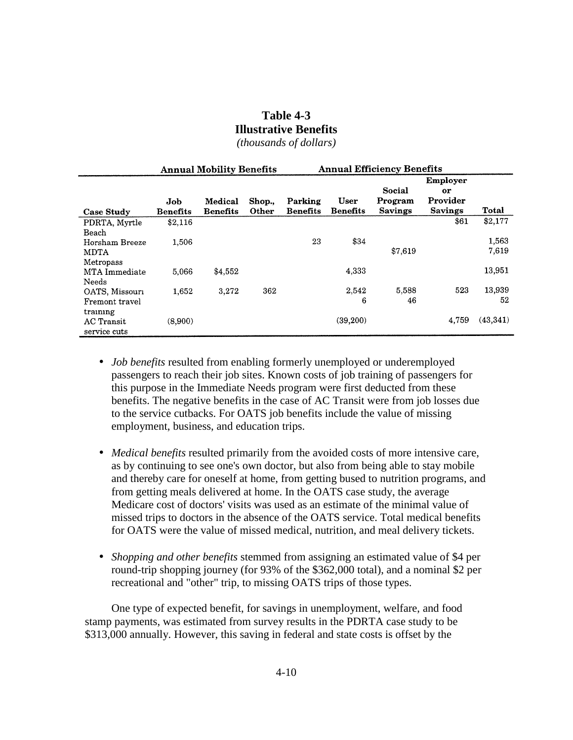# **Table 4-3 Illustrative Benefits**

*(thousands of dollars)*

|                      | <b>Annual Mobility Benefits</b> |                 |        |                 | <b>Annual Efficiency Benefits</b> |                |                |          |
|----------------------|---------------------------------|-----------------|--------|-----------------|-----------------------------------|----------------|----------------|----------|
|                      |                                 |                 |        |                 |                                   |                | Employer       |          |
|                      |                                 |                 |        |                 |                                   | Social         | or             |          |
|                      | Job                             | Medical         | Shop., | Parking         | User                              | Program        | Provider       |          |
| <b>Case Study</b>    | <b>Benefits</b>                 | <b>Benefits</b> | Other  | <b>Benefits</b> | <b>Benefits</b>                   | <b>Savings</b> | <b>Savings</b> | Total    |
| PDRTA, Myrtle        | \$2,116                         |                 |        |                 |                                   |                | \$61           | \$2,177  |
| Beach                |                                 |                 |        |                 |                                   |                |                |          |
| Horsham Breeze       | 1,506                           |                 |        | 23              | \$34                              |                |                | 1,563    |
| <b>MDTA</b>          |                                 |                 |        |                 |                                   | \$7,619        |                | 7,619    |
| Metropass            |                                 |                 |        |                 |                                   |                |                |          |
| <b>MTA</b> Immediate | 5,066                           | \$4,552         |        |                 | 4.333                             |                |                | 13,951   |
| Needs                |                                 |                 |        |                 |                                   |                |                |          |
| OATS, Missouri       | 1,652                           | 3,272           | 362    |                 | 2.542                             | 5,588          | 523            | 13,939   |
| Fremont travel       |                                 |                 |        |                 | 6                                 | 46             |                | 52       |
| training             |                                 |                 |        |                 |                                   |                |                |          |
| AC Transit           | (8,900)                         |                 |        |                 | (39,200)                          |                | 4,759          | (43,341) |
| service cuts         |                                 |                 |        |                 |                                   |                |                |          |

- *Job benefits* resulted from enabling formerly unemployed or underemployed passengers to reach their job sites. Known costs of job training of passengers for this purpose in the Immediate Needs program were first deducted from these benefits. The negative benefits in the case of AC Transit were from job losses due to the service cutbacks. For OATS job benefits include the value of missing employment, business, and education trips.
- *Medical benefits* resulted primarily from the avoided costs of more intensive care, as by continuing to see one's own doctor, but also from being able to stay mobile and thereby care for oneself at home, from getting bused to nutrition programs, and from getting meals delivered at home. In the OATS case study, the average Medicare cost of doctors' visits was used as an estimate of the minimal value of missed trips to doctors in the absence of the OATS service. Total medical benefits for OATS were the value of missed medical, nutrition, and meal delivery tickets.
- *Shopping and other benefits* stemmed from assigning an estimated value of \$4 per round-trip shopping journey (for 93% of the \$362,000 total), and a nominal \$2 per recreational and "other" trip, to missing OATS trips of those types.

One type of expected benefit, for savings in unemployment, welfare, and food stamp payments, was estimated from survey results in the PDRTA case study to be \$313,000 annually. However, this saving in federal and state costs is offset by the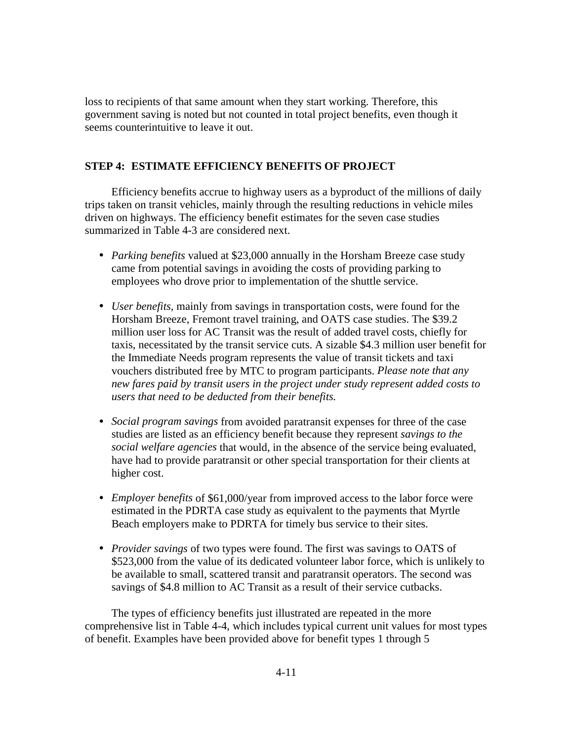loss to recipients of that same amount when they start working. Therefore, this government saving is noted but not counted in total project benefits, even though it seems counterintuitive to leave it out.

# **STEP 4: ESTIMATE EFFICIENCY BENEFITS OF PROJECT**

Efficiency benefits accrue to highway users as a byproduct of the millions of daily trips taken on transit vehicles, mainly through the resulting reductions in vehicle miles driven on highways. The efficiency benefit estimates for the seven case studies summarized in Table 4-3 are considered next.

- *Parking benefits* valued at \$23,000 annually in the Horsham Breeze case study came from potential savings in avoiding the costs of providing parking to employees who drove prior to implementation of the shuttle service.
- *User benefits,* mainly from savings in transportation costs, were found for the Horsham Breeze, Fremont travel training, and OATS case studies. The \$39.2 million user loss for AC Transit was the result of added travel costs, chiefly for taxis, necessitated by the transit service cuts. A sizable \$4.3 million user benefit for the Immediate Needs program represents the value of transit tickets and taxi vouchers distributed free by MTC to program participants. *Please note that any new fares paid by transit users in the project under study represent added costs to users that need to be deducted from their benefits.*
- *Social program savings* from avoided paratransit expenses for three of the case studies are listed as an efficiency benefit because they represent *savings to the social welfare agencies* that would, in the absence of the service being evaluated, have had to provide paratransit or other special transportation for their clients at higher cost.
- *Employer benefits* of \$61,000/year from improved access to the labor force were estimated in the PDRTA case study as equivalent to the payments that Myrtle Beach employers make to PDRTA for timely bus service to their sites.
- *Provider savings* of two types were found. The first was savings to OATS of \$523,000 from the value of its dedicated volunteer labor force, which is unlikely to be available to small, scattered transit and paratransit operators. The second was savings of \$4.8 million to AC Transit as a result of their service cutbacks.

The types of efficiency benefits just illustrated are repeated in the more comprehensive list in Table 4-4, which includes typical current unit values for most types of benefit. Examples have been provided above for benefit types 1 through 5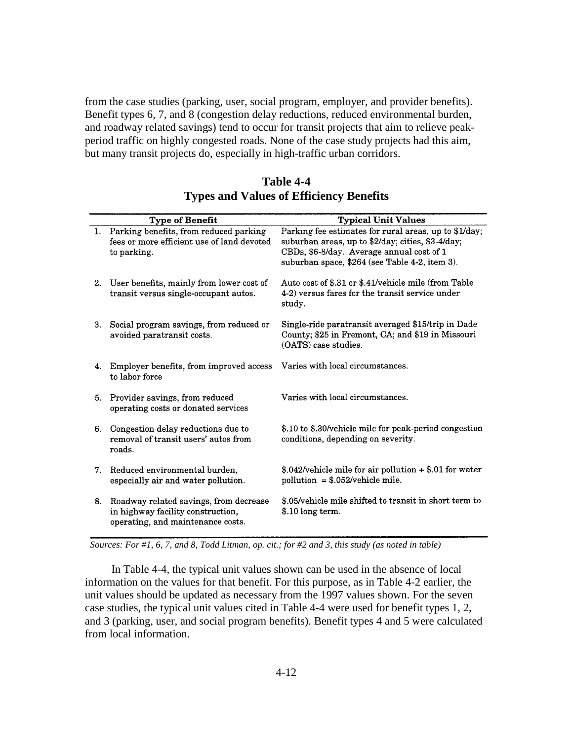from the case studies (parking, user, social program, employer, and provider benefits). Benefit types 6, 7, and 8 (congestion delay reductions, reduced environmental burden, and roadway related savings) tend to occur for transit projects that aim to relieve peakperiod traffic on highly congested roads. None of the case study projects had this aim, but many transit projects do, especially in high-traffic urban corridors.

| <b>Type of Benefit</b> |                                                                                                                     | <b>Typical Unit Values</b>                                                                                                                                                                                |  |  |  |
|------------------------|---------------------------------------------------------------------------------------------------------------------|-----------------------------------------------------------------------------------------------------------------------------------------------------------------------------------------------------------|--|--|--|
| 1.                     | Parking benefits, from reduced parking<br>fees or more efficient use of land devoted<br>to parking.                 | Parking fee estimates for rural areas, up to \$1/day;<br>suburban areas, up to \$2/day; cities, \$3-4/day;<br>CBDs, \$6-8/day. Average annual cost of 1<br>suburban space, \$264 (see Table 4-2, item 3). |  |  |  |
|                        | 2. User benefits, mainly from lower cost of<br>transit versus single-occupant autos.                                | Auto cost of \$.31 or \$.41/vehicle mile (from Table<br>4-2) versus fares for the transit service under<br>study.                                                                                         |  |  |  |
|                        | 3. Social program savings, from reduced or<br>avoided paratransit costs.                                            | Single-ride paratransit averaged \$15/trip in Dade<br>County; \$25 in Fremont, CA; and \$19 in Missouri<br>(OATS) case studies.                                                                           |  |  |  |
|                        | 4. Employer benefits, from improved access<br>to labor force                                                        | Varies with local circumstances.                                                                                                                                                                          |  |  |  |
| 5.                     | Provider savings, from reduced<br>operating costs or donated services                                               | Varies with local circumstances.                                                                                                                                                                          |  |  |  |
| 6.                     | Congestion delay reductions due to<br>removal of transit users' autos from<br>roads.                                | \$.10 to \$.30/vehicle mile for peak-period congestion<br>conditions, depending on severity.                                                                                                              |  |  |  |
|                        | 7. Reduced environmental burden,<br>especially air and water pollution.                                             | $$.042$ /vehicle mile for air pollution $+$ \$.01 for water<br>pollution $=$ \$.052/vehicle mile.                                                                                                         |  |  |  |
|                        | 8. Roadway related savings, from decrease<br>in highway facility construction,<br>operating, and maintenance costs. | \$.05/vehicle mile shifted to transit in short term to<br>\$.10 long term.                                                                                                                                |  |  |  |

**Table 4-4 Types and Values of Efficiency Benefits**

*Sources: For #1, 6, 7, and 8, Todd Litman, op. cit.; for #2 and 3, this study (as noted in table)*

In Table 4-4, the typical unit values shown can be used in the absence of local information on the values for that benefit. For this purpose, as in Table 4-2 earlier, the unit values should be updated as necessary from the 1997 values shown. For the seven case studies, the typical unit values cited in Table 4-4 were used for benefit types 1, 2, and 3 (parking, user, and social program benefits). Benefit types 4 and 5 were calculated from local information.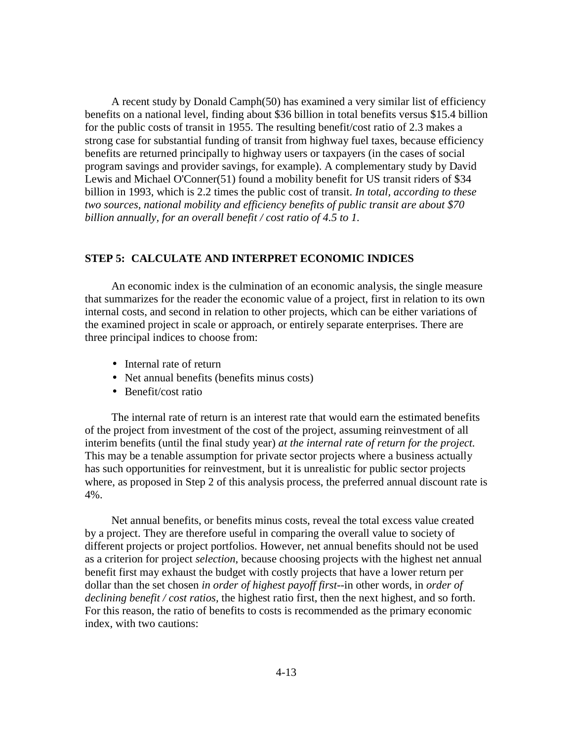A recent study by Donald Camph(50) has examined a very similar list of efficiency benefits on a national level, finding about \$36 billion in total benefits versus \$15.4 billion for the public costs of transit in 1955. The resulting benefit/cost ratio of 2.3 makes a strong case for substantial funding of transit from highway fuel taxes, because efficiency benefits are returned principally to highway users or taxpayers (in the cases of social program savings and provider savings, for example). A complementary study by David Lewis and Michael O'Conner(51) found a mobility benefit for US transit riders of \$34 billion in 1993, which is 2.2 times the public cost of transit. *In total, according to these two sources, national mobility and efficiency benefits of public transit are about \$70 billion annually, for an overall benefit / cost ratio of 4.5 to 1.*

## **STEP 5: CALCULATE AND INTERPRET ECONOMIC INDICES**

An economic index is the culmination of an economic analysis, the single measure that summarizes for the reader the economic value of a project, first in relation to its own internal costs, and second in relation to other projects, which can be either variations of the examined project in scale or approach, or entirely separate enterprises. There are three principal indices to choose from:

- Internal rate of return
- Net annual benefits (benefits minus costs)
- Benefit/cost ratio

The internal rate of return is an interest rate that would earn the estimated benefits of the project from investment of the cost of the project, assuming reinvestment of all interim benefits (until the final study year) *at the internal rate of return for the project.* This may be a tenable assumption for private sector projects where a business actually has such opportunities for reinvestment, but it is unrealistic for public sector projects where, as proposed in Step 2 of this analysis process, the preferred annual discount rate is 4%.

Net annual benefits, or benefits minus costs, reveal the total excess value created by a project. They are therefore useful in comparing the overall value to society of different projects or project portfolios. However, net annual benefits should not be used as a criterion for project *selection*, because choosing projects with the highest net annual benefit first may exhaust the budget with costly projects that have a lower return per dollar than the set chosen *in order of highest payoff first*--in other words, in *order of declining benefit / cost ratios,* the highest ratio first, then the next highest, and so forth. For this reason, the ratio of benefits to costs is recommended as the primary economic index, with two cautions: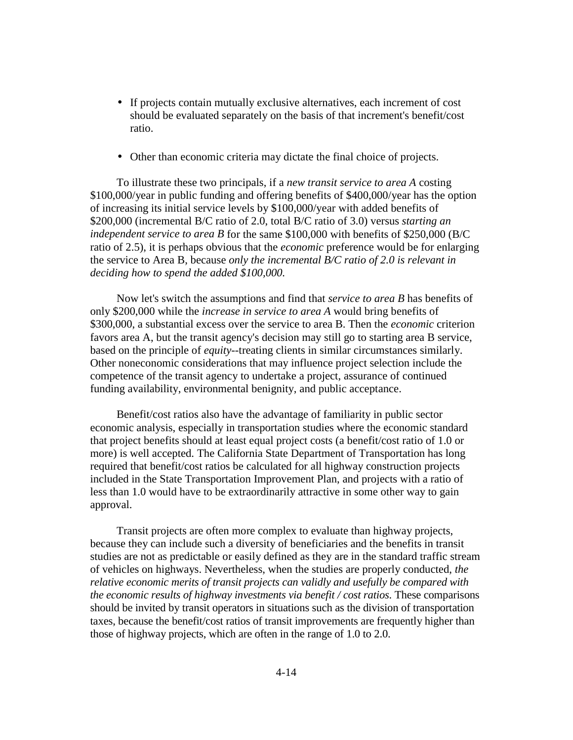- If projects contain mutually exclusive alternatives, each increment of cost should be evaluated separately on the basis of that increment's benefit/cost ratio.
- Other than economic criteria may dictate the final choice of projects.

To illustrate these two principals, if a *new transit service to area A* costing \$100,000/year in public funding and offering benefits of \$400,000/year has the option of increasing its initial service levels by \$100,000/year with added benefits of \$200,000 (incremental B/C ratio of 2.0, total B/C ratio of 3.0) versus *starting an independent service to area B* for the same \$100,000 with benefits of \$250,000 (B/C ratio of 2.5), it is perhaps obvious that the *economic* preference would be for enlarging the service to Area B, because *only the incremental B/C ratio of 2.0 is relevant in deciding how to spend the added \$100,000.*

Now let's switch the assumptions and find that *service to area B* has benefits of only \$200,000 while the *increase in service to area A* would bring benefits of \$300,000, a substantial excess over the service to area B. Then the *economic* criterion favors area A, but the transit agency's decision may still go to starting area B service, based on the principle of *equity*--treating clients in similar circumstances similarly. Other noneconomic considerations that may influence project selection include the competence of the transit agency to undertake a project, assurance of continued funding availability, environmental benignity, and public acceptance.

Benefit/cost ratios also have the advantage of familiarity in public sector economic analysis, especially in transportation studies where the economic standard that project benefits should at least equal project costs (a benefit/cost ratio of 1.0 or more) is well accepted. The California State Department of Transportation has long required that benefit/cost ratios be calculated for all highway construction projects included in the State Transportation Improvement Plan, and projects with a ratio of less than 1.0 would have to be extraordinarily attractive in some other way to gain approval.

Transit projects are often more complex to evaluate than highway projects, because they can include such a diversity of beneficiaries and the benefits in transit studies are not as predictable or easily defined as they are in the standard traffic stream of vehicles on highways. Nevertheless, when the studies are properly conducted, *the relative economic merits of transit projects can validly and usefully be compared with the economic results of highway investments via benefit / cost ratios.* These comparisons should be invited by transit operators in situations such as the division of transportation taxes, because the benefit/cost ratios of transit improvements are frequently higher than those of highway projects, which are often in the range of 1.0 to 2.0.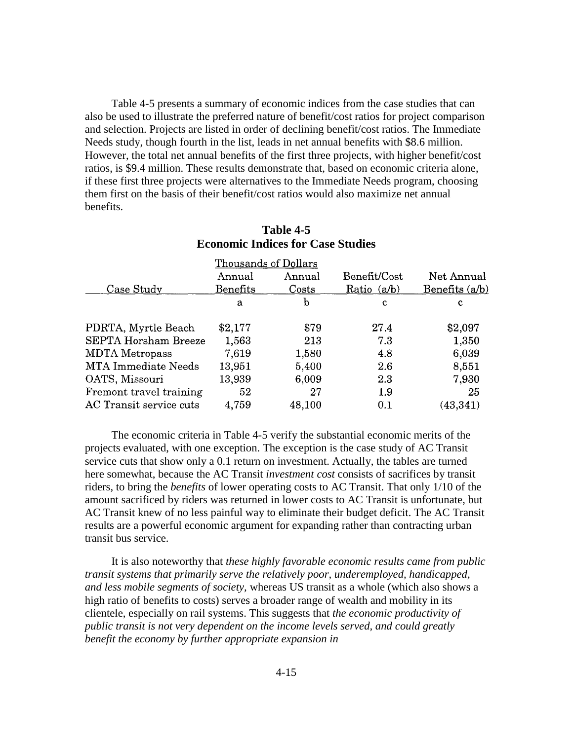Table 4-5 presents a summary of economic indices from the case studies that can also be used to illustrate the preferred nature of benefit/cost ratios for project comparison and selection. Projects are listed in order of declining benefit/cost ratios. The Immediate Needs study, though fourth in the list, leads in net annual benefits with \$8.6 million. However, the total net annual benefits of the first three projects, with higher benefit/cost ratios, is \$9.4 million. These results demonstrate that, based on economic criteria alone, if these first three projects were alternatives to the Immediate Needs program, choosing them first on the basis of their benefit/cost ratios would also maximize net annual benefits.

| <b>Economic Indices for Case Studies</b> |                                                |        |               |                       |  |  |  |  |  |  |
|------------------------------------------|------------------------------------------------|--------|---------------|-----------------------|--|--|--|--|--|--|
| Thousands of Dollars                     |                                                |        |               |                       |  |  |  |  |  |  |
|                                          | Net Annual<br>Benefit/Cost<br>Annual<br>Annual |        |               |                       |  |  |  |  |  |  |
| Case Study                               | $\rm{Benefits}$                                | Costs  | Ratio $(a/b)$ | <u>Benefits (a/b)</u> |  |  |  |  |  |  |
|                                          | a                                              | b      | c             | c                     |  |  |  |  |  |  |
| PDRTA, Myrtle Beach                      | \$2,177                                        | \$79   | 27.4          | \$2,097               |  |  |  |  |  |  |
| <b>SEPTA Horsham Breeze</b>              | 1,563                                          | 213    | 7.3           | 1,350                 |  |  |  |  |  |  |
| <b>MDTA</b> Metropass                    | 7,619                                          | 1,580  | 4.8           | 6,039                 |  |  |  |  |  |  |
| MTA Immediate Needs                      | 13,951                                         | 5,400  | 2.6           | 8,551                 |  |  |  |  |  |  |
| OATS, Missouri                           | 13,939                                         | 6,009  | 2.3           | 7,930                 |  |  |  |  |  |  |
| Fremont travel training                  | 52                                             | 27     | 1.9           | 25                    |  |  |  |  |  |  |
| AC Transit service cuts                  | 4,759                                          | 48,100 | 0.1           | (43, 341)             |  |  |  |  |  |  |

# **Table 4-5 Economic Indices for Case Studies**

The economic criteria in Table 4-5 verify the substantial economic merits of the projects evaluated, with one exception. The exception is the case study of AC Transit service cuts that show only a 0.1 return on investment. Actually, the tables are turned here somewhat, because the AC Transit *investment cost* consists of sacrifices by transit riders, to bring the *benefits* of lower operating costs to AC Transit. That only 1/10 of the amount sacrificed by riders was returned in lower costs to AC Transit is unfortunate, but AC Transit knew of no less painful way to eliminate their budget deficit. The AC Transit results are a powerful economic argument for expanding rather than contracting urban transit bus service.

It is also noteworthy that *these highly favorable economic results came from public transit systems that primarily serve the relatively poor, underemployed, handicapped, and less mobile segments of society,* whereas US transit as a whole (which also shows a high ratio of benefits to costs) serves a broader range of wealth and mobility in its clientele, especially on rail systems. This suggests that *the economic productivity of public transit is not very dependent on the income levels served, and could greatly benefit the economy by further appropriate expansion in*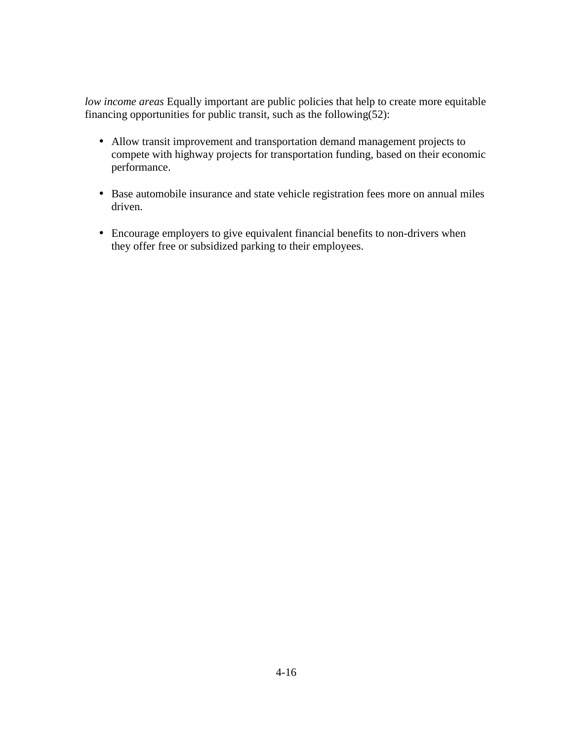*low income areas* Equally important are public policies that help to create more equitable financing opportunities for public transit, such as the following(52):

- Allow transit improvement and transportation demand management projects to compete with highway projects for transportation funding, based on their economic performance.
- Base automobile insurance and state vehicle registration fees more on annual miles driven.
- Encourage employers to give equivalent financial benefits to non-drivers when they offer free or subsidized parking to their employees.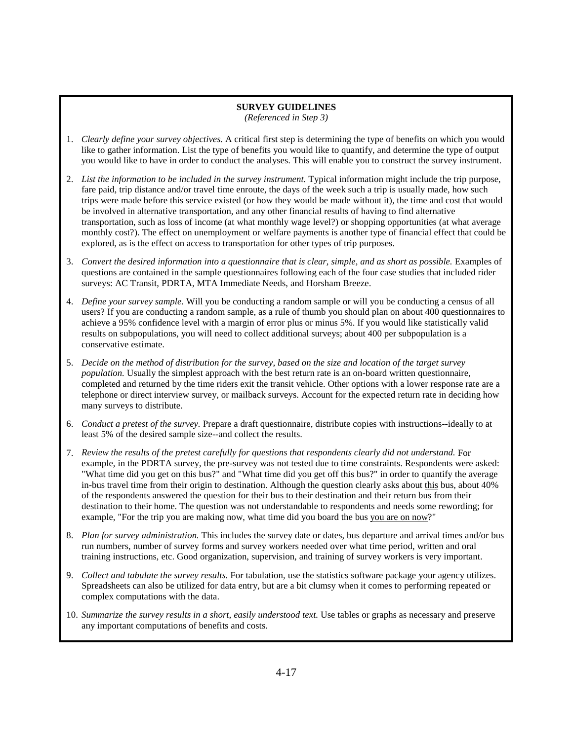#### **SURVEY GUIDELINES** *(Referenced in Step 3)*

- 1. *Clearly define your survey objectives.* A critical first step is determining the type of benefits on which you would like to gather information. List the type of benefits you would like to quantify, and determine the type of output you would like to have in order to conduct the analyses. This will enable you to construct the survey instrument.
- 2. *List the information to be included in the survey instrument.* Typical information might include the trip purpose, fare paid, trip distance and/or travel time enroute, the days of the week such a trip is usually made, how such trips were made before this service existed (or how they would be made without it), the time and cost that would be involved in alternative transportation, and any other financial results of having to find alternative transportation, such as loss of income (at what monthly wage level?) or shopping opportunities (at what average monthly cost?). The effect on unemployment or welfare payments is another type of financial effect that could be explored, as is the effect on access to transportation for other types of trip purposes.
- 3. *Convert the desired information into a questionnaire that is clear, simple, and as short as possible.* Examples of questions are contained in the sample questionnaires following each of the four case studies that included rider surveys: AC Transit, PDRTA, MTA Immediate Needs, and Horsham Breeze.
- 4. *Define your survey sample.* Will you be conducting a random sample or will you be conducting a census of all users? If you are conducting a random sample, as a rule of thumb you should plan on about 400 questionnaires to achieve a 95% confidence level with a margin of error plus or minus 5%. If you would like statistically valid results on subpopulations, you will need to collect additional surveys; about 400 per subpopulation is a conservative estimate.
- 5. *Decide on the method of distribution for the survey, based on the size and location of the target survey population.* Usually the simplest approach with the best return rate is an on-board written questionnaire, completed and returned by the time riders exit the transit vehicle. Other options with a lower response rate are a telephone or direct interview survey, or mailback surveys. Account for the expected return rate in deciding how many surveys to distribute.
- 6. *Conduct a pretest of the survey.* Prepare a draft questionnaire, distribute copies with instructions--ideally to at least 5% of the desired sample size--and collect the results.
- 7. *Review the results of the pretest carefully for questions that respondents clearly did not understand.* For example, in the PDRTA survey, the pre-survey was not tested due to time constraints. Respondents were asked: "What time did you get on this bus?" and "What time did you get off this bus?" in order to quantify the average in-bus travel time from their origin to destination. Although the question clearly asks about this bus, about 40% of the respondents answered the question for their bus to their destination and their return bus from their destination to their home. The question was not understandable to respondents and needs some rewording; for example, "For the trip you are making now, what time did you board the bus you are on now?"
- 8. *Plan for survey administration.* This includes the survey date or dates, bus departure and arrival times and/or bus run numbers, number of survey forms and survey workers needed over what time period, written and oral training instructions, etc. Good organization, supervision, and training of survey workers is very important.
- 9. *Collect and tabulate the survey results.* For tabulation, use the statistics software package your agency utilizes. Spreadsheets can also be utilized for data entry, but are a bit clumsy when it comes to performing repeated or complex computations with the data.
- 10. *Summarize the survey results in a short, easily understood text.* Use tables or graphs as necessary and preserve any important computations of benefits and costs.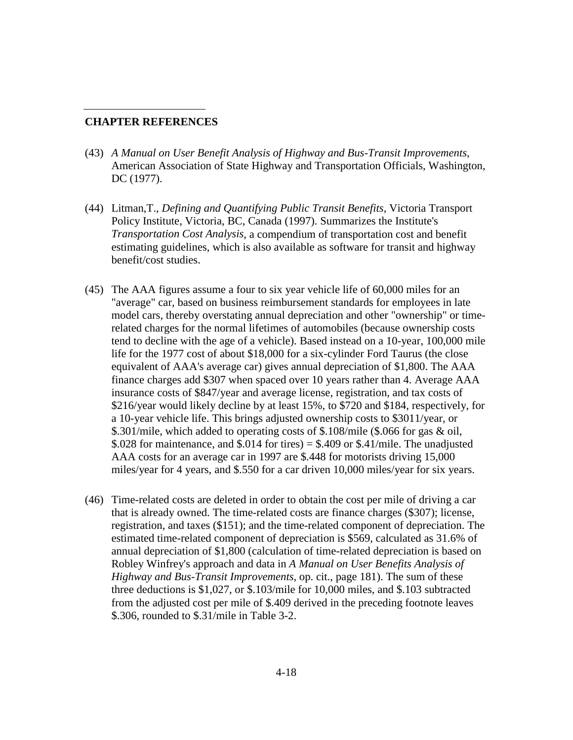## **CHAPTER REFERENCES**

- (43) *A Manual on User Benefit Analysis of Highway and Bus-Transit Improvements,* American Association of State Highway and Transportation Officials, Washington, DC (1977).
- (44) Litman,T., *Defining and Quantifying Public Transit Benefits*, Victoria Transport Policy Institute, Victoria, BC, Canada (1997). Summarizes the Institute's *Transportation Cost Analysis*, a compendium of transportation cost and benefit estimating guidelines, which is also available as software for transit and highway benefit/cost studies.
- (45) The AAA figures assume a four to six year vehicle life of 60,000 miles for an "average" car, based on business reimbursement standards for employees in late model cars, thereby overstating annual depreciation and other "ownership" or timerelated charges for the normal lifetimes of automobiles (because ownership costs tend to decline with the age of a vehicle). Based instead on a 10-year, 100,000 mile life for the 1977 cost of about \$18,000 for a six-cylinder Ford Taurus (the close equivalent of AAA's average car) gives annual depreciation of \$1,800. The AAA finance charges add \$307 when spaced over 10 years rather than 4. Average AAA insurance costs of \$847/year and average license, registration, and tax costs of \$216/year would likely decline by at least 15%, to \$720 and \$184, respectively, for a 10-year vehicle life. This brings adjusted ownership costs to \$3011/year, or \$.301/mile, which added to operating costs of \$.108/mile (\$.066 for gas & oil, \$.028 for maintenance, and \$.014 for tires) =  $$.409$  or \$.41/mile. The unadjusted AAA costs for an average car in 1997 are \$.448 for motorists driving 15,000 miles/year for 4 years, and \$.550 for a car driven 10,000 miles/year for six years.
- (46) Time-related costs are deleted in order to obtain the cost per mile of driving a car that is already owned. The time-related costs are finance charges (\$307); license, registration, and taxes (\$151); and the time-related component of depreciation. The estimated time-related component of depreciation is \$569, calculated as 31.6% of annual depreciation of \$1,800 (calculation of time-related depreciation is based on Robley Winfrey's approach and data in *A Manual on User Benefits Analysis of Highway and Bus-Transit Improvements*, op. cit., page 181). The sum of these three deductions is \$1,027, or \$.103/mile for 10,000 miles, and \$.103 subtracted from the adjusted cost per mile of \$.409 derived in the preceding footnote leaves \$.306, rounded to \$.31/mile in Table 3-2.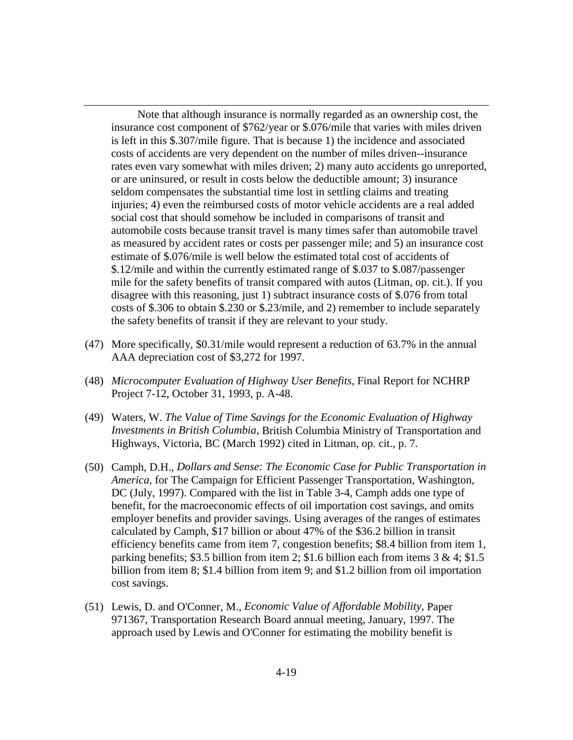Note that although insurance is normally regarded as an ownership cost, the insurance cost component of \$762/year or \$.076/mile that varies with miles driven is left in this \$.307/mile figure. That is because 1) the incidence and associated costs of accidents are very dependent on the number of miles driven--insurance rates even vary somewhat with miles driven; 2) many auto accidents go unreported, or are uninsured, or result in costs below the deductible amount; 3) insurance seldom compensates the substantial time lost in settling claims and treating injuries; 4) even the reimbursed costs of motor vehicle accidents are a real added social cost that should somehow be included in comparisons of transit and automobile costs because transit travel is many times safer than automobile travel as measured by accident rates or costs per passenger mile; and 5) an insurance cost estimate of \$.076/mile is well below the estimated total cost of accidents of \$.12/mile and within the currently estimated range of \$.037 to \$.087/passenger mile for the safety benefits of transit compared with autos (Litman, op. cit.). If you disagree with this reasoning, just 1) subtract insurance costs of \$.076 from total costs of \$.306 to obtain \$.230 or \$.23/mile, and 2) remember to include separately the safety benefits of transit if they are relevant to your study.

- (47) More specifically, \$0.31/mile would represent a reduction of 63.7% in the annual AAA depreciation cost of \$3,272 for 1997.
- (48) *Microcomputer Evaluation of Highway User Benefits*, Final Report for NCHRP Project 7-12, October 31, 1993, p. A-48.
- (49) Waters, W. *The Value of Time Savings for the Economic Evaluation of Highway Investments in British Columbia,* British Columbia Ministry of Transportation and Highways, Victoria, BC (March 1992) cited in Litman, op. cit., p. 7.
- (50) Camph, D.H., *Dollars and Sense: The Economic Case for Public Transportation in America,* for The Campaign for Efficient Passenger Transportation, Washington, DC (July, 1997). Compared with the list in Table 3-4, Camph adds one type of benefit, for the macroeconomic effects of oil importation cost savings, and omits employer benefits and provider savings. Using averages of the ranges of estimates calculated by Camph, \$17 billion or about 47% of the \$36.2 billion in transit efficiency benefits came from item 7, congestion benefits; \$8.4 billion from item 1, parking benefits; \$3.5 billion from item 2; \$1.6 billion each from items  $3 \& 4$ ; \$1.5 billion from item 8; \$1.4 billion from item 9; and \$1.2 billion from oil importation cost savings.
- (51) Lewis, D. and O'Conner, M., *Economic Value of Affordable Mobility,* Paper 971367, Transportation Research Board annual meeting, January, 1997. The approach used by Lewis and O'Conner for estimating the mobility benefit is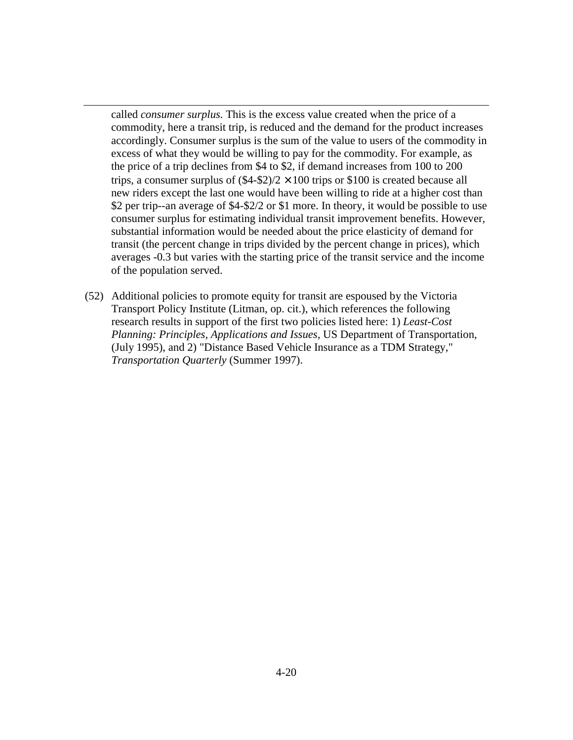called *consumer surplus.* This is the excess value created when the price of a commodity, here a transit trip, is reduced and the demand for the product increases accordingly. Consumer surplus is the sum of the value to users of the commodity in excess of what they would be willing to pay for the commodity. For example, as the price of a trip declines from \$4 to \$2, if demand increases from 100 to 200 trips, a consumer surplus of  $(\$4-\$2)/2 \times 100$  trips or \$100 is created because all new riders except the last one would have been willing to ride at a higher cost than \$2 per trip--an average of \$4-\$2/2 or \$1 more. In theory, it would be possible to use consumer surplus for estimating individual transit improvement benefits. However, substantial information would be needed about the price elasticity of demand for transit (the percent change in trips divided by the percent change in prices), which averages -0.3 but varies with the starting price of the transit service and the income of the population served.

(52) Additional policies to promote equity for transit are espoused by the Victoria Transport Policy Institute (Litman, op. cit.), which references the following research results in support of the first two policies listed here: 1) *Least-Cost Planning: Principles, Applications and Issues,* US Department of Transportation, (July 1995), and 2) "Distance Based Vehicle Insurance as a TDM Strategy," *Transportation Quarterly* (Summer 1997).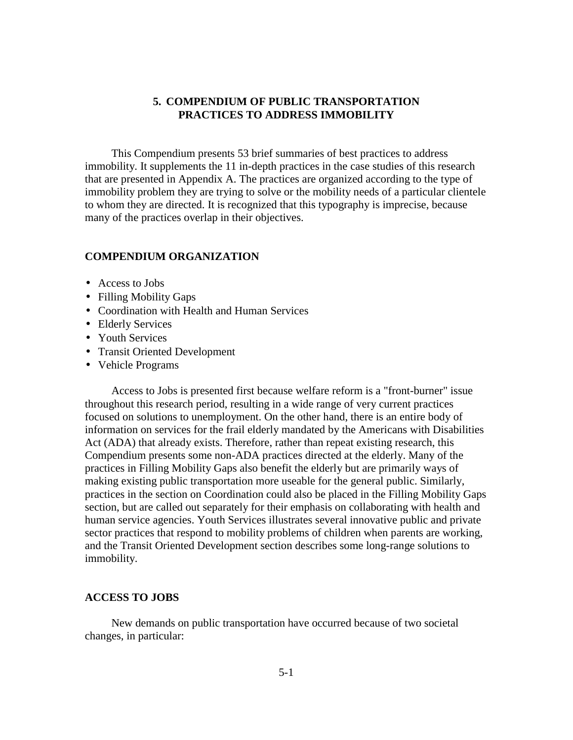# **5. COMPENDIUM OF PUBLIC TRANSPORTATION PRACTICES TO ADDRESS IMMOBILITY**

This Compendium presents 53 brief summaries of best practices to address immobility. It supplements the 11 in-depth practices in the case studies of this research that are presented in Appendix A. The practices are organized according to the type of immobility problem they are trying to solve or the mobility needs of a particular clientele to whom they are directed. It is recognized that this typography is imprecise, because many of the practices overlap in their objectives.

## **COMPENDIUM ORGANIZATION**

- Access to Jobs
- Filling Mobility Gaps
- Coordination with Health and Human Services
- Elderly Services
- Youth Services
- Transit Oriented Development
- Vehicle Programs

Access to Jobs is presented first because welfare reform is a "front-burner" issue throughout this research period, resulting in a wide range of very current practices focused on solutions to unemployment. On the other hand, there is an entire body of information on services for the frail elderly mandated by the Americans with Disabilities Act (ADA) that already exists. Therefore, rather than repeat existing research, this Compendium presents some non-ADA practices directed at the elderly. Many of the practices in Filling Mobility Gaps also benefit the elderly but are primarily ways of making existing public transportation more useable for the general public. Similarly, practices in the section on Coordination could also be placed in the Filling Mobility Gaps section, but are called out separately for their emphasis on collaborating with health and human service agencies. Youth Services illustrates several innovative public and private sector practices that respond to mobility problems of children when parents are working, and the Transit Oriented Development section describes some long-range solutions to immobility.

## **ACCESS TO JOBS**

New demands on public transportation have occurred because of two societal changes, in particular: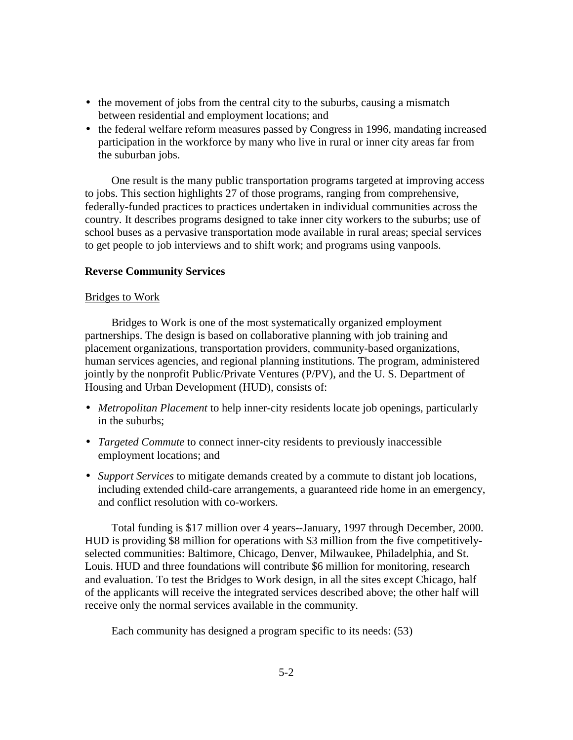- the movement of jobs from the central city to the suburbs, causing a mismatch between residential and employment locations; and
- the federal welfare reform measures passed by Congress in 1996, mandating increased participation in the workforce by many who live in rural or inner city areas far from the suburban jobs.

One result is the many public transportation programs targeted at improving access to jobs. This section highlights 27 of those programs, ranging from comprehensive, federally-funded practices to practices undertaken in individual communities across the country. It describes programs designed to take inner city workers to the suburbs; use of school buses as a pervasive transportation mode available in rural areas; special services to get people to job interviews and to shift work; and programs using vanpools.

## **Reverse Community Services**

## Bridges to Work

Bridges to Work is one of the most systematically organized employment partnerships. The design is based on collaborative planning with job training and placement organizations, transportation providers, community-based organizations, human services agencies, and regional planning institutions. The program, administered jointly by the nonprofit Public/Private Ventures (P/PV), and the U. S. Department of Housing and Urban Development (HUD), consists of:

- *Metropolitan Placement* to help inner-city residents locate job openings, particularly in the suburbs;
- *Targeted Commute* to connect inner-city residents to previously inaccessible employment locations; and
- *Support Services* to mitigate demands created by a commute to distant job locations, including extended child-care arrangements, a guaranteed ride home in an emergency, and conflict resolution with co-workers.

Total funding is \$17 million over 4 years--January, 1997 through December, 2000. HUD is providing \$8 million for operations with \$3 million from the five competitivelyselected communities: Baltimore, Chicago, Denver, Milwaukee, Philadelphia, and St. Louis. HUD and three foundations will contribute \$6 million for monitoring, research and evaluation. To test the Bridges to Work design, in all the sites except Chicago, half of the applicants will receive the integrated services described above; the other half will receive only the normal services available in the community.

Each community has designed a program specific to its needs: (53)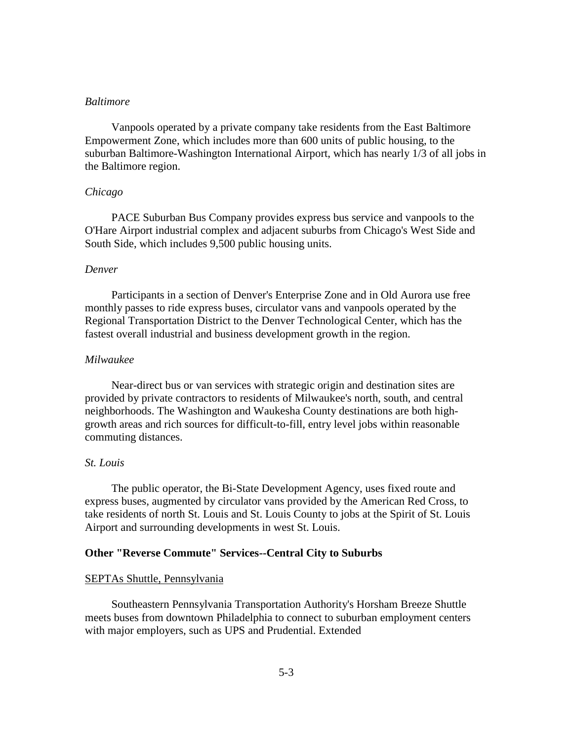#### *Baltimore*

Vanpools operated by a private company take residents from the East Baltimore Empowerment Zone, which includes more than 600 units of public housing, to the suburban Baltimore-Washington International Airport, which has nearly 1/3 of all jobs in the Baltimore region.

#### *Chicago*

PACE Suburban Bus Company provides express bus service and vanpools to the O'Hare Airport industrial complex and adjacent suburbs from Chicago's West Side and South Side, which includes 9,500 public housing units.

### *Denver*

Participants in a section of Denver's Enterprise Zone and in Old Aurora use free monthly passes to ride express buses, circulator vans and vanpools operated by the Regional Transportation District to the Denver Technological Center, which has the fastest overall industrial and business development growth in the region.

## *Milwaukee*

Near-direct bus or van services with strategic origin and destination sites are provided by private contractors to residents of Milwaukee's north, south, and central neighborhoods. The Washington and Waukesha County destinations are both highgrowth areas and rich sources for difficult-to-fill, entry level jobs within reasonable commuting distances.

## *St. Louis*

The public operator, the Bi-State Development Agency, uses fixed route and express buses, augmented by circulator vans provided by the American Red Cross, to take residents of north St. Louis and St. Louis County to jobs at the Spirit of St. Louis Airport and surrounding developments in west St. Louis.

## **Other "Reverse Commute" Services--Central City to Suburbs**

#### SEPTAs Shuttle, Pennsylvania

Southeastern Pennsylvania Transportation Authority's Horsham Breeze Shuttle meets buses from downtown Philadelphia to connect to suburban employment centers with major employers, such as UPS and Prudential. Extended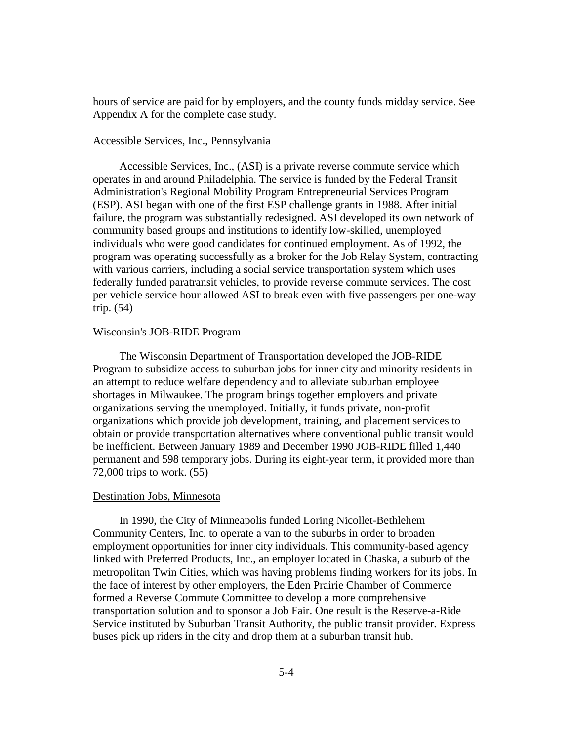hours of service are paid for by employers, and the county funds midday service. See Appendix A for the complete case study.

## Accessible Services, Inc., Pennsylvania

Accessible Services, Inc., (ASI) is a private reverse commute service which operates in and around Philadelphia. The service is funded by the Federal Transit Administration's Regional Mobility Program Entrepreneurial Services Program (ESP). ASI began with one of the first ESP challenge grants in 1988. After initial failure, the program was substantially redesigned. ASI developed its own network of community based groups and institutions to identify low-skilled, unemployed individuals who were good candidates for continued employment. As of 1992, the program was operating successfully as a broker for the Job Relay System, contracting with various carriers, including a social service transportation system which uses federally funded paratransit vehicles, to provide reverse commute services. The cost per vehicle service hour allowed ASI to break even with five passengers per one-way trip. (54)

### Wisconsin's JOB-RIDE Program

The Wisconsin Department of Transportation developed the JOB-RIDE Program to subsidize access to suburban jobs for inner city and minority residents in an attempt to reduce welfare dependency and to alleviate suburban employee shortages in Milwaukee. The program brings together employers and private organizations serving the unemployed. Initially, it funds private, non-profit organizations which provide job development, training, and placement services to obtain or provide transportation alternatives where conventional public transit would be inefficient. Between January 1989 and December 1990 JOB-RIDE filled 1,440 permanent and 598 temporary jobs. During its eight-year term, it provided more than 72,000 trips to work. (55)

#### Destination Jobs, Minnesota

In 1990, the City of Minneapolis funded Loring Nicollet-Bethlehem Community Centers, Inc. to operate a van to the suburbs in order to broaden employment opportunities for inner city individuals. This community-based agency linked with Preferred Products, Inc., an employer located in Chaska, a suburb of the metropolitan Twin Cities, which was having problems finding workers for its jobs. In the face of interest by other employers, the Eden Prairie Chamber of Commerce formed a Reverse Commute Committee to develop a more comprehensive transportation solution and to sponsor a Job Fair. One result is the Reserve-a-Ride Service instituted by Suburban Transit Authority, the public transit provider. Express buses pick up riders in the city and drop them at a suburban transit hub.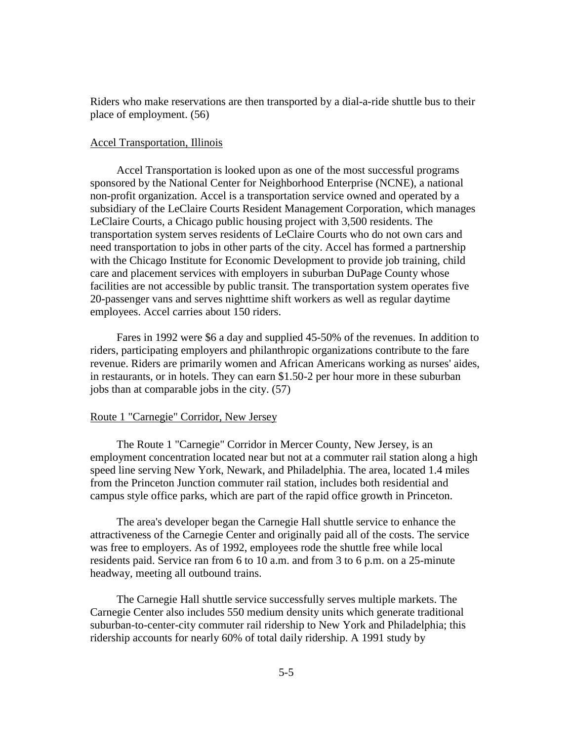Riders who make reservations are then transported by a dial-a-ride shuttle bus to their place of employment. (56)

### Accel Transportation, Illinois

Accel Transportation is looked upon as one of the most successful programs sponsored by the National Center for Neighborhood Enterprise (NCNE), a national non-profit organization. Accel is a transportation service owned and operated by a subsidiary of the LeClaire Courts Resident Management Corporation, which manages LeClaire Courts, a Chicago public housing project with 3,500 residents. The transportation system serves residents of LeClaire Courts who do not own cars and need transportation to jobs in other parts of the city. Accel has formed a partnership with the Chicago Institute for Economic Development to provide job training, child care and placement services with employers in suburban DuPage County whose facilities are not accessible by public transit. The transportation system operates five 20-passenger vans and serves nighttime shift workers as well as regular daytime employees. Accel carries about 150 riders.

Fares in 1992 were \$6 a day and supplied 45-50% of the revenues. In addition to riders, participating employers and philanthropic organizations contribute to the fare revenue. Riders are primarily women and African Americans working as nurses' aides, in restaurants, or in hotels. They can earn \$1.50-2 per hour more in these suburban jobs than at comparable jobs in the city. (57)

## Route 1 "Carnegie" Corridor, New Jersey

The Route 1 "Carnegie" Corridor in Mercer County, New Jersey, is an employment concentration located near but not at a commuter rail station along a high speed line serving New York, Newark, and Philadelphia. The area, located 1.4 miles from the Princeton Junction commuter rail station, includes both residential and campus style office parks, which are part of the rapid office growth in Princeton.

The area's developer began the Carnegie Hall shuttle service to enhance the attractiveness of the Carnegie Center and originally paid all of the costs. The service was free to employers. As of 1992, employees rode the shuttle free while local residents paid. Service ran from 6 to 10 a.m. and from 3 to 6 p.m. on a 25-minute headway, meeting all outbound trains.

The Carnegie Hall shuttle service successfully serves multiple markets. The Carnegie Center also includes 550 medium density units which generate traditional suburban-to-center-city commuter rail ridership to New York and Philadelphia; this ridership accounts for nearly 60% of total daily ridership. A 1991 study by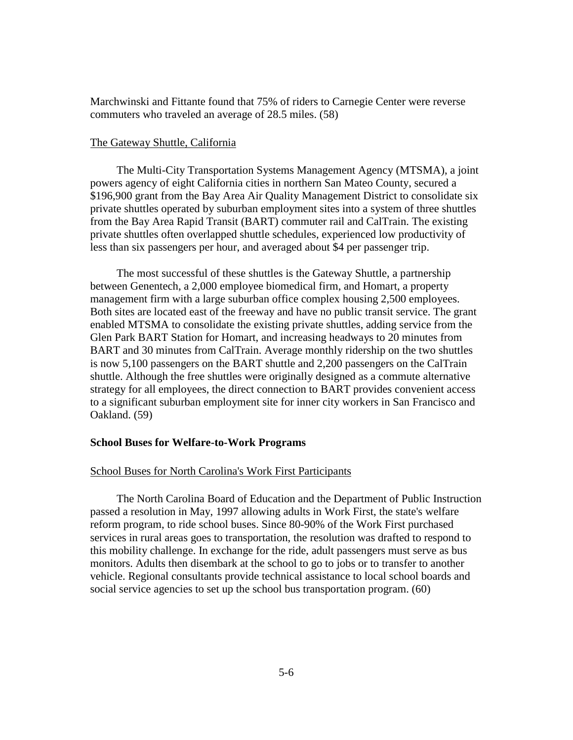Marchwinski and Fittante found that 75% of riders to Carnegie Center were reverse commuters who traveled an average of 28.5 miles. (58)

### The Gateway Shuttle, California

The Multi-City Transportation Systems Management Agency (MTSMA), a joint powers agency of eight California cities in northern San Mateo County, secured a \$196,900 grant from the Bay Area Air Quality Management District to consolidate six private shuttles operated by suburban employment sites into a system of three shuttles from the Bay Area Rapid Transit (BART) commuter rail and CalTrain. The existing private shuttles often overlapped shuttle schedules, experienced low productivity of less than six passengers per hour, and averaged about \$4 per passenger trip.

The most successful of these shuttles is the Gateway Shuttle, a partnership between Genentech, a 2,000 employee biomedical firm, and Homart, a property management firm with a large suburban office complex housing 2,500 employees. Both sites are located east of the freeway and have no public transit service. The grant enabled MTSMA to consolidate the existing private shuttles, adding service from the Glen Park BART Station for Homart, and increasing headways to 20 minutes from BART and 30 minutes from CalTrain. Average monthly ridership on the two shuttles is now 5,100 passengers on the BART shuttle and 2,200 passengers on the CalTrain shuttle. Although the free shuttles were originally designed as a commute alternative strategy for all employees, the direct connection to BART provides convenient access to a significant suburban employment site for inner city workers in San Francisco and Oakland. (59)

## **School Buses for Welfare-to-Work Programs**

#### School Buses for North Carolina's Work First Participants

The North Carolina Board of Education and the Department of Public Instruction passed a resolution in May, 1997 allowing adults in Work First, the state's welfare reform program, to ride school buses. Since 80-90% of the Work First purchased services in rural areas goes to transportation, the resolution was drafted to respond to this mobility challenge. In exchange for the ride, adult passengers must serve as bus monitors. Adults then disembark at the school to go to jobs or to transfer to another vehicle. Regional consultants provide technical assistance to local school boards and social service agencies to set up the school bus transportation program. (60)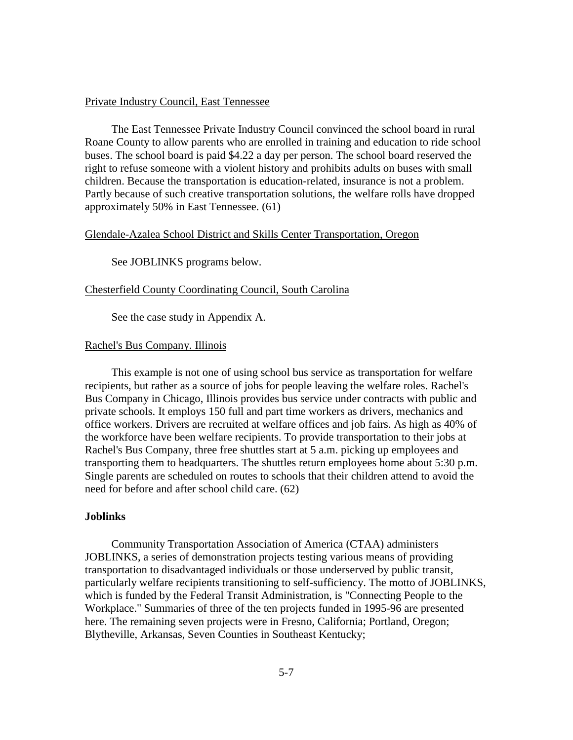#### Private Industry Council, East Tennessee

The East Tennessee Private Industry Council convinced the school board in rural Roane County to allow parents who are enrolled in training and education to ride school buses. The school board is paid \$4.22 a day per person. The school board reserved the right to refuse someone with a violent history and prohibits adults on buses with small children. Because the transportation is education-related, insurance is not a problem. Partly because of such creative transportation solutions, the welfare rolls have dropped approximately 50% in East Tennessee. (61)

# Glendale-Azalea School District and Skills Center Transportation, Oregon

See JOBLINKS programs below.

## Chesterfield County Coordinating Council, South Carolina

See the case study in Appendix A.

### Rachel's Bus Company. Illinois

This example is not one of using school bus service as transportation for welfare recipients, but rather as a source of jobs for people leaving the welfare roles. Rachel's Bus Company in Chicago, Illinois provides bus service under contracts with public and private schools. It employs 150 full and part time workers as drivers, mechanics and office workers. Drivers are recruited at welfare offices and job fairs. As high as 40% of the workforce have been welfare recipients. To provide transportation to their jobs at Rachel's Bus Company, three free shuttles start at 5 a.m. picking up employees and transporting them to headquarters. The shuttles return employees home about 5:30 p.m. Single parents are scheduled on routes to schools that their children attend to avoid the need for before and after school child care. (62)

## **Joblinks**

Community Transportation Association of America (CTAA) administers JOBLINKS, a series of demonstration projects testing various means of providing transportation to disadvantaged individuals or those underserved by public transit, particularly welfare recipients transitioning to self-sufficiency. The motto of JOBLINKS, which is funded by the Federal Transit Administration, is "Connecting People to the Workplace." Summaries of three of the ten projects funded in 1995-96 are presented here. The remaining seven projects were in Fresno, California; Portland, Oregon; Blytheville, Arkansas, Seven Counties in Southeast Kentucky;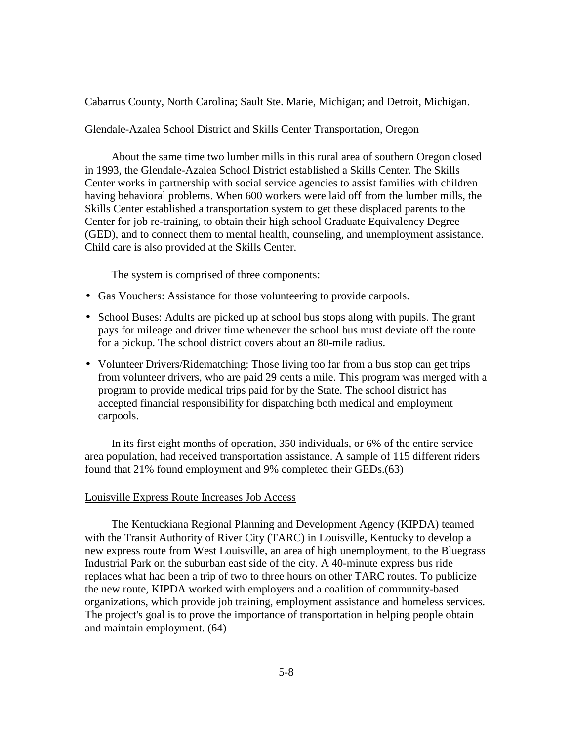### Cabarrus County, North Carolina; Sault Ste. Marie, Michigan; and Detroit, Michigan.

### Glendale-Azalea School District and Skills Center Transportation, Oregon

About the same time two lumber mills in this rural area of southern Oregon closed in 1993, the Glendale-Azalea School District established a Skills Center. The Skills Center works in partnership with social service agencies to assist families with children having behavioral problems. When 600 workers were laid off from the lumber mills, the Skills Center established a transportation system to get these displaced parents to the Center for job re-training, to obtain their high school Graduate Equivalency Degree (GED), and to connect them to mental health, counseling, and unemployment assistance. Child care is also provided at the Skills Center.

The system is comprised of three components:

- Gas Vouchers: Assistance for those volunteering to provide carpools.
- School Buses: Adults are picked up at school bus stops along with pupils. The grant pays for mileage and driver time whenever the school bus must deviate off the route for a pickup. The school district covers about an 80-mile radius.
- Volunteer Drivers/Ridematching: Those living too far from a bus stop can get trips from volunteer drivers, who are paid 29 cents a mile. This program was merged with a program to provide medical trips paid for by the State. The school district has accepted financial responsibility for dispatching both medical and employment carpools.

In its first eight months of operation, 350 individuals, or 6% of the entire service area population, had received transportation assistance. A sample of 115 different riders found that 21% found employment and 9% completed their GEDs.(63)

#### Louisville Express Route Increases Job Access

The Kentuckiana Regional Planning and Development Agency (KIPDA) teamed with the Transit Authority of River City (TARC) in Louisville, Kentucky to develop a new express route from West Louisville, an area of high unemployment, to the Bluegrass Industrial Park on the suburban east side of the city. A 40-minute express bus ride replaces what had been a trip of two to three hours on other TARC routes. To publicize the new route, KIPDA worked with employers and a coalition of community-based organizations, which provide job training, employment assistance and homeless services. The project's goal is to prove the importance of transportation in helping people obtain and maintain employment. (64)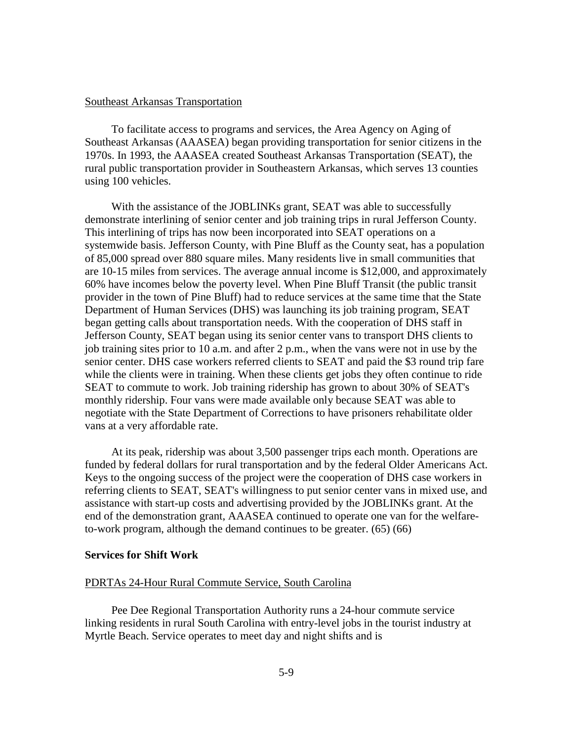#### Southeast Arkansas Transportation

To facilitate access to programs and services, the Area Agency on Aging of Southeast Arkansas (AAASEA) began providing transportation for senior citizens in the 1970s. In 1993, the AAASEA created Southeast Arkansas Transportation (SEAT), the rural public transportation provider in Southeastern Arkansas, which serves 13 counties using 100 vehicles.

With the assistance of the JOBLINKs grant, SEAT was able to successfully demonstrate interlining of senior center and job training trips in rural Jefferson County. This interlining of trips has now been incorporated into SEAT operations on a systemwide basis. Jefferson County, with Pine Bluff as the County seat, has a population of 85,000 spread over 880 square miles. Many residents live in small communities that are 10-15 miles from services. The average annual income is \$12,000, and approximately 60% have incomes below the poverty level. When Pine Bluff Transit (the public transit provider in the town of Pine Bluff) had to reduce services at the same time that the State Department of Human Services (DHS) was launching its job training program, SEAT began getting calls about transportation needs. With the cooperation of DHS staff in Jefferson County, SEAT began using its senior center vans to transport DHS clients to job training sites prior to 10 a.m. and after 2 p.m., when the vans were not in use by the senior center. DHS case workers referred clients to SEAT and paid the \$3 round trip fare while the clients were in training. When these clients get jobs they often continue to ride SEAT to commute to work. Job training ridership has grown to about 30% of SEAT's monthly ridership. Four vans were made available only because SEAT was able to negotiate with the State Department of Corrections to have prisoners rehabilitate older vans at a very affordable rate.

At its peak, ridership was about 3,500 passenger trips each month. Operations are funded by federal dollars for rural transportation and by the federal Older Americans Act. Keys to the ongoing success of the project were the cooperation of DHS case workers in referring clients to SEAT, SEAT's willingness to put senior center vans in mixed use, and assistance with start-up costs and advertising provided by the JOBLINKs grant. At the end of the demonstration grant, AAASEA continued to operate one van for the welfareto-work program, although the demand continues to be greater. (65) (66)

## **Services for Shift Work**

## PDRTAs 24-Hour Rural Commute Service, South Carolina

Pee Dee Regional Transportation Authority runs a 24-hour commute service linking residents in rural South Carolina with entry-level jobs in the tourist industry at Myrtle Beach. Service operates to meet day and night shifts and is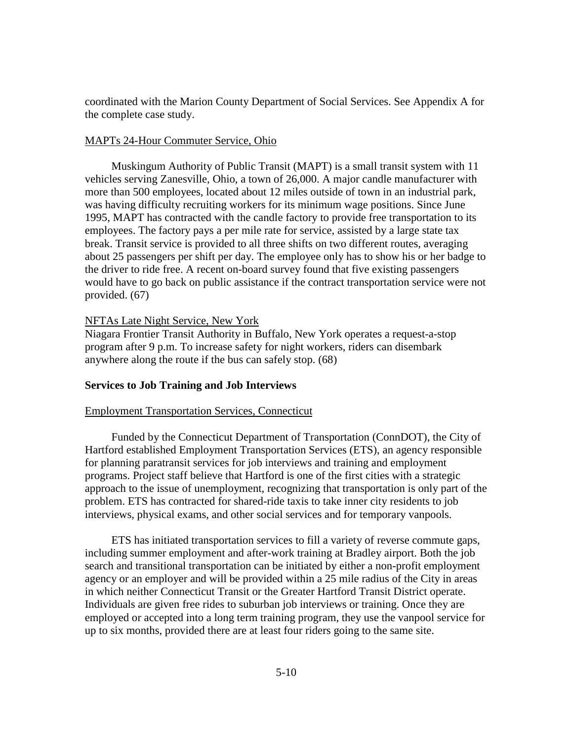coordinated with the Marion County Department of Social Services. See Appendix A for the complete case study.

# MAPTs 24-Hour Commuter Service, Ohio

Muskingum Authority of Public Transit (MAPT) is a small transit system with 11 vehicles serving Zanesville, Ohio, a town of 26,000. A major candle manufacturer with more than 500 employees, located about 12 miles outside of town in an industrial park, was having difficulty recruiting workers for its minimum wage positions. Since June 1995, MAPT has contracted with the candle factory to provide free transportation to its employees. The factory pays a per mile rate for service, assisted by a large state tax break. Transit service is provided to all three shifts on two different routes, averaging about 25 passengers per shift per day. The employee only has to show his or her badge to the driver to ride free. A recent on-board survey found that five existing passengers would have to go back on public assistance if the contract transportation service were not provided. (67)

# NFTAs Late Night Service, New York

Niagara Frontier Transit Authority in Buffalo, New York operates a request-a-stop program after 9 p.m. To increase safety for night workers, riders can disembark anywhere along the route if the bus can safely stop. (68)

## **Services to Job Training and Job Interviews**

## Employment Transportation Services, Connecticut

Funded by the Connecticut Department of Transportation (ConnDOT), the City of Hartford established Employment Transportation Services (ETS), an agency responsible for planning paratransit services for job interviews and training and employment programs. Project staff believe that Hartford is one of the first cities with a strategic approach to the issue of unemployment, recognizing that transportation is only part of the problem. ETS has contracted for shared-ride taxis to take inner city residents to job interviews, physical exams, and other social services and for temporary vanpools.

ETS has initiated transportation services to fill a variety of reverse commute gaps, including summer employment and after-work training at Bradley airport. Both the job search and transitional transportation can be initiated by either a non-profit employment agency or an employer and will be provided within a 25 mile radius of the City in areas in which neither Connecticut Transit or the Greater Hartford Transit District operate. Individuals are given free rides to suburban job interviews or training. Once they are employed or accepted into a long term training program, they use the vanpool service for up to six months, provided there are at least four riders going to the same site.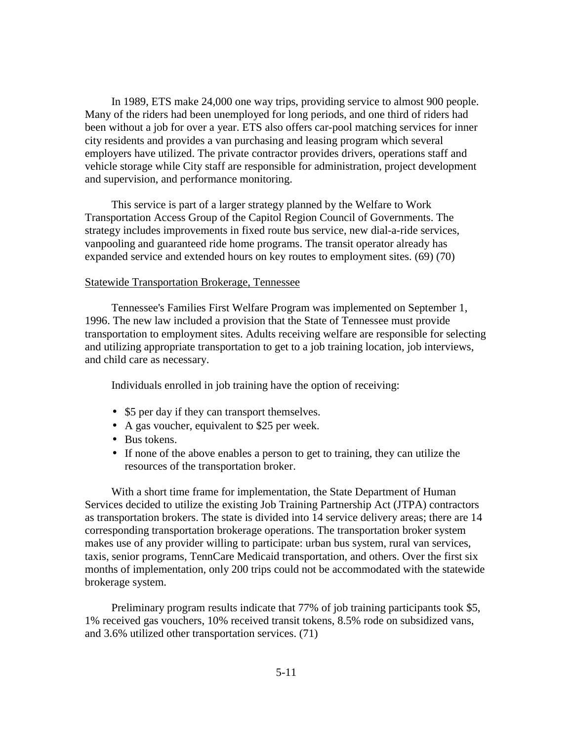In 1989, ETS make 24,000 one way trips, providing service to almost 900 people. Many of the riders had been unemployed for long periods, and one third of riders had been without a job for over a year. ETS also offers car-pool matching services for inner city residents and provides a van purchasing and leasing program which several employers have utilized. The private contractor provides drivers, operations staff and vehicle storage while City staff are responsible for administration, project development and supervision, and performance monitoring.

This service is part of a larger strategy planned by the Welfare to Work Transportation Access Group of the Capitol Region Council of Governments. The strategy includes improvements in fixed route bus service, new dial-a-ride services, vanpooling and guaranteed ride home programs. The transit operator already has expanded service and extended hours on key routes to employment sites. (69) (70)

## Statewide Transportation Brokerage, Tennessee

Tennessee's Families First Welfare Program was implemented on September 1, 1996. The new law included a provision that the State of Tennessee must provide transportation to employment sites. Adults receiving welfare are responsible for selecting and utilizing appropriate transportation to get to a job training location, job interviews, and child care as necessary.

Individuals enrolled in job training have the option of receiving:

- \$5 per day if they can transport themselves.
- A gas voucher, equivalent to \$25 per week.
- Bus tokens.
- If none of the above enables a person to get to training, they can utilize the resources of the transportation broker.

With a short time frame for implementation, the State Department of Human Services decided to utilize the existing Job Training Partnership Act (JTPA) contractors as transportation brokers. The state is divided into 14 service delivery areas; there are 14 corresponding transportation brokerage operations. The transportation broker system makes use of any provider willing to participate: urban bus system, rural van services, taxis, senior programs, TennCare Medicaid transportation, and others. Over the first six months of implementation, only 200 trips could not be accommodated with the statewide brokerage system.

Preliminary program results indicate that 77% of job training participants took \$5, 1% received gas vouchers, 10% received transit tokens, 8.5% rode on subsidized vans, and 3.6% utilized other transportation services. (71)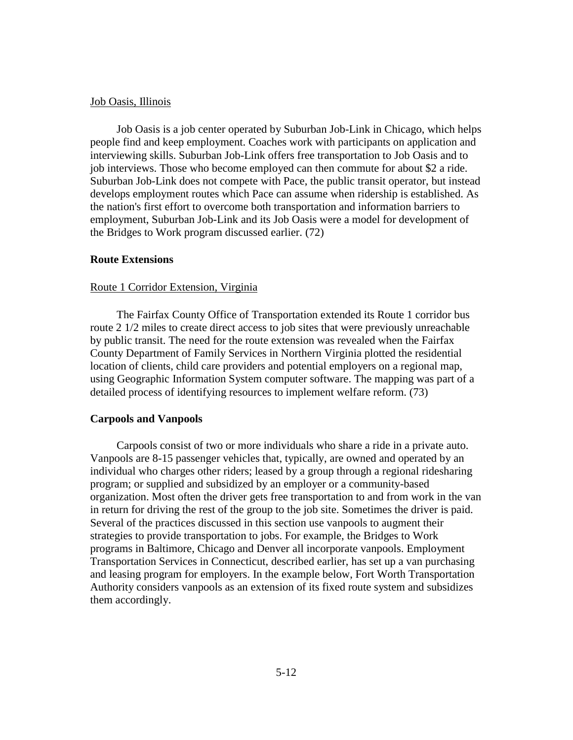#### Job Oasis, Illinois

Job Oasis is a job center operated by Suburban Job-Link in Chicago, which helps people find and keep employment. Coaches work with participants on application and interviewing skills. Suburban Job-Link offers free transportation to Job Oasis and to job interviews. Those who become employed can then commute for about \$2 a ride. Suburban Job-Link does not compete with Pace, the public transit operator, but instead develops employment routes which Pace can assume when ridership is established. As the nation's first effort to overcome both transportation and information barriers to employment, Suburban Job-Link and its Job Oasis were a model for development of the Bridges to Work program discussed earlier. (72)

## **Route Extensions**

### Route 1 Corridor Extension, Virginia

The Fairfax County Office of Transportation extended its Route 1 corridor bus route 2 1/2 miles to create direct access to job sites that were previously unreachable by public transit. The need for the route extension was revealed when the Fairfax County Department of Family Services in Northern Virginia plotted the residential location of clients, child care providers and potential employers on a regional map, using Geographic Information System computer software. The mapping was part of a detailed process of identifying resources to implement welfare reform. (73)

#### **Carpools and Vanpools**

Carpools consist of two or more individuals who share a ride in a private auto. Vanpools are 8-15 passenger vehicles that, typically, are owned and operated by an individual who charges other riders; leased by a group through a regional ridesharing program; or supplied and subsidized by an employer or a community-based organization. Most often the driver gets free transportation to and from work in the van in return for driving the rest of the group to the job site. Sometimes the driver is paid. Several of the practices discussed in this section use vanpools to augment their strategies to provide transportation to jobs. For example, the Bridges to Work programs in Baltimore, Chicago and Denver all incorporate vanpools. Employment Transportation Services in Connecticut, described earlier, has set up a van purchasing and leasing program for employers. In the example below, Fort Worth Transportation Authority considers vanpools as an extension of its fixed route system and subsidizes them accordingly.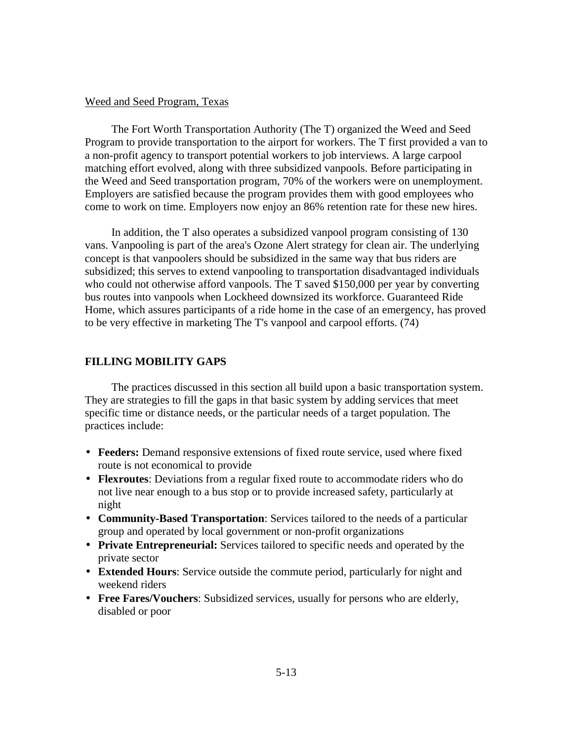### Weed and Seed Program, Texas

The Fort Worth Transportation Authority (The T) organized the Weed and Seed Program to provide transportation to the airport for workers. The T first provided a van to a non-profit agency to transport potential workers to job interviews. A large carpool matching effort evolved, along with three subsidized vanpools. Before participating in the Weed and Seed transportation program, 70% of the workers were on unemployment. Employers are satisfied because the program provides them with good employees who come to work on time. Employers now enjoy an 86% retention rate for these new hires.

In addition, the T also operates a subsidized vanpool program consisting of 130 vans. Vanpooling is part of the area's Ozone Alert strategy for clean air. The underlying concept is that vanpoolers should be subsidized in the same way that bus riders are subsidized; this serves to extend vanpooling to transportation disadvantaged individuals who could not otherwise afford vanpools. The T saved \$150,000 per year by converting bus routes into vanpools when Lockheed downsized its workforce. Guaranteed Ride Home, which assures participants of a ride home in the case of an emergency, has proved to be very effective in marketing The T's vanpool and carpool efforts. (74)

## **FILLING MOBILITY GAPS**

The practices discussed in this section all build upon a basic transportation system. They are strategies to fill the gaps in that basic system by adding services that meet specific time or distance needs, or the particular needs of a target population. The practices include:

- **Feeders:** Demand responsive extensions of fixed route service, used where fixed route is not economical to provide
- **Flexroutes**: Deviations from a regular fixed route to accommodate riders who do not live near enough to a bus stop or to provide increased safety, particularly at night
- **Community-Based Transportation**: Services tailored to the needs of a particular group and operated by local government or non-profit organizations
- **Private Entrepreneurial:** Services tailored to specific needs and operated by the private sector
- **Extended Hours**: Service outside the commute period, particularly for night and weekend riders
- **Free Fares/Vouchers**: Subsidized services, usually for persons who are elderly, disabled or poor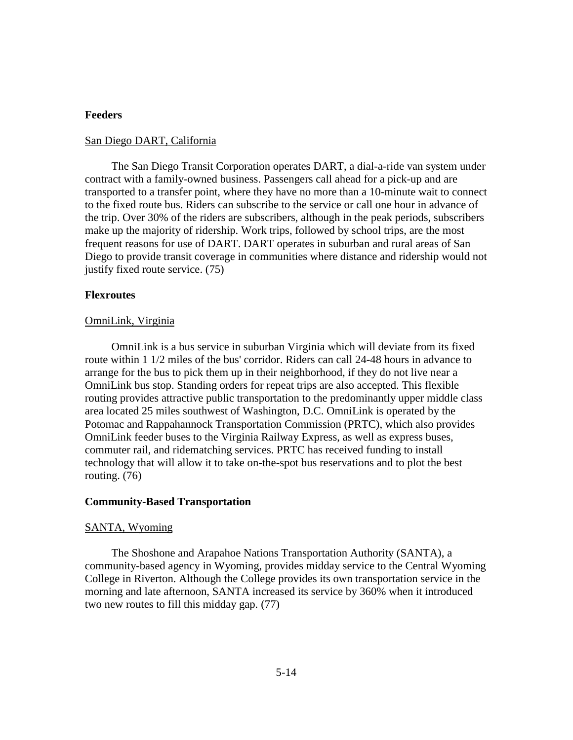# **Feeders**

### San Diego DART, California

The San Diego Transit Corporation operates DART, a dial-a-ride van system under contract with a family-owned business. Passengers call ahead for a pick-up and are transported to a transfer point, where they have no more than a 10-minute wait to connect to the fixed route bus. Riders can subscribe to the service or call one hour in advance of the trip. Over 30% of the riders are subscribers, although in the peak periods, subscribers make up the majority of ridership. Work trips, followed by school trips, are the most frequent reasons for use of DART. DART operates in suburban and rural areas of San Diego to provide transit coverage in communities where distance and ridership would not justify fixed route service. (75)

#### **Flexroutes**

#### OmniLink, Virginia

OmniLink is a bus service in suburban Virginia which will deviate from its fixed route within 1 1/2 miles of the bus' corridor. Riders can call 24-48 hours in advance to arrange for the bus to pick them up in their neighborhood, if they do not live near a OmniLink bus stop. Standing orders for repeat trips are also accepted. This flexible routing provides attractive public transportation to the predominantly upper middle class area located 25 miles southwest of Washington, D.C. OmniLink is operated by the Potomac and Rappahannock Transportation Commission (PRTC), which also provides OmniLink feeder buses to the Virginia Railway Express, as well as express buses, commuter rail, and ridematching services. PRTC has received funding to install technology that will allow it to take on-the-spot bus reservations and to plot the best routing. (76)

#### **Community-Based Transportation**

#### SANTA, Wyoming

The Shoshone and Arapahoe Nations Transportation Authority (SANTA), a community-based agency in Wyoming, provides midday service to the Central Wyoming College in Riverton. Although the College provides its own transportation service in the morning and late afternoon, SANTA increased its service by 360% when it introduced two new routes to fill this midday gap. (77)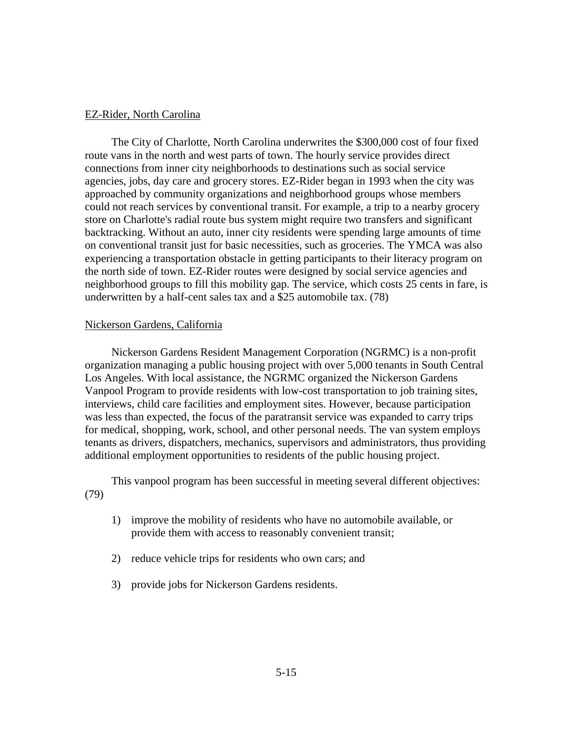## EZ-Rider, North Carolina

The City of Charlotte, North Carolina underwrites the \$300,000 cost of four fixed route vans in the north and west parts of town. The hourly service provides direct connections from inner city neighborhoods to destinations such as social service agencies, jobs, day care and grocery stores. EZ-Rider began in 1993 when the city was approached by community organizations and neighborhood groups whose members could not reach services by conventional transit. For example, a trip to a nearby grocery store on Charlotte's radial route bus system might require two transfers and significant backtracking. Without an auto, inner city residents were spending large amounts of time on conventional transit just for basic necessities, such as groceries. The YMCA was also experiencing a transportation obstacle in getting participants to their literacy program on the north side of town. EZ-Rider routes were designed by social service agencies and neighborhood groups to fill this mobility gap. The service, which costs 25 cents in fare, is underwritten by a half-cent sales tax and a \$25 automobile tax. (78)

#### Nickerson Gardens, California

Nickerson Gardens Resident Management Corporation (NGRMC) is a non-profit organization managing a public housing project with over 5,000 tenants in South Central Los Angeles. With local assistance, the NGRMC organized the Nickerson Gardens Vanpool Program to provide residents with low-cost transportation to job training sites, interviews, child care facilities and employment sites. However, because participation was less than expected, the focus of the paratransit service was expanded to carry trips for medical, shopping, work, school, and other personal needs. The van system employs tenants as drivers, dispatchers, mechanics, supervisors and administrators, thus providing additional employment opportunities to residents of the public housing project.

This vanpool program has been successful in meeting several different objectives: (79)

- 1) improve the mobility of residents who have no automobile available, or provide them with access to reasonably convenient transit;
- 2) reduce vehicle trips for residents who own cars; and
- 3) provide jobs for Nickerson Gardens residents.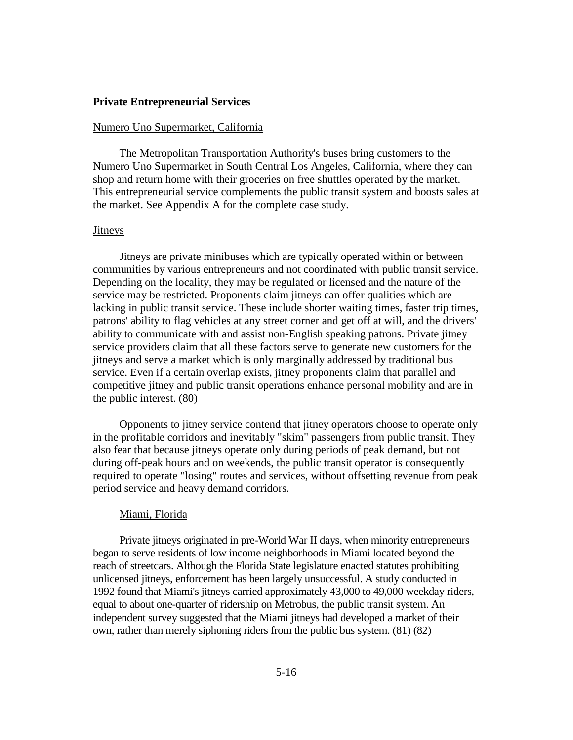## **Private Entrepreneurial Services**

#### Numero Uno Supermarket, California

The Metropolitan Transportation Authority's buses bring customers to the Numero Uno Supermarket in South Central Los Angeles, California, where they can shop and return home with their groceries on free shuttles operated by the market. This entrepreneurial service complements the public transit system and boosts sales at the market. See Appendix A for the complete case study.

# **Jitneys**

Jitneys are private minibuses which are typically operated within or between communities by various entrepreneurs and not coordinated with public transit service. Depending on the locality, they may be regulated or licensed and the nature of the service may be restricted. Proponents claim jitneys can offer qualities which are lacking in public transit service. These include shorter waiting times, faster trip times, patrons' ability to flag vehicles at any street corner and get off at will, and the drivers' ability to communicate with and assist non-English speaking patrons. Private jitney service providers claim that all these factors serve to generate new customers for the jitneys and serve a market which is only marginally addressed by traditional bus service. Even if a certain overlap exists, jitney proponents claim that parallel and competitive jitney and public transit operations enhance personal mobility and are in the public interest. (80)

Opponents to jitney service contend that jitney operators choose to operate only in the profitable corridors and inevitably "skim" passengers from public transit. They also fear that because jitneys operate only during periods of peak demand, but not during off-peak hours and on weekends, the public transit operator is consequently required to operate "losing" routes and services, without offsetting revenue from peak period service and heavy demand corridors.

## Miami, Florida

Private jitneys originated in pre-World War II days, when minority entrepreneurs began to serve residents of low income neighborhoods in Miami located beyond the reach of streetcars. Although the Florida State legislature enacted statutes prohibiting unlicensed jitneys, enforcement has been largely unsuccessful. A study conducted in 1992 found that Miami's jitneys carried approximately 43,000 to 49,000 weekday riders, equal to about one-quarter of ridership on Metrobus, the public transit system. An independent survey suggested that the Miami jitneys had developed a market of their own, rather than merely siphoning riders from the public bus system. (81) (82)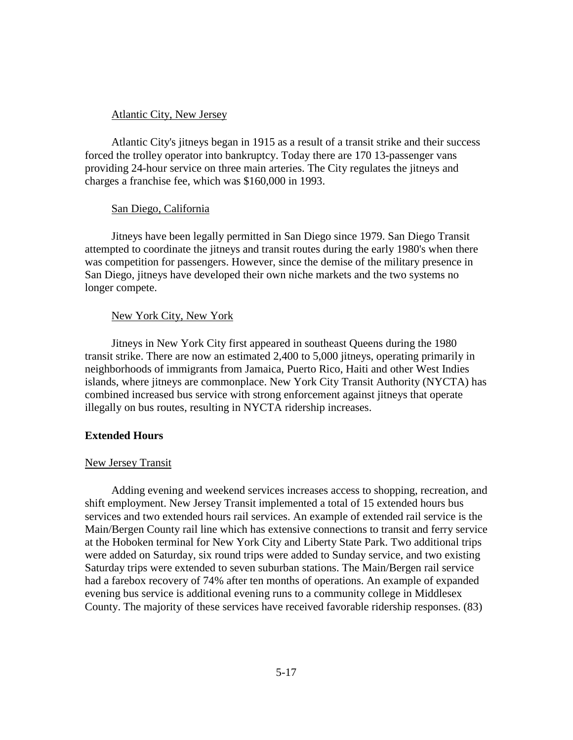## Atlantic City, New Jersey

Atlantic City's jitneys began in 1915 as a result of a transit strike and their success forced the trolley operator into bankruptcy. Today there are 170 13-passenger vans providing 24-hour service on three main arteries. The City regulates the jitneys and charges a franchise fee, which was \$160,000 in 1993.

## San Diego, California

Jitneys have been legally permitted in San Diego since 1979. San Diego Transit attempted to coordinate the jitneys and transit routes during the early 1980's when there was competition for passengers. However, since the demise of the military presence in San Diego, jitneys have developed their own niche markets and the two systems no longer compete.

## New York City, New York

Jitneys in New York City first appeared in southeast Queens during the 1980 transit strike. There are now an estimated 2,400 to 5,000 jitneys, operating primarily in neighborhoods of immigrants from Jamaica, Puerto Rico, Haiti and other West Indies islands, where jitneys are commonplace. New York City Transit Authority (NYCTA) has combined increased bus service with strong enforcement against jitneys that operate illegally on bus routes, resulting in NYCTA ridership increases.

## **Extended Hours**

### New Jersey Transit

Adding evening and weekend services increases access to shopping, recreation, and shift employment. New Jersey Transit implemented a total of 15 extended hours bus services and two extended hours rail services. An example of extended rail service is the Main/Bergen County rail line which has extensive connections to transit and ferry service at the Hoboken terminal for New York City and Liberty State Park. Two additional trips were added on Saturday, six round trips were added to Sunday service, and two existing Saturday trips were extended to seven suburban stations. The Main/Bergen rail service had a farebox recovery of 74% after ten months of operations. An example of expanded evening bus service is additional evening runs to a community college in Middlesex County. The majority of these services have received favorable ridership responses. (83)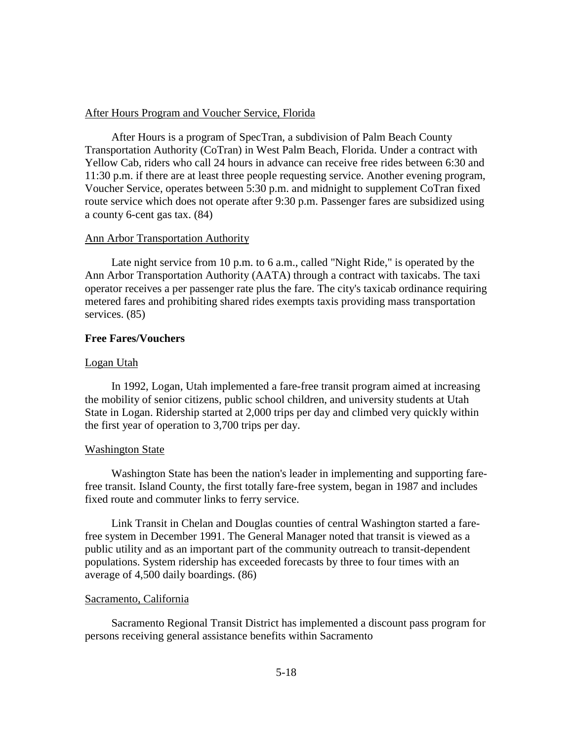## After Hours Program and Voucher Service, Florida

After Hours is a program of SpecTran, a subdivision of Palm Beach County Transportation Authority (CoTran) in West Palm Beach, Florida. Under a contract with Yellow Cab, riders who call 24 hours in advance can receive free rides between 6:30 and 11:30 p.m. if there are at least three people requesting service. Another evening program, Voucher Service, operates between 5:30 p.m. and midnight to supplement CoTran fixed route service which does not operate after 9:30 p.m. Passenger fares are subsidized using a county 6-cent gas tax. (84)

### Ann Arbor Transportation Authority

Late night service from 10 p.m. to 6 a.m., called "Night Ride," is operated by the Ann Arbor Transportation Authority (AATA) through a contract with taxicabs. The taxi operator receives a per passenger rate plus the fare. The city's taxicab ordinance requiring metered fares and prohibiting shared rides exempts taxis providing mass transportation services. (85)

# **Free Fares/Vouchers**

## Logan Utah

In 1992, Logan, Utah implemented a fare-free transit program aimed at increasing the mobility of senior citizens, public school children, and university students at Utah State in Logan. Ridership started at 2,000 trips per day and climbed very quickly within the first year of operation to 3,700 trips per day.

### Washington State

Washington State has been the nation's leader in implementing and supporting farefree transit. Island County, the first totally fare-free system, began in 1987 and includes fixed route and commuter links to ferry service.

Link Transit in Chelan and Douglas counties of central Washington started a farefree system in December 1991. The General Manager noted that transit is viewed as a public utility and as an important part of the community outreach to transit-dependent populations. System ridership has exceeded forecasts by three to four times with an average of 4,500 daily boardings. (86)

## Sacramento, California

Sacramento Regional Transit District has implemented a discount pass program for persons receiving general assistance benefits within Sacramento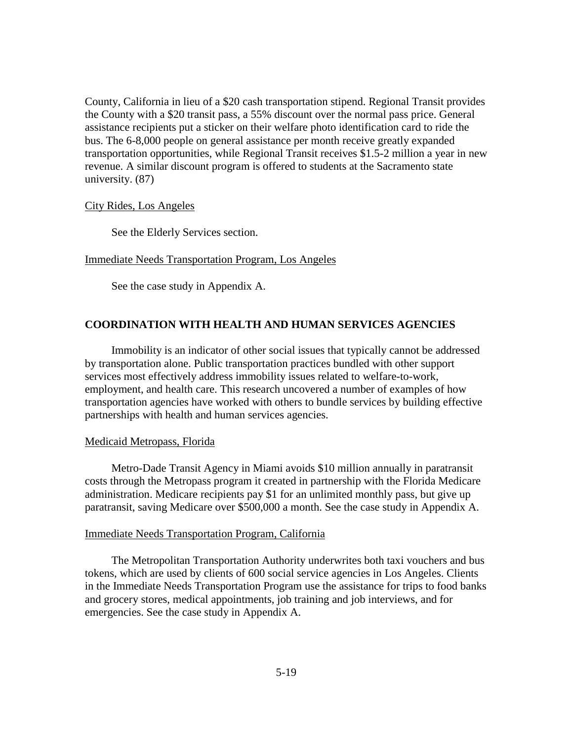County, California in lieu of a \$20 cash transportation stipend. Regional Transit provides the County with a \$20 transit pass, a 55% discount over the normal pass price. General assistance recipients put a sticker on their welfare photo identification card to ride the bus. The 6-8,000 people on general assistance per month receive greatly expanded transportation opportunities, while Regional Transit receives \$1.5-2 million a year in new revenue. A similar discount program is offered to students at the Sacramento state university. (87)

## City Rides, Los Angeles

See the Elderly Services section.

## Immediate Needs Transportation Program, Los Angeles

See the case study in Appendix A.

# **COORDINATION WITH HEALTH AND HUMAN SERVICES AGENCIES**

Immobility is an indicator of other social issues that typically cannot be addressed by transportation alone. Public transportation practices bundled with other support services most effectively address immobility issues related to welfare-to-work, employment, and health care. This research uncovered a number of examples of how transportation agencies have worked with others to bundle services by building effective partnerships with health and human services agencies.

## Medicaid Metropass, Florida

Metro-Dade Transit Agency in Miami avoids \$10 million annually in paratransit costs through the Metropass program it created in partnership with the Florida Medicare administration. Medicare recipients pay \$1 for an unlimited monthly pass, but give up paratransit, saving Medicare over \$500,000 a month. See the case study in Appendix A.

## Immediate Needs Transportation Program, California

The Metropolitan Transportation Authority underwrites both taxi vouchers and bus tokens, which are used by clients of 600 social service agencies in Los Angeles. Clients in the Immediate Needs Transportation Program use the assistance for trips to food banks and grocery stores, medical appointments, job training and job interviews, and for emergencies. See the case study in Appendix A.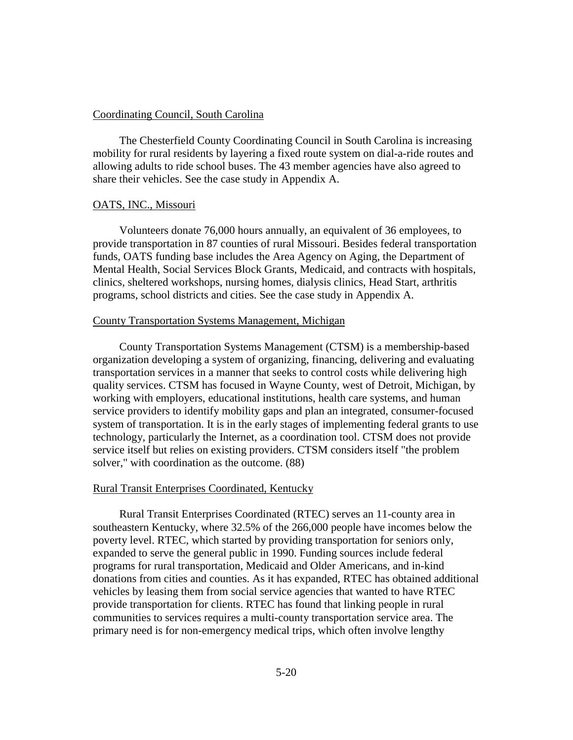## Coordinating Council, South Carolina

The Chesterfield County Coordinating Council in South Carolina is increasing mobility for rural residents by layering a fixed route system on dial-a-ride routes and allowing adults to ride school buses. The 43 member agencies have also agreed to share their vehicles. See the case study in Appendix A.

## OATS, INC., Missouri

Volunteers donate 76,000 hours annually, an equivalent of 36 employees, to provide transportation in 87 counties of rural Missouri. Besides federal transportation funds, OATS funding base includes the Area Agency on Aging, the Department of Mental Health, Social Services Block Grants, Medicaid, and contracts with hospitals, clinics, sheltered workshops, nursing homes, dialysis clinics, Head Start, arthritis programs, school districts and cities. See the case study in Appendix A.

### County Transportation Systems Management, Michigan

County Transportation Systems Management (CTSM) is a membership-based organization developing a system of organizing, financing, delivering and evaluating transportation services in a manner that seeks to control costs while delivering high quality services. CTSM has focused in Wayne County, west of Detroit, Michigan, by working with employers, educational institutions, health care systems, and human service providers to identify mobility gaps and plan an integrated, consumer-focused system of transportation. It is in the early stages of implementing federal grants to use technology, particularly the Internet, as a coordination tool. CTSM does not provide service itself but relies on existing providers. CTSM considers itself "the problem solver," with coordination as the outcome. (88)

## Rural Transit Enterprises Coordinated, Kentucky

Rural Transit Enterprises Coordinated (RTEC) serves an 11-county area in southeastern Kentucky, where 32.5% of the 266,000 people have incomes below the poverty level. RTEC, which started by providing transportation for seniors only, expanded to serve the general public in 1990. Funding sources include federal programs for rural transportation, Medicaid and Older Americans, and in-kind donations from cities and counties. As it has expanded, RTEC has obtained additional vehicles by leasing them from social service agencies that wanted to have RTEC provide transportation for clients. RTEC has found that linking people in rural communities to services requires a multi-county transportation service area. The primary need is for non-emergency medical trips, which often involve lengthy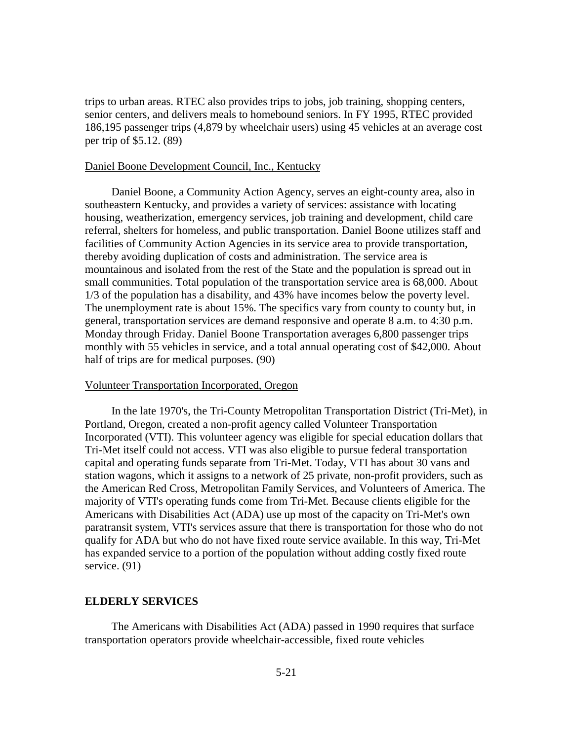trips to urban areas. RTEC also provides trips to jobs, job training, shopping centers, senior centers, and delivers meals to homebound seniors. In FY 1995, RTEC provided 186,195 passenger trips (4,879 by wheelchair users) using 45 vehicles at an average cost per trip of \$5.12. (89)

## Daniel Boone Development Council, Inc., Kentucky

Daniel Boone, a Community Action Agency, serves an eight-county area, also in southeastern Kentucky, and provides a variety of services: assistance with locating housing, weatherization, emergency services, job training and development, child care referral, shelters for homeless, and public transportation. Daniel Boone utilizes staff and facilities of Community Action Agencies in its service area to provide transportation, thereby avoiding duplication of costs and administration. The service area is mountainous and isolated from the rest of the State and the population is spread out in small communities. Total population of the transportation service area is 68,000. About 1/3 of the population has a disability, and 43% have incomes below the poverty level. The unemployment rate is about 15%. The specifics vary from county to county but, in general, transportation services are demand responsive and operate 8 a.m. to 4:30 p.m. Monday through Friday. Daniel Boone Transportation averages 6,800 passenger trips monthly with 55 vehicles in service, and a total annual operating cost of \$42,000. About half of trips are for medical purposes. (90)

### Volunteer Transportation Incorporated, Oregon

In the late 1970's, the Tri-County Metropolitan Transportation District (Tri-Met), in Portland, Oregon, created a non-profit agency called Volunteer Transportation Incorporated (VTI). This volunteer agency was eligible for special education dollars that Tri-Met itself could not access. VTI was also eligible to pursue federal transportation capital and operating funds separate from Tri-Met. Today, VTI has about 30 vans and station wagons, which it assigns to a network of 25 private, non-profit providers, such as the American Red Cross, Metropolitan Family Services, and Volunteers of America. The majority of VTI's operating funds come from Tri-Met. Because clients eligible for the Americans with Disabilities Act (ADA) use up most of the capacity on Tri-Met's own paratransit system, VTI's services assure that there is transportation for those who do not qualify for ADA but who do not have fixed route service available. In this way, Tri-Met has expanded service to a portion of the population without adding costly fixed route service. (91)

## **ELDERLY SERVICES**

The Americans with Disabilities Act (ADA) passed in 1990 requires that surface transportation operators provide wheelchair-accessible, fixed route vehicles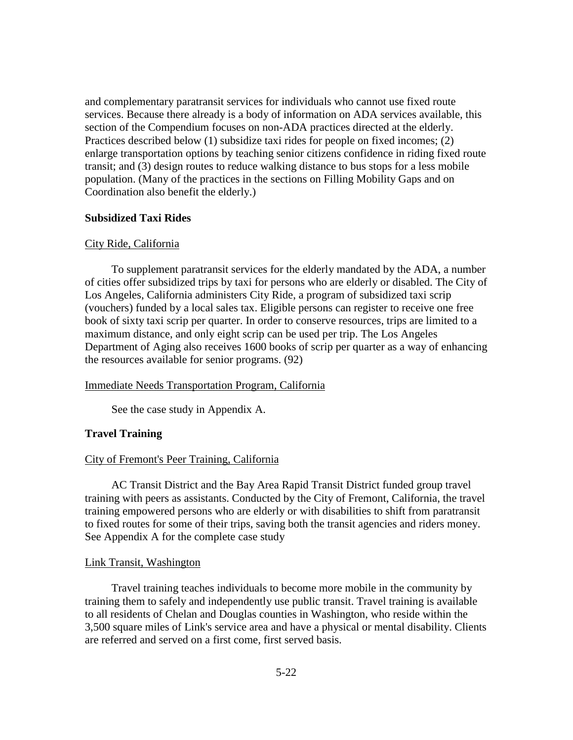and complementary paratransit services for individuals who cannot use fixed route services. Because there already is a body of information on ADA services available, this section of the Compendium focuses on non-ADA practices directed at the elderly. Practices described below (1) subsidize taxi rides for people on fixed incomes; (2) enlarge transportation options by teaching senior citizens confidence in riding fixed route transit; and (3) design routes to reduce walking distance to bus stops for a less mobile population. (Many of the practices in the sections on Filling Mobility Gaps and on Coordination also benefit the elderly.)

## **Subsidized Taxi Rides**

## City Ride, California

To supplement paratransit services for the elderly mandated by the ADA, a number of cities offer subsidized trips by taxi for persons who are elderly or disabled. The City of Los Angeles, California administers City Ride, a program of subsidized taxi scrip (vouchers) funded by a local sales tax. Eligible persons can register to receive one free book of sixty taxi scrip per quarter. In order to conserve resources, trips are limited to a maximum distance, and only eight scrip can be used per trip. The Los Angeles Department of Aging also receives 1600 books of scrip per quarter as a way of enhancing the resources available for senior programs. (92)

## Immediate Needs Transportation Program, California

See the case study in Appendix A.

## **Travel Training**

## City of Fremont's Peer Training, California

AC Transit District and the Bay Area Rapid Transit District funded group travel training with peers as assistants. Conducted by the City of Fremont, California, the travel training empowered persons who are elderly or with disabilities to shift from paratransit to fixed routes for some of their trips, saving both the transit agencies and riders money. See Appendix A for the complete case study

### Link Transit, Washington

Travel training teaches individuals to become more mobile in the community by training them to safely and independently use public transit. Travel training is available to all residents of Chelan and Douglas counties in Washington, who reside within the 3,500 square miles of Link's service area and have a physical or mental disability. Clients are referred and served on a first come, first served basis.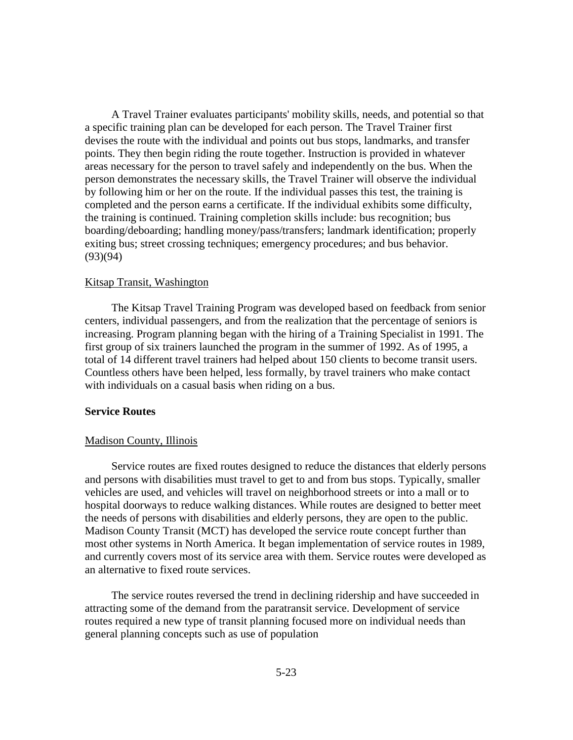A Travel Trainer evaluates participants' mobility skills, needs, and potential so that a specific training plan can be developed for each person. The Travel Trainer first devises the route with the individual and points out bus stops, landmarks, and transfer points. They then begin riding the route together. Instruction is provided in whatever areas necessary for the person to travel safely and independently on the bus. When the person demonstrates the necessary skills, the Travel Trainer will observe the individual by following him or her on the route. If the individual passes this test, the training is completed and the person earns a certificate. If the individual exhibits some difficulty, the training is continued. Training completion skills include: bus recognition; bus boarding/deboarding; handling money/pass/transfers; landmark identification; properly exiting bus; street crossing techniques; emergency procedures; and bus behavior. (93)(94)

## Kitsap Transit, Washington

The Kitsap Travel Training Program was developed based on feedback from senior centers, individual passengers, and from the realization that the percentage of seniors is increasing. Program planning began with the hiring of a Training Specialist in 1991. The first group of six trainers launched the program in the summer of 1992. As of 1995, a total of 14 different travel trainers had helped about 150 clients to become transit users. Countless others have been helped, less formally, by travel trainers who make contact with individuals on a casual basis when riding on a bus.

## **Service Routes**

# Madison County, Illinois

Service routes are fixed routes designed to reduce the distances that elderly persons and persons with disabilities must travel to get to and from bus stops. Typically, smaller vehicles are used, and vehicles will travel on neighborhood streets or into a mall or to hospital doorways to reduce walking distances. While routes are designed to better meet the needs of persons with disabilities and elderly persons, they are open to the public. Madison County Transit (MCT) has developed the service route concept further than most other systems in North America. It began implementation of service routes in 1989, and currently covers most of its service area with them. Service routes were developed as an alternative to fixed route services.

The service routes reversed the trend in declining ridership and have succeeded in attracting some of the demand from the paratransit service. Development of service routes required a new type of transit planning focused more on individual needs than general planning concepts such as use of population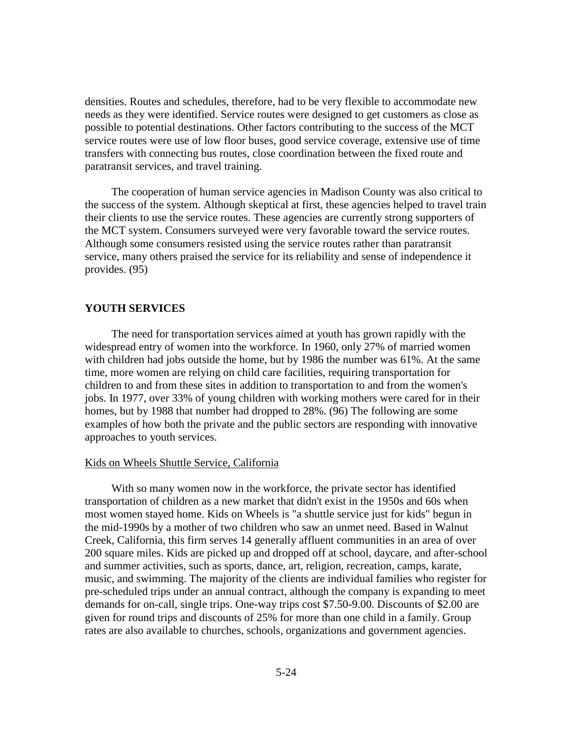densities. Routes and schedules, therefore, had to be very flexible to accommodate new needs as they were identified. Service routes were designed to get customers as close as possible to potential destinations. Other factors contributing to the success of the MCT service routes were use of low floor buses, good service coverage, extensive use of time transfers with connecting bus routes, close coordination between the fixed route and paratransit services, and travel training.

The cooperation of human service agencies in Madison County was also critical to the success of the system. Although skeptical at first, these agencies helped to travel train their clients to use the service routes. These agencies are currently strong supporters of the MCT system. Consumers surveyed were very favorable toward the service routes. Although some consumers resisted using the service routes rather than paratransit service, many others praised the service for its reliability and sense of independence it provides. (95)

# **YOUTH SERVICES**

The need for transportation services aimed at youth has grown rapidly with the widespread entry of women into the workforce. In 1960, only 27% of married women with children had jobs outside the home, but by 1986 the number was 61%. At the same time, more women are relying on child care facilities, requiring transportation for children to and from these sites in addition to transportation to and from the women's jobs. In 1977, over 33% of young children with working mothers were cared for in their homes, but by 1988 that number had dropped to 28%. (96) The following are some examples of how both the private and the public sectors are responding with innovative approaches to youth services.

#### Kids on Wheels Shuttle Service, California

With so many women now in the workforce, the private sector has identified transportation of children as a new market that didn't exist in the 1950s and 60s when most women stayed home. Kids on Wheels is "a shuttle service just for kids" begun in the mid-1990s by a mother of two children who saw an unmet need. Based in Walnut Creek, California, this firm serves 14 generally affluent communities in an area of over 200 square miles. Kids are picked up and dropped off at school, daycare, and after-school and summer activities, such as sports, dance, art, religion, recreation, camps, karate, music, and swimming. The majority of the clients are individual families who register for pre-scheduled trips under an annual contract, although the company is expanding to meet demands for on-call, single trips. One-way trips cost \$7.50-9.00. Discounts of \$2.00 are given for round trips and discounts of 25% for more than one child in a family. Group rates are also available to churches, schools, organizations and government agencies.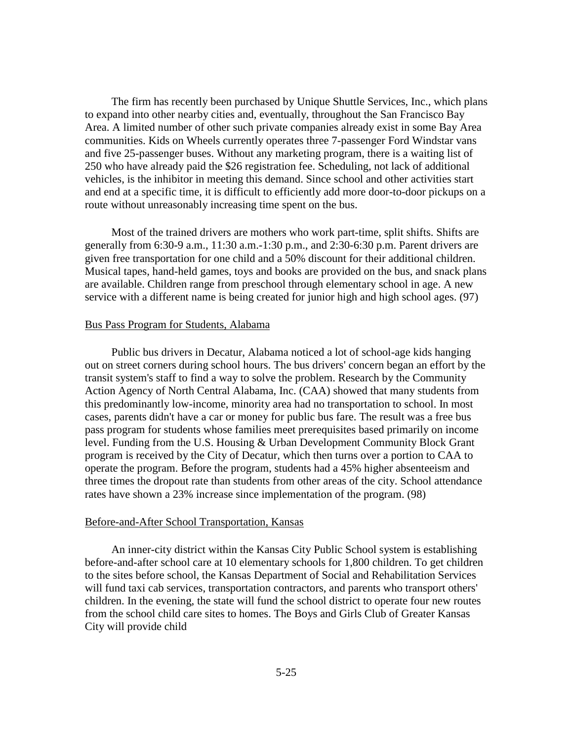The firm has recently been purchased by Unique Shuttle Services, Inc., which plans to expand into other nearby cities and, eventually, throughout the San Francisco Bay Area. A limited number of other such private companies already exist in some Bay Area communities. Kids on Wheels currently operates three 7-passenger Ford Windstar vans and five 25-passenger buses. Without any marketing program, there is a waiting list of 250 who have already paid the \$26 registration fee. Scheduling, not lack of additional vehicles, is the inhibitor in meeting this demand. Since school and other activities start and end at a specific time, it is difficult to efficiently add more door-to-door pickups on a route without unreasonably increasing time spent on the bus.

Most of the trained drivers are mothers who work part-time, split shifts. Shifts are generally from 6:30-9 a.m., 11:30 a.m.-1:30 p.m., and 2:30-6:30 p.m. Parent drivers are given free transportation for one child and a 50% discount for their additional children. Musical tapes, hand-held games, toys and books are provided on the bus, and snack plans are available. Children range from preschool through elementary school in age. A new service with a different name is being created for junior high and high school ages. (97)

#### Bus Pass Program for Students, Alabama

Public bus drivers in Decatur, Alabama noticed a lot of school-age kids hanging out on street corners during school hours. The bus drivers' concern began an effort by the transit system's staff to find a way to solve the problem. Research by the Community Action Agency of North Central Alabama, Inc. (CAA) showed that many students from this predominantly low-income, minority area had no transportation to school. In most cases, parents didn't have a car or money for public bus fare. The result was a free bus pass program for students whose families meet prerequisites based primarily on income level. Funding from the U.S. Housing & Urban Development Community Block Grant program is received by the City of Decatur, which then turns over a portion to CAA to operate the program. Before the program, students had a 45% higher absenteeism and three times the dropout rate than students from other areas of the city. School attendance rates have shown a 23% increase since implementation of the program. (98)

#### Before-and-After School Transportation, Kansas

An inner-city district within the Kansas City Public School system is establishing before-and-after school care at 10 elementary schools for 1,800 children. To get children to the sites before school, the Kansas Department of Social and Rehabilitation Services will fund taxi cab services, transportation contractors, and parents who transport others' children. In the evening, the state will fund the school district to operate four new routes from the school child care sites to homes. The Boys and Girls Club of Greater Kansas City will provide child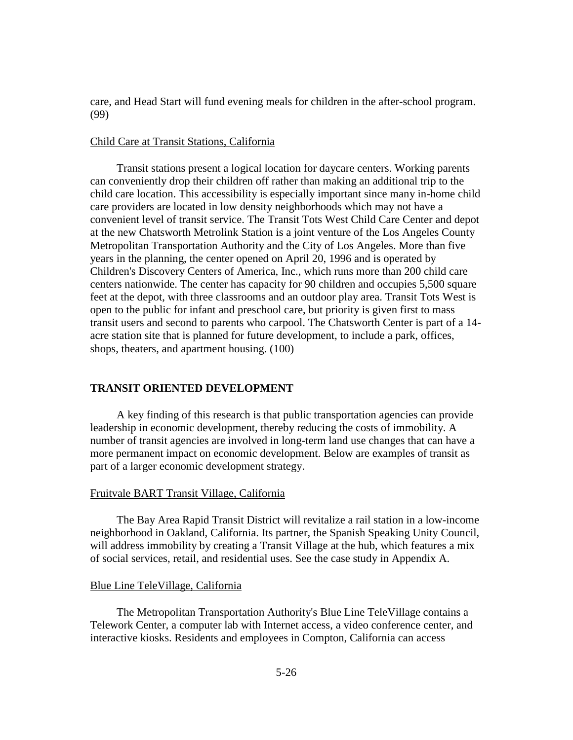care, and Head Start will fund evening meals for children in the after-school program. (99)

#### Child Care at Transit Stations, California

Transit stations present a logical location for daycare centers. Working parents can conveniently drop their children off rather than making an additional trip to the child care location. This accessibility is especially important since many in-home child care providers are located in low density neighborhoods which may not have a convenient level of transit service. The Transit Tots West Child Care Center and depot at the new Chatsworth Metrolink Station is a joint venture of the Los Angeles County Metropolitan Transportation Authority and the City of Los Angeles. More than five years in the planning, the center opened on April 20, 1996 and is operated by Children's Discovery Centers of America, Inc., which runs more than 200 child care centers nationwide. The center has capacity for 90 children and occupies 5,500 square feet at the depot, with three classrooms and an outdoor play area. Transit Tots West is open to the public for infant and preschool care, but priority is given first to mass transit users and second to parents who carpool. The Chatsworth Center is part of a 14 acre station site that is planned for future development, to include a park, offices, shops, theaters, and apartment housing. (100)

#### **TRANSIT ORIENTED DEVELOPMENT**

A key finding of this research is that public transportation agencies can provide leadership in economic development, thereby reducing the costs of immobility. A number of transit agencies are involved in long-term land use changes that can have a more permanent impact on economic development. Below are examples of transit as part of a larger economic development strategy.

#### Fruitvale BART Transit Village, California

The Bay Area Rapid Transit District will revitalize a rail station in a low-income neighborhood in Oakland, California. Its partner, the Spanish Speaking Unity Council, will address immobility by creating a Transit Village at the hub, which features a mix of social services, retail, and residential uses. See the case study in Appendix A.

#### Blue Line TeleVillage, California

The Metropolitan Transportation Authority's Blue Line TeleVillage contains a Telework Center, a computer lab with Internet access, a video conference center, and interactive kiosks. Residents and employees in Compton, California can access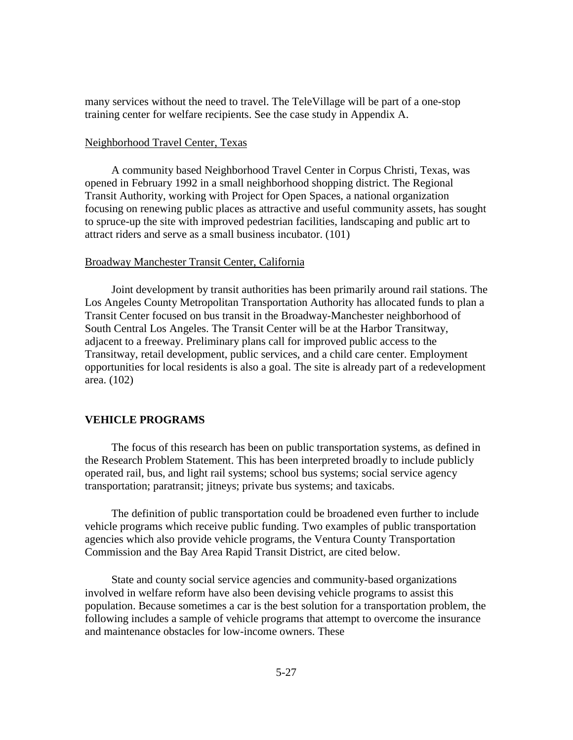many services without the need to travel. The TeleVillage will be part of a one-stop training center for welfare recipients. See the case study in Appendix A.

#### Neighborhood Travel Center, Texas

A community based Neighborhood Travel Center in Corpus Christi, Texas, was opened in February 1992 in a small neighborhood shopping district. The Regional Transit Authority, working with Project for Open Spaces, a national organization focusing on renewing public places as attractive and useful community assets, has sought to spruce-up the site with improved pedestrian facilities, landscaping and public art to attract riders and serve as a small business incubator. (101)

#### Broadway Manchester Transit Center, California

Joint development by transit authorities has been primarily around rail stations. The Los Angeles County Metropolitan Transportation Authority has allocated funds to plan a Transit Center focused on bus transit in the Broadway-Manchester neighborhood of South Central Los Angeles. The Transit Center will be at the Harbor Transitway, adjacent to a freeway. Preliminary plans call for improved public access to the Transitway, retail development, public services, and a child care center. Employment opportunities for local residents is also a goal. The site is already part of a redevelopment area. (102)

#### **VEHICLE PROGRAMS**

The focus of this research has been on public transportation systems, as defined in the Research Problem Statement. This has been interpreted broadly to include publicly operated rail, bus, and light rail systems; school bus systems; social service agency transportation; paratransit; jitneys; private bus systems; and taxicabs.

The definition of public transportation could be broadened even further to include vehicle programs which receive public funding. Two examples of public transportation agencies which also provide vehicle programs, the Ventura County Transportation Commission and the Bay Area Rapid Transit District, are cited below.

State and county social service agencies and community-based organizations involved in welfare reform have also been devising vehicle programs to assist this population. Because sometimes a car is the best solution for a transportation problem, the following includes a sample of vehicle programs that attempt to overcome the insurance and maintenance obstacles for low-income owners. These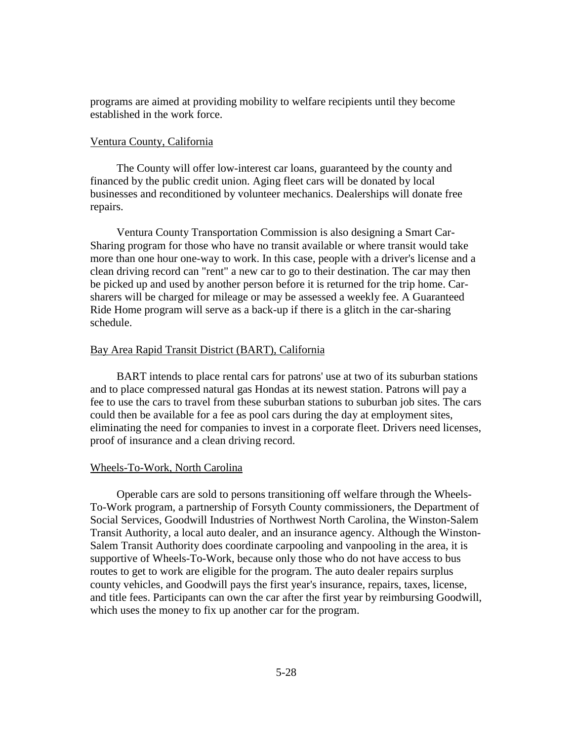programs are aimed at providing mobility to welfare recipients until they become established in the work force.

### Ventura County, California

The County will offer low-interest car loans, guaranteed by the county and financed by the public credit union. Aging fleet cars will be donated by local businesses and reconditioned by volunteer mechanics. Dealerships will donate free repairs.

Ventura County Transportation Commission is also designing a Smart Car-Sharing program for those who have no transit available or where transit would take more than one hour one-way to work. In this case, people with a driver's license and a clean driving record can "rent" a new car to go to their destination. The car may then be picked up and used by another person before it is returned for the trip home. Carsharers will be charged for mileage or may be assessed a weekly fee. A Guaranteed Ride Home program will serve as a back-up if there is a glitch in the car-sharing schedule.

#### Bay Area Rapid Transit District (BART), California

BART intends to place rental cars for patrons' use at two of its suburban stations and to place compressed natural gas Hondas at its newest station. Patrons will pay a fee to use the cars to travel from these suburban stations to suburban job sites. The cars could then be available for a fee as pool cars during the day at employment sites, eliminating the need for companies to invest in a corporate fleet. Drivers need licenses, proof of insurance and a clean driving record.

#### Wheels-To-Work, North Carolina

Operable cars are sold to persons transitioning off welfare through the Wheels-To-Work program, a partnership of Forsyth County commissioners, the Department of Social Services, Goodwill Industries of Northwest North Carolina, the Winston-Salem Transit Authority, a local auto dealer, and an insurance agency. Although the Winston-Salem Transit Authority does coordinate carpooling and vanpooling in the area, it is supportive of Wheels-To-Work, because only those who do not have access to bus routes to get to work are eligible for the program. The auto dealer repairs surplus county vehicles, and Goodwill pays the first year's insurance, repairs, taxes, license, and title fees. Participants can own the car after the first year by reimbursing Goodwill, which uses the money to fix up another car for the program.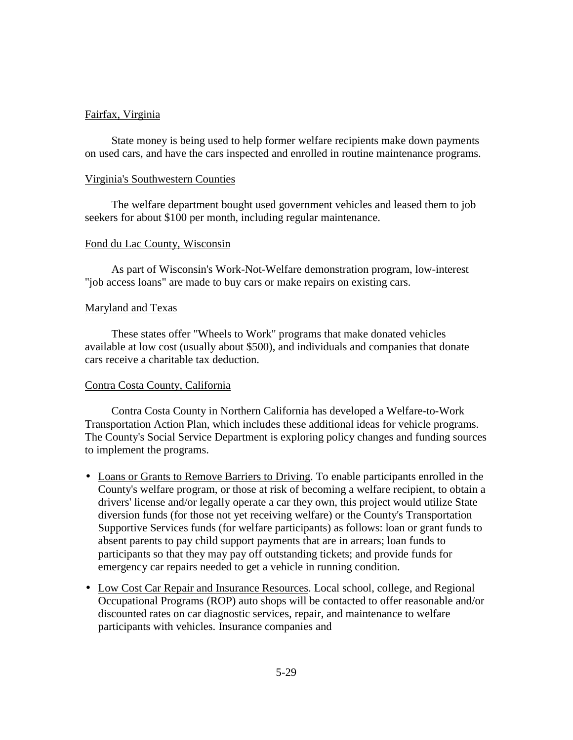## Fairfax, Virginia

State money is being used to help former welfare recipients make down payments on used cars, and have the cars inspected and enrolled in routine maintenance programs.

## Virginia's Southwestern Counties

The welfare department bought used government vehicles and leased them to job seekers for about \$100 per month, including regular maintenance.

## Fond du Lac County, Wisconsin

As part of Wisconsin's Work-Not-Welfare demonstration program, low-interest "job access loans" are made to buy cars or make repairs on existing cars.

## Maryland and Texas

These states offer "Wheels to Work" programs that make donated vehicles available at low cost (usually about \$500), and individuals and companies that donate cars receive a charitable tax deduction.

## Contra Costa County, California

Contra Costa County in Northern California has developed a Welfare-to-Work Transportation Action Plan, which includes these additional ideas for vehicle programs. The County's Social Service Department is exploring policy changes and funding sources to implement the programs.

- Loans or Grants to Remove Barriers to Driving. To enable participants enrolled in the County's welfare program, or those at risk of becoming a welfare recipient, to obtain a drivers' license and/or legally operate a car they own, this project would utilize State diversion funds (for those not yet receiving welfare) or the County's Transportation Supportive Services funds (for welfare participants) as follows: loan or grant funds to absent parents to pay child support payments that are in arrears; loan funds to participants so that they may pay off outstanding tickets; and provide funds for emergency car repairs needed to get a vehicle in running condition.
- Low Cost Car Repair and Insurance Resources. Local school, college, and Regional Occupational Programs (ROP) auto shops will be contacted to offer reasonable and/or discounted rates on car diagnostic services, repair, and maintenance to welfare participants with vehicles. Insurance companies and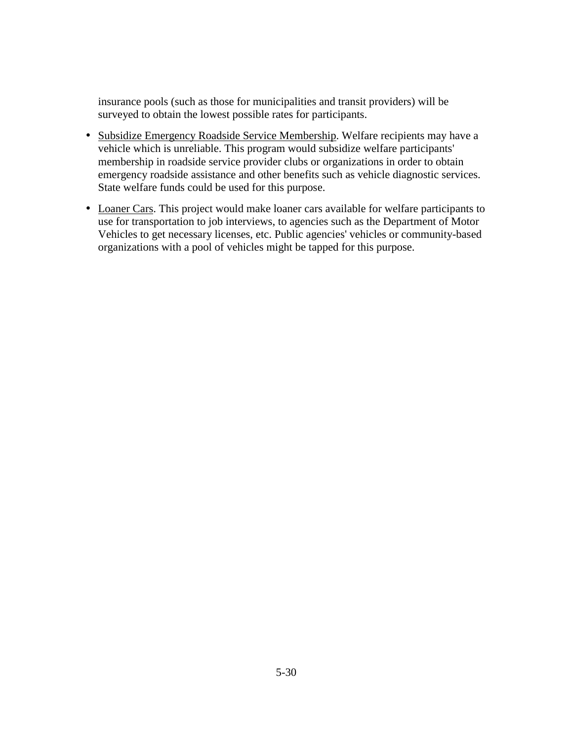insurance pools (such as those for municipalities and transit providers) will be surveyed to obtain the lowest possible rates for participants.

- Subsidize Emergency Roadside Service Membership. Welfare recipients may have a vehicle which is unreliable. This program would subsidize welfare participants' membership in roadside service provider clubs or organizations in order to obtain emergency roadside assistance and other benefits such as vehicle diagnostic services. State welfare funds could be used for this purpose.
- Loaner Cars. This project would make loaner cars available for welfare participants to use for transportation to job interviews, to agencies such as the Department of Motor Vehicles to get necessary licenses, etc. Public agencies' vehicles or community-based organizations with a pool of vehicles might be tapped for this purpose.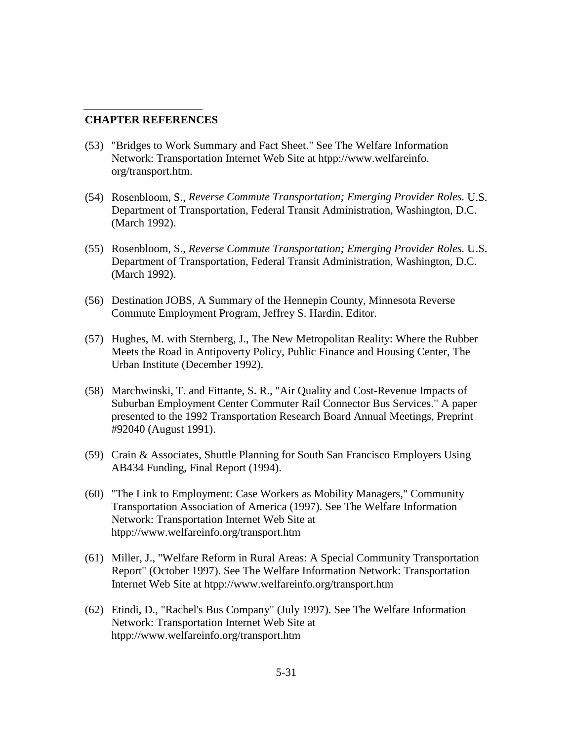#### **CHAPTER REFERENCES**

- (53) "Bridges to Work Summary and Fact Sheet." See The Welfare Information Network: Transportation Internet Web Site at htpp://www.welfareinfo. org/transport.htm.
- (54) Rosenbloom, S., *Reverse Commute Transportation; Emerging Provider Roles.* U.S. Department of Transportation, Federal Transit Administration, Washington, D.C. (March 1992).
- (55) Rosenbloom, S., *Reverse Commute Transportation; Emerging Provider Roles.* U.S. Department of Transportation, Federal Transit Administration, Washington, D.C. (March 1992).
- (56) Destination JOBS, A Summary of the Hennepin County, Minnesota Reverse Commute Employment Program, Jeffrey S. Hardin, Editor.
- (57) Hughes, M. with Sternberg, J., The New Metropolitan Reality: Where the Rubber Meets the Road in Antipoverty Policy, Public Finance and Housing Center, The Urban Institute (December 1992).
- (58) Marchwinski, T. and Fittante, S. R., "Air Quality and Cost-Revenue Impacts of Suburban Employment Center Commuter Rail Connector Bus Services." A paper presented to the 1992 Transportation Research Board Annual Meetings, Preprint #92040 (August 1991).
- (59) Crain & Associates, Shuttle Planning for South San Francisco Employers Using AB434 Funding, Final Report (1994).
- (60) "The Link to Employment: Case Workers as Mobility Managers," Community Transportation Association of America (1997). See The Welfare Information Network: Transportation Internet Web Site at htpp://www.welfareinfo.org/transport.htm
- (61) Miller, J., "Welfare Reform in Rural Areas: A Special Community Transportation Report" (October 1997). See The Welfare Information Network: Transportation Internet Web Site at htpp://www.welfareinfo.org/transport.htm
- (62) Etindi, D., "Rachel's Bus Company" (July 1997). See The Welfare Information Network: Transportation Internet Web Site at htpp://www.welfareinfo.org/transport.htm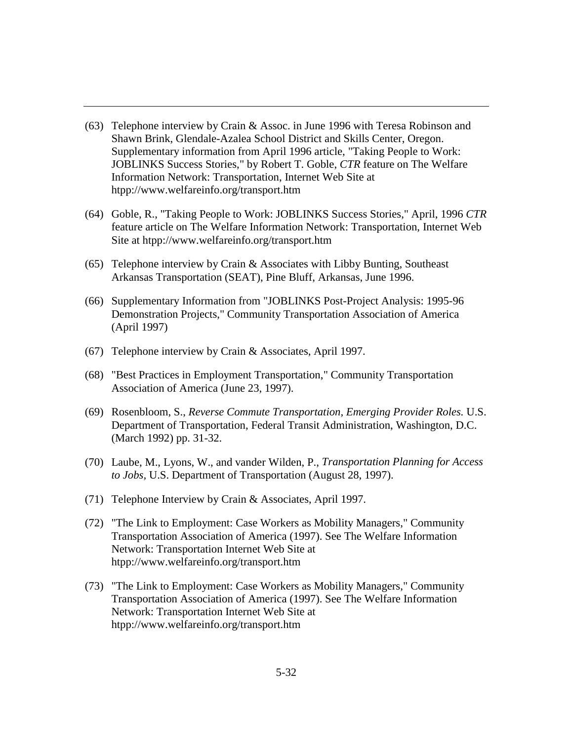- (63) Telephone interview by Crain & Assoc. in June 1996 with Teresa Robinson and Shawn Brink, Glendale-Azalea School District and Skills Center, Oregon. Supplementary information from April 1996 article, "Taking People to Work: JOBLINKS Success Stories," by Robert T. Goble, *CTR* feature on The Welfare Information Network: Transportation, Internet Web Site at htpp://www.welfareinfo.org/transport.htm
- (64) Goble, R., "Taking People to Work: JOBLINKS Success Stories," April, 1996 *CTR* feature article on The Welfare Information Network: Transportation, Internet Web Site at htpp://www.welfareinfo.org/transport.htm
- (65) Telephone interview by Crain & Associates with Libby Bunting, Southeast Arkansas Transportation (SEAT), Pine Bluff, Arkansas, June 1996.
- (66) Supplementary Information from "JOBLINKS Post-Project Analysis: 1995-96 Demonstration Projects," Community Transportation Association of America (April 1997)
- (67) Telephone interview by Crain & Associates, April 1997.
- (68) "Best Practices in Employment Transportation," Community Transportation Association of America (June 23, 1997).
- (69) Rosenbloom, S., *Reverse Commute Transportation, Emerging Provider Roles.* U.S. Department of Transportation, Federal Transit Administration, Washington, D.C. (March 1992) pp. 31-32.
- (70) Laube, M., Lyons, W., and vander Wilden, P., *Transportation Planning for Access to Jobs,* U.S. Department of Transportation (August 28, 1997).
- (71) Telephone Interview by Crain & Associates, April 1997.
- (72) "The Link to Employment: Case Workers as Mobility Managers," Community Transportation Association of America (1997). See The Welfare Information Network: Transportation Internet Web Site at htpp://www.welfareinfo.org/transport.htm
- (73) "The Link to Employment: Case Workers as Mobility Managers," Community Transportation Association of America (1997). See The Welfare Information Network: Transportation Internet Web Site at htpp://www.welfareinfo.org/transport.htm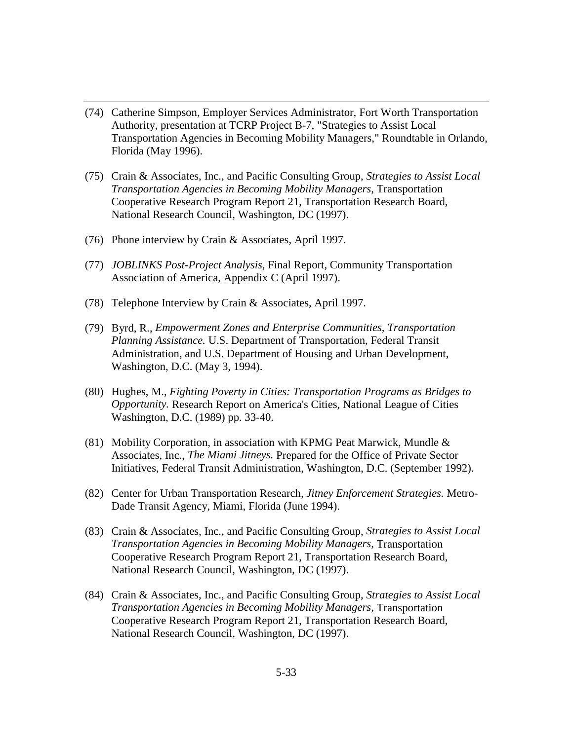- (74) Catherine Simpson, Employer Services Administrator, Fort Worth Transportation Authority, presentation at TCRP Project B-7, "Strategies to Assist Local Transportation Agencies in Becoming Mobility Managers," Roundtable in Orlando, Florida (May 1996).
- (75) Crain & Associates, Inc., and Pacific Consulting Group, *Strategies to Assist Local Transportation Agencies in Becoming Mobility Managers,* Transportation Cooperative Research Program Report 21, Transportation Research Board, National Research Council, Washington, DC (1997).
- (76) Phone interview by Crain & Associates, April 1997.
- (77) *JOBLINKS Post-Project Analysis*, Final Report, Community Transportation Association of America, Appendix C (April 1997).
- (78) Telephone Interview by Crain & Associates, April 1997.
- (79) Byrd, R., *Empowerment Zones and Enterprise Communities, Transportation Planning Assistance.* U.S. Department of Transportation, Federal Transit Administration, and U.S. Department of Housing and Urban Development, Washington, D.C. (May 3, 1994).
- (80) Hughes, M., *Fighting Poverty in Cities: Transportation Programs as Bridges to Opportunity.* Research Report on America's Cities, National League of Cities Washington, D.C. (1989) pp. 33-40.
- (81) Mobility Corporation, in association with KPMG Peat Marwick, Mundle & Associates, Inc., *The Miami Jitneys.* Prepared for the Office of Private Sector Initiatives, Federal Transit Administration, Washington, D.C. (September 1992).
- (82) Center for Urban Transportation Research, *Jitney Enforcement Strategies.* Metro-Dade Transit Agency, Miami, Florida (June 1994).
- (83) Crain & Associates, Inc., and Pacific Consulting Group, *Strategies to Assist Local Transportation Agencies in Becoming Mobility Managers,* Transportation Cooperative Research Program Report 21, Transportation Research Board, National Research Council, Washington, DC (1997).
- (84) Crain & Associates, Inc., and Pacific Consulting Group, *Strategies to Assist Local Transportation Agencies in Becoming Mobility Managers,* Transportation Cooperative Research Program Report 21, Transportation Research Board, National Research Council, Washington, DC (1997).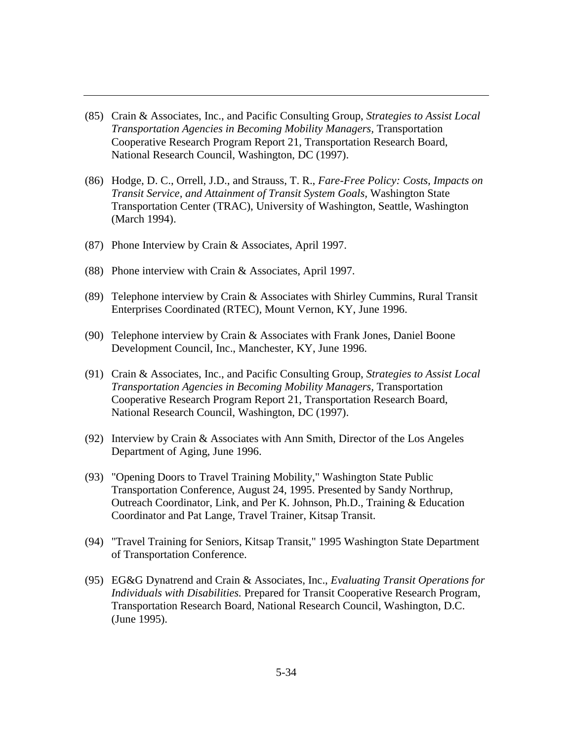- (85) Crain & Associates, Inc., and Pacific Consulting Group, *Strategies to Assist Local Transportation Agencies in Becoming Mobility Managers,* Transportation Cooperative Research Program Report 21, Transportation Research Board, National Research Council, Washington, DC (1997).
- (86) Hodge, D. C., Orrell, J.D., and Strauss, T. R., *Fare-Free Policy: Costs, Impacts on Transit Service, and Attainment of Transit System Goals,* Washington State Transportation Center (TRAC), University of Washington, Seattle, Washington (March 1994).
- (87) Phone Interview by Crain & Associates, April 1997.
- (88) Phone interview with Crain & Associates, April 1997.
- (89) Telephone interview by Crain & Associates with Shirley Cummins, Rural Transit Enterprises Coordinated (RTEC), Mount Vernon, KY, June 1996.
- (90) Telephone interview by Crain & Associates with Frank Jones, Daniel Boone Development Council, Inc., Manchester, KY, June 1996.
- (91) Crain & Associates, Inc., and Pacific Consulting Group, *Strategies to Assist Local Transportation Agencies in Becoming Mobility Managers,* Transportation Cooperative Research Program Report 21, Transportation Research Board, National Research Council, Washington, DC (1997).
- (92) Interview by Crain & Associates with Ann Smith, Director of the Los Angeles Department of Aging, June 1996.
- (93) "Opening Doors to Travel Training Mobility," Washington State Public Transportation Conference, August 24, 1995. Presented by Sandy Northrup, Outreach Coordinator, Link, and Per K. Johnson, Ph.D., Training & Education Coordinator and Pat Lange, Travel Trainer, Kitsap Transit.
- (94) "Travel Training for Seniors, Kitsap Transit," 1995 Washington State Department of Transportation Conference.
- (95) EG&G Dynatrend and Crain & Associates, Inc., *Evaluating Transit Operations for Individuals with Disabilities.* Prepared for Transit Cooperative Research Program, Transportation Research Board, National Research Council, Washington, D.C. (June 1995).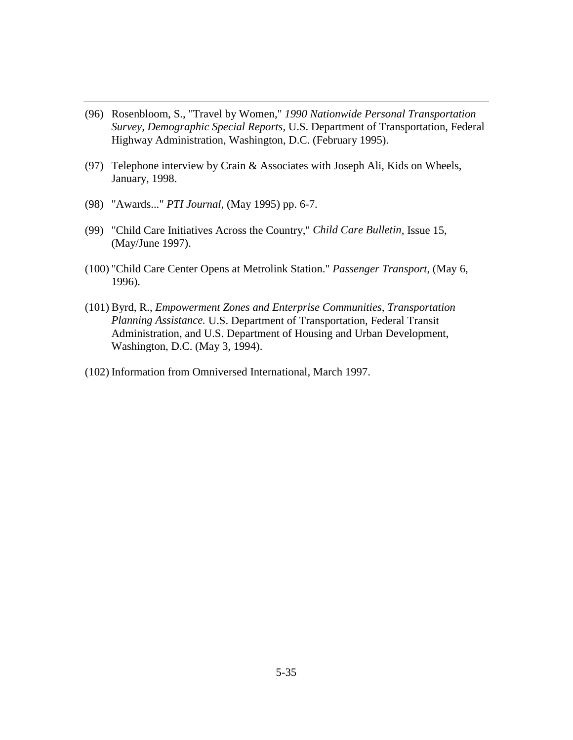- (96) Rosenbloom, S., "Travel by Women," *1990 Nationwide Personal Transportation Survey, Demographic Special Reports,* U.S. Department of Transportation, Federal Highway Administration, Washington, D.C. (February 1995).
- (97) Telephone interview by Crain & Associates with Joseph Ali, Kids on Wheels, January, 1998.
- (98) "Awards..." *PTI Journal*, (May 1995) pp. 6-7.
- (99) "Child Care Initiatives Across the Country," *Child Care Bulletin*, Issue 15, (May/June 1997).
- (100) "Child Care Center Opens at Metrolink Station." *Passenger Transport*, (May 6, 1996).
- (101) Byrd, R., *Empowerment Zones and Enterprise Communities, Transportation Planning Assistance.* U.S. Department of Transportation, Federal Transit Administration, and U.S. Department of Housing and Urban Development, Washington, D.C. (May 3, 1994).
- (102) Information from Omniversed International, March 1997.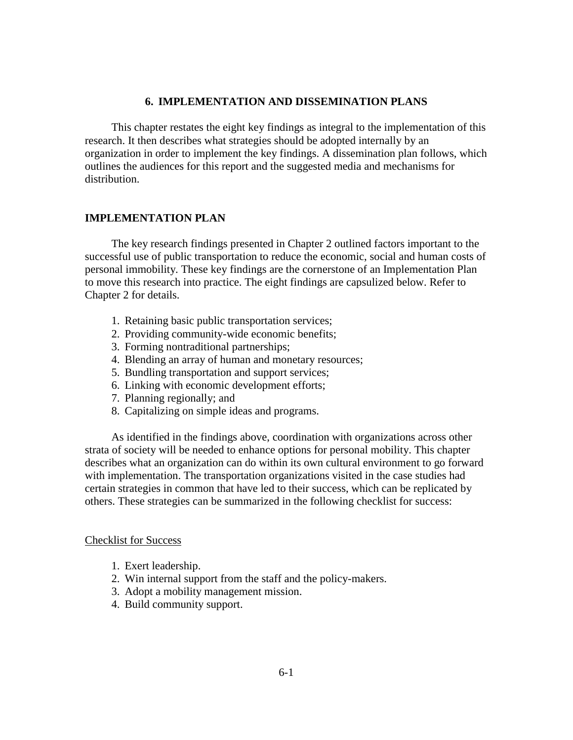#### **6. IMPLEMENTATION AND DISSEMINATION PLANS**

This chapter restates the eight key findings as integral to the implementation of this research. It then describes what strategies should be adopted internally by an organization in order to implement the key findings. A dissemination plan follows, which outlines the audiences for this report and the suggested media and mechanisms for distribution.

### **IMPLEMENTATION PLAN**

The key research findings presented in Chapter 2 outlined factors important to the successful use of public transportation to reduce the economic, social and human costs of personal immobility. These key findings are the cornerstone of an Implementation Plan to move this research into practice. The eight findings are capsulized below. Refer to Chapter 2 for details.

- 1. Retaining basic public transportation services;
- 2. Providing community-wide economic benefits;
- 3. Forming nontraditional partnerships;
- 4. Blending an array of human and monetary resources;
- 5. Bundling transportation and support services;
- 6. Linking with economic development efforts;
- 7. Planning regionally; and
- 8. Capitalizing on simple ideas and programs.

As identified in the findings above, coordination with organizations across other strata of society will be needed to enhance options for personal mobility. This chapter describes what an organization can do within its own cultural environment to go forward with implementation. The transportation organizations visited in the case studies had certain strategies in common that have led to their success, which can be replicated by others. These strategies can be summarized in the following checklist for success:

#### Checklist for Success

- 1. Exert leadership.
- 2. Win internal support from the staff and the policy-makers.
- 3. Adopt a mobility management mission.
- 4. Build community support.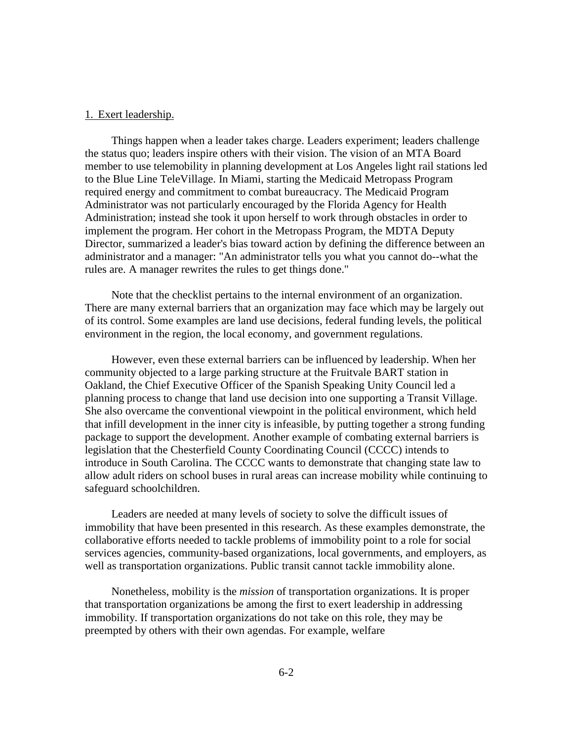#### 1. Exert leadership.

Things happen when a leader takes charge. Leaders experiment; leaders challenge the status quo; leaders inspire others with their vision. The vision of an MTA Board member to use telemobility in planning development at Los Angeles light rail stations led to the Blue Line TeleVillage. In Miami, starting the Medicaid Metropass Program required energy and commitment to combat bureaucracy. The Medicaid Program Administrator was not particularly encouraged by the Florida Agency for Health Administration; instead she took it upon herself to work through obstacles in order to implement the program. Her cohort in the Metropass Program, the MDTA Deputy Director, summarized a leader's bias toward action by defining the difference between an administrator and a manager: "An administrator tells you what you cannot do--what the rules are. A manager rewrites the rules to get things done."

Note that the checklist pertains to the internal environment of an organization. There are many external barriers that an organization may face which may be largely out of its control. Some examples are land use decisions, federal funding levels, the political environment in the region, the local economy, and government regulations.

However, even these external barriers can be influenced by leadership. When her community objected to a large parking structure at the Fruitvale BART station in Oakland, the Chief Executive Officer of the Spanish Speaking Unity Council led a planning process to change that land use decision into one supporting a Transit Village. She also overcame the conventional viewpoint in the political environment, which held that infill development in the inner city is infeasible, by putting together a strong funding package to support the development. Another example of combating external barriers is legislation that the Chesterfield County Coordinating Council (CCCC) intends to introduce in South Carolina. The CCCC wants to demonstrate that changing state law to allow adult riders on school buses in rural areas can increase mobility while continuing to safeguard schoolchildren.

Leaders are needed at many levels of society to solve the difficult issues of immobility that have been presented in this research. As these examples demonstrate, the collaborative efforts needed to tackle problems of immobility point to a role for social services agencies, community-based organizations, local governments, and employers, as well as transportation organizations. Public transit cannot tackle immobility alone.

Nonetheless, mobility is the *mission* of transportation organizations. It is proper that transportation organizations be among the first to exert leadership in addressing immobility. If transportation organizations do not take on this role, they may be preempted by others with their own agendas. For example, welfare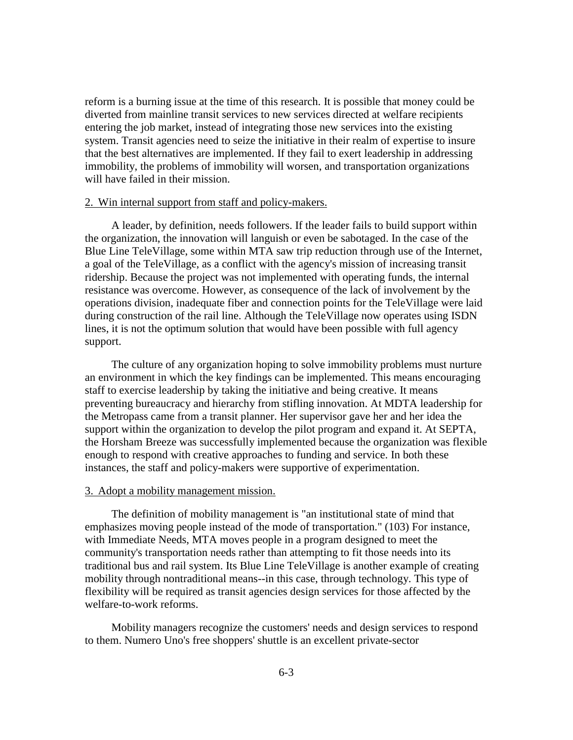reform is a burning issue at the time of this research. It is possible that money could be diverted from mainline transit services to new services directed at welfare recipients entering the job market, instead of integrating those new services into the existing system. Transit agencies need to seize the initiative in their realm of expertise to insure that the best alternatives are implemented. If they fail to exert leadership in addressing immobility, the problems of immobility will worsen, and transportation organizations will have failed in their mission.

#### 2. Win internal support from staff and policy-makers.

A leader, by definition, needs followers. If the leader fails to build support within the organization, the innovation will languish or even be sabotaged. In the case of the Blue Line TeleVillage, some within MTA saw trip reduction through use of the Internet, a goal of the TeleVillage, as a conflict with the agency's mission of increasing transit ridership. Because the project was not implemented with operating funds, the internal resistance was overcome. However, as consequence of the lack of involvement by the operations division, inadequate fiber and connection points for the TeleVillage were laid during construction of the rail line. Although the TeleVillage now operates using ISDN lines, it is not the optimum solution that would have been possible with full agency support.

The culture of any organization hoping to solve immobility problems must nurture an environment in which the key findings can be implemented. This means encouraging staff to exercise leadership by taking the initiative and being creative. It means preventing bureaucracy and hierarchy from stifling innovation. At MDTA leadership for the Metropass came from a transit planner. Her supervisor gave her and her idea the support within the organization to develop the pilot program and expand it. At SEPTA, the Horsham Breeze was successfully implemented because the organization was flexible enough to respond with creative approaches to funding and service. In both these instances, the staff and policy-makers were supportive of experimentation.

#### 3. Adopt a mobility management mission.

The definition of mobility management is "an institutional state of mind that emphasizes moving people instead of the mode of transportation." (103) For instance, with Immediate Needs, MTA moves people in a program designed to meet the community's transportation needs rather than attempting to fit those needs into its traditional bus and rail system. Its Blue Line TeleVillage is another example of creating mobility through nontraditional means--in this case, through technology. This type of flexibility will be required as transit agencies design services for those affected by the welfare-to-work reforms.

Mobility managers recognize the customers' needs and design services to respond to them. Numero Uno's free shoppers' shuttle is an excellent private-sector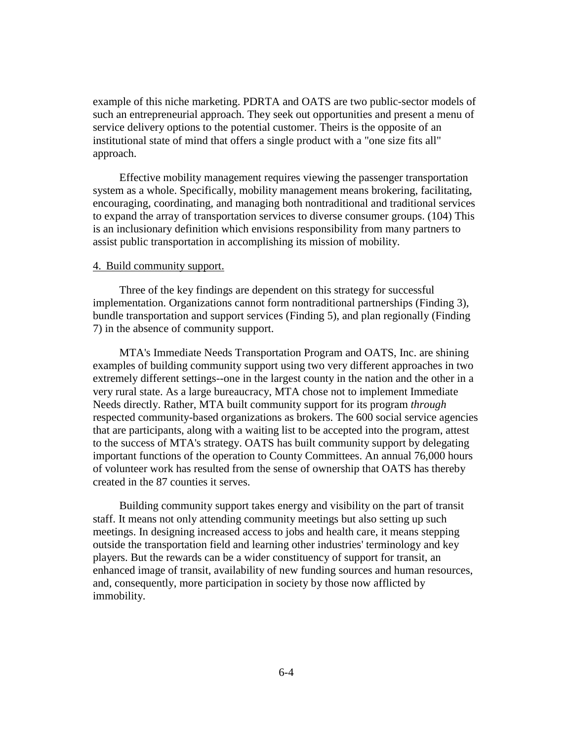example of this niche marketing. PDRTA and OATS are two public-sector models of such an entrepreneurial approach. They seek out opportunities and present a menu of service delivery options to the potential customer. Theirs is the opposite of an institutional state of mind that offers a single product with a "one size fits all" approach.

Effective mobility management requires viewing the passenger transportation system as a whole. Specifically, mobility management means brokering, facilitating, encouraging, coordinating, and managing both nontraditional and traditional services to expand the array of transportation services to diverse consumer groups. (104) This is an inclusionary definition which envisions responsibility from many partners to assist public transportation in accomplishing its mission of mobility.

#### 4. Build community support.

Three of the key findings are dependent on this strategy for successful implementation. Organizations cannot form nontraditional partnerships (Finding 3), bundle transportation and support services (Finding 5), and plan regionally (Finding 7) in the absence of community support.

MTA's Immediate Needs Transportation Program and OATS, Inc. are shining examples of building community support using two very different approaches in two extremely different settings--one in the largest county in the nation and the other in a very rural state. As a large bureaucracy, MTA chose not to implement Immediate Needs directly. Rather, MTA built community support for its program *through* respected community-based organizations as brokers. The 600 social service agencies that are participants, along with a waiting list to be accepted into the program, attest to the success of MTA's strategy. OATS has built community support by delegating important functions of the operation to County Committees. An annual 76,000 hours of volunteer work has resulted from the sense of ownership that OATS has thereby created in the 87 counties it serves.

Building community support takes energy and visibility on the part of transit staff. It means not only attending community meetings but also setting up such meetings. In designing increased access to jobs and health care, it means stepping outside the transportation field and learning other industries' terminology and key players. But the rewards can be a wider constituency of support for transit, an enhanced image of transit, availability of new funding sources and human resources, and, consequently, more participation in society by those now afflicted by immobility.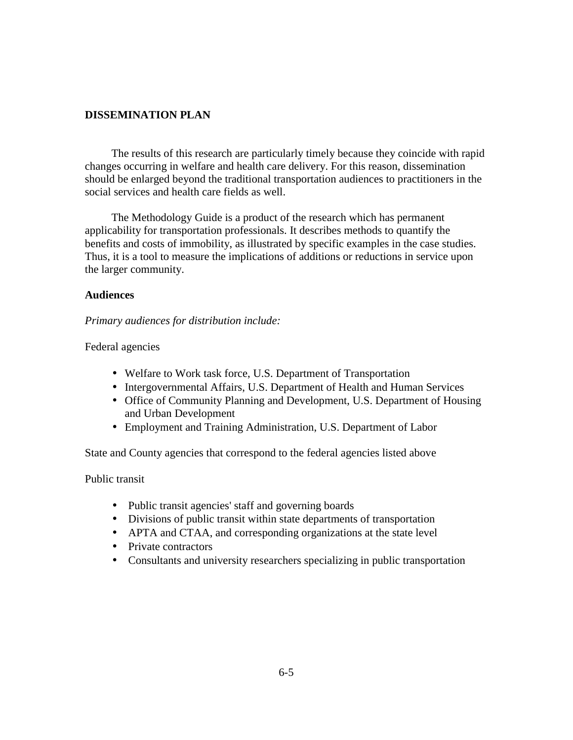## **DISSEMINATION PLAN**

The results of this research are particularly timely because they coincide with rapid changes occurring in welfare and health care delivery. For this reason, dissemination should be enlarged beyond the traditional transportation audiences to practitioners in the social services and health care fields as well.

The Methodology Guide is a product of the research which has permanent applicability for transportation professionals. It describes methods to quantify the benefits and costs of immobility, as illustrated by specific examples in the case studies. Thus, it is a tool to measure the implications of additions or reductions in service upon the larger community.

## **Audiences**

*Primary audiences for distribution include:*

Federal agencies

- Welfare to Work task force, U.S. Department of Transportation
- Intergovernmental Affairs, U.S. Department of Health and Human Services
- Office of Community Planning and Development, U.S. Department of Housing and Urban Development
- Employment and Training Administration, U.S. Department of Labor

State and County agencies that correspond to the federal agencies listed above

Public transit

- Public transit agencies' staff and governing boards
- Divisions of public transit within state departments of transportation
- APTA and CTAA, and corresponding organizations at the state level
- Private contractors
- Consultants and university researchers specializing in public transportation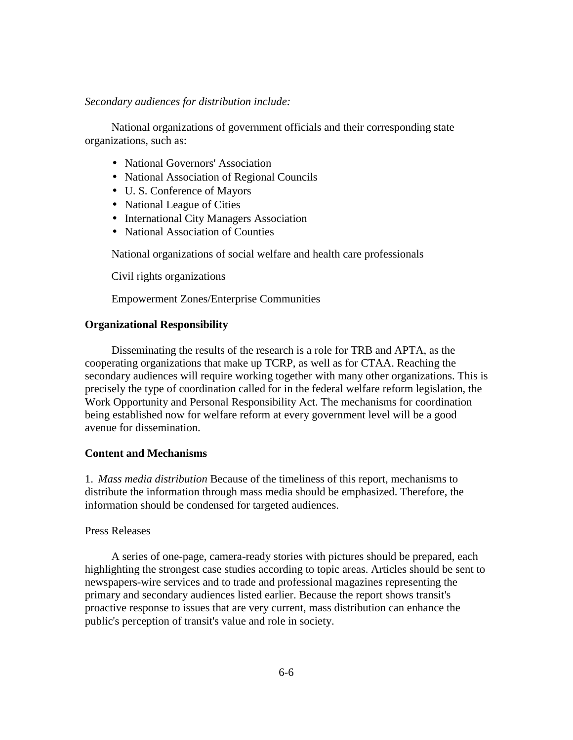#### *Secondary audiences for distribution include:*

National organizations of government officials and their corresponding state organizations, such as:

- National Governors' Association
- National Association of Regional Councils
- U. S. Conference of Mayors
- National League of Cities
- International City Managers Association
- National Association of Counties

National organizations of social welfare and health care professionals

Civil rights organizations

Empowerment Zones/Enterprise Communities

#### **Organizational Responsibility**

Disseminating the results of the research is a role for TRB and APTA, as the cooperating organizations that make up TCRP, as well as for CTAA. Reaching the secondary audiences will require working together with many other organizations. This is precisely the type of coordination called for in the federal welfare reform legislation, the Work Opportunity and Personal Responsibility Act. The mechanisms for coordination being established now for welfare reform at every government level will be a good avenue for dissemination.

#### **Content and Mechanisms**

1. *Mass media distribution* Because of the timeliness of this report, mechanisms to distribute the information through mass media should be emphasized. Therefore, the information should be condensed for targeted audiences.

#### Press Releases

A series of one-page, camera-ready stories with pictures should be prepared, each highlighting the strongest case studies according to topic areas. Articles should be sent to newspapers-wire services and to trade and professional magazines representing the primary and secondary audiences listed earlier. Because the report shows transit's proactive response to issues that are very current, mass distribution can enhance the public's perception of transit's value and role in society.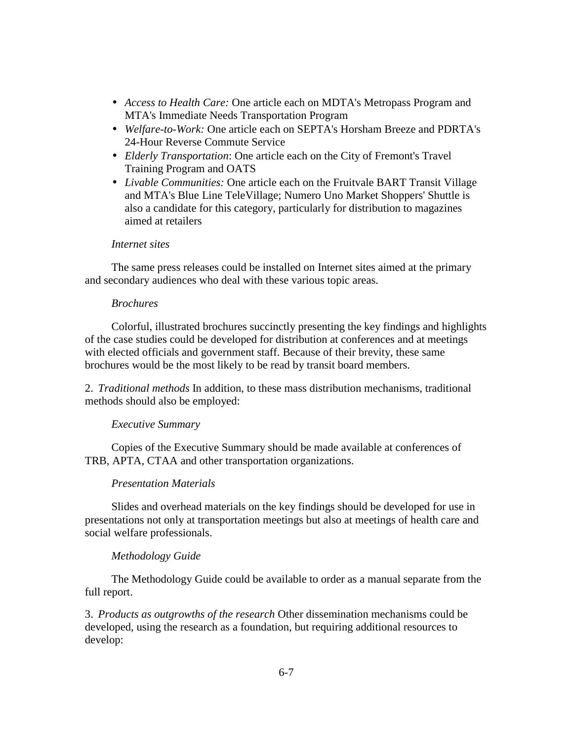- *Access to Health Care:* One article each on MDTA's Metropass Program and MTA's Immediate Needs Transportation Program
- *Welfare-to-Work:* One article each on SEPTA's Horsham Breeze and PDRTA's 24-Hour Reverse Commute Service
- *Elderly Transportation*: One article each on the City of Fremont's Travel Training Program and OATS
- *Livable Communities:* One article each on the Fruitvale BART Transit Village and MTA's Blue Line TeleVillage; Numero Uno Market Shoppers' Shuttle is also a candidate for this category, particularly for distribution to magazines aimed at retailers

#### *Internet sites*

The same press releases could be installed on Internet sites aimed at the primary and secondary audiences who deal with these various topic areas.

#### *Brochures*

Colorful, illustrated brochures succinctly presenting the key findings and highlights of the case studies could be developed for distribution at conferences and at meetings with elected officials and government staff. Because of their brevity, these same brochures would be the most likely to be read by transit board members.

2. *Traditional methods* In addition, to these mass distribution mechanisms, traditional methods should also be employed:

#### *Executive Summary*

Copies of the Executive Summary should be made available at conferences of TRB, APTA, CTAA and other transportation organizations.

#### *Presentation Materials*

Slides and overhead materials on the key findings should be developed for use in presentations not only at transportation meetings but also at meetings of health care and social welfare professionals.

## *Methodology Guide*

The Methodology Guide could be available to order as a manual separate from the full report.

3. *Products as outgrowths of the research* Other dissemination mechanisms could be developed, using the research as a foundation, but requiring additional resources to develop: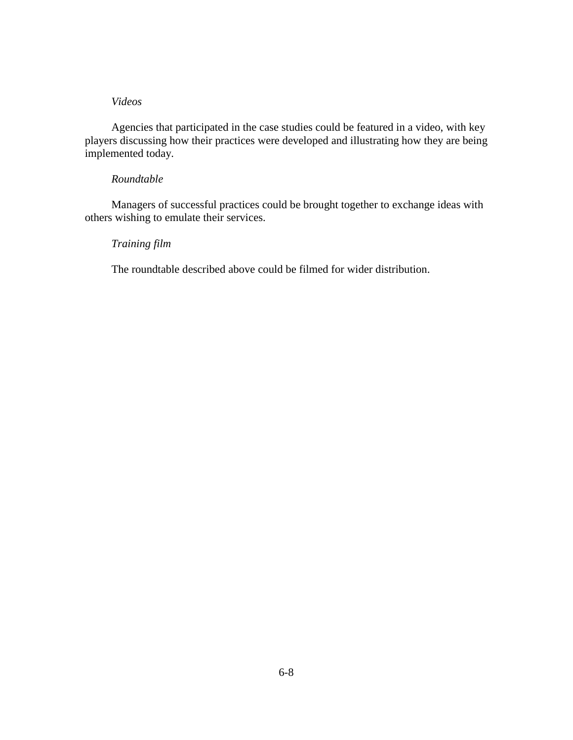## *Videos*

Agencies that participated in the case studies could be featured in a video, with key players discussing how their practices were developed and illustrating how they are being implemented today.

## *Roundtable*

Managers of successful practices could be brought together to exchange ideas with others wishing to emulate their services.

## *Training film*

The roundtable described above could be filmed for wider distribution.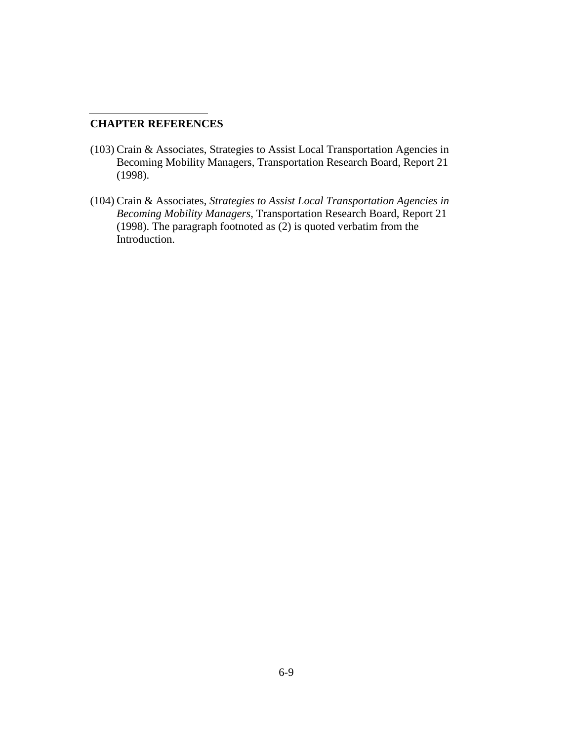## **CHAPTER REFERENCES**

- (103) Crain & Associates, Strategies to Assist Local Transportation Agencies in Becoming Mobility Managers, Transportation Research Board, Report 21 (1998).
- (104) Crain & Associates, *Strategies to Assist Local Transportation Agencies in Becoming Mobility Managers*, Transportation Research Board, Report 21 (1998). The paragraph footnoted as (2) is quoted verbatim from the Introduction.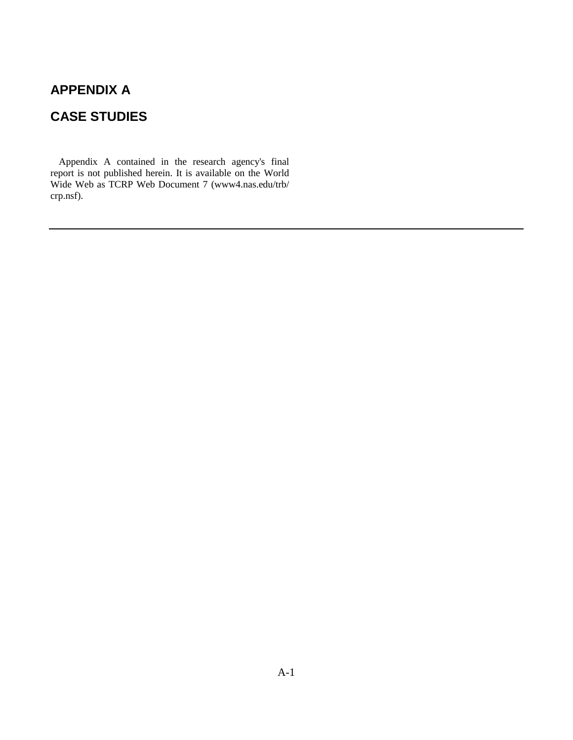# **APPENDIX A**

# **CASE STUDIES**

Appendix A contained in the research agency's final report is not published herein. It is available on the World Wide Web as TCRP Web Document 7 (www4.nas.edu/trb/ crp.nsf).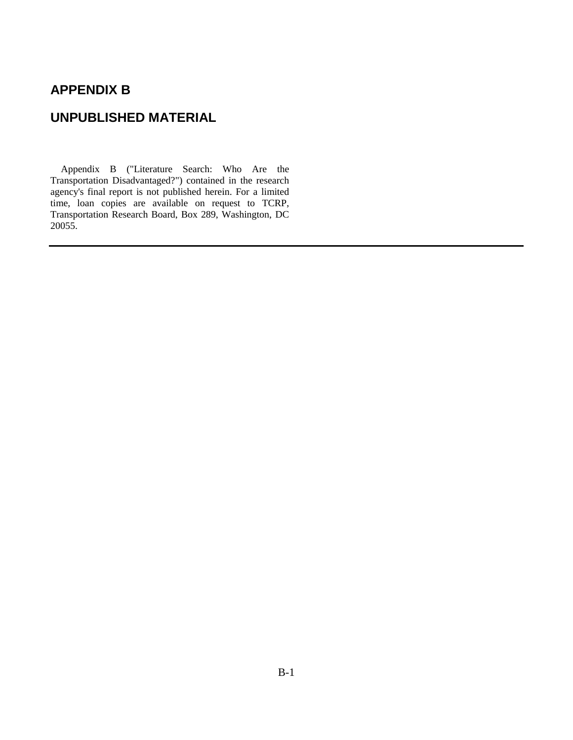# **APPENDIX B**

# **UNPUBLISHED MATERIAL**

Appendix B ("Literature Search: Who Are the Transportation Disadvantaged?") contained in the research agency's final report is not published herein. For a limited time, loan copies are available on request to TCRP, Transportation Research Board, Box 289, Washington, DC 20055.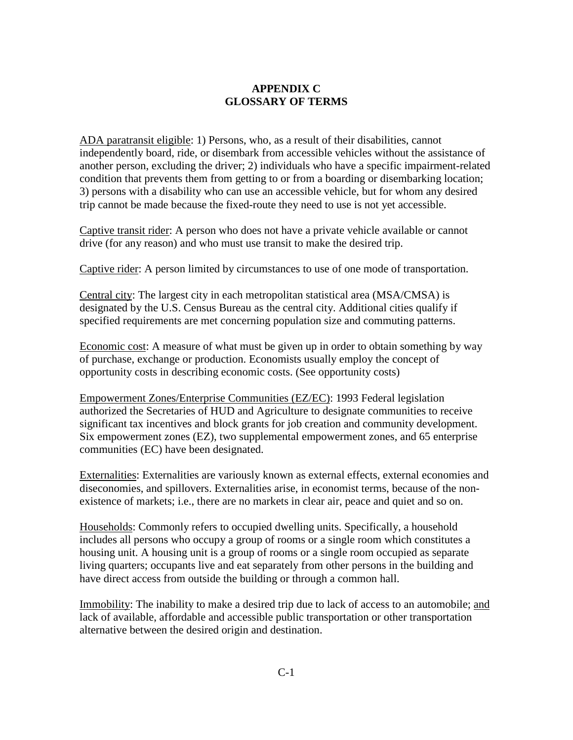## **APPENDIX C GLOSSARY OF TERMS**

ADA paratransit eligible: 1) Persons, who, as a result of their disabilities, cannot independently board, ride, or disembark from accessible vehicles without the assistance of another person, excluding the driver; 2) individuals who have a specific impairment-related condition that prevents them from getting to or from a boarding or disembarking location; 3) persons with a disability who can use an accessible vehicle, but for whom any desired trip cannot be made because the fixed-route they need to use is not yet accessible.

Captive transit rider: A person who does not have a private vehicle available or cannot drive (for any reason) and who must use transit to make the desired trip.

Captive rider: A person limited by circumstances to use of one mode of transportation.

Central city: The largest city in each metropolitan statistical area (MSA/CMSA) is designated by the U.S. Census Bureau as the central city. Additional cities qualify if specified requirements are met concerning population size and commuting patterns.

Economic cost: A measure of what must be given up in order to obtain something by way of purchase, exchange or production. Economists usually employ the concept of opportunity costs in describing economic costs. (See opportunity costs)

Empowerment Zones/Enterprise Communities (EZ/EC): 1993 Federal legislation authorized the Secretaries of HUD and Agriculture to designate communities to receive significant tax incentives and block grants for job creation and community development. Six empowerment zones (EZ), two supplemental empowerment zones, and 65 enterprise communities (EC) have been designated.

Externalities: Externalities are variously known as external effects, external economies and diseconomies, and spillovers. Externalities arise, in economist terms, because of the nonexistence of markets; i.e., there are no markets in clear air, peace and quiet and so on.

Households: Commonly refers to occupied dwelling units. Specifically, a household includes all persons who occupy a group of rooms or a single room which constitutes a housing unit. A housing unit is a group of rooms or a single room occupied as separate living quarters; occupants live and eat separately from other persons in the building and have direct access from outside the building or through a common hall.

Immobility: The inability to make a desired trip due to lack of access to an automobile; and lack of available, affordable and accessible public transportation or other transportation alternative between the desired origin and destination.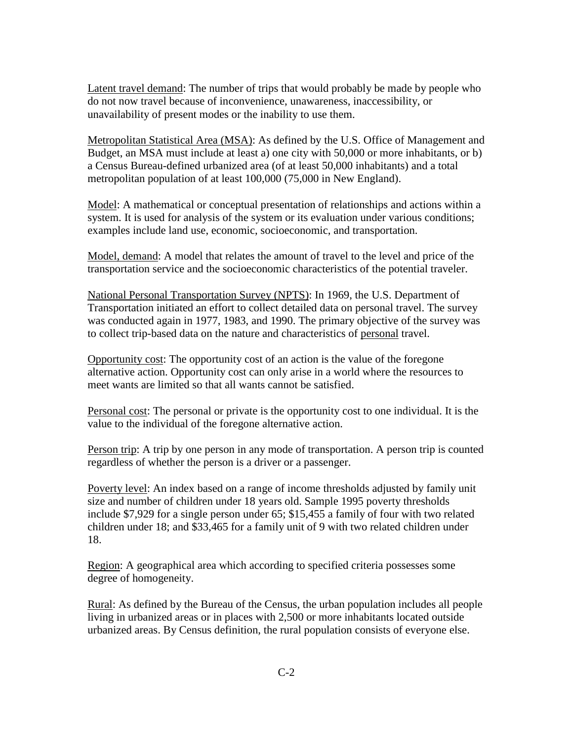Latent travel demand: The number of trips that would probably be made by people who do not now travel because of inconvenience, unawareness, inaccessibility, or unavailability of present modes or the inability to use them.

Metropolitan Statistical Area (MSA): As defined by the U.S. Office of Management and Budget, an MSA must include at least a) one city with 50,000 or more inhabitants, or b) a Census Bureau-defined urbanized area (of at least 50,000 inhabitants) and a total metropolitan population of at least 100,000 (75,000 in New England).

Model: A mathematical or conceptual presentation of relationships and actions within a system. It is used for analysis of the system or its evaluation under various conditions; examples include land use, economic, socioeconomic, and transportation.

Model, demand: A model that relates the amount of travel to the level and price of the transportation service and the socioeconomic characteristics of the potential traveler.

National Personal Transportation Survey (NPTS): In 1969, the U.S. Department of Transportation initiated an effort to collect detailed data on personal travel. The survey was conducted again in 1977, 1983, and 1990. The primary objective of the survey was to collect trip-based data on the nature and characteristics of personal travel.

Opportunity cost: The opportunity cost of an action is the value of the foregone alternative action. Opportunity cost can only arise in a world where the resources to meet wants are limited so that all wants cannot be satisfied.

Personal cost: The personal or private is the opportunity cost to one individual. It is the value to the individual of the foregone alternative action.

Person trip: A trip by one person in any mode of transportation. A person trip is counted regardless of whether the person is a driver or a passenger.

Poverty level: An index based on a range of income thresholds adjusted by family unit size and number of children under 18 years old. Sample 1995 poverty thresholds include \$7,929 for a single person under 65; \$15,455 a family of four with two related children under 18; and \$33,465 for a family unit of 9 with two related children under 18.

Region: A geographical area which according to specified criteria possesses some degree of homogeneity.

Rural: As defined by the Bureau of the Census, the urban population includes all people living in urbanized areas or in places with 2,500 or more inhabitants located outside urbanized areas. By Census definition, the rural population consists of everyone else.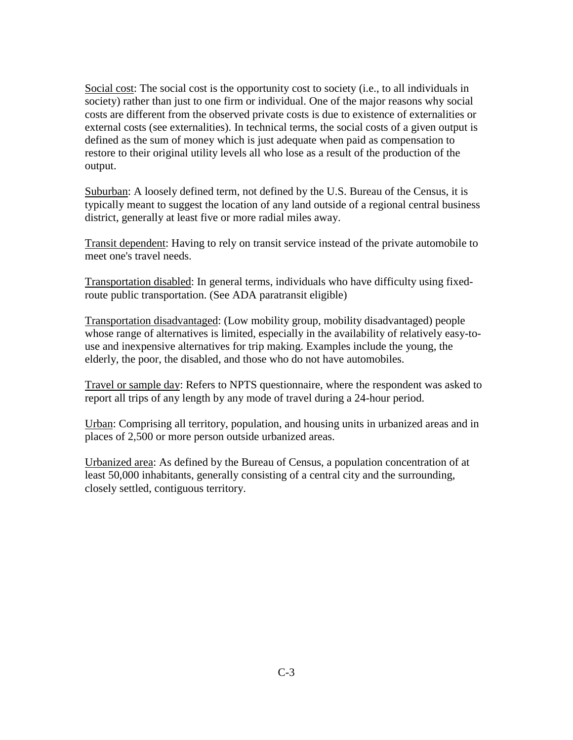Social cost: The social cost is the opportunity cost to society (i.e., to all individuals in society) rather than just to one firm or individual. One of the major reasons why social costs are different from the observed private costs is due to existence of externalities or external costs (see externalities). In technical terms, the social costs of a given output is defined as the sum of money which is just adequate when paid as compensation to restore to their original utility levels all who lose as a result of the production of the output.

Suburban: A loosely defined term, not defined by the U.S. Bureau of the Census, it is typically meant to suggest the location of any land outside of a regional central business district, generally at least five or more radial miles away.

Transit dependent: Having to rely on transit service instead of the private automobile to meet one's travel needs.

Transportation disabled: In general terms, individuals who have difficulty using fixedroute public transportation. (See ADA paratransit eligible)

Transportation disadvantaged: (Low mobility group, mobility disadvantaged) people whose range of alternatives is limited, especially in the availability of relatively easy-touse and inexpensive alternatives for trip making. Examples include the young, the elderly, the poor, the disabled, and those who do not have automobiles.

Travel or sample day: Refers to NPTS questionnaire, where the respondent was asked to report all trips of any length by any mode of travel during a 24-hour period.

Urban: Comprising all territory, population, and housing units in urbanized areas and in places of 2,500 or more person outside urbanized areas.

Urbanized area: As defined by the Bureau of Census, a population concentration of at least 50,000 inhabitants, generally consisting of a central city and the surrounding, closely settled, contiguous territory.